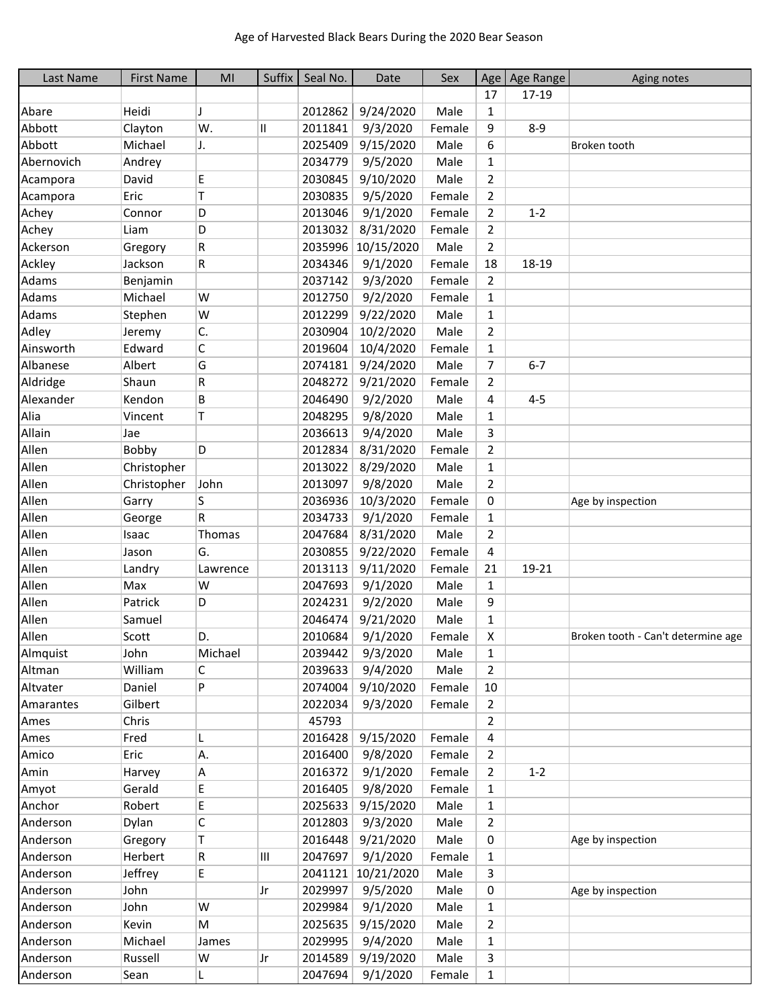| Last Name  | <b>First Name</b> | MI       | Suffix | Seal No. | Date       | Sex    | Age                | Age Range | Aging notes                        |
|------------|-------------------|----------|--------|----------|------------|--------|--------------------|-----------|------------------------------------|
|            |                   |          |        |          |            |        | 17                 | 17-19     |                                    |
| Abare      | Heidi             | IJ       |        | 2012862  | 9/24/2020  | Male   | $\mathbf{1}$       |           |                                    |
| Abbott     | Clayton           | W.       | Ш      | 2011841  | 9/3/2020   | Female | 9                  | $8 - 9$   |                                    |
| Abbott     | Michael           | J.       |        | 2025409  | 9/15/2020  | Male   | 6                  |           | Broken tooth                       |
| Abernovich | Andrey            |          |        | 2034779  | 9/5/2020   | Male   | 1                  |           |                                    |
| Acampora   | David             | E        |        | 2030845  | 9/10/2020  | Male   | $\overline{2}$     |           |                                    |
| Acampora   | Eric              | T        |        | 2030835  | 9/5/2020   | Female | $\overline{2}$     |           |                                    |
| Achey      | Connor            | D        |        | 2013046  | 9/1/2020   | Female | $\overline{2}$     | $1 - 2$   |                                    |
| Achey      | Liam              | D        |        | 2013032  | 8/31/2020  | Female | $\overline{2}$     |           |                                    |
| Ackerson   | Gregory           | R        |        | 2035996  | 10/15/2020 | Male   | $\overline{2}$     |           |                                    |
| Ackley     | Jackson           | R        |        | 2034346  | 9/1/2020   | Female | 18                 | 18-19     |                                    |
| Adams      | Benjamin          |          |        | 2037142  | 9/3/2020   | Female | $\overline{2}$     |           |                                    |
| Adams      | Michael           | W        |        | 2012750  | 9/2/2020   | Female | $\mathbf{1}$       |           |                                    |
| Adams      | Stephen           | W        |        | 2012299  | 9/22/2020  | Male   | $\mathbf{1}$       |           |                                    |
| Adley      | Jeremy            | C.       |        | 2030904  | 10/2/2020  | Male   | $\overline{2}$     |           |                                    |
| Ainsworth  | Edward            | C        |        | 2019604  | 10/4/2020  | Female |                    |           |                                    |
| Albanese   | Albert            | G        |        |          |            | Male   | $\mathbf{1}$       | $6 - 7$   |                                    |
|            |                   |          |        | 2074181  | 9/24/2020  |        | 7                  |           |                                    |
| Aldridge   | Shaun             | R        |        | 2048272  | 9/21/2020  | Female | 2                  |           |                                    |
| Alexander  | Kendon            | B        |        | 2046490  | 9/2/2020   | Male   | 4                  | $4 - 5$   |                                    |
| Alia       | Vincent           | Τ        |        | 2048295  | 9/8/2020   | Male   | $\mathbf{1}$       |           |                                    |
| Allain     | Jae               |          |        | 2036613  | 9/4/2020   | Male   | 3                  |           |                                    |
| Allen      | Bobby             | D        |        | 2012834  | 8/31/2020  | Female | $\overline{2}$     |           |                                    |
| Allen      | Christopher       |          |        | 2013022  | 8/29/2020  | Male   | 1                  |           |                                    |
| Allen      | Christopher       | John     |        | 2013097  | 9/8/2020   | Male   | $\overline{2}$     |           |                                    |
| Allen      | Garry             | S        |        | 2036936  | 10/3/2020  | Female | 0                  |           | Age by inspection                  |
| Allen      | George            | R        |        | 2034733  | 9/1/2020   | Female | $\mathbf{1}$       |           |                                    |
| Allen      | Isaac             | Thomas   |        | 2047684  | 8/31/2020  | Male   | $\overline{2}$     |           |                                    |
| Allen      | Jason             | G.       |        | 2030855  | 9/22/2020  | Female | 4                  |           |                                    |
| Allen      | Landry            | Lawrence |        | 2013113  | 9/11/2020  | Female | 21                 | 19-21     |                                    |
| Allen      | Max               | W        |        | 2047693  | 9/1/2020   | Male   | 1                  |           |                                    |
| Allen      | Patrick           | D        |        | 2024231  | 9/2/2020   | Male   | 9                  |           |                                    |
| Allen      | Samuel            |          |        | 2046474  | 9/21/2020  | Male   | $\mathbf{1}$       |           |                                    |
| Allen      | Scott             | D.       |        | 2010684  | 9/1/2020   | Female | $\pmb{\mathsf{X}}$ |           | Broken tooth - Can't determine age |
| Almquist   | John              | Michael  |        | 2039442  | 9/3/2020   | Male   | 1                  |           |                                    |
| Altman     | William           | С        |        | 2039633  | 9/4/2020   | Male   | $\overline{2}$     |           |                                    |
| Altvater   | Daniel            | P        |        | 2074004  | 9/10/2020  | Female | 10                 |           |                                    |
| Amarantes  | Gilbert           |          |        | 2022034  | 9/3/2020   | Female | 2                  |           |                                    |
| Ames       | Chris             |          |        | 45793    |            |        | $\overline{2}$     |           |                                    |
| Ames       | Fred              | L        |        | 2016428  | 9/15/2020  | Female | 4                  |           |                                    |
| Amico      | Eric              | А.       |        | 2016400  | 9/8/2020   | Female | $\overline{2}$     |           |                                    |
| Amin       | Harvey            | Α        |        | 2016372  | 9/1/2020   | Female | $\overline{2}$     | $1 - 2$   |                                    |
| Amyot      | Gerald            | Е        |        | 2016405  | 9/8/2020   | Female | $\mathbf{1}$       |           |                                    |
| Anchor     | Robert            | E        |        | 2025633  | 9/15/2020  | Male   | $\mathbf{1}$       |           |                                    |
| Anderson   | Dylan             | C        |        | 2012803  | 9/3/2020   | Male   | $\overline{2}$     |           |                                    |
| Anderson   | Gregory           | т        |        | 2016448  | 9/21/2020  | Male   | 0                  |           | Age by inspection                  |
| Anderson   | Herbert           | R        | III    | 2047697  | 9/1/2020   | Female | $\mathbf{1}$       |           |                                    |
| Anderson   | Jeffrey           | E.       |        | 2041121  | 10/21/2020 | Male   | 3                  |           |                                    |
| Anderson   | John              |          | Jr     | 2029997  | 9/5/2020   | Male   | 0                  |           | Age by inspection                  |
| Anderson   | John              | W        |        | 2029984  | 9/1/2020   | Male   | 1                  |           |                                    |
| Anderson   | Kevin             | М        |        | 2025635  | 9/15/2020  | Male   | $\overline{2}$     |           |                                    |
| Anderson   | Michael           | James    |        | 2029995  | 9/4/2020   | Male   | $\mathbf{1}$       |           |                                    |
| Anderson   | Russell           | W        | Jr     | 2014589  | 9/19/2020  | Male   | 3                  |           |                                    |
| Anderson   | Sean              | L        |        | 2047694  | 9/1/2020   | Female | $\mathbf{1}$       |           |                                    |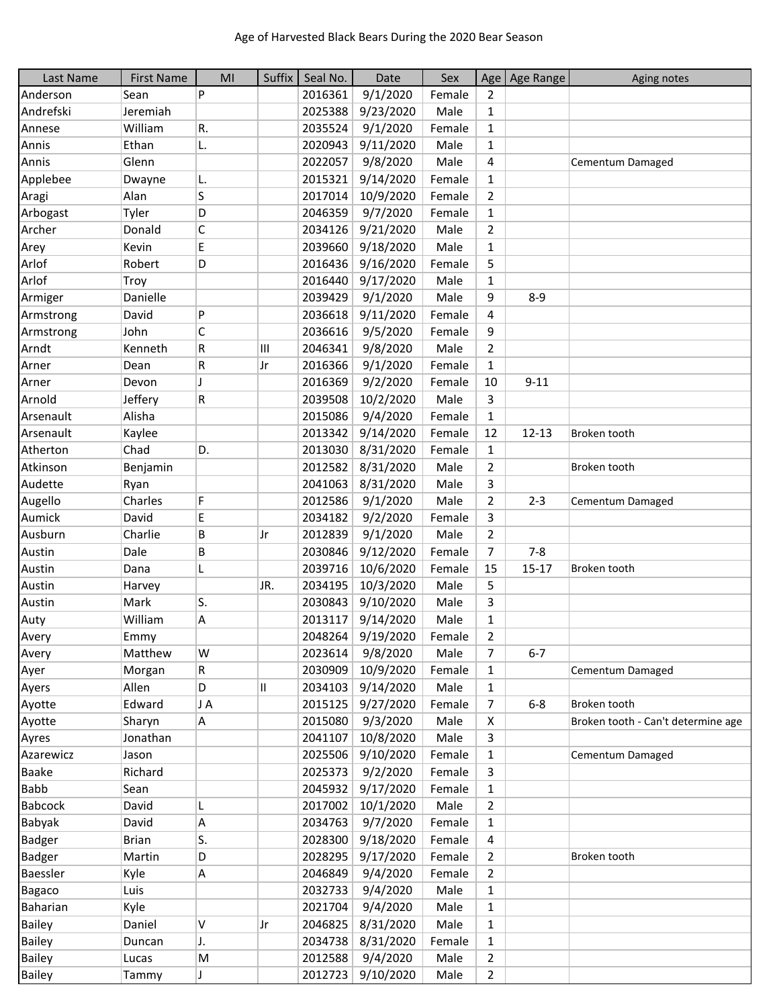| Last Name     | <b>First Name</b> | MI  | Suffix | Seal No. | Date              | Sex    |                | Age   Age Range | Aging notes                        |
|---------------|-------------------|-----|--------|----------|-------------------|--------|----------------|-----------------|------------------------------------|
| Anderson      | Sean              | P   |        | 2016361  | 9/1/2020          | Female | $\overline{2}$ |                 |                                    |
| Andrefski     | Jeremiah          |     |        | 2025388  | 9/23/2020         | Male   | $\mathbf{1}$   |                 |                                    |
| Annese        | William           | R.  |        | 2035524  | 9/1/2020          | Female | $\mathbf{1}$   |                 |                                    |
| Annis         | Ethan             | L.  |        | 2020943  | 9/11/2020         | Male   | $\mathbf{1}$   |                 |                                    |
| Annis         | Glenn             |     |        | 2022057  | 9/8/2020          | Male   | 4              |                 | Cementum Damaged                   |
| Applebee      | Dwayne            | L.  |        | 2015321  | 9/14/2020         | Female | $\mathbf{1}$   |                 |                                    |
| Aragi         | Alan              | S   |        | 2017014  | 10/9/2020         | Female | $\overline{2}$ |                 |                                    |
| Arbogast      | Tyler             | D   |        | 2046359  | 9/7/2020          | Female | $\mathbf{1}$   |                 |                                    |
| Archer        | Donald            | C   |        | 2034126  | 9/21/2020         | Male   | $\overline{2}$ |                 |                                    |
| Arey          | Kevin             | E   |        | 2039660  | 9/18/2020         | Male   | $\mathbf{1}$   |                 |                                    |
| Arlof         | Robert            | D   |        | 2016436  | 9/16/2020         | Female | 5              |                 |                                    |
| Arlof         | Troy              |     |        | 2016440  | 9/17/2020         | Male   | $\mathbf{1}$   |                 |                                    |
| Armiger       | Danielle          |     |        | 2039429  | 9/1/2020          | Male   | 9              | $8 - 9$         |                                    |
| Armstrong     | David             | P   |        | 2036618  | 9/11/2020         | Female | 4              |                 |                                    |
| Armstrong     | John              | C   |        | 2036616  | 9/5/2020          | Female | 9              |                 |                                    |
| Arndt         | Kenneth           | R   | Ш      | 2046341  | 9/8/2020          | Male   | $\overline{2}$ |                 |                                    |
| Arner         | Dean              | R   | Jr     | 2016366  | 9/1/2020          | Female | $\mathbf{1}$   |                 |                                    |
| Arner         | Devon             | J   |        | 2016369  | 9/2/2020          | Female | 10             | $9 - 11$        |                                    |
| Arnold        | Jeffery           | R   |        | 2039508  | 10/2/2020         | Male   | 3              |                 |                                    |
| Arsenault     | Alisha            |     |        | 2015086  | 9/4/2020          | Female | $\mathbf{1}$   |                 |                                    |
| Arsenault     | Kaylee            |     |        | 2013342  | 9/14/2020         | Female | 12             | $12 - 13$       | Broken tooth                       |
| Atherton      | Chad              | D.  |        | 2013030  | 8/31/2020         | Female | $\mathbf{1}$   |                 |                                    |
| Atkinson      | Benjamin          |     |        | 2012582  | 8/31/2020         | Male   | $\overline{2}$ |                 | Broken tooth                       |
| Audette       | Ryan              |     |        | 2041063  | 8/31/2020         | Male   | 3              |                 |                                    |
| Augello       | Charles           | F   |        | 2012586  | 9/1/2020          | Male   | $\overline{2}$ | $2 - 3$         | Cementum Damaged                   |
| Aumick        | David             | E   |        | 2034182  | 9/2/2020          | Female | 3              |                 |                                    |
| Ausburn       | Charlie           | В   | Jr     | 2012839  | 9/1/2020          | Male   | $\overline{2}$ |                 |                                    |
| Austin        | Dale              | В   |        | 2030846  | 9/12/2020         | Female | $\overline{7}$ | $7 - 8$         |                                    |
| Austin        | Dana              | L   |        | 2039716  | 10/6/2020         | Female | 15             | $15 - 17$       | Broken tooth                       |
| Austin        | Harvey            |     | JR.    | 2034195  | 10/3/2020         | Male   | 5              |                 |                                    |
| Austin        | Mark              | ls. |        | 2030843  | 9/10/2020         | Male   | 3              |                 |                                    |
| Auty          | William           | А   |        | 2013117  | 9/14/2020         | Male   | $\mathbf{1}$   |                 |                                    |
| Avery         | Emmy              |     |        | 2048264  | 9/19/2020         | Female | $\overline{2}$ |                 |                                    |
| Avery         | Matthew           | W   |        | 2023614  | 9/8/2020          | Male   | 7              | $6 - 7$         |                                    |
| Ayer          | Morgan            | R   |        | 2030909  | 10/9/2020         | Female | $\mathbf{1}$   |                 | Cementum Damaged                   |
| Ayers         | Allen             | D   | II     | 2034103  | 9/14/2020         | Male   | $\mathbf{1}$   |                 |                                    |
| Ayotte        | Edward            | J A |        | 2015125  | 9/27/2020         | Female | 7              | $6-8$           | Broken tooth                       |
| Ayotte        | Sharyn            | A   |        | 2015080  | 9/3/2020          | Male   | X              |                 | Broken tooth - Can't determine age |
| Ayres         | Jonathan          |     |        | 2041107  | 10/8/2020         | Male   | 3              |                 |                                    |
| Azarewicz     | Jason             |     |        | 2025506  | 9/10/2020         | Female | $\mathbf{1}$   |                 | Cementum Damaged                   |
| <b>Baake</b>  | Richard           |     |        | 2025373  | 9/2/2020          | Female | 3              |                 |                                    |
| Babb          | Sean              |     |        | 2045932  | 9/17/2020         | Female | $\mathbf{1}$   |                 |                                    |
| Babcock       | David             | L   |        | 2017002  | 10/1/2020         | Male   | $\overline{2}$ |                 |                                    |
| Babyak        | David             | А   |        | 2034763  | 9/7/2020          | Female | $\mathbf{1}$   |                 |                                    |
| <b>Badger</b> | <b>Brian</b>      | S.  |        | 2028300  | 9/18/2020         | Female | 4              |                 |                                    |
| <b>Badger</b> | Martin            | D   |        | 2028295  | 9/17/2020         | Female | $\overline{2}$ |                 | Broken tooth                       |
| Baessler      | Kyle              | A   |        | 2046849  | 9/4/2020          | Female | $\overline{2}$ |                 |                                    |
| <b>Bagaco</b> | Luis              |     |        | 2032733  | 9/4/2020          | Male   | $\mathbf{1}$   |                 |                                    |
| Baharian      | Kyle              |     |        | 2021704  | 9/4/2020          | Male   | $\mathbf{1}$   |                 |                                    |
| <b>Bailey</b> | Daniel            | V   | Jr     | 2046825  | 8/31/2020         | Male   | 1              |                 |                                    |
| <b>Bailey</b> | Duncan            | J.  |        | 2034738  | 8/31/2020         | Female | $\mathbf{1}$   |                 |                                    |
| <b>Bailey</b> | Lucas             | M   |        | 2012588  | 9/4/2020          | Male   | $\overline{2}$ |                 |                                    |
| <b>Bailey</b> | Tammy             | J   |        |          | 2012723 9/10/2020 | Male   | $\overline{2}$ |                 |                                    |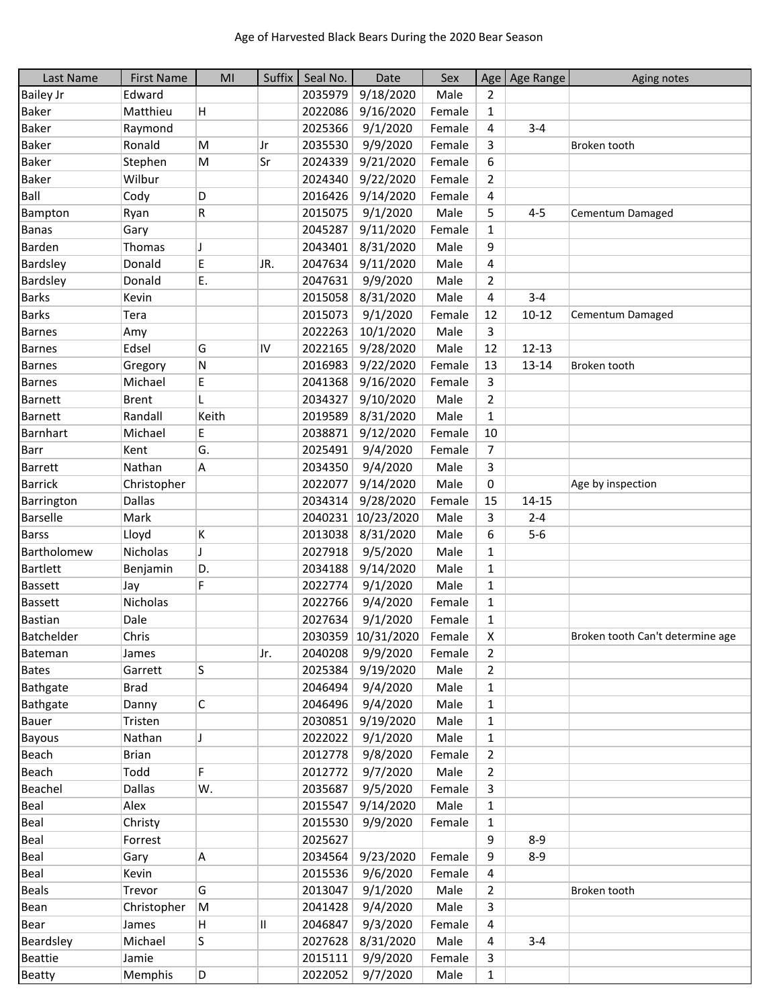| Last Name        | <b>First Name</b> | MI    | Suffix | Seal No. | Date                                  | Sex    |                | Age Age Range | Aging notes                      |
|------------------|-------------------|-------|--------|----------|---------------------------------------|--------|----------------|---------------|----------------------------------|
| <b>Bailey Jr</b> | Edward            |       |        | 2035979  | 9/18/2020                             | Male   | $\overline{2}$ |               |                                  |
| <b>Baker</b>     | Matthieu          | H     |        | 2022086  | 9/16/2020                             | Female | 1              |               |                                  |
| Baker            | Raymond           |       |        | 2025366  | 9/1/2020                              | Female | 4              | $3 - 4$       |                                  |
| <b>Baker</b>     | Ronald            | M     | Jr     | 2035530  | 9/9/2020                              | Female | 3              |               | Broken tooth                     |
| <b>Baker</b>     | Stephen           | M     | Sr     | 2024339  | 9/21/2020                             | Female | 6              |               |                                  |
| <b>Baker</b>     | Wilbur            |       |        | 2024340  | 9/22/2020                             | Female | 2              |               |                                  |
| Ball             | Cody              | D     |        | 2016426  | 9/14/2020                             | Female | 4              |               |                                  |
| Bampton          | Ryan              | R     |        | 2015075  | 9/1/2020                              | Male   | 5              | $4 - 5$       | Cementum Damaged                 |
| <b>Banas</b>     | Gary              |       |        | 2045287  | 9/11/2020                             | Female | $\mathbf{1}$   |               |                                  |
| Barden           | Thomas            | J     |        | 2043401  | 8/31/2020                             | Male   | 9              |               |                                  |
| <b>Bardsley</b>  | Donald            | E     | JR.    | 2047634  | 9/11/2020                             | Male   | 4              |               |                                  |
| Bardsley         | Donald            | E.    |        | 2047631  | 9/9/2020                              | Male   | 2              |               |                                  |
| <b>Barks</b>     | Kevin             |       |        | 2015058  | 8/31/2020                             | Male   | 4              | $3 - 4$       |                                  |
| <b>Barks</b>     | Tera              |       |        | 2015073  | 9/1/2020                              | Female | 12             | $10 - 12$     | Cementum Damaged                 |
| <b>Barnes</b>    | Amy               |       |        | 2022263  | 10/1/2020                             | Male   | 3              |               |                                  |
| <b>Barnes</b>    | Edsel             | G     | IV     | 2022165  | 9/28/2020                             | Male   | 12             | $12 - 13$     |                                  |
| Barnes           | Gregory           | N     |        | 2016983  | 9/22/2020                             | Female | 13             | $13 - 14$     | Broken tooth                     |
| <b>Barnes</b>    | Michael           | E     |        | 2041368  | 9/16/2020                             | Female | 3              |               |                                  |
| <b>Barnett</b>   | <b>Brent</b>      |       |        | 2034327  | 9/10/2020                             | Male   | $\overline{2}$ |               |                                  |
| <b>Barnett</b>   | Randall           | Keith |        | 2019589  | 8/31/2020                             | Male   | $\mathbf{1}$   |               |                                  |
| Barnhart         | Michael           | E     |        | 2038871  | 9/12/2020                             | Female | 10             |               |                                  |
| <b>Barr</b>      | Kent              | G.    |        | 2025491  | 9/4/2020                              | Female | 7              |               |                                  |
| <b>Barrett</b>   | Nathan            | Α     |        | 2034350  | 9/4/2020                              | Male   | 3              |               |                                  |
| <b>Barrick</b>   | Christopher       |       |        | 2022077  | 9/14/2020                             | Male   | 0              |               | Age by inspection                |
| Barrington       | <b>Dallas</b>     |       |        | 2034314  | 9/28/2020                             | Female | 15             | $14 - 15$     |                                  |
| <b>Barselle</b>  | Mark              |       |        | 2040231  | 10/23/2020                            | Male   | 3              | $2 - 4$       |                                  |
| <b>Barss</b>     | Lloyd             | K     |        | 2013038  | 8/31/2020                             | Male   | 6              | $5-6$         |                                  |
| Bartholomew      | Nicholas          | J     |        | 2027918  | 9/5/2020                              | Male   | $\mathbf{1}$   |               |                                  |
| <b>Bartlett</b>  | Benjamin          | D.    |        | 2034188  | 9/14/2020                             | Male   | 1              |               |                                  |
| <b>Bassett</b>   | Jay               | F     |        | 2022774  | 9/1/2020                              | Male   | 1              |               |                                  |
| <b>Bassett</b>   | Nicholas          |       |        | 2022766  | 9/4/2020                              | Female | $\mathbf{1}$   |               |                                  |
| <b>Bastian</b>   | Dale              |       |        | 2027634  | 9/1/2020                              | Female | $\mathbf{1}$   |               |                                  |
| Batchelder       |                   |       |        |          |                                       |        | X              |               |                                  |
|                  | Chris             |       |        | 2040208  | 2030359 10/31/2020 Female<br>9/9/2020 |        |                |               | Broken tooth Can't determine age |
| Bateman          | James             |       | Jr.    |          |                                       | Female | 2              |               |                                  |
| Bates            | Garrett           | S     |        | 2025384  | 9/19/2020                             | Male   | $\overline{2}$ |               |                                  |
| Bathgate         | <b>Brad</b>       |       |        | 2046494  | 9/4/2020                              | Male   | 1              |               |                                  |
| Bathgate         | Danny             | C     |        | 2046496  | 9/4/2020                              | Male   | 1              |               |                                  |
| Bauer            | Tristen           |       |        | 2030851  | 9/19/2020                             | Male   | $\mathbf{1}$   |               |                                  |
| Bayous           | Nathan            | J     |        | 2022022  | 9/1/2020                              | Male   | $\mathbf{1}$   |               |                                  |
| Beach            | <b>Brian</b>      |       |        | 2012778  | 9/8/2020                              | Female | 2              |               |                                  |
| Beach            | Todd              | F     |        | 2012772  | 9/7/2020                              | Male   | 2              |               |                                  |
| Beachel          | Dallas            | W.    |        | 2035687  | 9/5/2020                              | Female | 3              |               |                                  |
| Beal             | Alex              |       |        | 2015547  | 9/14/2020                             | Male   | $\mathbf{1}$   |               |                                  |
| Beal             | Christy           |       |        | 2015530  | 9/9/2020                              | Female | $\mathbf{1}$   |               |                                  |
| Beal             | Forrest           |       |        | 2025627  |                                       |        | 9              | $8-9$         |                                  |
| Beal             | Gary              | A     |        | 2034564  | 9/23/2020                             | Female | 9              | $8 - 9$       |                                  |
| Beal             | Kevin             |       |        | 2015536  | 9/6/2020                              | Female | 4              |               |                                  |
| <b>Beals</b>     | Trevor            | G     |        | 2013047  | 9/1/2020                              | Male   | $\overline{2}$ |               | Broken tooth                     |
| Bean             | Christopher       | M     |        | 2041428  | 9/4/2020                              | Male   | 3              |               |                                  |
| Bear             | James             | H     | Ш.     | 2046847  | 9/3/2020                              | Female | 4              |               |                                  |
| Beardsley        | Michael           | S.    |        | 2027628  | 8/31/2020                             | Male   | 4              | $3 - 4$       |                                  |
| Beattie          | Jamie             |       |        | 2015111  | 9/9/2020                              | Female | 3              |               |                                  |
| <b>Beatty</b>    | Memphis           | D     |        |          | 2022052 9/7/2020                      | Male   | $\mathbf{1}$   |               |                                  |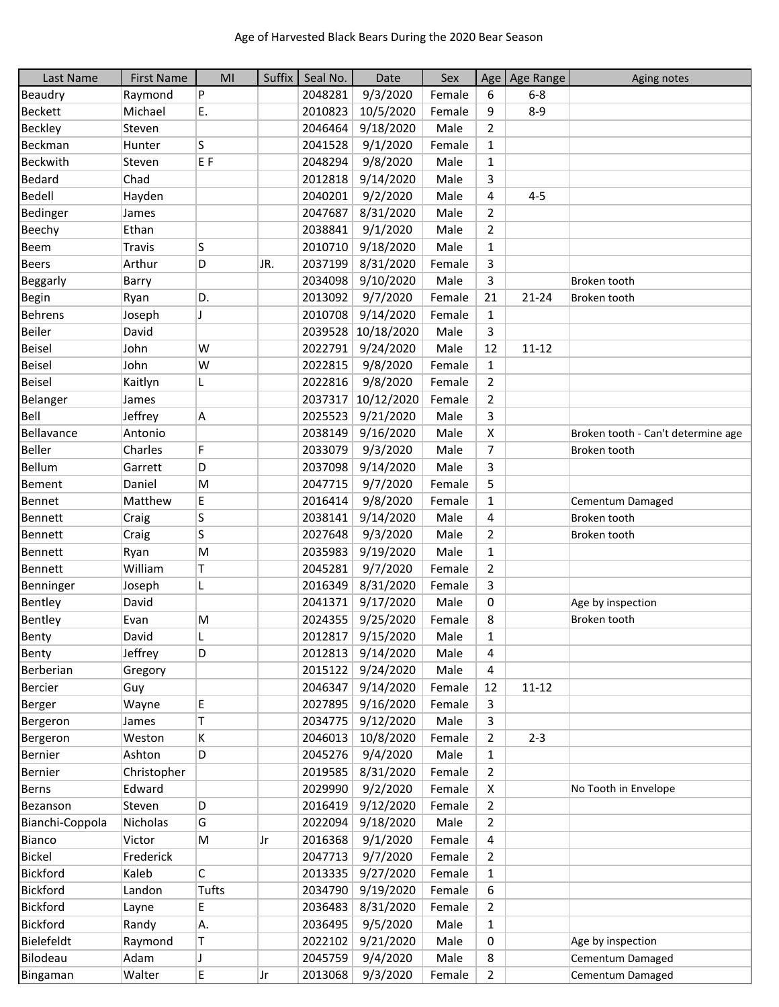| Last Name       | <b>First Name</b> | MI             | Suffix | Seal No. | Date       | Sex    |                | Age   Age Range | Aging notes                        |
|-----------------|-------------------|----------------|--------|----------|------------|--------|----------------|-----------------|------------------------------------|
| Beaudry         | Raymond           | P              |        | 2048281  | 9/3/2020   | Female | 6              | $6-8$           |                                    |
| <b>Beckett</b>  | Michael           | Ε.             |        | 2010823  | 10/5/2020  | Female | 9              | $8 - 9$         |                                    |
| Beckley         | Steven            |                |        | 2046464  | 9/18/2020  | Male   | $\overline{2}$ |                 |                                    |
| Beckman         | Hunter            | S              |        | 2041528  | 9/1/2020   | Female | $\mathbf{1}$   |                 |                                    |
| <b>Beckwith</b> | Steven            | E <sub>F</sub> |        | 2048294  | 9/8/2020   | Male   | $\mathbf{1}$   |                 |                                    |
| Bedard          | Chad              |                |        | 2012818  | 9/14/2020  | Male   | 3              |                 |                                    |
| Bedell          | Hayden            |                |        | 2040201  | 9/2/2020   | Male   | 4              | $4 - 5$         |                                    |
| Bedinger        | James             |                |        | 2047687  | 8/31/2020  | Male   | $\overline{2}$ |                 |                                    |
| Beechy          | Ethan             |                |        | 2038841  | 9/1/2020   | Male   | $\overline{2}$ |                 |                                    |
| Beem            | <b>Travis</b>     | S              |        | 2010710  | 9/18/2020  | Male   | $\mathbf{1}$   |                 |                                    |
| <b>Beers</b>    | Arthur            | D              | JR.    | 2037199  | 8/31/2020  | Female | 3              |                 |                                    |
| Beggarly        | Barry             |                |        | 2034098  | 9/10/2020  | Male   | 3              |                 | Broken tooth                       |
| <b>Begin</b>    | Ryan              | D.             |        | 2013092  | 9/7/2020   | Female | 21             | $21 - 24$       | Broken tooth                       |
| <b>Behrens</b>  | Joseph            | J              |        | 2010708  | 9/14/2020  | Female | $\mathbf{1}$   |                 |                                    |
| Beiler          | David             |                |        | 2039528  | 10/18/2020 | Male   | 3              |                 |                                    |
| <b>Beisel</b>   | John              | W              |        | 2022791  | 9/24/2020  | Male   | 12             | $11 - 12$       |                                    |
| <b>Beisel</b>   | John              | W              |        | 2022815  | 9/8/2020   | Female | $\mathbf{1}$   |                 |                                    |
| <b>Beisel</b>   | Kaitlyn           | L              |        | 2022816  | 9/8/2020   | Female | $\overline{2}$ |                 |                                    |
| Belanger        | James             |                |        | 2037317  | 10/12/2020 | Female | $\overline{2}$ |                 |                                    |
| Bell            | Jeffrey           | A              |        | 2025523  | 9/21/2020  | Male   | 3              |                 |                                    |
| Bellavance      | Antonio           |                |        | 2038149  | 9/16/2020  | Male   | X              |                 | Broken tooth - Can't determine age |
| Beller          | Charles           | F              |        | 2033079  | 9/3/2020   | Male   | 7              |                 | Broken tooth                       |
| Bellum          | Garrett           | ID.            |        | 2037098  | 9/14/2020  | Male   | 3              |                 |                                    |
| Bement          | Daniel            | M              |        | 2047715  | 9/7/2020   | Female | 5              |                 |                                    |
| Bennet          | Matthew           | E              |        | 2016414  | 9/8/2020   | Female | 1              |                 | Cementum Damaged                   |
| Bennett         | Craig             | S              |        | 2038141  | 9/14/2020  | Male   | 4              |                 | Broken tooth                       |
| Bennett         | Craig             | S              |        | 2027648  | 9/3/2020   | Male   | $\overline{2}$ |                 | Broken tooth                       |
| Bennett         | Ryan              | M              |        | 2035983  | 9/19/2020  | Male   | $\mathbf{1}$   |                 |                                    |
| Bennett         | William           | T              |        | 2045281  | 9/7/2020   | Female | $\overline{2}$ |                 |                                    |
| Benninger       | Joseph            | L              |        | 2016349  | 8/31/2020  | Female | 3              |                 |                                    |
| Bentley         | David             |                |        | 2041371  | 9/17/2020  | Male   | 0              |                 | Age by inspection                  |
| Bentley         | Evan              | M              |        | 2024355  | 9/25/2020  | Female | 8              |                 | Broken tooth                       |
| Benty           | David             |                |        | 2012817  | 9/15/2020  | Male   | 1              |                 |                                    |
| Benty           | Jeffrey           | D              |        | 2012813  | 9/14/2020  | Male   | 4              |                 |                                    |
| Berberian       | Gregory           |                |        | 2015122  | 9/24/2020  | Male   | 4              |                 |                                    |
| <b>Bercier</b>  | Guy               |                |        | 2046347  | 9/14/2020  | Female | 12             | $11 - 12$       |                                    |
| Berger          | Wayne             | E              |        | 2027895  | 9/16/2020  | Female | 3              |                 |                                    |
| Bergeron        | James             | T              |        | 2034775  | 9/12/2020  | Male   | 3              |                 |                                    |
| Bergeron        | Weston            | K              |        | 2046013  | 10/8/2020  | Female | $\overline{2}$ | $2 - 3$         |                                    |
| Bernier         | Ashton            | D              |        | 2045276  | 9/4/2020   | Male   | $\mathbf{1}$   |                 |                                    |
| Bernier         | Christopher       |                |        | 2019585  | 8/31/2020  | Female | $\overline{2}$ |                 |                                    |
| Berns           | Edward            |                |        | 2029990  | 9/2/2020   | Female | Χ              |                 | No Tooth in Envelope               |
| Bezanson        | Steven            | D              |        | 2016419  | 9/12/2020  | Female | $\overline{2}$ |                 |                                    |
| Bianchi-Coppola | Nicholas          | G              |        | 2022094  | 9/18/2020  | Male   | $\overline{2}$ |                 |                                    |
| Bianco          | Victor            | M              | Jr     | 2016368  | 9/1/2020   | Female | 4              |                 |                                    |
| Bickel          | Frederick         |                |        | 2047713  | 9/7/2020   | Female | $\overline{2}$ |                 |                                    |
| Bickford        | Kaleb             | $\mathsf{C}$   |        | 2013335  | 9/27/2020  | Female | $\mathbf{1}$   |                 |                                    |
| <b>Bickford</b> | Landon            | <b>Tufts</b>   |        | 2034790  | 9/19/2020  | Female | 6              |                 |                                    |
| <b>Bickford</b> | Layne             | E              |        | 2036483  | 8/31/2020  | Female | $\overline{2}$ |                 |                                    |
| <b>Bickford</b> | Randy             | Α.             |        | 2036495  | 9/5/2020   | Male   | $\mathbf{1}$   |                 |                                    |
| Bielefeldt      | Raymond           | Т              |        | 2022102  | 9/21/2020  | Male   | 0              |                 | Age by inspection                  |
| Bilodeau        | Adam              | J              |        | 2045759  | 9/4/2020   | Male   | 8              |                 | Cementum Damaged                   |
| Bingaman        | Walter            | E              | Jr     | 2013068  | 9/3/2020   | Female | $\overline{2}$ |                 | Cementum Damaged                   |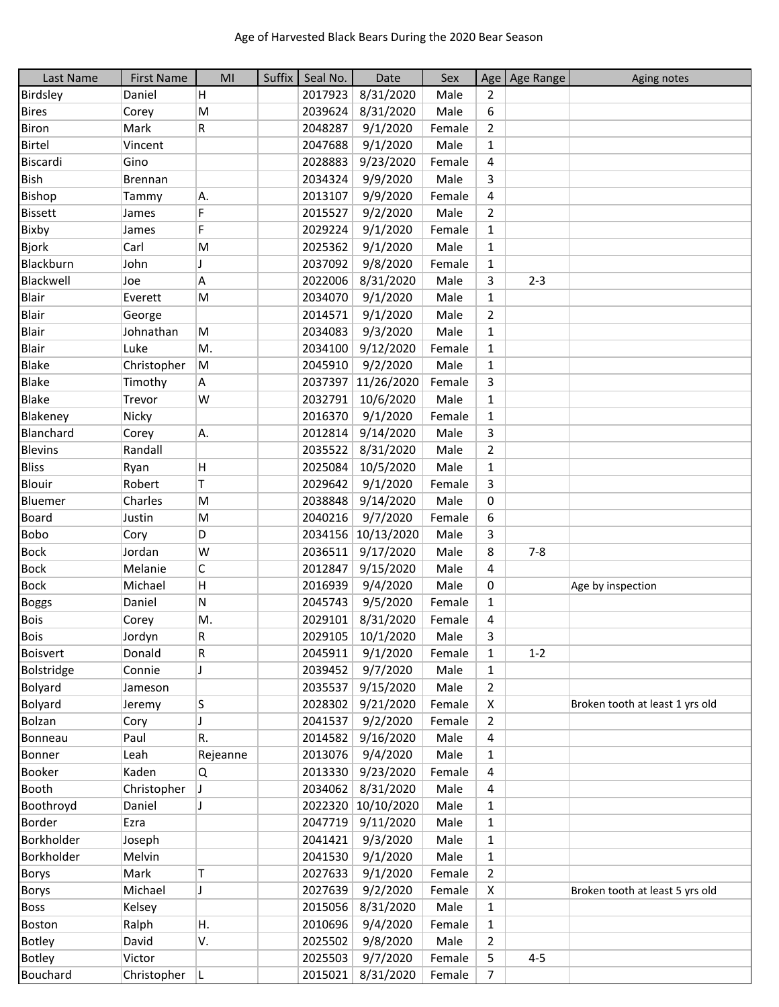| Last Name       | <b>First Name</b> | MI       | Suffix | Seal No. | Date               | Sex    |                | Age   Age Range | Aging notes                     |
|-----------------|-------------------|----------|--------|----------|--------------------|--------|----------------|-----------------|---------------------------------|
| Birdsley        | Daniel            | H        |        | 2017923  | 8/31/2020          | Male   | $\overline{2}$ |                 |                                 |
| <b>Bires</b>    | Corey             | M        |        | 2039624  | 8/31/2020          | Male   | 6              |                 |                                 |
| <b>Biron</b>    | Mark              | R        |        | 2048287  | 9/1/2020           | Female | $\overline{2}$ |                 |                                 |
| Birtel          | Vincent           |          |        | 2047688  | 9/1/2020           | Male   | 1              |                 |                                 |
| Biscardi        | Gino              |          |        | 2028883  | 9/23/2020          | Female | 4              |                 |                                 |
| Bish            | <b>Brennan</b>    |          |        | 2034324  | 9/9/2020           | Male   | 3              |                 |                                 |
| Bishop          | Tammy             | A.       |        | 2013107  | 9/9/2020           | Female | 4              |                 |                                 |
| <b>Bissett</b>  | James             | F        |        | 2015527  | 9/2/2020           | Male   | $\overline{2}$ |                 |                                 |
| Bixby           | James             | F        |        | 2029224  | 9/1/2020           | Female | $\mathbf{1}$   |                 |                                 |
| <b>Bjork</b>    | Carl              | M        |        | 2025362  | 9/1/2020           | Male   | $\mathbf{1}$   |                 |                                 |
| Blackburn       | John              |          |        | 2037092  | 9/8/2020           | Female | $\mathbf{1}$   |                 |                                 |
| Blackwell       | Joe               | Α        |        | 2022006  | 8/31/2020          | Male   | 3              | $2 - 3$         |                                 |
| <b>Blair</b>    | Everett           | M        |        | 2034070  | 9/1/2020           | Male   | 1              |                 |                                 |
| Blair           | George            |          |        | 2014571  | 9/1/2020           | Male   | $\overline{2}$ |                 |                                 |
| <b>Blair</b>    | Johnathan         | M        |        | 2034083  | 9/3/2020           | Male   | $\mathbf{1}$   |                 |                                 |
| Blair           | Luke              | M.       |        | 2034100  | 9/12/2020          | Female | $\mathbf{1}$   |                 |                                 |
| <b>Blake</b>    | Christopher       | M        |        | 2045910  | 9/2/2020           | Male   | 1              |                 |                                 |
| <b>Blake</b>    | Timothy           | A        |        | 2037397  | 11/26/2020         | Female | 3              |                 |                                 |
| <b>Blake</b>    | Trevor            | W        |        | 2032791  | 10/6/2020          | Male   | $\mathbf{1}$   |                 |                                 |
| Blakeney        | Nicky             |          |        | 2016370  | 9/1/2020           | Female | $\mathbf{1}$   |                 |                                 |
| Blanchard       | Corey             | A.       |        | 2012814  | 9/14/2020          | Male   | 3              |                 |                                 |
| <b>Blevins</b>  | Randall           |          |        | 2035522  | 8/31/2020          | Male   | $\overline{2}$ |                 |                                 |
| <b>Bliss</b>    | Ryan              | H        |        | 2025084  | 10/5/2020          | Male   | $\mathbf{1}$   |                 |                                 |
| Blouir          | Robert            | Τ        |        | 2029642  | 9/1/2020           | Female | 3              |                 |                                 |
| Bluemer         | Charles           | M        |        | 2038848  | 9/14/2020          | Male   | 0              |                 |                                 |
| <b>Board</b>    | Justin            | M        |        | 2040216  | 9/7/2020           | Female | 6              |                 |                                 |
| Bobo            | Cory              | D        |        |          | 2034156 10/13/2020 | Male   | 3              |                 |                                 |
| <b>Bock</b>     | Jordan            | W        |        | 2036511  | 9/17/2020          | Male   | 8              | $7 - 8$         |                                 |
| <b>Bock</b>     | Melanie           | C        |        | 2012847  | 9/15/2020          | Male   | 4              |                 |                                 |
| <b>Bock</b>     | Michael           | н        |        | 2016939  | 9/4/2020           | Male   | 0              |                 | Age by inspection               |
| <b>Boggs</b>    | Daniel            | Ν        |        | 2045743  | 9/5/2020           | Female | $\mathbf{1}$   |                 |                                 |
| <b>Bois</b>     | Corey             | M.       |        | 2029101  | 8/31/2020          | Female | 4              |                 |                                 |
| Bois            | Jordyn            | R        |        |          | 2029105 10/1/2020  | Male   | 3              |                 |                                 |
| <b>Boisvert</b> | Donald            | R        |        | 2045911  | 9/1/2020           | Female | 1              | $1 - 2$         |                                 |
| Bolstridge      | Connie            | J        |        | 2039452  | 9/7/2020           | Male   | $\mathbf{1}$   |                 |                                 |
| <b>Bolyard</b>  | Jameson           |          |        | 2035537  | 9/15/2020          | Male   | 2              |                 |                                 |
| Bolyard         | Jeremy            | S.       |        | 2028302  | 9/21/2020          | Female | X              |                 | Broken tooth at least 1 yrs old |
| Bolzan          | Cory              | J        |        | 2041537  | 9/2/2020           | Female | $\overline{2}$ |                 |                                 |
| Bonneau         | Paul              | R.       |        | 2014582  | 9/16/2020          | Male   | 4              |                 |                                 |
| Bonner          | Leah              | Rejeanne |        | 2013076  | 9/4/2020           | Male   | $\mathbf{1}$   |                 |                                 |
| <b>Booker</b>   | Kaden             | Q        |        | 2013330  | 9/23/2020          | Female | 4              |                 |                                 |
| <b>Booth</b>    | Christopher       | J        |        | 2034062  | 8/31/2020          | Male   | 4              |                 |                                 |
| Boothroyd       | Daniel            | J        |        |          | 2022320 10/10/2020 | Male   | $\mathbf{1}$   |                 |                                 |
| <b>Border</b>   | Ezra              |          |        | 2047719  | 9/11/2020          | Male   | $\mathbf{1}$   |                 |                                 |
| Borkholder      | Joseph            |          |        | 2041421  | 9/3/2020           | Male   | 1              |                 |                                 |
| Borkholder      | Melvin            |          |        | 2041530  | 9/1/2020           | Male   | 1              |                 |                                 |
| <b>Borys</b>    | Mark              | т        |        | 2027633  | 9/1/2020           | Female | $\overline{2}$ |                 |                                 |
| <b>Borys</b>    | Michael           | J        |        | 2027639  | 9/2/2020           | Female | X              |                 | Broken tooth at least 5 yrs old |
| <b>Boss</b>     | Kelsey            |          |        | 2015056  | 8/31/2020          | Male   | $\mathbf{1}$   |                 |                                 |
| Boston          | Ralph             | Η.       |        | 2010696  | 9/4/2020           | Female | 1              |                 |                                 |
| <b>Botley</b>   | David             | V.       |        | 2025502  | 9/8/2020           | Male   | $\overline{2}$ |                 |                                 |
| <b>Botley</b>   | Victor            |          |        | 2025503  | 9/7/2020           | Female | 5              | $4 - 5$         |                                 |
| Bouchard        | Christopher $ L $ |          |        |          | 2015021 8/31/2020  | Female | 7              |                 |                                 |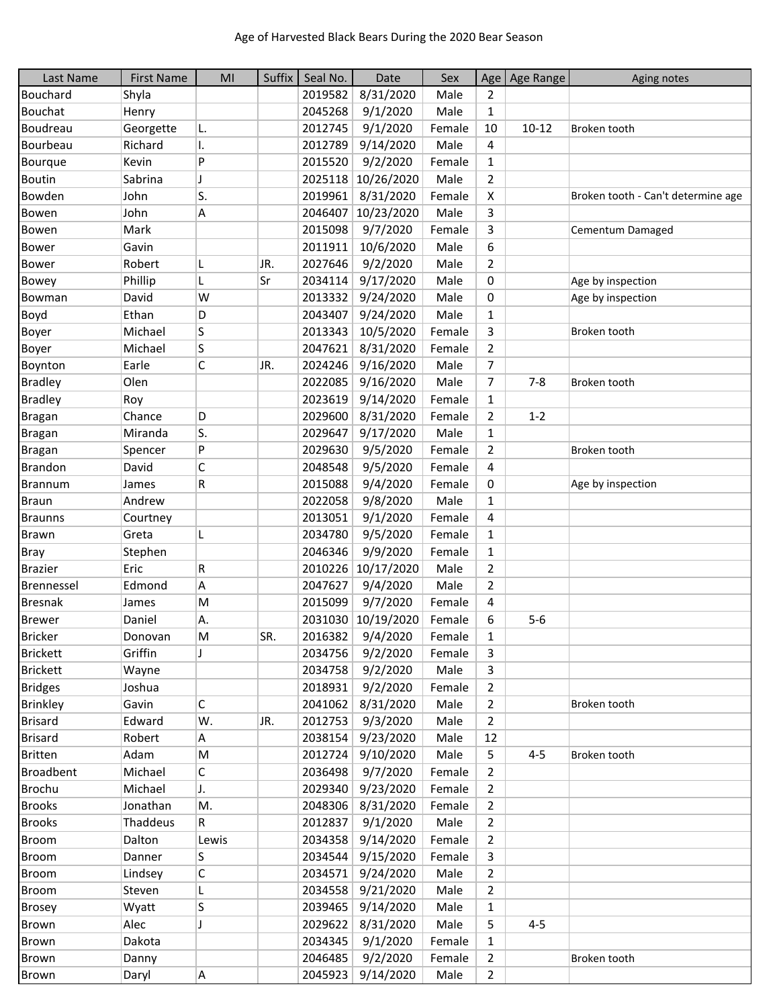| Last Name        | <b>First Name</b> | MI    | Suffix | Seal No. | Date              | Sex    |                | Age   Age Range | Aging notes                        |
|------------------|-------------------|-------|--------|----------|-------------------|--------|----------------|-----------------|------------------------------------|
| Bouchard         | Shyla             |       |        | 2019582  | 8/31/2020         | Male   | 2              |                 |                                    |
| Bouchat          | Henry             |       |        | 2045268  | 9/1/2020          | Male   | $\mathbf{1}$   |                 |                                    |
| Boudreau         | Georgette         | L.    |        | 2012745  | 9/1/2020          | Female | 10             | $10 - 12$       | Broken tooth                       |
| Bourbeau         | Richard           | I.    |        | 2012789  | 9/14/2020         | Male   | 4              |                 |                                    |
| Bourque          | Kevin             | P     |        | 2015520  | 9/2/2020          | Female | $\mathbf{1}$   |                 |                                    |
| Boutin           | Sabrina           | IJ    |        | 2025118  | 10/26/2020        | Male   | $\overline{2}$ |                 |                                    |
| Bowden           | John              | S.    |        | 2019961  | 8/31/2020         | Female | X              |                 | Broken tooth - Can't determine age |
| Bowen            | John              | Α     |        | 2046407  | 10/23/2020        | Male   | 3              |                 |                                    |
| Bowen            | Mark              |       |        | 2015098  | 9/7/2020          | Female | 3              |                 | Cementum Damaged                   |
| <b>Bower</b>     | Gavin             |       |        | 2011911  | 10/6/2020         | Male   | 6              |                 |                                    |
| Bower            | Robert            | L     | JR.    | 2027646  | 9/2/2020          | Male   | $\overline{2}$ |                 |                                    |
| Bowey            | Phillip           | L     | Sr     | 2034114  | 9/17/2020         | Male   | 0              |                 | Age by inspection                  |
| Bowman           | David             | W     |        | 2013332  | 9/24/2020         | Male   | 0              |                 | Age by inspection                  |
| Boyd             | Ethan             | D     |        | 2043407  | 9/24/2020         | Male   | $\mathbf{1}$   |                 |                                    |
| Boyer            | Michael           | S     |        | 2013343  | 10/5/2020         | Female | 3              |                 | Broken tooth                       |
| Boyer            | Michael           | S     |        | 2047621  | 8/31/2020         | Female | $\overline{2}$ |                 |                                    |
| Boynton          | Earle             | C     | JR.    | 2024246  | 9/16/2020         | Male   | 7              |                 |                                    |
| <b>Bradley</b>   | Olen              |       |        | 2022085  | 9/16/2020         | Male   | $\overline{7}$ | $7 - 8$         | Broken tooth                       |
| <b>Bradley</b>   | Roy               |       |        | 2023619  | 9/14/2020         | Female | $\mathbf{1}$   |                 |                                    |
| <b>Bragan</b>    | Chance            | D     |        | 2029600  | 8/31/2020         | Female | $\overline{2}$ | $1 - 2$         |                                    |
| <b>Bragan</b>    | Miranda           | S.    |        | 2029647  | 9/17/2020         | Male   | 1              |                 |                                    |
| Bragan           | Spencer           | P     |        | 2029630  | 9/5/2020          | Female | $\overline{2}$ |                 | Broken tooth                       |
| Brandon          | David             | C     |        | 2048548  | 9/5/2020          | Female | 4              |                 |                                    |
| <b>Brannum</b>   | James             | R     |        | 2015088  | 9/4/2020          | Female | 0              |                 | Age by inspection                  |
| <b>Braun</b>     | Andrew            |       |        | 2022058  | 9/8/2020          | Male   | $\mathbf{1}$   |                 |                                    |
| <b>Braunns</b>   | Courtney          |       |        | 2013051  | 9/1/2020          | Female | 4              |                 |                                    |
| Brawn            | Greta             | L     |        | 2034780  | 9/5/2020          | Female | $\mathbf{1}$   |                 |                                    |
| <b>Bray</b>      | Stephen           |       |        | 2046346  | 9/9/2020          | Female | $\mathbf{1}$   |                 |                                    |
| <b>Brazier</b>   | Eric              | R     |        | 2010226  | 10/17/2020        | Male   | $\overline{2}$ |                 |                                    |
| Brennessel       | Edmond            | Α     |        | 2047627  | 9/4/2020          | Male   | $\overline{2}$ |                 |                                    |
| <b>Bresnak</b>   | James             | M     |        | 2015099  | 9/7/2020          | Female | 4              |                 |                                    |
| <b>Brewer</b>    | Daniel            | Α.    |        | 2031030  | 10/19/2020        | Female | 6              | $5-6$           |                                    |
| <b>Bricker</b>   | Donovan           | M     | SR.    | 2016382  | 9/4/2020          | Female | 1              |                 |                                    |
| <b>Brickett</b>  | Griffin           | J     |        | 2034756  | 9/2/2020          | Female | 3              |                 |                                    |
| <b>Brickett</b>  | Wayne             |       |        | 2034758  | 9/2/2020          | Male   | 3              |                 |                                    |
| <b>Bridges</b>   | Joshua            |       |        | 2018931  | 9/2/2020          | Female | $\overline{2}$ |                 |                                    |
| <b>Brinkley</b>  | Gavin             | С     |        | 2041062  | 8/31/2020         | Male   | $\overline{2}$ |                 | Broken tooth                       |
| <b>Brisard</b>   | Edward            | W.    | JR.    | 2012753  | 9/3/2020          | Male   | $\overline{2}$ |                 |                                    |
| <b>Brisard</b>   | Robert            | А     |        | 2038154  | 9/23/2020         | Male   | 12             |                 |                                    |
| <b>Britten</b>   | Adam              | M     |        | 2012724  | 9/10/2020         | Male   | 5              | $4 - 5$         | Broken tooth                       |
| <b>Broadbent</b> | Michael           | С     |        | 2036498  | 9/7/2020          | Female | 2              |                 |                                    |
| Brochu           | Michael           | IJ.   |        | 2029340  | 9/23/2020         | Female | $\overline{2}$ |                 |                                    |
| <b>Brooks</b>    | Jonathan          | М.    |        | 2048306  | 8/31/2020         | Female | $\overline{2}$ |                 |                                    |
| <b>Brooks</b>    | Thaddeus          | R     |        | 2012837  | 9/1/2020          | Male   | $\overline{2}$ |                 |                                    |
| <b>Broom</b>     | Dalton            | Lewis |        | 2034358  | 9/14/2020         | Female | $\overline{2}$ |                 |                                    |
| <b>Broom</b>     | Danner            | S     |        | 2034544  | 9/15/2020         | Female | 3              |                 |                                    |
| <b>Broom</b>     | Lindsey           | C     |        | 2034571  | 9/24/2020         | Male   | $\overline{2}$ |                 |                                    |
| Broom            | Steven            | L     |        | 2034558  | 9/21/2020         | Male   | $\overline{2}$ |                 |                                    |
| <b>Brosey</b>    | Wyatt             | S     |        | 2039465  | 9/14/2020         | Male   | $\mathbf{1}$   |                 |                                    |
| Brown            | Alec              | J     |        | 2029622  | 8/31/2020         | Male   | 5              | $4 - 5$         |                                    |
| Brown            | Dakota            |       |        | 2034345  | 9/1/2020          | Female | 1              |                 |                                    |
| Brown            | Danny             |       |        | 2046485  | 9/2/2020          | Female | $\overline{2}$ |                 | Broken tooth                       |
| Brown            | Daryl             | A     |        |          | 2045923 9/14/2020 | Male   | $\overline{2}$ |                 |                                    |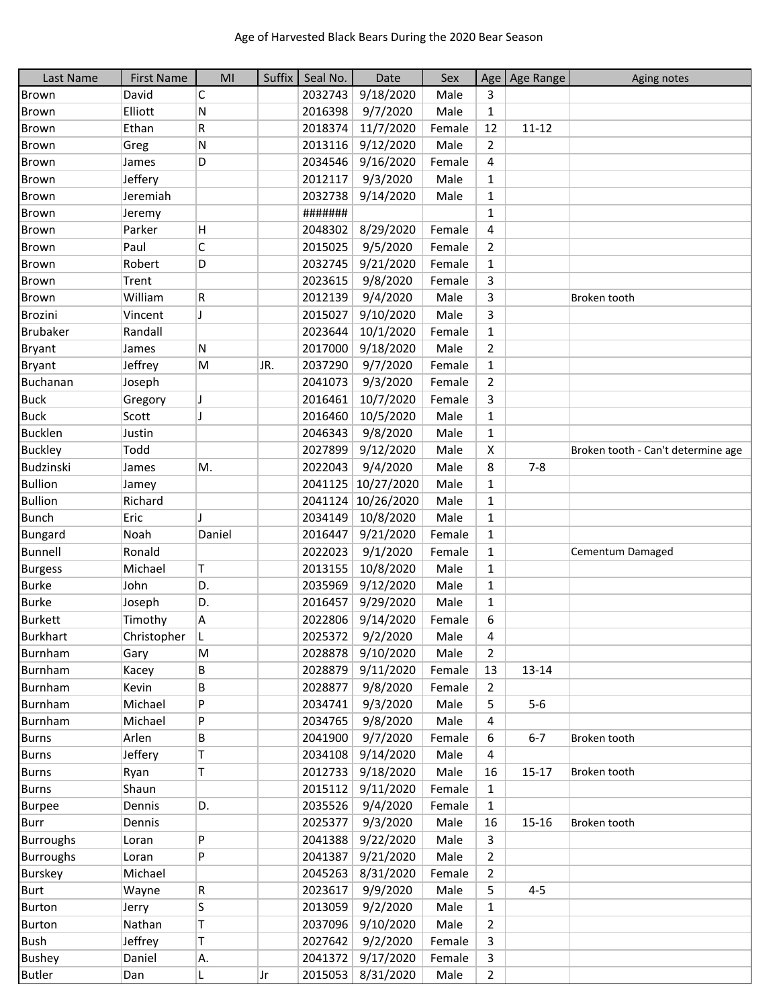| Last Name        | <b>First Name</b> | MI     | Suffix | Seal No. | Date              | Sex    |                | Age   Age Range | Aging notes                        |
|------------------|-------------------|--------|--------|----------|-------------------|--------|----------------|-----------------|------------------------------------|
| <b>Brown</b>     | David             | С      |        | 2032743  | 9/18/2020         | Male   | 3              |                 |                                    |
| <b>Brown</b>     | Elliott           | N      |        | 2016398  | 9/7/2020          | Male   | $\mathbf{1}$   |                 |                                    |
| <b>Brown</b>     | Ethan             | R      |        | 2018374  | 11/7/2020         | Female | 12             | $11 - 12$       |                                    |
| <b>Brown</b>     | Greg              | N      |        | 2013116  | 9/12/2020         | Male   | $\overline{2}$ |                 |                                    |
| <b>Brown</b>     | James             | D      |        | 2034546  | 9/16/2020         | Female | 4              |                 |                                    |
| <b>Brown</b>     | Jeffery           |        |        | 2012117  | 9/3/2020          | Male   | $\mathbf{1}$   |                 |                                    |
| <b>Brown</b>     | Jeremiah          |        |        | 2032738  | 9/14/2020         | Male   | $\mathbf{1}$   |                 |                                    |
| <b>Brown</b>     | Jeremy            |        |        | #######  |                   |        | $\mathbf{1}$   |                 |                                    |
| <b>Brown</b>     | Parker            | H      |        | 2048302  | 8/29/2020         | Female | 4              |                 |                                    |
| <b>Brown</b>     | Paul              | C      |        | 2015025  | 9/5/2020          | Female | $\overline{2}$ |                 |                                    |
| <b>Brown</b>     | Robert            | D      |        | 2032745  | 9/21/2020         | Female | $\mathbf{1}$   |                 |                                    |
| <b>Brown</b>     | Trent             |        |        | 2023615  | 9/8/2020          | Female | 3              |                 |                                    |
| <b>Brown</b>     | William           | R      |        | 2012139  | 9/4/2020          | Male   | 3              |                 | Broken tooth                       |
| <b>Brozini</b>   | Vincent           | J      |        | 2015027  | 9/10/2020         | Male   | 3              |                 |                                    |
| <b>Brubaker</b>  | Randall           |        |        | 2023644  | 10/1/2020         | Female | $\mathbf{1}$   |                 |                                    |
| Bryant           | James             | N      |        | 2017000  | 9/18/2020         | Male   | $\overline{2}$ |                 |                                    |
| Bryant           | Jeffrey           | M      | JR.    | 2037290  | 9/7/2020          | Female | $\mathbf{1}$   |                 |                                    |
| Buchanan         | Joseph            |        |        | 2041073  | 9/3/2020          | Female | $\overline{2}$ |                 |                                    |
| <b>Buck</b>      | Gregory           | J      |        | 2016461  | 10/7/2020         | Female | 3              |                 |                                    |
| <b>Buck</b>      | Scott             | J      |        | 2016460  | 10/5/2020         | Male   | $\mathbf{1}$   |                 |                                    |
| <b>Bucklen</b>   | Justin            |        |        | 2046343  | 9/8/2020          | Male   | 1              |                 |                                    |
| <b>Buckley</b>   | Todd              |        |        | 2027899  | 9/12/2020         | Male   | X              |                 | Broken tooth - Can't determine age |
| Budzinski        | James             | M.     |        | 2022043  | 9/4/2020          | Male   | 8              | $7 - 8$         |                                    |
| <b>Bullion</b>   |                   |        |        | 2041125  | 10/27/2020        | Male   | $\mathbf{1}$   |                 |                                    |
| <b>Bullion</b>   | Jamey<br>Richard  |        |        |          |                   | Male   |                |                 |                                    |
|                  |                   |        |        | 2041124  | 10/26/2020        |        | $\mathbf{1}$   |                 |                                    |
| <b>Bunch</b>     | Eric              |        |        | 2034149  | 10/8/2020         | Male   | $\mathbf{1}$   |                 |                                    |
| <b>Bungard</b>   | Noah              | Daniel |        | 2016447  | 9/21/2020         | Female | $\mathbf{1}$   |                 |                                    |
| Bunnell          | Ronald            |        |        | 2022023  | 9/1/2020          | Female | $\mathbf{1}$   |                 | Cementum Damaged                   |
| <b>Burgess</b>   | Michael           | Τ      |        | 2013155  | 10/8/2020         | Male   | $\mathbf{1}$   |                 |                                    |
| <b>Burke</b>     | John              | D.     |        | 2035969  | 9/12/2020         | Male   | 1              |                 |                                    |
| <b>Burke</b>     | Joseph            | D.     |        | 2016457  | 9/29/2020         | Male   | $\mathbf{1}$   |                 |                                    |
| <b>Burkett</b>   | Timothy           | Α      |        | 2022806  | 9/14/2020         | Female | 6              |                 |                                    |
| <b>Burkhart</b>  | Christopher       |        |        | 2025372  | 9/2/2020          | Male   | 4              |                 |                                    |
| Burnham          | Gary              | M      |        | 2028878  | 9/10/2020         | Male   | $\overline{2}$ |                 |                                    |
| Burnham          | Kacey             | В      |        | 2028879  | 9/11/2020         | Female | 13             | 13-14           |                                    |
| Burnham          | Kevin             | В      |        | 2028877  | 9/8/2020          | Female | $\overline{2}$ |                 |                                    |
| Burnham          | Michael           | P      |        | 2034741  | 9/3/2020          | Male   | 5              | $5-6$           |                                    |
| Burnham          | Michael           | P      |        | 2034765  | 9/8/2020          | Male   | 4              |                 |                                    |
| <b>Burns</b>     | Arlen             | B.     |        | 2041900  | 9/7/2020          | Female | 6              | $6 - 7$         | Broken tooth                       |
| <b>Burns</b>     | Jeffery           | T      |        | 2034108  | 9/14/2020         | Male   | 4              |                 |                                    |
| Burns            | Ryan              | T      |        | 2012733  | 9/18/2020         | Male   | 16             | $15 - 17$       | Broken tooth                       |
| <b>Burns</b>     | Shaun             |        |        | 2015112  | 9/11/2020         | Female | $\mathbf{1}$   |                 |                                    |
| <b>Burpee</b>    | Dennis            | D.     |        | 2035526  | 9/4/2020          | Female | $\mathbf{1}$   |                 |                                    |
| <b>Burr</b>      | Dennis            |        |        | 2025377  | 9/3/2020          | Male   | 16             | $15 - 16$       | Broken tooth                       |
| <b>Burroughs</b> | Loran             | P      |        | 2041388  | 9/22/2020         | Male   | 3              |                 |                                    |
| <b>Burroughs</b> | Loran             | P      |        | 2041387  | 9/21/2020         | Male   | $\overline{2}$ |                 |                                    |
| <b>Burskey</b>   | Michael           |        |        | 2045263  | 8/31/2020         | Female | $\overline{2}$ |                 |                                    |
| <b>Burt</b>      | Wayne             | R.     |        | 2023617  | 9/9/2020          | Male   | 5              | $4 - 5$         |                                    |
| <b>Burton</b>    | Jerry             | S      |        | 2013059  | 9/2/2020          | Male   | $\mathbf{1}$   |                 |                                    |
| <b>Burton</b>    | Nathan            | T      |        | 2037096  | 9/10/2020         | Male   | $\overline{2}$ |                 |                                    |
| <b>Bush</b>      | Jeffrey           | Τ      |        | 2027642  | 9/2/2020          | Female | 3              |                 |                                    |
| <b>Bushey</b>    | Daniel            | Α.     |        | 2041372  | 9/17/2020         | Female | 3              |                 |                                    |
| <b>Butler</b>    | Dan               | L      | Jr     |          | 2015053 8/31/2020 | Male   | $\overline{2}$ |                 |                                    |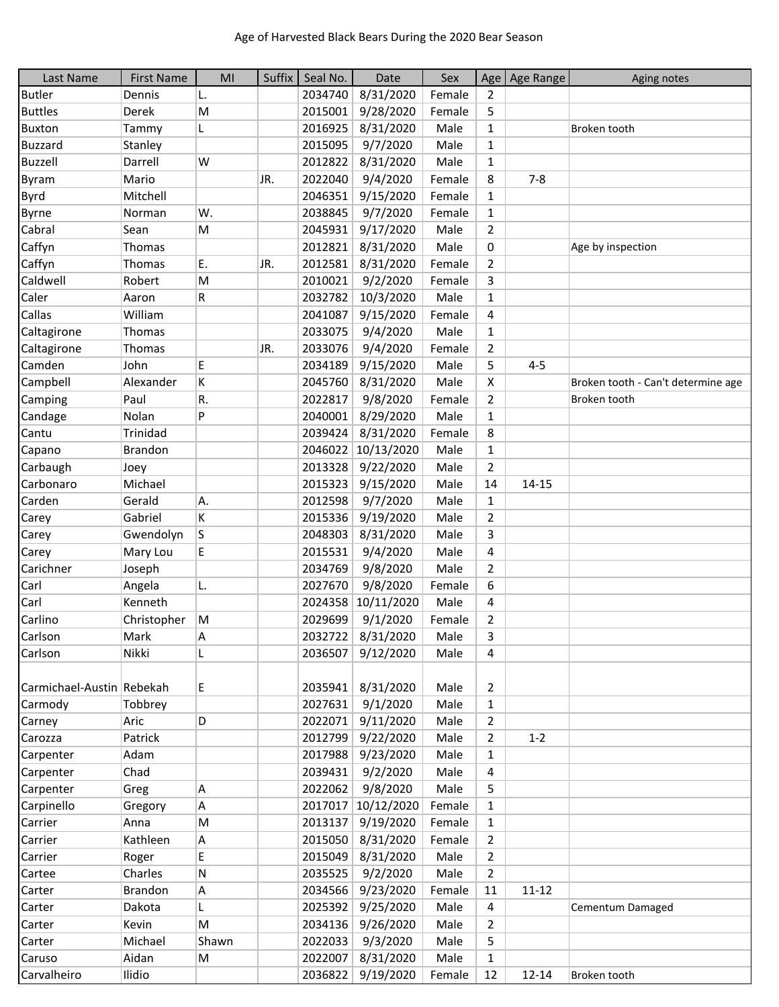| Last Name                 | <b>First Name</b> | MI    | Suffix | Seal No. | Date               | Sex    | Age            | Age Range | Aging notes                        |
|---------------------------|-------------------|-------|--------|----------|--------------------|--------|----------------|-----------|------------------------------------|
| <b>Butler</b>             | Dennis            | L.    |        | 2034740  | 8/31/2020          | Female | $\overline{2}$ |           |                                    |
| <b>Buttles</b>            | Derek             | M     |        | 2015001  | 9/28/2020          | Female | 5              |           |                                    |
| <b>Buxton</b>             | Tammy             | L     |        | 2016925  | 8/31/2020          | Male   | $\mathbf{1}$   |           | Broken tooth                       |
| <b>Buzzard</b>            | Stanley           |       |        | 2015095  | 9/7/2020           | Male   | $\mathbf{1}$   |           |                                    |
| Buzzell                   | Darrell           | W     |        | 2012822  | 8/31/2020          | Male   | $\mathbf{1}$   |           |                                    |
| Byram                     | Mario             |       | JR.    | 2022040  | 9/4/2020           | Female | 8              | $7 - 8$   |                                    |
| <b>Byrd</b>               | Mitchell          |       |        | 2046351  | 9/15/2020          | Female | $\mathbf{1}$   |           |                                    |
| Byrne                     | Norman            | W.    |        | 2038845  | 9/7/2020           | Female | $\mathbf{1}$   |           |                                    |
| Cabral                    | Sean              | M     |        | 2045931  | 9/17/2020          | Male   | $\overline{2}$ |           |                                    |
| Caffyn                    | Thomas            |       |        | 2012821  | 8/31/2020          | Male   | 0              |           | Age by inspection                  |
| Caffyn                    | Thomas            | Ε.    | JR.    | 2012581  | 8/31/2020          | Female | $\overline{2}$ |           |                                    |
| Caldwell                  | Robert            | M     |        | 2010021  | 9/2/2020           | Female | 3              |           |                                    |
| Caler                     | Aaron             | R     |        | 2032782  | 10/3/2020          | Male   | $\mathbf{1}$   |           |                                    |
| Callas                    | William           |       |        | 2041087  | 9/15/2020          | Female | 4              |           |                                    |
| Caltagirone               | Thomas            |       |        | 2033075  | 9/4/2020           | Male   | $\mathbf{1}$   |           |                                    |
| Caltagirone               | Thomas            |       | JR.    | 2033076  | 9/4/2020           | Female | $\overline{2}$ |           |                                    |
| Camden                    | John              | E     |        | 2034189  | 9/15/2020          | Male   | 5              | $4 - 5$   |                                    |
| Campbell                  | Alexander         | K     |        | 2045760  | 8/31/2020          | Male   | X              |           | Broken tooth - Can't determine age |
| Camping                   | Paul              | R.    |        | 2022817  | 9/8/2020           | Female | $\overline{2}$ |           | Broken tooth                       |
| Candage                   | Nolan             | P     |        | 2040001  | 8/29/2020          | Male   | $\mathbf{1}$   |           |                                    |
| Cantu                     | <b>Trinidad</b>   |       |        | 2039424  | 8/31/2020          | Female | 8              |           |                                    |
| Capano                    | <b>Brandon</b>    |       |        |          | 2046022 10/13/2020 | Male   | $\mathbf{1}$   |           |                                    |
| Carbaugh                  | Joey              |       |        | 2013328  | 9/22/2020          | Male   | $\overline{2}$ |           |                                    |
| Carbonaro                 | Michael           |       |        | 2015323  | 9/15/2020          | Male   | 14             | $14 - 15$ |                                    |
| Carden                    | Gerald            | A.    |        | 2012598  | 9/7/2020           | Male   | $\mathbf{1}$   |           |                                    |
| Carey                     | Gabriel           | K     |        | 2015336  | 9/19/2020          | Male   | $\overline{2}$ |           |                                    |
| Carey                     | Gwendolyn         | S     |        | 2048303  | 8/31/2020          | Male   | 3              |           |                                    |
| Carey                     | Mary Lou          | E     |        | 2015531  | 9/4/2020           | Male   | 4              |           |                                    |
| Carichner                 | Joseph            |       |        | 2034769  | 9/8/2020           | Male   | $\overline{2}$ |           |                                    |
| Carl                      | Angela            | L.    |        | 2027670  | 9/8/2020           | Female | 6              |           |                                    |
| Carl                      | Kenneth           |       |        | 2024358  | 10/11/2020         | Male   | 4              |           |                                    |
| Carlino                   | Christopher       | M     |        | 2029699  | 9/1/2020           | Female | $\overline{2}$ |           |                                    |
| Carlson                   | Mark              | Α     |        | 2032722  | 8/31/2020          | Male   | 3              |           |                                    |
| Carlson                   | Nikki             | L     |        | 2036507  | 9/12/2020          | Male   | 4              |           |                                    |
|                           |                   |       |        |          |                    |        |                |           |                                    |
| Carmichael-Austin Rebekah |                   | E     |        | 2035941  | 8/31/2020          | Male   | 2              |           |                                    |
| Carmody                   | Tobbrey           |       |        | 2027631  | 9/1/2020           | Male   | $\mathbf{1}$   |           |                                    |
| Carney                    | Aric              | D     |        | 2022071  | 9/11/2020          | Male   | $\overline{2}$ |           |                                    |
| Carozza                   | Patrick           |       |        | 2012799  | 9/22/2020          | Male   | $\overline{2}$ | $1 - 2$   |                                    |
| Carpenter                 | Adam              |       |        | 2017988  | 9/23/2020          | Male   | $\mathbf{1}$   |           |                                    |
| Carpenter                 | Chad              |       |        | 2039431  | 9/2/2020           | Male   | 4              |           |                                    |
| Carpenter                 | Greg              | A     |        | 2022062  | 9/8/2020           | Male   | 5              |           |                                    |
| Carpinello                | Gregory           | Α     |        | 2017017  | 10/12/2020         | Female | $\mathbf{1}$   |           |                                    |
| Carrier                   | Anna              | M     |        | 2013137  | 9/19/2020          | Female | $\mathbf{1}$   |           |                                    |
| Carrier                   | Kathleen          | Α     |        | 2015050  | 8/31/2020          | Female | $\overline{2}$ |           |                                    |
| Carrier                   | Roger             | E     |        | 2015049  | 8/31/2020          | Male   | $\overline{2}$ |           |                                    |
| Cartee                    | Charles           | N     |        | 2035525  | 9/2/2020           | Male   | $\overline{2}$ |           |                                    |
| Carter                    | <b>Brandon</b>    | A     |        | 2034566  | 9/23/2020          | Female | 11             | $11 - 12$ |                                    |
| Carter                    | Dakota            | L     |        | 2025392  | 9/25/2020          | Male   | 4              |           | Cementum Damaged                   |
| Carter                    | Kevin             | M     |        | 2034136  | 9/26/2020          | Male   | $\overline{2}$ |           |                                    |
| Carter                    | Michael           | Shawn |        | 2022033  | 9/3/2020           | Male   | 5              |           |                                    |
| Caruso                    | Aidan             | M     |        | 2022007  | 8/31/2020          | Male   | $\mathbf{1}$   |           |                                    |
| Carvalheiro               | Ilidio            |       |        |          | 2036822 9/19/2020  | Female | 12             | $12 - 14$ | Broken tooth                       |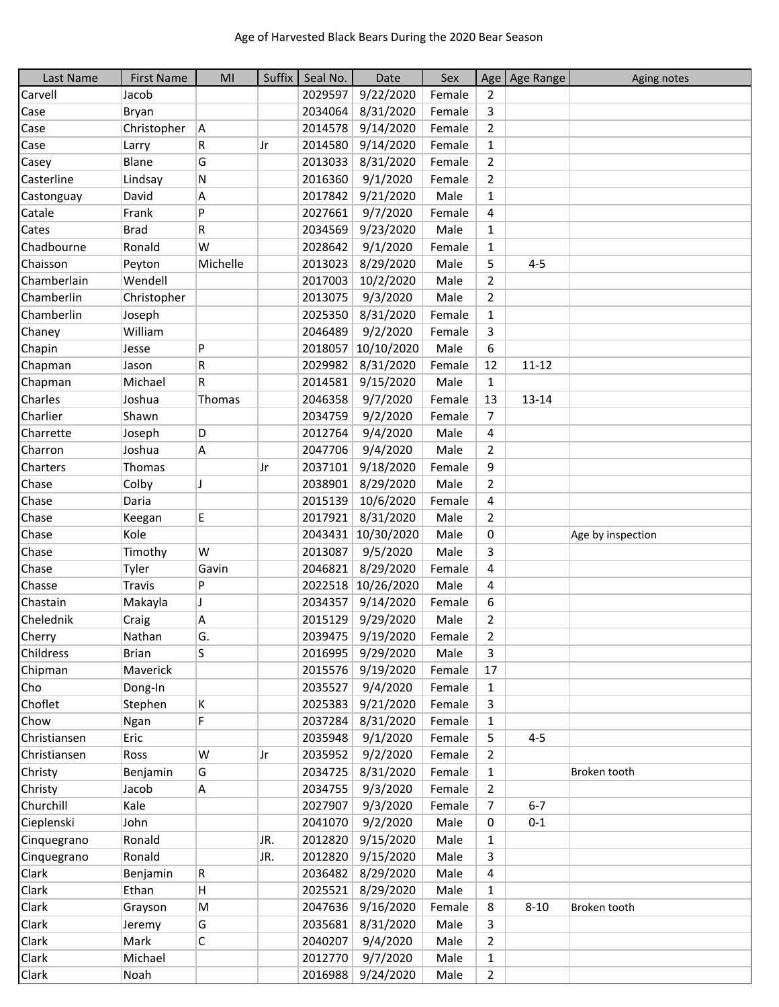| Last Name    | <b>First Name</b> | MI          | Suffix | Seal No. | Date               | Sex    |                | Age Age Range | Aging notes       |
|--------------|-------------------|-------------|--------|----------|--------------------|--------|----------------|---------------|-------------------|
| Carvell      | Jacob             |             |        | 2029597  | 9/22/2020          | Female | $\overline{2}$ |               |                   |
| Case         | Bryan             |             |        | 2034064  | 8/31/2020          | Female | 3              |               |                   |
| Case         | Christopher       | A           |        | 2014578  | 9/14/2020          | Female | 2              |               |                   |
| Case         | Larry             | R           | Jr     | 2014580  | 9/14/2020          | Female | $\mathbf{1}$   |               |                   |
| Casey        | Blane             | G           |        | 2013033  | 8/31/2020          | Female | $\overline{2}$ |               |                   |
| Casterline   | Lindsay           | N           |        | 2016360  | 9/1/2020           | Female | $\overline{2}$ |               |                   |
| Castonguay   | David             | Α           |        | 2017842  | 9/21/2020          | Male   | $\mathbf{1}$   |               |                   |
| Catale       | Frank             | P           |        | 2027661  | 9/7/2020           | Female | 4              |               |                   |
| Cates        | <b>Brad</b>       | R           |        | 2034569  | 9/23/2020          | Male   | $\mathbf{1}$   |               |                   |
| Chadbourne   | Ronald            | W           |        | 2028642  | 9/1/2020           | Female | $\mathbf{1}$   |               |                   |
| Chaisson     | Peyton            | Michelle    |        | 2013023  | 8/29/2020          | Male   | 5              | $4 - 5$       |                   |
| Chamberlain  | Wendell           |             |        | 2017003  | 10/2/2020          | Male   | 2              |               |                   |
| Chamberlin   | Christopher       |             |        | 2013075  | 9/3/2020           | Male   | $\overline{2}$ |               |                   |
| Chamberlin   | Joseph            |             |        | 2025350  | 8/31/2020          | Female | $\mathbf{1}$   |               |                   |
| Chaney       | William           |             |        | 2046489  | 9/2/2020           | Female | 3              |               |                   |
| Chapin       | Jesse             | P           |        | 2018057  | 10/10/2020         | Male   | 6              |               |                   |
| Chapman      | Jason             | R           |        | 2029982  | 8/31/2020          | Female | 12             | $11 - 12$     |                   |
| Chapman      | Michael           | R           |        | 2014581  | 9/15/2020          | Male   | $\mathbf{1}$   |               |                   |
| Charles      | Joshua            | Thomas      |        | 2046358  | 9/7/2020           | Female | 13             | 13-14         |                   |
| Charlier     | Shawn             |             |        | 2034759  | 9/2/2020           | Female | $\overline{7}$ |               |                   |
| Charrette    | Joseph            | D           |        | 2012764  | 9/4/2020           | Male   | 4              |               |                   |
| Charron      | Joshua            | Α           |        | 2047706  | 9/4/2020           | Male   | $\overline{2}$ |               |                   |
| Charters     | Thomas            |             | Jr     | 2037101  | 9/18/2020          | Female | 9              |               |                   |
| Chase        | Colby             | J           |        | 2038901  | 8/29/2020          | Male   | $\overline{2}$ |               |                   |
| Chase        | Daria             |             |        | 2015139  | 10/6/2020          | Female | 4              |               |                   |
| Chase        | Keegan            | E           |        | 2017921  | 8/31/2020          | Male   | $\overline{2}$ |               |                   |
| Chase        | Kole              |             |        | 2043431  | 10/30/2020         | Male   | 0              |               | Age by inspection |
| Chase        | Timothy           | W           |        | 2013087  | 9/5/2020           | Male   | 3              |               |                   |
| Chase        | Tyler             | Gavin       |        | 2046821  | 8/29/2020          | Female | 4              |               |                   |
| Chasse       | <b>Travis</b>     | P           |        |          | 2022518 10/26/2020 | Male   | 4              |               |                   |
| Chastain     | Makayla           | J           |        | 2034357  | 9/14/2020          | Female | 6              |               |                   |
| Chelednik    | Craig             | Α           |        | 2015129  | 9/29/2020          | Male   | $\overline{2}$ |               |                   |
| Cherry       | Nathan            | G.          |        |          | 2039475 9/19/2020  | Female | $\overline{2}$ |               |                   |
| Childress    | <b>Brian</b>      | S           |        |          | 2016995 9/29/2020  | Male   | 3              |               |                   |
| Chipman      | Maverick          |             |        | 2015576  | 9/19/2020          | Female | 17             |               |                   |
| Cho          | Dong-In           |             |        | 2035527  | 9/4/2020           | Female | 1              |               |                   |
| Choflet      | Stephen           | Κ           |        | 2025383  | 9/21/2020          | Female | 3              |               |                   |
| Chow         | Ngan              | F           |        | 2037284  | 8/31/2020          | Female | 1              |               |                   |
| Christiansen | Eric              |             |        | 2035948  | 9/1/2020           | Female | 5              | $4 - 5$       |                   |
| Christiansen | Ross              | W           | Jr     | 2035952  | 9/2/2020           | Female | $\overline{2}$ |               |                   |
| Christy      | Benjamin          | G           |        | 2034725  | 8/31/2020          | Female | 1              |               | Broken tooth      |
| Christy      | Jacob             | Α           |        | 2034755  | 9/3/2020           | Female | $\overline{2}$ |               |                   |
| Churchill    | Kale              |             |        | 2027907  | 9/3/2020           | Female | 7              | $6 - 7$       |                   |
| Cieplenski   | John              |             |        | 2041070  | 9/2/2020           | Male   | 0              | $0 - 1$       |                   |
| Cinquegrano  | Ronald            |             | JR.    | 2012820  | 9/15/2020          | Male   | $\mathbf{1}$   |               |                   |
| Cinquegrano  | Ronald            |             | UR.    | 2012820  | 9/15/2020          | Male   | 3              |               |                   |
| Clark        | Benjamin          | $\mathsf R$ |        | 2036482  | 8/29/2020          | Male   | 4              |               |                   |
| Clark        | Ethan             | н           |        | 2025521  | 8/29/2020          | Male   | $\mathbf{1}$   |               |                   |
| Clark        | Grayson           | M           |        | 2047636  | 9/16/2020          | Female | 8              | $8 - 10$      | Broken tooth      |
| Clark        | Jeremy            | G           |        | 2035681  | 8/31/2020          | Male   | 3              |               |                   |
| Clark        | Mark              | С           |        | 2040207  | 9/4/2020           | Male   | $\overline{2}$ |               |                   |
| Clark        | Michael           |             |        |          | 2012770 9/7/2020   | Male   | $\mathbf{1}$   |               |                   |
| Clark        | Noah              |             |        |          | 2016988 9/24/2020  | Male   | $\overline{2}$ |               |                   |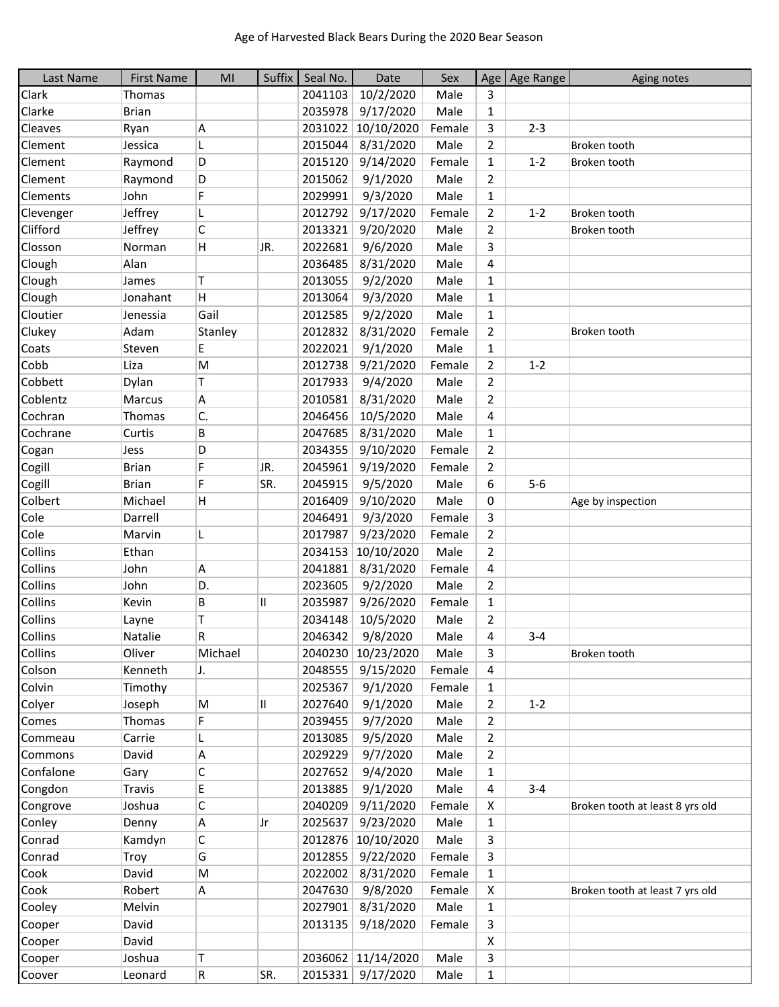| Last Name | <b>First Name</b> | MI      | Suffix | Seal No. | Date               | Sex    |                | Age   Age Range | Aging notes                     |
|-----------|-------------------|---------|--------|----------|--------------------|--------|----------------|-----------------|---------------------------------|
| Clark     | Thomas            |         |        | 2041103  | 10/2/2020          | Male   | 3              |                 |                                 |
| Clarke    | <b>Brian</b>      |         |        | 2035978  | 9/17/2020          | Male   | 1              |                 |                                 |
| Cleaves   | Ryan              | Α       |        | 2031022  | 10/10/2020         | Female | 3              | $2 - 3$         |                                 |
| Clement   | Jessica           | L       |        | 2015044  | 8/31/2020          | Male   | $\overline{2}$ |                 | Broken tooth                    |
| Clement   | Raymond           | D       |        | 2015120  | 9/14/2020          | Female | $\mathbf{1}$   | $1 - 2$         | Broken tooth                    |
| Clement   | Raymond           | D       |        | 2015062  | 9/1/2020           | Male   | 2              |                 |                                 |
| Clements  | John              | F       |        | 2029991  | 9/3/2020           | Male   | $\mathbf{1}$   |                 |                                 |
| Clevenger | Jeffrey           | L       |        | 2012792  | 9/17/2020          | Female | $\overline{2}$ | $1 - 2$         | Broken tooth                    |
| Clifford  | Jeffrey           | C       |        | 2013321  | 9/20/2020          | Male   | $\overline{2}$ |                 | Broken tooth                    |
| Closson   | Norman            | H       | JR.    | 2022681  | 9/6/2020           | Male   | 3              |                 |                                 |
| Clough    | Alan              |         |        | 2036485  | 8/31/2020          | Male   | 4              |                 |                                 |
| Clough    | James             | T       |        | 2013055  | 9/2/2020           | Male   | $\mathbf{1}$   |                 |                                 |
| Clough    | Jonahant          | H       |        | 2013064  | 9/3/2020           | Male   | $\mathbf{1}$   |                 |                                 |
| Cloutier  | Jenessia          | Gail    |        | 2012585  | 9/2/2020           | Male   | $\mathbf{1}$   |                 |                                 |
| Clukey    | Adam              | Stanley |        | 2012832  | 8/31/2020          | Female | $\overline{2}$ |                 | Broken tooth                    |
| Coats     | Steven            | E       |        | 2022021  | 9/1/2020           | Male   | 1              |                 |                                 |
| Cobb      | Liza              | M       |        | 2012738  | 9/21/2020          | Female | $\overline{2}$ | $1 - 2$         |                                 |
| Cobbett   | Dylan             | T       |        | 2017933  | 9/4/2020           | Male   | $\overline{2}$ |                 |                                 |
| Coblentz  | Marcus            | А       |        | 2010581  | 8/31/2020          | Male   | $\overline{2}$ |                 |                                 |
| Cochran   | Thomas            | C.      |        | 2046456  | 10/5/2020          | Male   | 4              |                 |                                 |
| Cochrane  | Curtis            | B       |        | 2047685  | 8/31/2020          | Male   | 1              |                 |                                 |
| Cogan     | Jess              | D       |        | 2034355  | 9/10/2020          | Female | $\overline{2}$ |                 |                                 |
| Cogill    | <b>Brian</b>      | F       | JR.    | 2045961  | 9/19/2020          | Female | $\overline{2}$ |                 |                                 |
| Cogill    | <b>Brian</b>      | F       | SR.    | 2045915  | 9/5/2020           | Male   | 6              | $5-6$           |                                 |
| Colbert   | Michael           | H       |        | 2016409  | 9/10/2020          | Male   | 0              |                 | Age by inspection               |
| Cole      | Darrell           |         |        | 2046491  | 9/3/2020           | Female | 3              |                 |                                 |
| Cole      | Marvin            | L       |        | 2017987  | 9/23/2020          | Female | $\overline{2}$ |                 |                                 |
| Collins   | Ethan             |         |        | 2034153  | 10/10/2020         | Male   | $\overline{2}$ |                 |                                 |
| Collins   | John              | A       |        | 2041881  | 8/31/2020          | Female | 4              |                 |                                 |
| Collins   | John              | D.      |        | 2023605  | 9/2/2020           | Male   | 2              |                 |                                 |
| Collins   | Kevin             | В       | Ш      | 2035987  | 9/26/2020          | Female | $\mathbf{1}$   |                 |                                 |
| Collins   | Layne             | Т       |        | 2034148  | 10/5/2020          | Male   | $\overline{2}$ |                 |                                 |
| Collins   | Natalie           | R       |        | 2046342  | 9/8/2020           | Male   | 4              | $3 - 4$         |                                 |
| Collins   | Oliver            | Michael |        |          | 2040230 10/23/2020 | Male   | 3              |                 | Broken tooth                    |
| Colson    | Kenneth           | IJ.     |        | 2048555  | 9/15/2020          | Female | 4              |                 |                                 |
| Colvin    | Timothy           |         |        | 2025367  | 9/1/2020           | Female | $\mathbf{1}$   |                 |                                 |
| Colyer    | Joseph            | M       | Ш      | 2027640  | 9/1/2020           | Male   | $\overline{2}$ | $1 - 2$         |                                 |
| Comes     | Thomas            | F       |        | 2039455  | 9/7/2020           | Male   | $\overline{2}$ |                 |                                 |
| Commeau   | Carrie            | L       |        | 2013085  | 9/5/2020           | Male   | $\overline{2}$ |                 |                                 |
| Commons   | David             | Α       |        | 2029229  | 9/7/2020           | Male   | $\overline{2}$ |                 |                                 |
| Confalone | Gary              | C       |        | 2027652  | 9/4/2020           | Male   | $\mathbf{1}$   |                 |                                 |
| Congdon   | <b>Travis</b>     | E       |        | 2013885  | 9/1/2020           | Male   | 4              | $3 - 4$         |                                 |
| Congrove  | Joshua            | C       |        | 2040209  | 9/11/2020          | Female | X              |                 | Broken tooth at least 8 yrs old |
| Conley    | Denny             | Α       | Jr     | 2025637  | 9/23/2020          | Male   | $\mathbf{1}$   |                 |                                 |
| Conrad    | Kamdyn            | C       |        | 2012876  | 10/10/2020         | Male   | 3              |                 |                                 |
| Conrad    | Troy              | G       |        | 2012855  | 9/22/2020          | Female | 3              |                 |                                 |
| Cook      | David             | M       |        | 2022002  | 8/31/2020          | Female | 1              |                 |                                 |
| Cook      | Robert            | A       |        | 2047630  | 9/8/2020           | Female | X              |                 | Broken tooth at least 7 yrs old |
| Cooley    | Melvin            |         |        | 2027901  | 8/31/2020          | Male   | $\mathbf{1}$   |                 |                                 |
| Cooper    | David             |         |        | 2013135  | 9/18/2020          | Female | 3              |                 |                                 |
| Cooper    | David             |         |        |          |                    |        | X              |                 |                                 |
| Cooper    | Joshua            | т       |        |          | 2036062 11/14/2020 | Male   | 3              |                 |                                 |
| Coover    | Leonard           | R       | SR.    |          | 2015331 9/17/2020  | Male   | $\mathbf{1}$   |                 |                                 |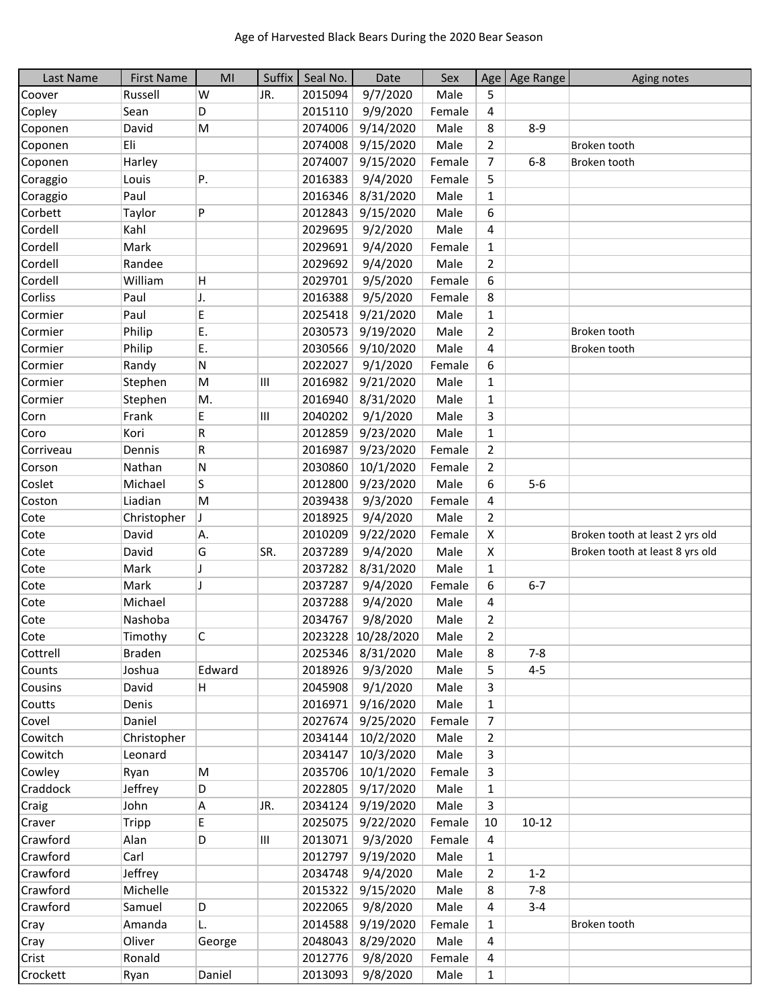| Last Name | <b>First Name</b> | MI     | Suffix | Seal No. | Date               | Sex    |                | Age   Age Range | Aging notes                     |
|-----------|-------------------|--------|--------|----------|--------------------|--------|----------------|-----------------|---------------------------------|
| Coover    | Russell           | W      | JR.    | 2015094  | 9/7/2020           | Male   | 5              |                 |                                 |
| Copley    | Sean              | D      |        | 2015110  | 9/9/2020           | Female | 4              |                 |                                 |
| Coponen   | David             | M      |        | 2074006  | 9/14/2020          | Male   | 8              | $8 - 9$         |                                 |
| Coponen   | Eli               |        |        | 2074008  | 9/15/2020          | Male   | $\overline{2}$ |                 | Broken tooth                    |
| Coponen   | Harley            |        |        | 2074007  | 9/15/2020          | Female | $\overline{7}$ | $6 - 8$         | Broken tooth                    |
| Coraggio  | Louis             | Ρ.     |        | 2016383  | 9/4/2020           | Female | 5              |                 |                                 |
| Coraggio  | Paul              |        |        | 2016346  | 8/31/2020          | Male   | $\mathbf{1}$   |                 |                                 |
| Corbett   | Taylor            | P      |        | 2012843  | 9/15/2020          | Male   | 6              |                 |                                 |
| Cordell   | Kahl              |        |        | 2029695  | 9/2/2020           | Male   | 4              |                 |                                 |
| Cordell   | Mark              |        |        | 2029691  | 9/4/2020           | Female | $\mathbf{1}$   |                 |                                 |
| Cordell   | Randee            |        |        | 2029692  | 9/4/2020           | Male   | $\overline{2}$ |                 |                                 |
| Cordell   | William           | Н      |        | 2029701  | 9/5/2020           | Female | 6              |                 |                                 |
| Corliss   | Paul              | J.     |        | 2016388  | 9/5/2020           | Female | 8              |                 |                                 |
| Cormier   | Paul              | E      |        | 2025418  | 9/21/2020          | Male   | $\mathbf{1}$   |                 |                                 |
| Cormier   | Philip            | E.     |        | 2030573  | 9/19/2020          | Male   | $\overline{2}$ |                 | Broken tooth                    |
| Cormier   | Philip            | E.     |        | 2030566  | 9/10/2020          | Male   | 4              |                 | Broken tooth                    |
| Cormier   | Randy             | Ν      |        | 2022027  | 9/1/2020           | Female | 6              |                 |                                 |
| Cormier   | Stephen           | M      | Ш      | 2016982  | 9/21/2020          | Male   | $\mathbf{1}$   |                 |                                 |
| Cormier   | Stephen           | M.     |        | 2016940  | 8/31/2020          | Male   | $\mathbf{1}$   |                 |                                 |
| Corn      | Frank             | E      | Ш      | 2040202  | 9/1/2020           | Male   | 3              |                 |                                 |
| Coro      | Kori              | R      |        | 2012859  | 9/23/2020          | Male   | $\mathbf{1}$   |                 |                                 |
| Corriveau | Dennis            | R      |        | 2016987  | 9/23/2020          | Female | $\overline{2}$ |                 |                                 |
| Corson    | Nathan            | Ν      |        | 2030860  | 10/1/2020          | Female | $\overline{2}$ |                 |                                 |
| Coslet    | Michael           | S      |        | 2012800  | 9/23/2020          | Male   | 6              | $5-6$           |                                 |
| Coston    | Liadian           | M      |        | 2039438  | 9/3/2020           | Female | 4              |                 |                                 |
| Cote      | Christopher       | J      |        | 2018925  | 9/4/2020           | Male   | $\overline{2}$ |                 |                                 |
| Cote      | David             | Α.     |        | 2010209  | 9/22/2020          | Female | X              |                 | Broken tooth at least 2 yrs old |
| Cote      | David             | G      | SR.    | 2037289  | 9/4/2020           | Male   | X              |                 | Broken tooth at least 8 yrs old |
| Cote      | Mark              | IJ     |        | 2037282  | 8/31/2020          | Male   | $\mathbf{1}$   |                 |                                 |
| Cote      | Mark              | J      |        | 2037287  | 9/4/2020           | Female | 6              | $6 - 7$         |                                 |
| Cote      | Michael           |        |        | 2037288  | 9/4/2020           | Male   | 4              |                 |                                 |
| Cote      | Nashoba           |        |        | 2034767  | 9/8/2020           | Male   | $\overline{2}$ |                 |                                 |
| Cote      | Timothy           | С      |        |          | 2023228 10/28/2020 | Male   | $\overline{2}$ |                 |                                 |
| Cottrell  | Braden            |        |        | 2025346  | 8/31/2020          | Male   | 8              | 7-8             |                                 |
| Counts    | Joshua            | Edward |        | 2018926  | 9/3/2020           | Male   | 5              | $4 - 5$         |                                 |
| Cousins   | David             | H      |        |          | 2045908 9/1/2020   | Male   | 3              |                 |                                 |
| Coutts    | Denis             |        |        | 2016971  | 9/16/2020          | Male   | $\mathbf{1}$   |                 |                                 |
| Covel     | Daniel            |        |        | 2027674  | 9/25/2020          | Female | $\overline{7}$ |                 |                                 |
| Cowitch   | Christopher       |        |        | 2034144  | 10/2/2020          | Male   | $\overline{2}$ |                 |                                 |
| Cowitch   | Leonard           |        |        | 2034147  | 10/3/2020          | Male   | 3              |                 |                                 |
| Cowley    | Ryan              | M      |        | 2035706  | 10/1/2020          | Female | 3              |                 |                                 |
| Craddock  | Jeffrey           | D      |        | 2022805  | 9/17/2020          | Male   | $\mathbf{1}$   |                 |                                 |
| Craig     | John              | Α      | JR.    | 2034124  | 9/19/2020          | Male   | 3              |                 |                                 |
| Craver    | Tripp             | E      |        | 2025075  | 9/22/2020          | Female | 10             | $10 - 12$       |                                 |
| Crawford  | Alan              | D      | Ш      | 2013071  | 9/3/2020           | Female | 4              |                 |                                 |
| Crawford  | Carl              |        |        | 2012797  | 9/19/2020          | Male   | $\mathbf{1}$   |                 |                                 |
| Crawford  | Jeffrey           |        |        | 2034748  | 9/4/2020           | Male   | $\overline{2}$ | $1 - 2$         |                                 |
| Crawford  | Michelle          |        |        | 2015322  | 9/15/2020          | Male   | 8              | $7 - 8$         |                                 |
| Crawford  | Samuel            | D      |        | 2022065  | 9/8/2020           | Male   | 4              | $3 - 4$         |                                 |
| Cray      | Amanda            | L.     |        | 2014588  | 9/19/2020          | Female | 1              |                 | Broken tooth                    |
| Cray      | Oliver            | George |        | 2048043  | 8/29/2020          | Male   | 4              |                 |                                 |
| Crist     | Ronald            |        |        | 2012776  | 9/8/2020           | Female | 4              |                 |                                 |
| Crockett  | Ryan              | Daniel |        | 2013093  | 9/8/2020           | Male   | $\mathbf{1}$   |                 |                                 |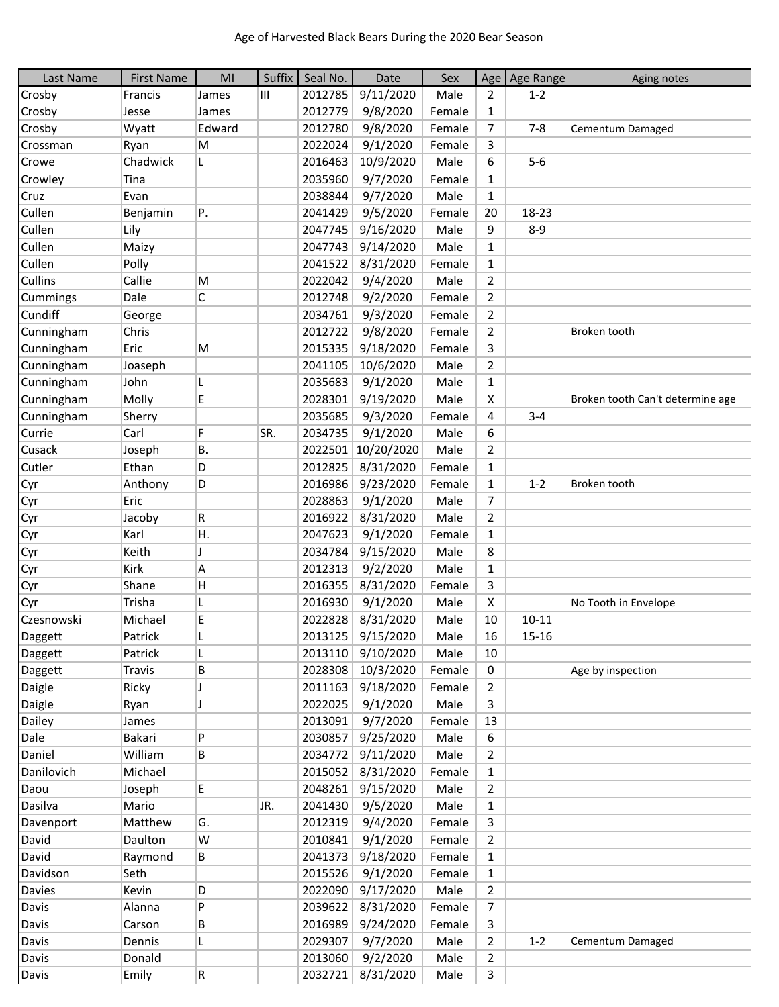| Last Name      | <b>First Name</b> | MI           | Suffix | Seal No. | Date              | Sex    | Age            | Age Range | Aging notes                      |
|----------------|-------------------|--------------|--------|----------|-------------------|--------|----------------|-----------|----------------------------------|
| Crosby         | Francis           | James        | Ш      | 2012785  | 9/11/2020         | Male   | 2              | $1 - 2$   |                                  |
| Crosby         | Jesse             | James        |        | 2012779  | 9/8/2020          | Female | $\mathbf{1}$   |           |                                  |
| Crosby         | Wyatt             | Edward       |        | 2012780  | 9/8/2020          | Female | 7              | $7 - 8$   | Cementum Damaged                 |
| Crossman       | Ryan              | M            |        | 2022024  | 9/1/2020          | Female | 3              |           |                                  |
| Crowe          | Chadwick          | L            |        | 2016463  | 10/9/2020         | Male   | 6              | $5-6$     |                                  |
| Crowley        | Tina              |              |        | 2035960  | 9/7/2020          | Female | $\mathbf{1}$   |           |                                  |
| Cruz           | Evan              |              |        | 2038844  | 9/7/2020          | Male   | $\mathbf{1}$   |           |                                  |
| Cullen         | Benjamin          | P.           |        | 2041429  | 9/5/2020          | Female | 20             | 18-23     |                                  |
| Cullen         | Lily              |              |        | 2047745  | 9/16/2020         | Male   | 9              | $8 - 9$   |                                  |
| Cullen         | Maizy             |              |        | 2047743  | 9/14/2020         | Male   | 1              |           |                                  |
| Cullen         | Polly             |              |        | 2041522  | 8/31/2020         | Female | $\mathbf{1}$   |           |                                  |
| <b>Cullins</b> | Callie            | M            |        | 2022042  | 9/4/2020          | Male   | $\overline{2}$ |           |                                  |
| Cummings       | Dale              | $\mathsf C$  |        | 2012748  | 9/2/2020          | Female | $\mathbf{2}$   |           |                                  |
| Cundiff        | George            |              |        | 2034761  | 9/3/2020          | Female | $\overline{2}$ |           |                                  |
| Cunningham     | Chris             |              |        | 2012722  | 9/8/2020          | Female | $\overline{2}$ |           | Broken tooth                     |
| Cunningham     | Eric              | M            |        | 2015335  | 9/18/2020         | Female | 3              |           |                                  |
| Cunningham     | Joaseph           |              |        | 2041105  | 10/6/2020         | Male   | $\overline{2}$ |           |                                  |
| Cunningham     | John              | L            |        | 2035683  | 9/1/2020          | Male   | 1              |           |                                  |
| Cunningham     | Molly             | E            |        | 2028301  | 9/19/2020         | Male   | X              |           | Broken tooth Can't determine age |
| Cunningham     | Sherry            |              |        | 2035685  | 9/3/2020          | Female | 4              | $3 - 4$   |                                  |
| Currie         | Carl              | F            | SR.    | 2034735  | 9/1/2020          | Male   | 6              |           |                                  |
| Cusack         | Joseph            | <b>B.</b>    |        | 2022501  | 10/20/2020        | Male   | $\overline{2}$ |           |                                  |
| Cutler         | Ethan             | D            |        | 2012825  | 8/31/2020         | Female | $\mathbf{1}$   |           |                                  |
| Cyr            | Anthony           | D            |        | 2016986  | 9/23/2020         | Female | $\mathbf{1}$   | $1 - 2$   | Broken tooth                     |
| Cyr            | Eric              |              |        | 2028863  | 9/1/2020          | Male   | $\overline{7}$ |           |                                  |
| Cyr            | Jacoby            | R            |        | 2016922  | 8/31/2020         | Male   | $\overline{2}$ |           |                                  |
| Cyr            | Karl              | Η.           |        | 2047623  | 9/1/2020          | Female | $\mathbf{1}$   |           |                                  |
| Cyr            | Keith             | I            |        | 2034784  | 9/15/2020         | Male   | 8              |           |                                  |
| Cyr            | Kirk              | Α            |        | 2012313  | 9/2/2020          | Male   | $\mathbf{1}$   |           |                                  |
| Cyr            | Shane             | $\mathsf{H}$ |        | 2016355  | 8/31/2020         | Female | 3              |           |                                  |
| Cyr            | Trisha            | L            |        | 2016930  | 9/1/2020          | Male   | X              |           | No Tooth in Envelope             |
| Czesnowski     | Michael           | E            |        | 2022828  | 8/31/2020         | Male   | 10             | $10 - 11$ |                                  |
| Daggett        | Patrick           |              |        | 2013125  | 9/15/2020         | Male   | 16             | 15-16     |                                  |
| Daggett        | Patrick           | L            |        | 2013110  | 9/10/2020         | Male   | 10             |           |                                  |
| Daggett        | Travis            | B            |        | 2028308  | 10/3/2020         | Female | 0              |           | Age by inspection                |
| Daigle         | Ricky             | J            |        | 2011163  | 9/18/2020         | Female | $\overline{2}$ |           |                                  |
| Daigle         | Ryan              | J            |        | 2022025  | 9/1/2020          | Male   | 3              |           |                                  |
| Dailey         | James             |              |        | 2013091  | 9/7/2020          | Female | 13             |           |                                  |
| Dale           | Bakari            | P            |        | 2030857  | 9/25/2020         | Male   | 6              |           |                                  |
| Daniel         | William           | В            |        | 2034772  | 9/11/2020         | Male   | $\overline{2}$ |           |                                  |
| Danilovich     | Michael           |              |        | 2015052  | 8/31/2020         | Female | 1              |           |                                  |
| Daou           | Joseph            | E            |        | 2048261  | 9/15/2020         | Male   | 2              |           |                                  |
| Dasilva        | Mario             |              | JR.    | 2041430  | 9/5/2020          | Male   | 1              |           |                                  |
| Davenport      | Matthew           | G.           |        | 2012319  | 9/4/2020          | Female | 3              |           |                                  |
| David          | Daulton           | W            |        | 2010841  | 9/1/2020          | Female | $\overline{2}$ |           |                                  |
| David          | Raymond           | В            |        | 2041373  | 9/18/2020         | Female | $\mathbf{1}$   |           |                                  |
| Davidson       | Seth              |              |        | 2015526  | 9/1/2020          | Female | $\mathbf{1}$   |           |                                  |
| Davies         | Kevin             | D            |        | 2022090  | 9/17/2020         | Male   | $\overline{2}$ |           |                                  |
| Davis          | Alanna            | P            |        | 2039622  | 8/31/2020         | Female | 7              |           |                                  |
| Davis          | Carson            | В            |        | 2016989  | 9/24/2020         | Female | 3              |           |                                  |
| Davis          | Dennis            | L            |        | 2029307  | 9/7/2020          | Male   | $\overline{2}$ | $1 - 2$   | Cementum Damaged                 |
| Davis          | Donald            |              |        | 2013060  | 9/2/2020          | Male   | $\overline{2}$ |           |                                  |
| Davis          | Emily             | R            |        |          | 2032721 8/31/2020 | Male   | $\mathsf{3}$   |           |                                  |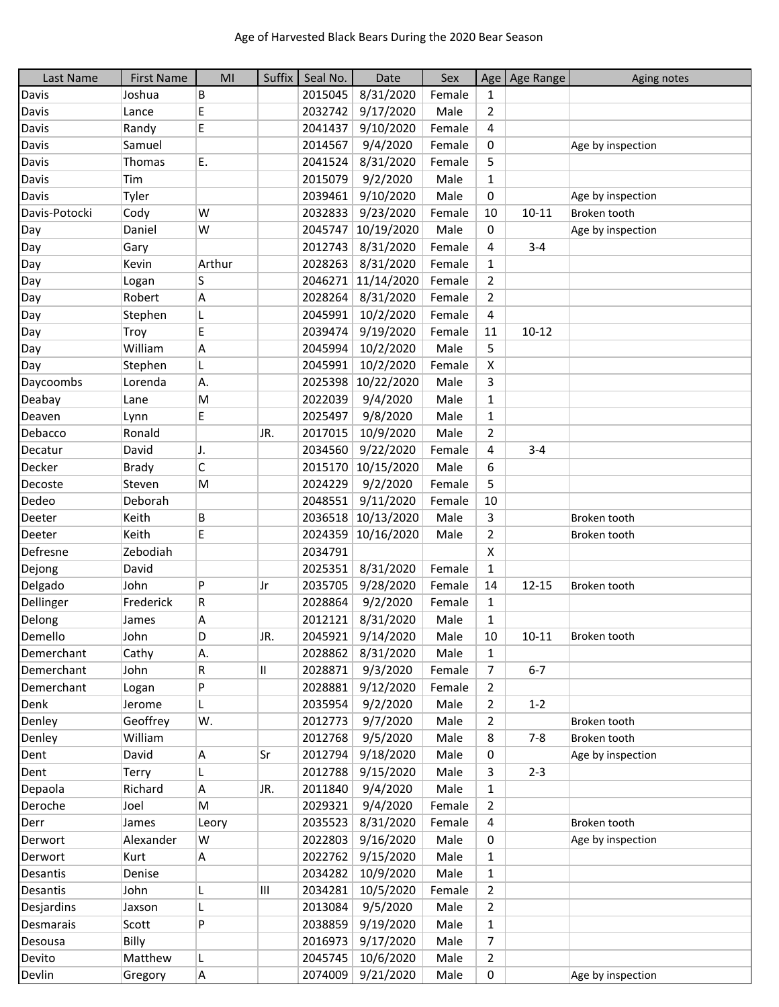| Last Name     | <b>First Name</b> | MI     | Suffix | Seal No. | Date               | Sex    |                | Age   Age Range | Aging notes       |
|---------------|-------------------|--------|--------|----------|--------------------|--------|----------------|-----------------|-------------------|
| Davis         | Joshua            | В      |        | 2015045  | 8/31/2020          | Female | $\mathbf{1}$   |                 |                   |
| Davis         | Lance             | E      |        | 2032742  | 9/17/2020          | Male   | 2              |                 |                   |
| Davis         | Randy             | E      |        | 2041437  | 9/10/2020          | Female | 4              |                 |                   |
| Davis         | Samuel            |        |        | 2014567  | 9/4/2020           | Female | 0              |                 | Age by inspection |
| Davis         | Thomas            | Ε.     |        | 2041524  | 8/31/2020          | Female | 5              |                 |                   |
| Davis         | Tim               |        |        | 2015079  | 9/2/2020           | Male   | $\mathbf{1}$   |                 |                   |
| Davis         | Tyler             |        |        | 2039461  | 9/10/2020          | Male   | 0              |                 | Age by inspection |
| Davis-Potocki | Cody              | W      |        | 2032833  | 9/23/2020          | Female | 10             | $10 - 11$       | Broken tooth      |
| Day           | Daniel            | W      |        | 2045747  | 10/19/2020         | Male   | 0              |                 | Age by inspection |
| Day           | Gary              |        |        | 2012743  | 8/31/2020          | Female | 4              | $3 - 4$         |                   |
| Day           | Kevin             | Arthur |        | 2028263  | 8/31/2020          | Female | $\mathbf{1}$   |                 |                   |
| Day           | Logan             | S      |        |          | 2046271 11/14/2020 | Female | $\overline{2}$ |                 |                   |
| Day           | Robert            | Α      |        | 2028264  | 8/31/2020          | Female | $\overline{2}$ |                 |                   |
| Day           | Stephen           | L      |        | 2045991  | 10/2/2020          | Female | 4              |                 |                   |
| Day           | Troy              | E      |        | 2039474  | 9/19/2020          | Female | 11             | $10 - 12$       |                   |
| Day           | William           | А      |        | 2045994  | 10/2/2020          | Male   | 5              |                 |                   |
| Day           | Stephen           | L      |        | 2045991  | 10/2/2020          | Female | X              |                 |                   |
| Daycoombs     | Lorenda           | Α.     |        |          | 2025398 10/22/2020 | Male   | 3              |                 |                   |
| Deabay        | Lane              | M      |        | 2022039  | 9/4/2020           | Male   | 1              |                 |                   |
| Deaven        | Lynn              | E      |        | 2025497  | 9/8/2020           | Male   | 1              |                 |                   |
| Debacco       | Ronald            |        | JR.    | 2017015  | 10/9/2020          | Male   | $\overline{2}$ |                 |                   |
| Decatur       | David             | J.     |        | 2034560  | 9/22/2020          | Female | 4              | $3 - 4$         |                   |
| Decker        | <b>Brady</b>      | C      |        | 2015170  | 10/15/2020         | Male   | 6              |                 |                   |
| Decoste       | Steven            | M      |        | 2024229  | 9/2/2020           | Female | 5              |                 |                   |
| Dedeo         | Deborah           |        |        | 2048551  | 9/11/2020          | Female | 10             |                 |                   |
| Deeter        | Keith             | В      |        |          | 2036518 10/13/2020 | Male   | 3              |                 | Broken tooth      |
| Deeter        | Keith             | E      |        | 2024359  | 10/16/2020         | Male   | $\overline{2}$ |                 | Broken tooth      |
| Defresne      | Zebodiah          |        |        | 2034791  |                    |        | X              |                 |                   |
| Dejong        | David             |        |        | 2025351  | 8/31/2020          | Female | $\mathbf{1}$   |                 |                   |
| Delgado       | John              | P      | Jr     | 2035705  | 9/28/2020          | Female | 14             | $12 - 15$       | Broken tooth      |
| Dellinger     | Frederick         | R      |        | 2028864  | 9/2/2020           | Female | $\mathbf{1}$   |                 |                   |
| Delong        | James             | А      |        | 2012121  | 8/31/2020          | Male   | $\mathbf{1}$   |                 |                   |
| Demello       | John              | D      | JR.    | 2045921  | 9/14/2020          | Male   | $10\,$         | $10 - 11$       | Broken tooth      |
| Demerchant    | Cathy             | Α.     |        | 2028862  | 8/31/2020          | Male   | 1              |                 |                   |
| Demerchant    | John              | R      | 11     | 2028871  | 9/3/2020           | Female | 7              | $6 - 7$         |                   |
| Demerchant    | Logan             | P      |        | 2028881  | 9/12/2020          | Female | 2              |                 |                   |
| Denk          | Jerome            | L      |        | 2035954  | 9/2/2020           | Male   | $\overline{2}$ | $1 - 2$         |                   |
| Denley        | Geoffrey          | W.     |        | 2012773  | 9/7/2020           | Male   | 2              |                 | Broken tooth      |
| Denley        | William           |        |        | 2012768  | 9/5/2020           | Male   | 8              | $7 - 8$         | Broken tooth      |
| Dent          | David             | Α      | Sr     | 2012794  | 9/18/2020          | Male   | 0              |                 | Age by inspection |
| Dent          | Terry             |        |        | 2012788  | 9/15/2020          | Male   | 3              | $2 - 3$         |                   |
| Depaola       | Richard           | Α      | JR.    | 2011840  | 9/4/2020           | Male   | 1              |                 |                   |
| Deroche       | Joel              | M      |        | 2029321  | 9/4/2020           | Female | 2              |                 |                   |
| Derr          | James             | Leory  |        | 2035523  | 8/31/2020          | Female | 4              |                 | Broken tooth      |
| Derwort       | Alexander         | W      |        | 2022803  | 9/16/2020          | Male   | 0              |                 | Age by inspection |
| Derwort       | Kurt              | A      |        | 2022762  | 9/15/2020          | Male   | $\mathbf{1}$   |                 |                   |
| Desantis      | Denise            |        |        | 2034282  | 10/9/2020          | Male   | $\mathbf{1}$   |                 |                   |
| Desantis      | John              | L      | Ш      | 2034281  | 10/5/2020          | Female | $\overline{2}$ |                 |                   |
| Desjardins    | Jaxson            | L      |        | 2013084  | 9/5/2020           | Male   | $\overline{2}$ |                 |                   |
| Desmarais     | Scott             | P      |        | 2038859  | 9/19/2020          | Male   | 1              |                 |                   |
| Desousa       | Billy             |        |        | 2016973  | 9/17/2020          | Male   | 7              |                 |                   |
| Devito        | Matthew           | L      |        | 2045745  | 10/6/2020          | Male   | $\overline{2}$ |                 |                   |
| Devlin        | Gregory           | A      |        |          | 2074009 9/21/2020  | Male   | 0              |                 | Age by inspection |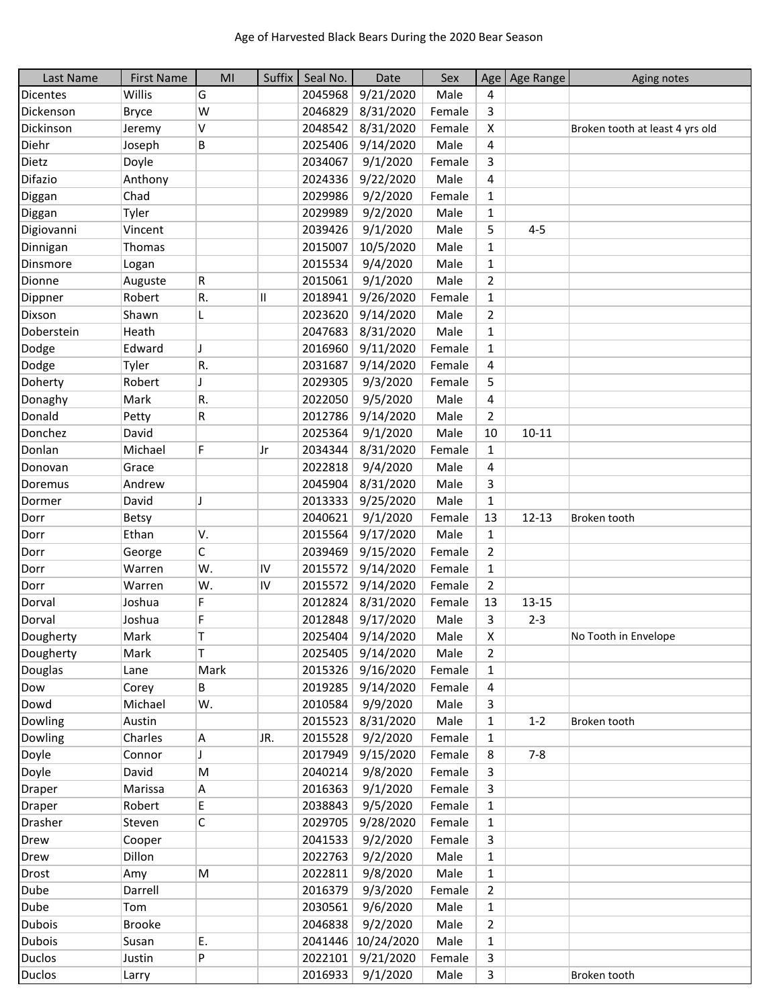| Last Name       | <b>First Name</b> | MI                      | Suffix | Seal No. | Date               | Sex    |                | Age   Age Range | Aging notes                     |
|-----------------|-------------------|-------------------------|--------|----------|--------------------|--------|----------------|-----------------|---------------------------------|
| <b>Dicentes</b> | Willis            | G                       |        | 2045968  | 9/21/2020          | Male   | 4              |                 |                                 |
| Dickenson       | <b>Bryce</b>      | W                       |        | 2046829  | 8/31/2020          | Female | 3              |                 |                                 |
| Dickinson       | Jeremy            | V                       |        | 2048542  | 8/31/2020          | Female | X              |                 | Broken tooth at least 4 yrs old |
| Diehr           | Joseph            | В                       |        | 2025406  | 9/14/2020          | Male   | 4              |                 |                                 |
| Dietz           | Doyle             |                         |        | 2034067  | 9/1/2020           | Female | 3              |                 |                                 |
| Difazio         | Anthony           |                         |        | 2024336  | 9/22/2020          | Male   | 4              |                 |                                 |
| Diggan          | Chad              |                         |        | 2029986  | 9/2/2020           | Female | 1              |                 |                                 |
| Diggan          | Tyler             |                         |        | 2029989  | 9/2/2020           | Male   | $\mathbf{1}$   |                 |                                 |
| Digiovanni      | Vincent           |                         |        | 2039426  | 9/1/2020           | Male   | 5              | $4 - 5$         |                                 |
| Dinnigan        | Thomas            |                         |        | 2015007  | 10/5/2020          | Male   | $\mathbf{1}$   |                 |                                 |
| Dinsmore        | Logan             |                         |        | 2015534  | 9/4/2020           | Male   | $\mathbf{1}$   |                 |                                 |
| Dionne          | Auguste           | R                       |        | 2015061  | 9/1/2020           | Male   | $\overline{2}$ |                 |                                 |
| Dippner         | Robert            | R.                      | Ш      | 2018941  | 9/26/2020          | Female | $\mathbf{1}$   |                 |                                 |
| Dixson          | Shawn             | L                       |        | 2023620  | 9/14/2020          | Male   | $\overline{2}$ |                 |                                 |
| Doberstein      | Heath             |                         |        | 2047683  | 8/31/2020          | Male   | $\mathbf{1}$   |                 |                                 |
| Dodge           | Edward            | J                       |        | 2016960  | 9/11/2020          | Female | $\mathbf{1}$   |                 |                                 |
| Dodge           | Tyler             | R.                      |        | 2031687  | 9/14/2020          | Female | 4              |                 |                                 |
| Doherty         | Robert            | $\overline{\mathbf{I}}$ |        | 2029305  | 9/3/2020           | Female | 5              |                 |                                 |
| Donaghy         | Mark              | R.                      |        | 2022050  | 9/5/2020           | Male   | 4              |                 |                                 |
| Donald          | Petty             | R                       |        | 2012786  | 9/14/2020          | Male   | $\overline{2}$ |                 |                                 |
| Donchez         | David             |                         |        | 2025364  | 9/1/2020           | Male   | 10             | $10 - 11$       |                                 |
| Donlan          | Michael           | F                       | Jr     | 2034344  | 8/31/2020          | Female | $\mathbf{1}$   |                 |                                 |
| Donovan         | Grace             |                         |        | 2022818  | 9/4/2020           | Male   | 4              |                 |                                 |
| Doremus         | Andrew            |                         |        | 2045904  | 8/31/2020          | Male   | 3              |                 |                                 |
| Dormer          | David             | J                       |        | 2013333  | 9/25/2020          | Male   | $\mathbf{1}$   |                 |                                 |
| Dorr            | Betsy             |                         |        | 2040621  | 9/1/2020           | Female | 13             | $12 - 13$       | Broken tooth                    |
| Dorr            | Ethan             | V.                      |        | 2015564  | 9/17/2020          | Male   | $\mathbf{1}$   |                 |                                 |
| Dorr            | George            | C                       |        | 2039469  | 9/15/2020          | Female | $\overline{2}$ |                 |                                 |
| Dorr            | Warren            | W.                      | IV     | 2015572  | 9/14/2020          | Female | $\mathbf{1}$   |                 |                                 |
| Dorr            | Warren            | W.                      | IV     | 2015572  | 9/14/2020          | Female | $\overline{2}$ |                 |                                 |
| Dorval          | Joshua            | F                       |        | 2012824  | 8/31/2020          | Female | 13             | $13 - 15$       |                                 |
| Dorval          | Joshua            | F                       |        | 2012848  | 9/17/2020          | Male   | 3              | $2 - 3$         |                                 |
| Dougherty       | Mark              | Τ                       |        | 2025404  | 9/14/2020          | Male   | X              |                 | No Tooth in Envelope            |
| Dougherty       | Mark              | T.                      |        | 2025405  | 9/14/2020          | Male   | 2              |                 |                                 |
| Douglas         | Lane              | Mark                    |        | 2015326  | 9/16/2020          | Female | $\mathbf{1}$   |                 |                                 |
| Dow             | Corey             | В                       |        | 2019285  | 9/14/2020          | Female | 4              |                 |                                 |
| Dowd            | Michael           | W.                      |        | 2010584  | 9/9/2020           | Male   | 3              |                 |                                 |
| Dowling         | Austin            |                         |        | 2015523  | 8/31/2020          | Male   | $\mathbf{1}$   | $1 - 2$         | Broken tooth                    |
| Dowling         | Charles           | A                       | JR.    | 2015528  | 9/2/2020           | Female | 1              |                 |                                 |
| Doyle           | Connor            | J                       |        | 2017949  | 9/15/2020          | Female | 8              | $7 - 8$         |                                 |
| Doyle           | David             | M                       |        | 2040214  | 9/8/2020           | Female | 3              |                 |                                 |
| <b>Draper</b>   | Marissa           | A                       |        | 2016363  | 9/1/2020           | Female | 3              |                 |                                 |
| <b>Draper</b>   | Robert            | E.                      |        | 2038843  | 9/5/2020           | Female | 1              |                 |                                 |
| <b>Drasher</b>  | Steven            | C                       |        | 2029705  | 9/28/2020          | Female | $\mathbf{1}$   |                 |                                 |
| Drew            | Cooper            |                         |        | 2041533  | 9/2/2020           | Female | 3              |                 |                                 |
| Drew            | Dillon            |                         |        | 2022763  | 9/2/2020           | Male   | $\mathbf{1}$   |                 |                                 |
| <b>Drost</b>    | Amy               | M                       |        | 2022811  | 9/8/2020           | Male   | $\mathbf{1}$   |                 |                                 |
| Dube            | Darrell           |                         |        | 2016379  | 9/3/2020           | Female | $\overline{2}$ |                 |                                 |
| Dube            | Tom               |                         |        | 2030561  | 9/6/2020           | Male   | $\mathbf{1}$   |                 |                                 |
| <b>Dubois</b>   | <b>Brooke</b>     |                         |        | 2046838  | 9/2/2020           | Male   | $\overline{2}$ |                 |                                 |
| Dubois          | Susan             | Е.                      |        |          | 2041446 10/24/2020 | Male   | 1              |                 |                                 |
| Duclos          | Justin            | P                       |        | 2022101  | 9/21/2020          | Female | 3              |                 |                                 |
| Duclos          | Larry             |                         |        |          | 2016933 9/1/2020   | Male   | $\mathbf{3}$   |                 | Broken tooth                    |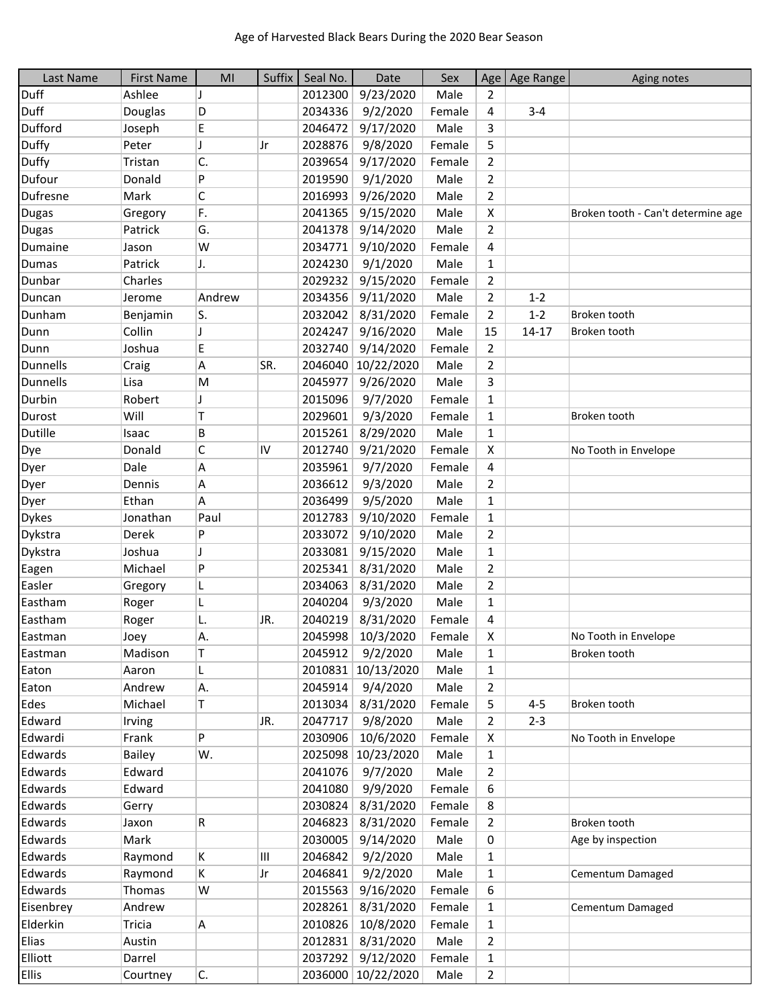| Last Name       | <b>First Name</b> | MI                       | Suffix | Seal No. | Date               | Sex    |                | Age   Age Range | Aging notes                        |
|-----------------|-------------------|--------------------------|--------|----------|--------------------|--------|----------------|-----------------|------------------------------------|
| <b>Duff</b>     | Ashlee            | J                        |        | 2012300  | 9/23/2020          | Male   | 2              |                 |                                    |
| <b>Duff</b>     | Douglas           | D                        |        | 2034336  | 9/2/2020           | Female | 4              | $3 - 4$         |                                    |
| Dufford         | Joseph            | E                        |        | 2046472  | 9/17/2020          | Male   | 3              |                 |                                    |
| Duffy           | Peter             | $\overline{\phantom{a}}$ | Jr     | 2028876  | 9/8/2020           | Female | 5              |                 |                                    |
| Duffy           | Tristan           | C.                       |        | 2039654  | 9/17/2020          | Female | $\overline{2}$ |                 |                                    |
| Dufour          | Donald            | P                        |        | 2019590  | 9/1/2020           | Male   | $\overline{2}$ |                 |                                    |
| Dufresne        | Mark              | $\mathsf C$              |        | 2016993  | 9/26/2020          | Male   | $\overline{2}$ |                 |                                    |
| <b>Dugas</b>    | Gregory           | F.                       |        | 2041365  | 9/15/2020          | Male   | X              |                 | Broken tooth - Can't determine age |
| <b>Dugas</b>    | Patrick           | G.                       |        | 2041378  | 9/14/2020          | Male   | $\overline{2}$ |                 |                                    |
| Dumaine         | Jason             | W                        |        | 2034771  | 9/10/2020          | Female | 4              |                 |                                    |
| <b>Dumas</b>    | Patrick           | J.                       |        | 2024230  | 9/1/2020           | Male   | $\mathbf{1}$   |                 |                                    |
| Dunbar          | Charles           |                          |        | 2029232  | 9/15/2020          | Female | $\overline{2}$ |                 |                                    |
| Duncan          | Jerome            | Andrew                   |        | 2034356  | 9/11/2020          | Male   | $\overline{2}$ | $1 - 2$         |                                    |
| Dunham          | Benjamin          | S.                       |        | 2032042  | 8/31/2020          | Female | 2              | $1 - 2$         | Broken tooth                       |
| Dunn            | Collin            | J                        |        | 2024247  | 9/16/2020          | Male   | 15             | $14 - 17$       | Broken tooth                       |
| Dunn            | Joshua            | E                        |        | 2032740  | 9/14/2020          | Female | $\overline{2}$ |                 |                                    |
| <b>Dunnells</b> | Craig             | А                        | SR.    | 2046040  | 10/22/2020         | Male   | $\overline{2}$ |                 |                                    |
| <b>Dunnells</b> | Lisa              | M                        |        | 2045977  | 9/26/2020          | Male   | 3              |                 |                                    |
| Durbin          | Robert            |                          |        | 2015096  | 9/7/2020           | Female | $\mathbf{1}$   |                 |                                    |
| Durost          | Will              | Τ                        |        | 2029601  | 9/3/2020           | Female | $\mathbf{1}$   |                 | Broken tooth                       |
| Dutille         | Isaac             | B                        |        | 2015261  | 8/29/2020          | Male   | 1              |                 |                                    |
| Dye             | Donald            | C                        | IV     | 2012740  | 9/21/2020          | Female | X              |                 | No Tooth in Envelope               |
| Dyer            | Dale              | Α                        |        | 2035961  | 9/7/2020           | Female | 4              |                 |                                    |
| Dyer            | Dennis            | Α                        |        | 2036612  | 9/3/2020           | Male   | $\overline{2}$ |                 |                                    |
| Dyer            | Ethan             | A                        |        | 2036499  | 9/5/2020           | Male   | 1              |                 |                                    |
| <b>Dykes</b>    | Jonathan          | Paul                     |        | 2012783  | 9/10/2020          | Female | $\mathbf{1}$   |                 |                                    |
| Dykstra         | Derek             | P                        |        | 2033072  | 9/10/2020          | Male   | $\overline{2}$ |                 |                                    |
| Dykstra         | Joshua            | J                        |        | 2033081  | 9/15/2020          | Male   | 1              |                 |                                    |
| Eagen           | Michael           | P                        |        | 2025341  | 8/31/2020          | Male   | $\overline{2}$ |                 |                                    |
| Easler          | Gregory           | L                        |        | 2034063  | 8/31/2020          | Male   | $\overline{2}$ |                 |                                    |
| Eastham         | Roger             | L                        |        | 2040204  | 9/3/2020           | Male   | 1              |                 |                                    |
| Eastham         | Roger             | L.                       | JR.    | 2040219  | 8/31/2020          | Female | 4              |                 |                                    |
| Eastman         | Joey              | Α.                       |        | 2045998  | 10/3/2020          | Female | x              |                 | No Tooth in Envelope               |
| Eastman         | Madison           | Τ                        |        | 2045912  | 9/2/2020           | Male   | 1              |                 | Broken tooth                       |
| Eaton           | Aaron             | L                        |        | 2010831  | 10/13/2020         | Male   | $\mathbf{1}$   |                 |                                    |
| Eaton           | Andrew            | A.                       |        | 2045914  | 9/4/2020           | Male   | $\overline{2}$ |                 |                                    |
| Edes            | Michael           | Τ                        |        | 2013034  | 8/31/2020          | Female | 5              | $4 - 5$         | Broken tooth                       |
| Edward          | Irving            |                          | JR.    | 2047717  | 9/8/2020           | Male   | 2              | $2 - 3$         |                                    |
| Edwardi         | Frank             | P                        |        | 2030906  | 10/6/2020          | Female | X              |                 | No Tooth in Envelope               |
| Edwards         | <b>Bailey</b>     | W.                       |        | 2025098  | 10/23/2020         | Male   | $\mathbf{1}$   |                 |                                    |
| Edwards         | Edward            |                          |        | 2041076  | 9/7/2020           | Male   | $\overline{2}$ |                 |                                    |
| Edwards         | Edward            |                          |        | 2041080  | 9/9/2020           | Female | 6              |                 |                                    |
| Edwards         | Gerry             |                          |        | 2030824  | 8/31/2020          | Female | 8              |                 |                                    |
| Edwards         | Jaxon             | R                        |        | 2046823  | 8/31/2020          | Female | $\overline{2}$ |                 | Broken tooth                       |
| Edwards         | Mark              |                          |        | 2030005  | 9/14/2020          | Male   | 0              |                 | Age by inspection                  |
| Edwards         | Raymond           | K                        | Ш      | 2046842  | 9/2/2020           | Male   | 1              |                 |                                    |
| Edwards         | Raymond           | K                        | Jr     | 2046841  | 9/2/2020           | Male   | $\mathbf{1}$   |                 | Cementum Damaged                   |
| Edwards         | Thomas            | W                        |        | 2015563  | 9/16/2020          | Female | 6              |                 |                                    |
| Eisenbrey       | Andrew            |                          |        | 2028261  | 8/31/2020          | Female | $\mathbf{1}$   |                 | Cementum Damaged                   |
| Elderkin        | Tricia            | A                        |        | 2010826  | 10/8/2020          | Female | 1              |                 |                                    |
| Elias           | Austin            |                          |        | 2012831  | 8/31/2020          | Male   | $\overline{2}$ |                 |                                    |
| Elliott         | Darrel            |                          |        | 2037292  | 9/12/2020          | Female | $\mathbf{1}$   |                 |                                    |
| <b>Ellis</b>    | Courtney          | C.                       |        |          | 2036000 10/22/2020 | Male   | $\overline{2}$ |                 |                                    |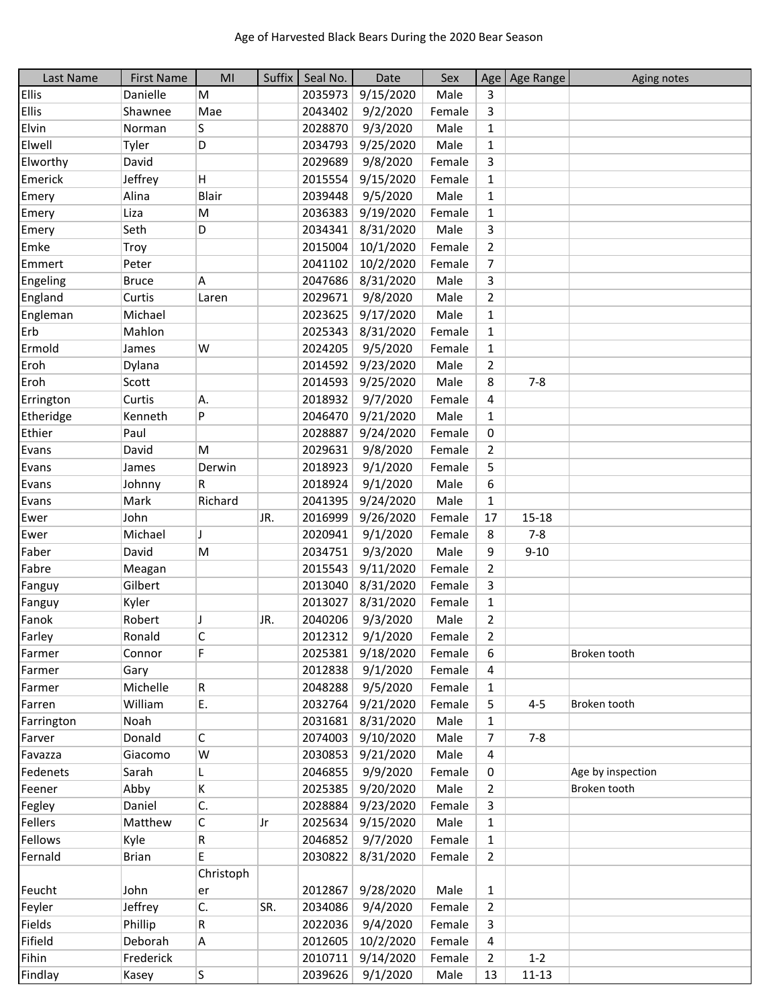| Last Name    | <b>First Name</b> | MI           | Suffix | Seal No. | Date      | Sex    |                | Age   Age Range | Aging notes       |
|--------------|-------------------|--------------|--------|----------|-----------|--------|----------------|-----------------|-------------------|
| <b>Ellis</b> | Danielle          | M            |        | 2035973  | 9/15/2020 | Male   | 3              |                 |                   |
| <b>Ellis</b> | Shawnee           | Mae          |        | 2043402  | 9/2/2020  | Female | 3              |                 |                   |
| Elvin        | Norman            | S            |        | 2028870  | 9/3/2020  | Male   | 1              |                 |                   |
| Elwell       | Tyler             | D            |        | 2034793  | 9/25/2020 | Male   | $\mathbf{1}$   |                 |                   |
| Elworthy     | David             |              |        | 2029689  | 9/8/2020  | Female | 3              |                 |                   |
| Emerick      | Jeffrey           | H            |        | 2015554  | 9/15/2020 | Female | $\mathbf{1}$   |                 |                   |
| Emery        | Alina             | <b>Blair</b> |        | 2039448  | 9/5/2020  | Male   | $\mathbf{1}$   |                 |                   |
| Emery        | Liza              | M            |        | 2036383  | 9/19/2020 | Female | $\mathbf{1}$   |                 |                   |
| Emery        | Seth              | D            |        | 2034341  | 8/31/2020 | Male   | 3              |                 |                   |
| Emke         | Troy              |              |        | 2015004  | 10/1/2020 | Female | $\overline{2}$ |                 |                   |
| Emmert       | Peter             |              |        | 2041102  | 10/2/2020 | Female | 7              |                 |                   |
| Engeling     | <b>Bruce</b>      | Α            |        | 2047686  | 8/31/2020 | Male   | 3              |                 |                   |
| England      | Curtis            | Laren        |        | 2029671  | 9/8/2020  | Male   | $\overline{2}$ |                 |                   |
| Engleman     | Michael           |              |        | 2023625  | 9/17/2020 | Male   | $\mathbf{1}$   |                 |                   |
| Erb          | Mahlon            |              |        | 2025343  | 8/31/2020 | Female | 1              |                 |                   |
| Ermold       | James             | W            |        | 2024205  | 9/5/2020  | Female | $\mathbf{1}$   |                 |                   |
| Eroh         | Dylana            |              |        | 2014592  | 9/23/2020 | Male   | $\overline{2}$ |                 |                   |
| Eroh         | Scott             |              |        | 2014593  | 9/25/2020 | Male   | 8              | $7 - 8$         |                   |
| Errington    | Curtis            | Α.           |        | 2018932  | 9/7/2020  | Female | 4              |                 |                   |
| Etheridge    | Kenneth           | P            |        | 2046470  | 9/21/2020 | Male   | $\mathbf{1}$   |                 |                   |
| Ethier       | Paul              |              |        | 2028887  | 9/24/2020 | Female | 0              |                 |                   |
| Evans        | David             | M            |        | 2029631  | 9/8/2020  | Female | $\overline{2}$ |                 |                   |
| Evans        | James             | Derwin       |        | 2018923  | 9/1/2020  | Female | 5              |                 |                   |
| Evans        | Johnny            | R            |        | 2018924  | 9/1/2020  | Male   | 6              |                 |                   |
| Evans        | Mark              | Richard      |        | 2041395  | 9/24/2020 | Male   | $\mathbf{1}$   |                 |                   |
| Ewer         | John              |              | JR.    | 2016999  | 9/26/2020 | Female | 17             | $15 - 18$       |                   |
| Ewer         | Michael           | J            |        | 2020941  | 9/1/2020  | Female | 8              | $7 - 8$         |                   |
| Faber        | David             | M            |        | 2034751  | 9/3/2020  | Male   | 9              | $9 - 10$        |                   |
| Fabre        | Meagan            |              |        | 2015543  | 9/11/2020 | Female | $\overline{2}$ |                 |                   |
| Fanguy       | Gilbert           |              |        | 2013040  | 8/31/2020 | Female | 3              |                 |                   |
| Fanguy       | Kyler             |              |        | 2013027  | 8/31/2020 | Female | 1              |                 |                   |
| Fanok        | Robert            | J            | JR.    | 2040206  | 9/3/2020  | Male   | $\overline{2}$ |                 |                   |
| Farley       | Ronald            | С            |        | 2012312  | 9/1/2020  | Female | $\overline{2}$ |                 |                   |
| Farmer       | Connor            | F            |        | 2025381  | 9/18/2020 | Female | 6              |                 | Broken tooth      |
| Farmer       | Gary              |              |        | 2012838  | 9/1/2020  | Female | 4              |                 |                   |
| Farmer       | Michelle          | R            |        | 2048288  | 9/5/2020  | Female | 1              |                 |                   |
| Farren       | William           | E.           |        | 2032764  | 9/21/2020 | Female | 5              | $4 - 5$         | Broken tooth      |
| Farrington   | Noah              |              |        | 2031681  | 8/31/2020 | Male   | $\mathbf{1}$   |                 |                   |
| Farver       | Donald            | $\mathsf{C}$ |        | 2074003  | 9/10/2020 | Male   | 7              | $7 - 8$         |                   |
| Favazza      | Giacomo           | W            |        | 2030853  | 9/21/2020 | Male   | 4              |                 |                   |
| Fedenets     | Sarah             | L.           |        | 2046855  | 9/9/2020  | Female | 0              |                 | Age by inspection |
| Feener       | Abby              | K            |        | 2025385  | 9/20/2020 | Male   | 2              |                 | Broken tooth      |
| Fegley       | Daniel            | C.           |        | 2028884  | 9/23/2020 | Female | 3              |                 |                   |
| Fellers      | Matthew           | С            | Jr     | 2025634  | 9/15/2020 | Male   | 1              |                 |                   |
| Fellows      | Kyle              | R            |        | 2046852  | 9/7/2020  | Female | 1              |                 |                   |
| Fernald      | <b>Brian</b>      | Е            |        | 2030822  | 8/31/2020 | Female | 2              |                 |                   |
|              |                   | Christoph    |        |          |           |        |                |                 |                   |
| Feucht       | John              | er           |        | 2012867  | 9/28/2020 | Male   | $\mathbf{1}$   |                 |                   |
| Feyler       | Jeffrey           | C.           | SR.    | 2034086  | 9/4/2020  | Female | $\overline{2}$ |                 |                   |
| Fields       | Phillip           | R            |        | 2022036  | 9/4/2020  | Female | 3              |                 |                   |
| Fifield      | Deborah           | A            |        | 2012605  | 10/2/2020 | Female | 4              |                 |                   |
| Fihin        | Frederick         |              |        | 2010711  | 9/14/2020 | Female | $\overline{2}$ | $1 - 2$         |                   |
| Findlay      | Kasey             | S.           |        | 2039626  | 9/1/2020  | Male   | 13             | $11 - 13$       |                   |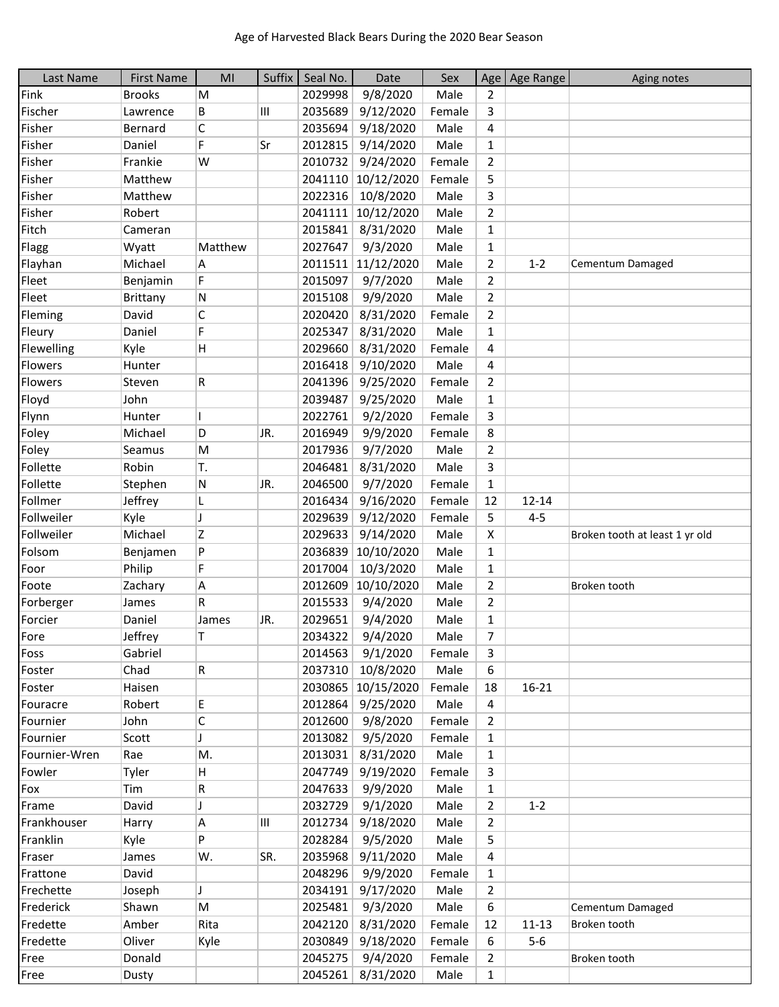| Last Name     | <b>First Name</b> | MI                       | Suffix | Seal No. | Date               | Sex    | Age                     | Age Range | Aging notes                    |
|---------------|-------------------|--------------------------|--------|----------|--------------------|--------|-------------------------|-----------|--------------------------------|
| Fink          | <b>Brooks</b>     | M                        |        | 2029998  | 9/8/2020           | Male   | 2                       |           |                                |
| Fischer       | Lawrence          | В                        | Ш      | 2035689  | 9/12/2020          | Female | 3                       |           |                                |
| Fisher        | Bernard           | C                        |        | 2035694  | 9/18/2020          | Male   | $\overline{\mathbf{4}}$ |           |                                |
| Fisher        | Daniel            | F                        | Sr     | 2012815  | 9/14/2020          | Male   | $\mathbf{1}$            |           |                                |
| Fisher        | Frankie           | W                        |        | 2010732  | 9/24/2020          | Female | $\overline{2}$          |           |                                |
| Fisher        | Matthew           |                          |        | 2041110  | 10/12/2020         | Female | 5                       |           |                                |
| Fisher        | Matthew           |                          |        | 2022316  | 10/8/2020          | Male   | 3                       |           |                                |
| Fisher        | Robert            |                          |        | 2041111  | 10/12/2020         | Male   | $\overline{2}$          |           |                                |
| Fitch         | Cameran           |                          |        | 2015841  | 8/31/2020          | Male   | $\mathbf{1}$            |           |                                |
| Flagg         | Wyatt             | Matthew                  |        | 2027647  | 9/3/2020           | Male   | $\mathbf{1}$            |           |                                |
| Flayhan       | Michael           | Α                        |        |          | 2011511 11/12/2020 | Male   | $\overline{2}$          | $1 - 2$   | Cementum Damaged               |
| Fleet         | Benjamin          | F                        |        | 2015097  | 9/7/2020           | Male   | $\overline{2}$          |           |                                |
| Fleet         | <b>Brittany</b>   | N                        |        | 2015108  | 9/9/2020           | Male   | $\overline{2}$          |           |                                |
| Fleming       | David             | C                        |        | 2020420  | 8/31/2020          | Female | $\overline{2}$          |           |                                |
| Fleury        | Daniel            | F                        |        | 2025347  | 8/31/2020          | Male   | $\mathbf{1}$            |           |                                |
| Flewelling    | Kyle              | H                        |        | 2029660  | 8/31/2020          | Female | 4                       |           |                                |
| Flowers       | Hunter            |                          |        | 2016418  | 9/10/2020          | Male   | 4                       |           |                                |
| Flowers       | Steven            | R                        |        | 2041396  | 9/25/2020          | Female | $\overline{2}$          |           |                                |
| Floyd         | John              |                          |        | 2039487  | 9/25/2020          | Male   | 1                       |           |                                |
| Flynn         | Hunter            |                          |        | 2022761  | 9/2/2020           | Female | 3                       |           |                                |
| Foley         | Michael           | D                        | JR.    | 2016949  | 9/9/2020           | Female | 8                       |           |                                |
| Foley         | Seamus            | M                        |        | 2017936  | 9/7/2020           | Male   | $\overline{2}$          |           |                                |
| Follette      | Robin             | T.                       |        | 2046481  | 8/31/2020          | Male   | 3                       |           |                                |
| Follette      | Stephen           | ${\sf N}$                | JR.    | 2046500  | 9/7/2020           | Female | $\mathbf{1}$            |           |                                |
| Follmer       | Jeffrey           | L                        |        | 2016434  | 9/16/2020          | Female | 12                      | $12 - 14$ |                                |
| Follweiler    | Kyle              | $\overline{\phantom{a}}$ |        | 2029639  | 9/12/2020          | Female | 5                       | $4 - 5$   |                                |
| Follweiler    | Michael           | Z                        |        | 2029633  | 9/14/2020          | Male   | X                       |           | Broken tooth at least 1 yr old |
| Folsom        | Benjamen          | P                        |        | 2036839  | 10/10/2020         | Male   | 1                       |           |                                |
| Foor          | Philip            | F                        |        | 2017004  | 10/3/2020          | Male   | $\mathbf{1}$            |           |                                |
| Foote         | Zachary           | Α                        |        | 2012609  | 10/10/2020         | Male   | $\overline{2}$          |           | Broken tooth                   |
| Forberger     | James             | R                        |        | 2015533  | 9/4/2020           | Male   | $\overline{2}$          |           |                                |
| Forcier       | Daniel            | James                    | JR.    | 2029651  | 9/4/2020           | Male   | $\mathbf{1}$            |           |                                |
| Fore          | Jeffrey           | T.                       |        | 2034322  | 9/4/2020           | Male   | $\overline{7}$          |           |                                |
| Foss          | Gabriel           |                          |        | 2014563  | 9/1/2020           | Female | 3                       |           |                                |
| Foster        | Chad              | ${\sf R}$                |        | 2037310  | 10/8/2020          | Male   | 6                       |           |                                |
| Foster        | Haisen            |                          |        |          | 2030865 10/15/2020 | Female | 18                      | $16 - 21$ |                                |
| Fouracre      | Robert            | Е                        |        | 2012864  | 9/25/2020          | Male   | 4                       |           |                                |
| Fournier      | John              | C                        |        | 2012600  | 9/8/2020           | Female | $\overline{2}$          |           |                                |
| Fournier      | Scott             | T                        |        | 2013082  | 9/5/2020           | Female | 1                       |           |                                |
| Fournier-Wren | Rae               | Μ.                       |        | 2013031  | 8/31/2020          | Male   | $\mathbf{1}$            |           |                                |
| Fowler        | Tyler             | н                        |        | 2047749  | 9/19/2020          | Female | 3                       |           |                                |
| Fox           | Tim               | R                        |        | 2047633  | 9/9/2020           | Male   | $\mathbf{1}$            |           |                                |
| Frame         | David             | J                        |        | 2032729  | 9/1/2020           | Male   | $\overline{2}$          | $1 - 2$   |                                |
| Frankhouser   | Harry             | Α                        | Ш      | 2012734  | 9/18/2020          | Male   | 2                       |           |                                |
| Franklin      | Kyle              | P                        |        | 2028284  | 9/5/2020           | Male   | 5                       |           |                                |
| Fraser        | James             | W.                       | SR.    | 2035968  | 9/11/2020          | Male   | 4                       |           |                                |
| Frattone      | David             |                          |        | 2048296  | 9/9/2020           | Female | 1                       |           |                                |
| Frechette     | Joseph            | J                        |        | 2034191  | 9/17/2020          | Male   | $\overline{2}$          |           |                                |
| Frederick     | Shawn             | M                        |        | 2025481  | 9/3/2020           | Male   | 6                       |           | Cementum Damaged               |
| Fredette      | Amber             | Rita                     |        | 2042120  | 8/31/2020          | Female | 12                      | $11 - 13$ | Broken tooth                   |
| Fredette      | Oliver            | Kyle                     |        | 2030849  | 9/18/2020          | Female | 6                       | $5-6$     |                                |
| Free          | Donald            |                          |        | 2045275  | 9/4/2020           | Female | $\overline{2}$          |           | Broken tooth                   |
| Free          | Dusty             |                          |        |          | 2045261 8/31/2020  | Male   | $\mathbf{1}$            |           |                                |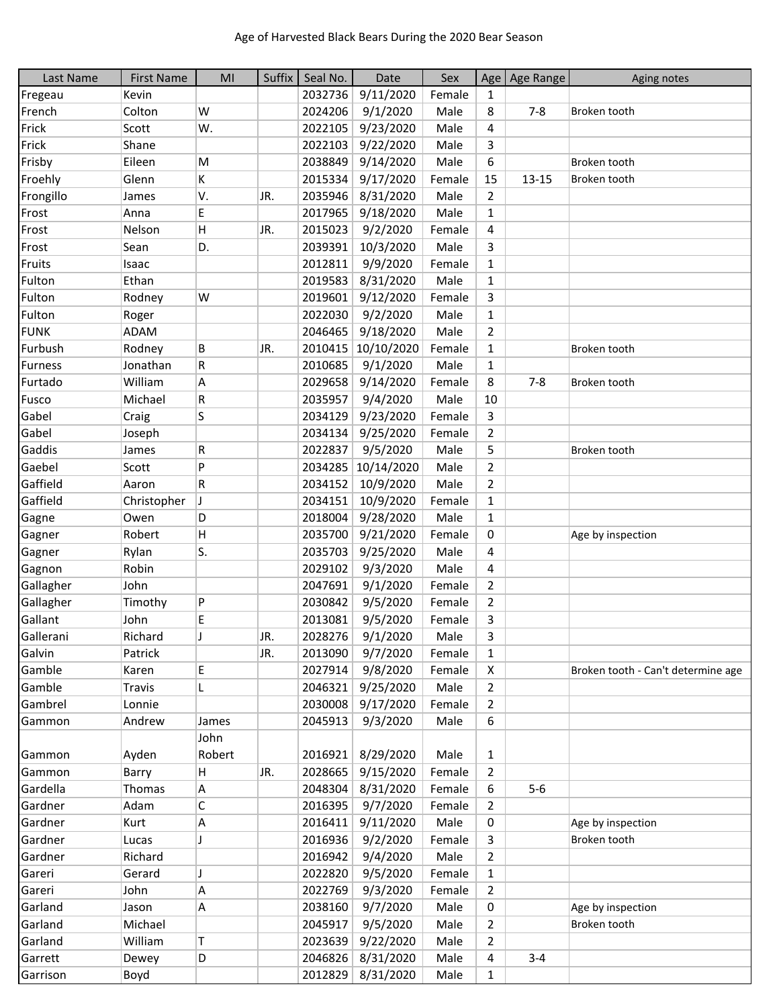| Last Name   | <b>First Name</b> | MI     | Suffix | Seal No. | Date              | Sex    |                   | Age   Age Range | Aging notes                        |
|-------------|-------------------|--------|--------|----------|-------------------|--------|-------------------|-----------------|------------------------------------|
| Fregeau     | Kevin             |        |        | 2032736  | 9/11/2020         | Female | $\mathbf{1}$      |                 |                                    |
| French      | Colton            | W      |        | 2024206  | 9/1/2020          | Male   | 8                 | $7 - 8$         | Broken tooth                       |
| Frick       | Scott             | W.     |        | 2022105  | 9/23/2020         | Male   | 4                 |                 |                                    |
| Frick       | Shane             |        |        | 2022103  | 9/22/2020         | Male   | 3                 |                 |                                    |
| Frisby      | Eileen            | M      |        | 2038849  | 9/14/2020         | Male   | 6                 |                 | Broken tooth                       |
| Froehly     | Glenn             | K      |        | 2015334  | 9/17/2020         | Female | 15                | $13 - 15$       | Broken tooth                       |
| Frongillo   | James             | V.     | JR.    | 2035946  | 8/31/2020         | Male   | $\overline{2}$    |                 |                                    |
| Frost       | Anna              | E      |        | 2017965  | 9/18/2020         | Male   | 1                 |                 |                                    |
| Frost       | Nelson            | H      | JR.    | 2015023  | 9/2/2020          | Female | 4                 |                 |                                    |
| Frost       | Sean              | D.     |        | 2039391  | 10/3/2020         | Male   | 3                 |                 |                                    |
| Fruits      | Isaac             |        |        | 2012811  | 9/9/2020          | Female | $\mathbf{1}$      |                 |                                    |
| Fulton      | Ethan             |        |        | 2019583  | 8/31/2020         | Male   | $\mathbf{1}$      |                 |                                    |
| Fulton      | Rodney            | W      |        | 2019601  | 9/12/2020         | Female | 3                 |                 |                                    |
| Fulton      | Roger             |        |        | 2022030  | 9/2/2020          | Male   | $\mathbf{1}$      |                 |                                    |
| <b>FUNK</b> | <b>ADAM</b>       |        |        | 2046465  | 9/18/2020         | Male   | $\overline{2}$    |                 |                                    |
| Furbush     | Rodney            | B      | JR.    | 2010415  | 10/10/2020        | Female | $\mathbf 1$       |                 | Broken tooth                       |
| Furness     | Jonathan          | R      |        | 2010685  | 9/1/2020          | Male   | $\mathbf{1}$      |                 |                                    |
| Furtado     | William           | Α      |        | 2029658  | 9/14/2020         | Female | 8                 | $7 - 8$         | Broken tooth                       |
| Fusco       | Michael           | R      |        | 2035957  | 9/4/2020          | Male   | 10                |                 |                                    |
|             |                   |        |        |          |                   |        |                   |                 |                                    |
| Gabel       | Craig             | S      |        | 2034129  | 9/23/2020         | Female | 3                 |                 |                                    |
| Gabel       | Joseph            |        |        | 2034134  | 9/25/2020         | Female | $\overline{2}$    |                 |                                    |
| Gaddis      | James             | R      |        | 2022837  | 9/5/2020          | Male   | 5                 |                 | Broken tooth                       |
| Gaebel      | Scott             | P      |        | 2034285  | 10/14/2020        | Male   | $\overline{2}$    |                 |                                    |
| Gaffield    | Aaron             | R      |        | 2034152  | 10/9/2020         | Male   | $\overline{2}$    |                 |                                    |
| Gaffield    | Christopher       | J      |        | 2034151  | 10/9/2020         | Female | $\mathbf{1}$      |                 |                                    |
| Gagne       | Owen              | D      |        | 2018004  | 9/28/2020         | Male   | $\mathbf{1}$      |                 |                                    |
| Gagner      | Robert            | H      |        | 2035700  | 9/21/2020         | Female | 0                 |                 | Age by inspection                  |
| Gagner      | Rylan             | S.     |        | 2035703  | 9/25/2020         | Male   | 4                 |                 |                                    |
| Gagnon      | Robin             |        |        | 2029102  | 9/3/2020          | Male   | 4                 |                 |                                    |
| Gallagher   | John              |        |        | 2047691  | 9/1/2020          | Female | $\overline{2}$    |                 |                                    |
| Gallagher   | Timothy           | P      |        | 2030842  | 9/5/2020          | Female | $\overline{2}$    |                 |                                    |
| Gallant     | John              | E      |        | 2013081  | 9/5/2020          | Female | 3                 |                 |                                    |
| Gallerani   | Richard           |        | JR.    | 2028276  | 9/1/2020          | Male   | 3                 |                 |                                    |
| Galvin      | Patrick           |        | JR.    | 2013090  | 9/7/2020          | Female | 1                 |                 |                                    |
| Gamble      | Karen             | E      |        | 2027914  | 9/8/2020          | Female | X                 |                 | Broken tooth - Can't determine age |
| Gamble      | <b>Travis</b>     | L      |        | 2046321  | 9/25/2020         | Male   | 2                 |                 |                                    |
| Gambrel     | Lonnie            |        |        | 2030008  | 9/17/2020         | Female | $\overline{2}$    |                 |                                    |
| Gammon      | Andrew            | James  |        | 2045913  | 9/3/2020          | Male   | 6                 |                 |                                    |
|             |                   | John   |        |          |                   |        |                   |                 |                                    |
| Gammon      | Ayden             | Robert |        | 2016921  | 8/29/2020         | Male   | 1                 |                 |                                    |
| Gammon      | Barry             | H.     | JR.    | 2028665  | 9/15/2020         | Female | 2                 |                 |                                    |
| Gardella    | Thomas            | Α      |        | 2048304  | 8/31/2020         | Female | 6                 | $5-6$           |                                    |
| Gardner     | Adam              | C      |        | 2016395  | 9/7/2020          | Female | $\overline{2}$    |                 |                                    |
| Gardner     | Kurt              | Α      |        | 2016411  | 9/11/2020         | Male   | 0                 |                 | Age by inspection                  |
| Gardner     | Lucas             |        |        | 2016936  | 9/2/2020          | Female | 3                 |                 | Broken tooth                       |
| Gardner     | Richard           |        |        | 2016942  | 9/4/2020          | Male   | $\overline{2}$    |                 |                                    |
| Gareri      | Gerard            | J      |        | 2022820  | 9/5/2020          | Female | $\mathbf{1}$      |                 |                                    |
| Gareri      | John              | Α      |        | 2022769  | 9/3/2020          | Female | $\overline{2}$    |                 |                                    |
| Garland     | Jason             | Α      |        | 2038160  | 9/7/2020          | Male   | 0                 |                 | Age by inspection                  |
| Garland     | Michael           |        |        | 2045917  | 9/5/2020          | Male   | 2                 |                 | Broken tooth                       |
| Garland     | William           | т      |        | 2023639  | 9/22/2020         | Male   | $\overline{2}$    |                 |                                    |
| Garrett     | Dewey             |        |        | 2046826  | 8/31/2020         | Male   |                   | $3 - 4$         |                                    |
| Garrison    | Boyd              | D      |        |          | 2012829 8/31/2020 | Male   | 4<br>$\mathbf{1}$ |                 |                                    |
|             |                   |        |        |          |                   |        |                   |                 |                                    |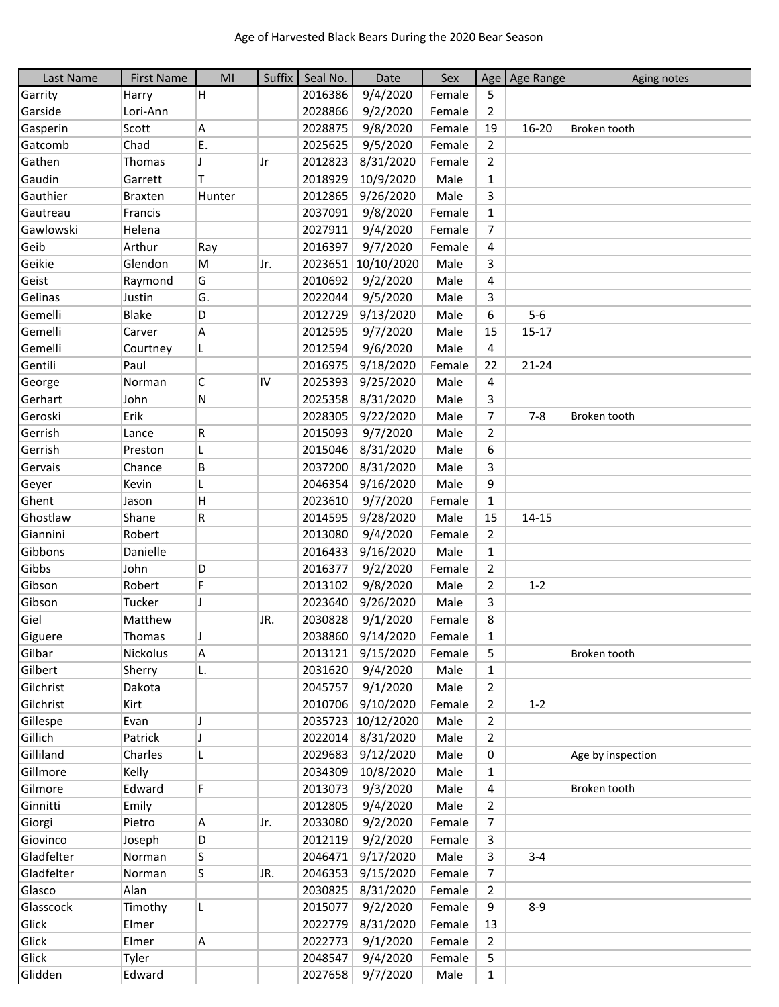| Last Name  | <b>First Name</b> | MI           | Suffix | Seal No. | Date             | Sex    |                | Age   Age Range | Aging notes       |
|------------|-------------------|--------------|--------|----------|------------------|--------|----------------|-----------------|-------------------|
| Garrity    | Harry             | H            |        | 2016386  | 9/4/2020         | Female | 5              |                 |                   |
| Garside    | Lori-Ann          |              |        | 2028866  | 9/2/2020         | Female | $\overline{2}$ |                 |                   |
| Gasperin   | Scott             | А            |        | 2028875  | 9/8/2020         | Female | 19             | 16-20           | Broken tooth      |
| Gatcomb    | Chad              | E.           |        | 2025625  | 9/5/2020         | Female | $\overline{2}$ |                 |                   |
| Gathen     | Thomas            | J            | Jr     | 2012823  | 8/31/2020        | Female | $\overline{2}$ |                 |                   |
| Gaudin     | Garrett           | Τ            |        | 2018929  | 10/9/2020        | Male   | $\mathbf{1}$   |                 |                   |
| Gauthier   | <b>Braxten</b>    | Hunter       |        | 2012865  | 9/26/2020        | Male   | 3              |                 |                   |
| Gautreau   | Francis           |              |        | 2037091  | 9/8/2020         | Female | $\mathbf{1}$   |                 |                   |
| Gawlowski  | Helena            |              |        | 2027911  | 9/4/2020         | Female | 7              |                 |                   |
| Geib       | Arthur            | Ray          |        | 2016397  | 9/7/2020         | Female | 4              |                 |                   |
| Geikie     | Glendon           | M            | IJr.   | 2023651  | 10/10/2020       | Male   | 3              |                 |                   |
| Geist      | Raymond           | G            |        | 2010692  | 9/2/2020         | Male   | 4              |                 |                   |
| Gelinas    | Justin            | G.           |        | 2022044  | 9/5/2020         | Male   | 3              |                 |                   |
| Gemelli    | <b>Blake</b>      | D            |        | 2012729  | 9/13/2020        | Male   | 6              | $5-6$           |                   |
| Gemelli    | Carver            | Α            |        | 2012595  | 9/7/2020         | Male   | 15             | $15 - 17$       |                   |
| Gemelli    | Courtney          | L            |        | 2012594  | 9/6/2020         | Male   | 4              |                 |                   |
| Gentili    | Paul              |              |        | 2016975  | 9/18/2020        | Female | 22             | $21 - 24$       |                   |
| George     | Norman            | С            | IV     | 2025393  | 9/25/2020        | Male   | 4              |                 |                   |
| Gerhart    | John              | N            |        | 2025358  | 8/31/2020        | Male   | 3              |                 |                   |
| Geroski    | Erik              |              |        | 2028305  | 9/22/2020        | Male   | $\overline{7}$ | $7 - 8$         | Broken tooth      |
| Gerrish    | Lance             | R            |        | 2015093  | 9/7/2020         | Male   | $\overline{2}$ |                 |                   |
| Gerrish    | Preston           | L            |        | 2015046  | 8/31/2020        | Male   | 6              |                 |                   |
| Gervais    | Chance            | B            |        | 2037200  | 8/31/2020        | Male   | 3              |                 |                   |
| Geyer      | Kevin             | L            |        | 2046354  | 9/16/2020        | Male   | 9              |                 |                   |
| Ghent      | Jason             | $\mathsf{H}$ |        | 2023610  | 9/7/2020         | Female | $\mathbf{1}$   |                 |                   |
| Ghostlaw   | Shane             | R            |        | 2014595  | 9/28/2020        | Male   | 15             | $14 - 15$       |                   |
| Giannini   | Robert            |              |        | 2013080  | 9/4/2020         | Female | $\overline{2}$ |                 |                   |
| Gibbons    | Danielle          |              |        | 2016433  | 9/16/2020        | Male   | $\mathbf{1}$   |                 |                   |
| Gibbs      | John              | D            |        | 2016377  | 9/2/2020         | Female | 2              |                 |                   |
| Gibson     | Robert            | F            |        | 2013102  | 9/8/2020         | Male   | $\overline{2}$ | $1 - 2$         |                   |
| Gibson     | Tucker            | J            |        | 2023640  | 9/26/2020        | Male   | 3              |                 |                   |
| Giel       | Matthew           |              | JR.    | 2030828  | 9/1/2020         | Female | 8              |                 |                   |
| Giguere    | Thomas            | J            |        | 2038860  | 9/14/2020        | Female | 1              |                 |                   |
| Gilbar     | Nickolus          | A            |        | 2013121  | 9/15/2020        | Female | 5              |                 | Broken tooth      |
| Gilbert    | Sherry            | L.           |        | 2031620  | 9/4/2020         | Male   | $\mathbf{1}$   |                 |                   |
| Gilchrist  | Dakota            |              |        | 2045757  | 9/1/2020         | Male   | 2              |                 |                   |
| Gilchrist  | Kirt              |              |        | 2010706  | 9/10/2020        | Female | 2              | $1 - 2$         |                   |
| Gillespe   | Evan              | J            |        | 2035723  | 10/12/2020       | Male   | 2              |                 |                   |
| Gillich    | Patrick           | J            |        | 2022014  | 8/31/2020        | Male   | $\overline{2}$ |                 |                   |
| Gilliland  | Charles           | L            |        | 2029683  | 9/12/2020        | Male   | 0              |                 | Age by inspection |
| Gillmore   | Kelly             |              |        | 2034309  | 10/8/2020        | Male   | 1              |                 |                   |
| Gilmore    | Edward            | F            |        | 2013073  | 9/3/2020         | Male   | 4              |                 | Broken tooth      |
| Ginnitti   | Emily             |              |        | 2012805  | 9/4/2020         | Male   | $\overline{2}$ |                 |                   |
| Giorgi     | Pietro            | Α            | IJr.   | 2033080  | 9/2/2020         | Female | 7              |                 |                   |
| Giovinco   | Joseph            | D            |        | 2012119  | 9/2/2020         | Female | 3              |                 |                   |
| Gladfelter | Norman            | S            |        | 2046471  | 9/17/2020        | Male   | 3              | $3 - 4$         |                   |
| Gladfelter | Norman            | S            | UR.    | 2046353  | 9/15/2020        | Female | 7              |                 |                   |
| Glasco     | Alan              |              |        | 2030825  | 8/31/2020        | Female | 2              |                 |                   |
| Glasscock  | Timothy           | L            |        | 2015077  | 9/2/2020         | Female | 9              | $8 - 9$         |                   |
| Glick      | Elmer             |              |        | 2022779  | 8/31/2020        | Female | 13             |                 |                   |
| Glick      | Elmer             | A            |        | 2022773  | 9/1/2020         | Female | $\overline{2}$ |                 |                   |
| Glick      | Tyler             |              |        | 2048547  | 9/4/2020         | Female | 5              |                 |                   |
| Glidden    | Edward            |              |        |          | 2027658 9/7/2020 | Male   | 1              |                 |                   |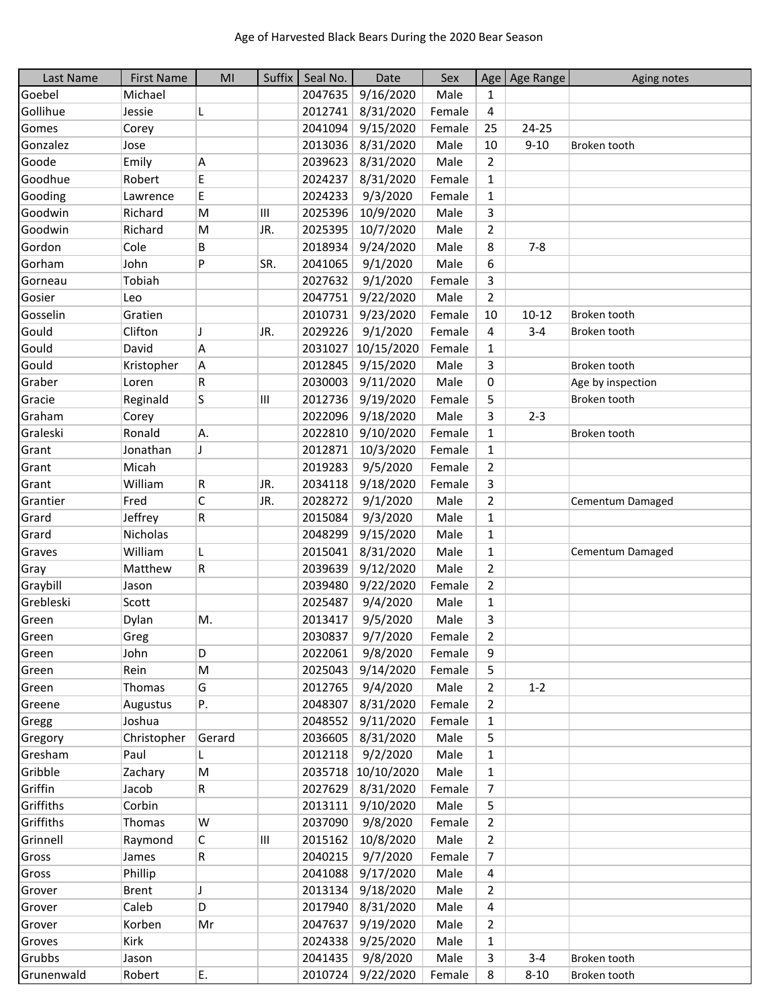| Last Name  | <b>First Name</b> | MI           | Suffix | Seal No. | Date               | Sex    |                | Age Age Range | Aging notes       |
|------------|-------------------|--------------|--------|----------|--------------------|--------|----------------|---------------|-------------------|
| Goebel     | Michael           |              |        | 2047635  | 9/16/2020          | Male   | $\mathbf{1}$   |               |                   |
| Gollihue   | Jessie            | L            |        | 2012741  | 8/31/2020          | Female | 4              |               |                   |
| Gomes      | Corey             |              |        | 2041094  | 9/15/2020          | Female | 25             | 24-25         |                   |
| Gonzalez   | Jose              |              |        | 2013036  | 8/31/2020          | Male   | 10             | $9 - 10$      | Broken tooth      |
| Goode      | Emily             | A            |        | 2039623  | 8/31/2020          | Male   | $\overline{2}$ |               |                   |
| Goodhue    | Robert            | E            |        | 2024237  | 8/31/2020          | Female | $\mathbf{1}$   |               |                   |
| Gooding    | Lawrence          | E            |        | 2024233  | 9/3/2020           | Female | $\mathbf{1}$   |               |                   |
| Goodwin    | Richard           | M            | Ш      | 2025396  | 10/9/2020          | Male   | 3              |               |                   |
| Goodwin    | Richard           | M            | JR.    | 2025395  | 10/7/2020          | Male   | 2              |               |                   |
| Gordon     | Cole              | В            |        | 2018934  | 9/24/2020          | Male   | 8              | $7 - 8$       |                   |
| Gorham     | John              | P            | SR.    | 2041065  | 9/1/2020           | Male   | 6              |               |                   |
| Gorneau    | Tobiah            |              |        | 2027632  | 9/1/2020           | Female | 3              |               |                   |
| Gosier     | Leo               |              |        | 2047751  | 9/22/2020          | Male   | $\overline{2}$ |               |                   |
| Gosselin   | Gratien           |              |        | 2010731  | 9/23/2020          | Female | 10             | $10 - 12$     | Broken tooth      |
| Gould      | Clifton           | J            | JR.    | 2029226  | 9/1/2020           | Female | 4              | $3 - 4$       | Broken tooth      |
| Gould      | David             | A            |        | 2031027  | 10/15/2020         | Female | $\mathbf{1}$   |               |                   |
| Gould      | Kristopher        | A            |        | 2012845  | 9/15/2020          | Male   | 3              |               | Broken tooth      |
| Graber     | Loren             | R            |        | 2030003  | 9/11/2020          | Male   | 0              |               | Age by inspection |
| Gracie     | Reginald          | S            | III    | 2012736  | 9/19/2020          | Female | 5              |               | Broken tooth      |
| Graham     | Corey             |              |        | 2022096  | 9/18/2020          | Male   | 3              | $2 - 3$       |                   |
| Graleski   | Ronald            | A.           |        | 2022810  | 9/10/2020          | Female | 1              |               | Broken tooth      |
| Grant      | Jonathan          | J            |        | 2012871  | 10/3/2020          | Female | 1              |               |                   |
| Grant      | Micah             |              |        | 2019283  | 9/5/2020           | Female | $\overline{2}$ |               |                   |
| Grant      | William           | R            | JR.    | 2034118  | 9/18/2020          | Female | 3              |               |                   |
| Grantier   | Fred              | $\mathsf{C}$ | JR.    | 2028272  | 9/1/2020           | Male   | $\overline{2}$ |               | Cementum Damaged  |
| Grard      | Jeffrey           | R            |        | 2015084  | 9/3/2020           | Male   | $\mathbf{1}$   |               |                   |
| Grard      | Nicholas          |              |        | 2048299  | 9/15/2020          | Male   | $\mathbf{1}$   |               |                   |
| Graves     | William           | L            |        | 2015041  | 8/31/2020          | Male   | $\mathbf{1}$   |               | Cementum Damaged  |
| Gray       | Matthew           | R            |        | 2039639  | 9/12/2020          | Male   | $\overline{2}$ |               |                   |
| Graybill   | Jason             |              |        | 2039480  | 9/22/2020          | Female | $\overline{2}$ |               |                   |
| Grebleski  | Scott             |              |        | 2025487  | 9/4/2020           | Male   | 1              |               |                   |
| Green      | Dylan             | Μ.           |        | 2013417  | 9/5/2020           | Male   | 3              |               |                   |
| Green      | Greg              |              |        | 2030837  | 9/7/2020           | Female | 2              |               |                   |
| Green      | John              | D            |        | 2022061  | 9/8/2020           | Female | 9              |               |                   |
| Green      | Rein              | M            |        | 2025043  | 9/14/2020          | Female | 5              |               |                   |
| Green      | Thomas            | G            |        | 2012765  | 9/4/2020           | Male   | 2              | $1 - 2$       |                   |
| Greene     | Augustus          | Ρ.           |        | 2048307  | 8/31/2020          | Female | 2              |               |                   |
| Gregg      | Joshua            |              |        | 2048552  | 9/11/2020          | Female | 1              |               |                   |
| Gregory    | Christopher       | Gerard       |        | 2036605  | 8/31/2020          | Male   | 5              |               |                   |
| Gresham    | Paul              | L.           |        |          | 2012118 9/2/2020   | Male   | $\mathbf{1}$   |               |                   |
| Gribble    | Zachary           | M            |        |          | 2035718 10/10/2020 | Male   | 1              |               |                   |
| Griffin    | Jacob             | R            |        | 2027629  | 8/31/2020          | Female | $\overline{7}$ |               |                   |
| Griffiths  | Corbin            |              |        | 2013111  | 9/10/2020          | Male   | 5              |               |                   |
| Griffiths  | Thomas            | W            |        | 2037090  | 9/8/2020           | Female | 2              |               |                   |
| Grinnell   | Raymond           | С            | Ш      | 2015162  | 10/8/2020          | Male   | $\overline{2}$ |               |                   |
| Gross      | James             | R            |        | 2040215  | 9/7/2020           | Female | 7              |               |                   |
| Gross      | Phillip           |              |        | 2041088  | 9/17/2020          | Male   | 4              |               |                   |
| Grover     | <b>Brent</b>      | J            |        | 2013134  | 9/18/2020          | Male   | $\overline{2}$ |               |                   |
| Grover     | Caleb             | D            |        | 2017940  | 8/31/2020          | Male   | 4              |               |                   |
| Grover     | Korben            | Mr           |        | 2047637  | 9/19/2020          | Male   | 2              |               |                   |
| Groves     | Kirk              |              |        | 2024338  | 9/25/2020          | Male   | 1              |               |                   |
| Grubbs     | Jason             |              |        | 2041435  | 9/8/2020           | Male   | 3              | $3 - 4$       | Broken tooth      |
| Grunenwald | Robert            | E.           |        | 2010724  | 9/22/2020          | Female | 8              | $8 - 10$      | Broken tooth      |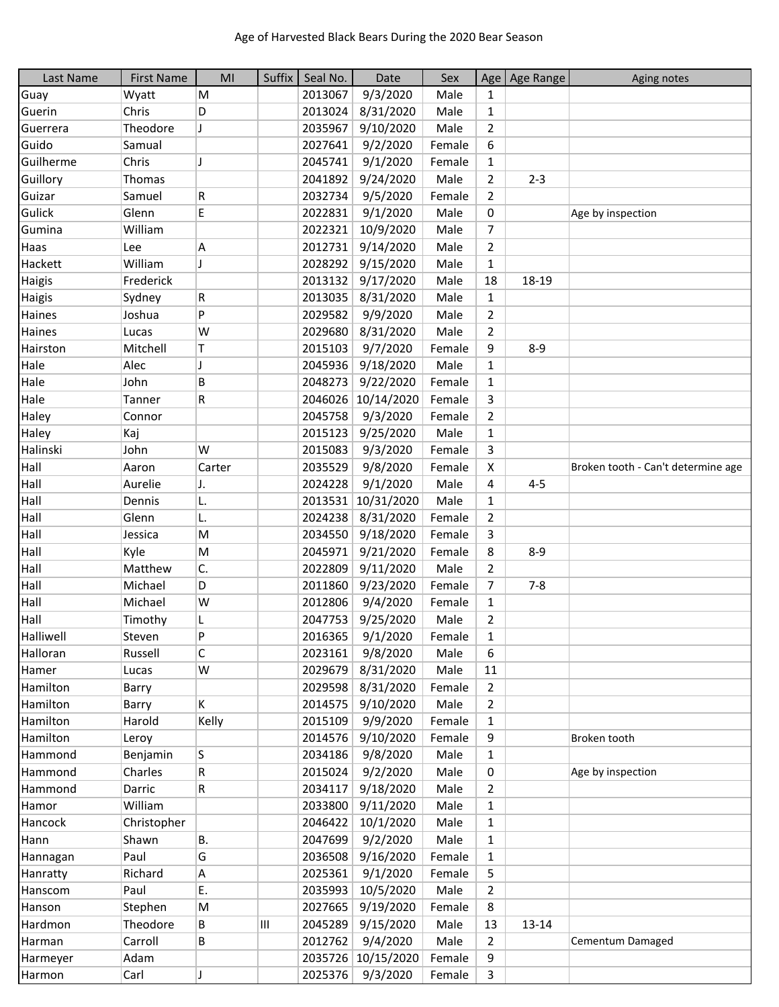| Last Name | <b>First Name</b> | MI     | Suffix | Seal No. | Date               | Sex    |                | Age   Age Range | Aging notes                        |
|-----------|-------------------|--------|--------|----------|--------------------|--------|----------------|-----------------|------------------------------------|
| Guay      | Wyatt             | M      |        | 2013067  | 9/3/2020           | Male   | 1              |                 |                                    |
| Guerin    | Chris             | D      |        | 2013024  | 8/31/2020          | Male   | 1              |                 |                                    |
| Guerrera  | Theodore          | J      |        | 2035967  | 9/10/2020          | Male   | $\overline{2}$ |                 |                                    |
| Guido     | Samual            |        |        | 2027641  | 9/2/2020           | Female | 6              |                 |                                    |
| Guilherme | Chris             | J      |        | 2045741  | 9/1/2020           | Female | $\mathbf{1}$   |                 |                                    |
| Guillory  | Thomas            |        |        | 2041892  | 9/24/2020          | Male   | $\overline{2}$ | $2 - 3$         |                                    |
| Guizar    | Samuel            | R      |        | 2032734  | 9/5/2020           | Female | 2              |                 |                                    |
| Gulick    | Glenn             | E      |        | 2022831  | 9/1/2020           | Male   | 0              |                 | Age by inspection                  |
| Gumina    | William           |        |        | 2022321  | 10/9/2020          | Male   | 7              |                 |                                    |
| Haas      | Lee               | A      |        | 2012731  | 9/14/2020          | Male   | $\overline{2}$ |                 |                                    |
| Hackett   | William           | J      |        | 2028292  | 9/15/2020          | Male   | $\mathbf{1}$   |                 |                                    |
| Haigis    | Frederick         |        |        | 2013132  | 9/17/2020          | Male   | 18             | 18-19           |                                    |
| Haigis    | Sydney            | R      |        | 2013035  | 8/31/2020          | Male   | $\mathbf{1}$   |                 |                                    |
| Haines    | Joshua            | P      |        | 2029582  | 9/9/2020           | Male   | 2              |                 |                                    |
| Haines    | Lucas             | W      |        | 2029680  | 8/31/2020          | Male   | $\overline{2}$ |                 |                                    |
| Hairston  | Mitchell          | T.     |        | 2015103  | 9/7/2020           | Female | 9              | $8 - 9$         |                                    |
| Hale      | Alec              | J      |        | 2045936  | 9/18/2020          | Male   | $\mathbf{1}$   |                 |                                    |
| Hale      | John              | B      |        | 2048273  | 9/22/2020          | Female | $\mathbf{1}$   |                 |                                    |
| Hale      | Tanner            | R      |        | 2046026  | 10/14/2020         | Female | 3              |                 |                                    |
| Haley     | Connor            |        |        | 2045758  | 9/3/2020           | Female | $\overline{2}$ |                 |                                    |
| Haley     | Kaj               |        |        | 2015123  | 9/25/2020          | Male   | $\mathbf{1}$   |                 |                                    |
| Halinski  | John              | W      |        | 2015083  | 9/3/2020           | Female | 3              |                 |                                    |
| Hall      | Aaron             | Carter |        | 2035529  | 9/8/2020           | Female | X              |                 | Broken tooth - Can't determine age |
| Hall      | Aurelie           | IJ.    |        | 2024228  | 9/1/2020           | Male   | 4              | 4-5             |                                    |
| Hall      | Dennis            | L.     |        | 2013531  | 10/31/2020         | Male   | $\mathbf{1}$   |                 |                                    |
| Hall      | Glenn             | L.     |        | 2024238  | 8/31/2020          | Female | $\overline{2}$ |                 |                                    |
| Hall      | Jessica           | M      |        | 2034550  | 9/18/2020          | Female | 3              |                 |                                    |
| Hall      | Kyle              | M      |        | 2045971  | 9/21/2020          | Female | 8              | $8 - 9$         |                                    |
| Hall      | Matthew           | C.     |        | 2022809  | 9/11/2020          | Male   | $\overline{2}$ |                 |                                    |
| Hall      | Michael           | D      |        | 2011860  | 9/23/2020          | Female | 7              | $7 - 8$         |                                    |
| Hall      | Michael           | W      |        | 2012806  | 9/4/2020           | Female | $\mathbf{1}$   |                 |                                    |
| Hall      | Timothy           | L      |        | 2047753  | 9/25/2020          | Male   | 2              |                 |                                    |
| Halliwell | Steven            | P      |        | 2016365  | 9/1/2020           | Female | 1              |                 |                                    |
| Halloran  | Russell           | С      |        | 2023161  | 9/8/2020           | Male   | 6              |                 |                                    |
| Hamer     | Lucas             | W      |        | 2029679  | 8/31/2020          | Male   | 11             |                 |                                    |
| Hamilton  | Barry             |        |        | 2029598  | 8/31/2020          | Female | $\overline{2}$ |                 |                                    |
| Hamilton  | Barry             | K      |        | 2014575  | 9/10/2020          | Male   | $\overline{2}$ |                 |                                    |
| Hamilton  | Harold            | Kelly  |        | 2015109  | 9/9/2020           | Female | $\mathbf{1}$   |                 |                                    |
| Hamilton  | Leroy             |        |        | 2014576  | 9/10/2020          | Female | 9              |                 | Broken tooth                       |
| Hammond   | Benjamin          | S      |        | 2034186  | 9/8/2020           | Male   | $\mathbf{1}$   |                 |                                    |
| Hammond   | Charles           | R      |        | 2015024  | 9/2/2020           | Male   | 0              |                 | Age by inspection                  |
| Hammond   | Darric            | R      |        | 2034117  | 9/18/2020          | Male   | $\overline{2}$ |                 |                                    |
| Hamor     | William           |        |        | 2033800  | 9/11/2020          | Male   | $\mathbf{1}$   |                 |                                    |
| Hancock   | Christopher       |        |        | 2046422  | 10/1/2020          | Male   | $\mathbf{1}$   |                 |                                    |
| Hann      | Shawn             | B.     |        | 2047699  | 9/2/2020           | Male   | $\mathbf{1}$   |                 |                                    |
| Hannagan  | Paul              | G      |        | 2036508  | 9/16/2020          | Female | $\mathbf{1}$   |                 |                                    |
| Hanratty  | Richard           | Α      |        | 2025361  | 9/1/2020           | Female | 5              |                 |                                    |
| Hanscom   | Paul              | E.     |        | 2035993  | 10/5/2020          | Male   | $\overline{2}$ |                 |                                    |
| Hanson    | Stephen           | M      |        | 2027665  | 9/19/2020          | Female | 8              |                 |                                    |
| Hardmon   | Theodore          | В      | Ш      | 2045289  | 9/15/2020          | Male   | 13             | $13 - 14$       |                                    |
| Harman    | Carroll           | В      |        | 2012762  | 9/4/2020           | Male   | $\overline{2}$ |                 | Cementum Damaged                   |
| Harmeyer  | Adam              |        |        |          | 2035726 10/15/2020 | Female | 9              |                 |                                    |
| Harmon    | Carl              | Π      |        |          | 2025376 9/3/2020   | Female | 3              |                 |                                    |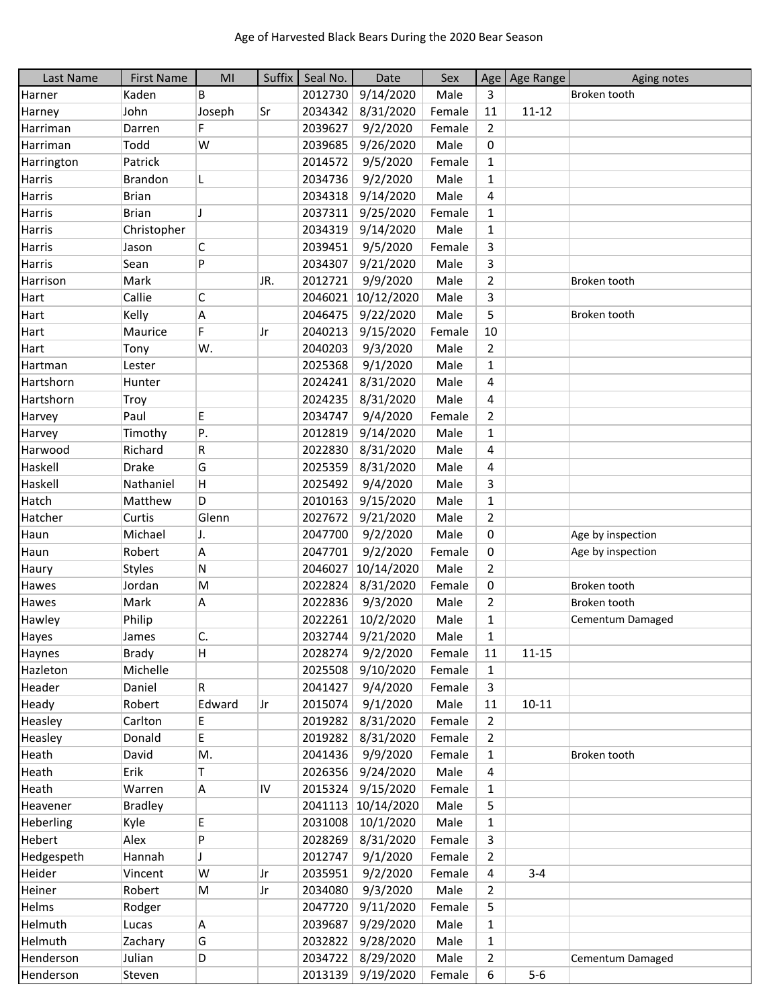| Last Name     | <b>First Name</b> | MI     |     | Suffix Seal No. | Date              | Sex    |                | Age   Age Range | Aging notes       |
|---------------|-------------------|--------|-----|-----------------|-------------------|--------|----------------|-----------------|-------------------|
| Harner        | Kaden             | B      |     | 2012730         | 9/14/2020         | Male   | 3              |                 | Broken tooth      |
| Harney        | John              | Joseph | Sr  | 2034342         | 8/31/2020         | Female | 11             | $11 - 12$       |                   |
| Harriman      | Darren            | F      |     | 2039627         | 9/2/2020          | Female | $\overline{2}$ |                 |                   |
| Harriman      | Todd              | W      |     | 2039685         | 9/26/2020         | Male   | 0              |                 |                   |
| Harrington    | Patrick           |        |     | 2014572         | 9/5/2020          | Female | $\mathbf{1}$   |                 |                   |
| Harris        | Brandon           | L      |     | 2034736         | 9/2/2020          | Male   | $\mathbf{1}$   |                 |                   |
| Harris        | <b>Brian</b>      |        |     | 2034318         | 9/14/2020         | Male   | 4              |                 |                   |
| <b>Harris</b> | <b>Brian</b>      | J      |     | 2037311         | 9/25/2020         | Female | $\mathbf{1}$   |                 |                   |
| Harris        | Christopher       |        |     | 2034319         | 9/14/2020         | Male   | $\mathbf{1}$   |                 |                   |
| <b>Harris</b> | Jason             | C      |     | 2039451         | 9/5/2020          | Female | 3              |                 |                   |
| Harris        | Sean              | P      |     | 2034307         | 9/21/2020         | Male   | 3              |                 |                   |
| Harrison      | Mark              |        | JR. | 2012721         | 9/9/2020          | Male   | $\overline{2}$ |                 | Broken tooth      |
| Hart          | Callie            | C      |     | 2046021         | 10/12/2020        | Male   | 3              |                 |                   |
| Hart          | Kelly             | Α      |     | 2046475         | 9/22/2020         | Male   | 5              |                 | Broken tooth      |
| Hart          | Maurice           | F      | Jr  | 2040213         | 9/15/2020         | Female | 10             |                 |                   |
| Hart          | Tony              | W.     |     | 2040203         | 9/3/2020          | Male   | $\overline{2}$ |                 |                   |
| Hartman       | Lester            |        |     | 2025368         | 9/1/2020          | Male   | 1              |                 |                   |
| Hartshorn     | Hunter            |        |     | 2024241         | 8/31/2020         | Male   | 4              |                 |                   |
| Hartshorn     | Troy              |        |     | 2024235         | 8/31/2020         | Male   | 4              |                 |                   |
| Harvey        | Paul              | E      |     | 2034747         | 9/4/2020          | Female | $\overline{2}$ |                 |                   |
| Harvey        | Timothy           | P.     |     | 2012819         | 9/14/2020         | Male   | $\mathbf{1}$   |                 |                   |
| Harwood       | Richard           | R      |     | 2022830         | 8/31/2020         | Male   | 4              |                 |                   |
| Haskell       | <b>Drake</b>      | G      |     | 2025359         | 8/31/2020         | Male   | 4              |                 |                   |
| Haskell       | Nathaniel         | H      |     | 2025492         | 9/4/2020          | Male   | 3              |                 |                   |
| Hatch         | Matthew           | D      |     | 2010163         | 9/15/2020         | Male   | $\mathbf{1}$   |                 |                   |
| Hatcher       | Curtis            | Glenn  |     | 2027672         | 9/21/2020         | Male   | $\overline{2}$ |                 |                   |
| Haun          | Michael           | IJ.    |     | 2047700         | 9/2/2020          | Male   | 0              |                 | Age by inspection |
| Haun          | Robert            | A      |     | 2047701         | 9/2/2020          | Female | 0              |                 | Age by inspection |
| Haury         | <b>Styles</b>     | Ν      |     | 2046027         | 10/14/2020        | Male   | $\overline{2}$ |                 |                   |
| Hawes         | Jordan            | M      |     | 2022824         | 8/31/2020         | Female | 0              |                 | Broken tooth      |
| Hawes         | Mark              | А      |     | 2022836         | 9/3/2020          | Male   | $\overline{2}$ |                 | Broken tooth      |
| Hawley        | Philip            |        |     | 2022261         | 10/2/2020         | Male   | $\mathbf{1}$   |                 | Cementum Damaged  |
| Hayes         | James             | C.     |     |                 | 2032744 9/21/2020 | Male   | $\mathbf{1}$   |                 |                   |
| Haynes        | <b>Brady</b>      | H      |     | 2028274         | 9/2/2020          | Female | 11             | $11 - 15$       |                   |
| Hazleton      | Michelle          |        |     | 2025508         | 9/10/2020         | Female | $\mathbf{1}$   |                 |                   |
| Header        | Daniel            | R      |     | 2041427         | 9/4/2020          | Female | 3              |                 |                   |
| Heady         | Robert            | Edward | Jr  | 2015074         | 9/1/2020          | Male   | 11             | $10 - 11$       |                   |
| Heasley       | Carlton           | E.     |     | 2019282         | 8/31/2020         | Female | $\overline{2}$ |                 |                   |
| Heasley       | Donald            | E.     |     | 2019282         | 8/31/2020         | Female | $\overline{2}$ |                 |                   |
| Heath         | David             | M.     |     | 2041436         | 9/9/2020          | Female | $\mathbf{1}$   |                 | Broken tooth      |
| Heath         | Erik              | T      |     | 2026356         | 9/24/2020         | Male   | $\overline{4}$ |                 |                   |
| Heath         | Warren            | Α      | IV  | 2015324         | 9/15/2020         | Female | $\mathbf{1}$   |                 |                   |
| Heavener      | <b>Bradley</b>    |        |     | 2041113         | 10/14/2020        | Male   | 5              |                 |                   |
| Heberling     | Kyle              | E      |     | 2031008         | 10/1/2020         | Male   | $\mathbf{1}$   |                 |                   |
| Hebert        | Alex              | P      |     | 2028269         | 8/31/2020         | Female | 3              |                 |                   |
| Hedgespeth    | Hannah            | J      |     | 2012747         | 9/1/2020          | Female | $\overline{2}$ |                 |                   |
| Heider        | Vincent           | W      | Jr  | 2035951         | 9/2/2020          | Female | 4              | $3 - 4$         |                   |
| Heiner        | Robert            | M      | Jr  | 2034080         | 9/3/2020          | Male   | $\overline{2}$ |                 |                   |
| Helms         | Rodger            |        |     | 2047720         | 9/11/2020         | Female | 5              |                 |                   |
| Helmuth       | Lucas             | A      |     | 2039687         | 9/29/2020         | Male   | $\mathbf{1}$   |                 |                   |
| Helmuth       | Zachary           | G      |     | 2032822         | 9/28/2020         | Male   | $\mathbf{1}$   |                 |                   |
| Henderson     | Julian            | D      |     | 2034722         | 8/29/2020         | Male   | $\overline{2}$ |                 | Cementum Damaged  |
| Henderson     | Steven            |        |     |                 | 2013139 9/19/2020 | Female | 6              | $5-6$           |                   |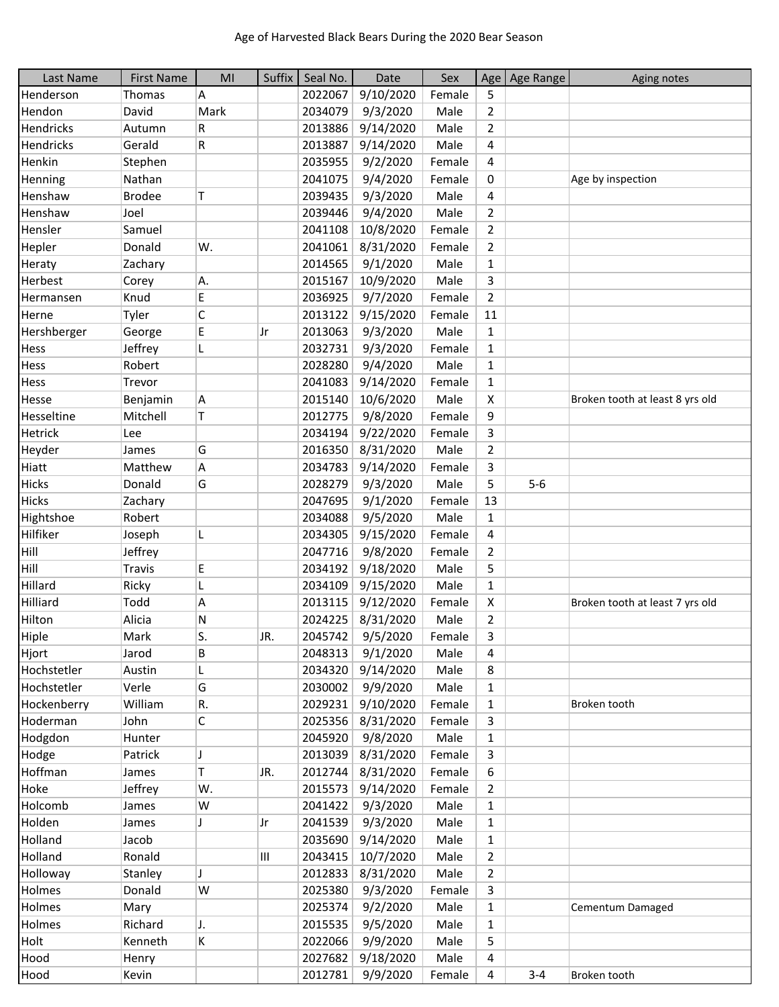| Last Name      | <b>First Name</b> | MI   | Suffix | Seal No. | Date      | Sex    |                | Age Age Range | Aging notes                     |
|----------------|-------------------|------|--------|----------|-----------|--------|----------------|---------------|---------------------------------|
| Henderson      | Thomas            | A    |        | 2022067  | 9/10/2020 | Female | 5              |               |                                 |
| Hendon         | David             | Mark |        | 2034079  | 9/3/2020  | Male   | $\overline{2}$ |               |                                 |
| Hendricks      | Autumn            | R    |        | 2013886  | 9/14/2020 | Male   | $\overline{2}$ |               |                                 |
| Hendricks      | Gerald            | R    |        | 2013887  | 9/14/2020 | Male   | 4              |               |                                 |
| Henkin         | Stephen           |      |        | 2035955  | 9/2/2020  | Female | 4              |               |                                 |
| Henning        | Nathan            |      |        | 2041075  | 9/4/2020  | Female | 0              |               | Age by inspection               |
| Henshaw        | <b>Brodee</b>     | T    |        | 2039435  | 9/3/2020  | Male   | 4              |               |                                 |
| Henshaw        | Joel              |      |        | 2039446  | 9/4/2020  | Male   | $\overline{2}$ |               |                                 |
| Hensler        | Samuel            |      |        | 2041108  | 10/8/2020 | Female | $\overline{2}$ |               |                                 |
| Hepler         | Donald            | W.   |        | 2041061  | 8/31/2020 | Female | $\overline{2}$ |               |                                 |
| Heraty         | Zachary           |      |        | 2014565  | 9/1/2020  | Male   | 1              |               |                                 |
| Herbest        | Corey             | Α.   |        | 2015167  | 10/9/2020 | Male   | 3              |               |                                 |
| Hermansen      | Knud              | E    |        | 2036925  | 9/7/2020  | Female | $\overline{2}$ |               |                                 |
| Herne          | Tyler             | C    |        | 2013122  | 9/15/2020 | Female | 11             |               |                                 |
| Hershberger    | George            | E    | Jr     | 2013063  | 9/3/2020  | Male   | $\mathbf{1}$   |               |                                 |
| Hess           | Jeffrey           |      |        | 2032731  | 9/3/2020  | Female | $\mathbf{1}$   |               |                                 |
| <b>Hess</b>    | Robert            |      |        | 2028280  | 9/4/2020  | Male   | $\mathbf{1}$   |               |                                 |
| Hess           | Trevor            |      |        | 2041083  | 9/14/2020 | Female | 1              |               |                                 |
| Hesse          | Benjamin          | A    |        | 2015140  | 10/6/2020 | Male   | X              |               | Broken tooth at least 8 yrs old |
| Hesseltine     | Mitchell          | T    |        | 2012775  | 9/8/2020  | Female | 9              |               |                                 |
| <b>Hetrick</b> | Lee               |      |        | 2034194  | 9/22/2020 | Female | 3              |               |                                 |
| Heyder         | James             | G    |        | 2016350  | 8/31/2020 | Male   | $\overline{2}$ |               |                                 |
| Hiatt          | Matthew           | А    |        | 2034783  | 9/14/2020 | Female | 3              |               |                                 |
| <b>Hicks</b>   | Donald            | G    |        | 2028279  | 9/3/2020  | Male   | 5              | $5-6$         |                                 |
| <b>Hicks</b>   | Zachary           |      |        | 2047695  | 9/1/2020  | Female | 13             |               |                                 |
| Hightshoe      | Robert            |      |        | 2034088  | 9/5/2020  | Male   | $\mathbf{1}$   |               |                                 |
| Hilfiker       | Joseph            | L    |        | 2034305  | 9/15/2020 | Female | 4              |               |                                 |
| Hill           | Jeffrey           |      |        | 2047716  | 9/8/2020  | Female | $\overline{2}$ |               |                                 |
| Hill           | <b>Travis</b>     | E    |        | 2034192  | 9/18/2020 | Male   | 5              |               |                                 |
| Hillard        | Ricky             |      |        | 2034109  | 9/15/2020 | Male   | $\mathbf{1}$   |               |                                 |
| Hilliard       | Todd              | Α    |        | 2013115  | 9/12/2020 | Female | X              |               | Broken tooth at least 7 yrs old |
| Hilton         | Alicia            | Ν    |        | 2024225  | 8/31/2020 | Male   | $\overline{2}$ |               |                                 |
| Hiple          | Mark              | S.   | JR.    | 2045742  | 9/5/2020  | Female | 3              |               |                                 |
| Hjort          | Jarod             | B    |        | 2048313  | 9/1/2020  | Male   | 4              |               |                                 |
| Hochstetler    | Austin            | L    |        | 2034320  | 9/14/2020 | Male   | 8              |               |                                 |
| Hochstetler    | Verle             | G    |        | 2030002  | 9/9/2020  | Male   | 1              |               |                                 |
| Hockenberry    | William           | R.   |        | 2029231  | 9/10/2020 | Female | 1              |               | Broken tooth                    |
| Hoderman       | John              | C    |        | 2025356  | 8/31/2020 | Female | 3              |               |                                 |
| Hodgdon        | Hunter            |      |        | 2045920  | 9/8/2020  | Male   | $\mathbf{1}$   |               |                                 |
| Hodge          | Patrick           | IJ   |        | 2013039  | 8/31/2020 | Female | 3              |               |                                 |
| Hoffman        | James             | Т    | JR.    | 2012744  | 8/31/2020 | Female | 6              |               |                                 |
| Hoke           | Jeffrey           | W.   |        | 2015573  | 9/14/2020 | Female | $\overline{2}$ |               |                                 |
| Holcomb        | James             | W    |        | 2041422  | 9/3/2020  | Male   | $\mathbf{1}$   |               |                                 |
| Holden         | James             | J    | Jr     | 2041539  | 9/3/2020  | Male   | $\mathbf{1}$   |               |                                 |
| Holland        | Jacob             |      |        | 2035690  | 9/14/2020 | Male   | $\mathbf{1}$   |               |                                 |
| Holland        | Ronald            |      | Ш      | 2043415  | 10/7/2020 | Male   | 2              |               |                                 |
| Holloway       | Stanley           | J    |        | 2012833  | 8/31/2020 | Male   | $\overline{2}$ |               |                                 |
| Holmes         | Donald            | W    |        | 2025380  | 9/3/2020  | Female | 3              |               |                                 |
| Holmes         | Mary              |      |        | 2025374  | 9/2/2020  | Male   | $\mathbf{1}$   |               | Cementum Damaged                |
| Holmes         | Richard           | J.   |        | 2015535  | 9/5/2020  | Male   | 1              |               |                                 |
| Holt           | Kenneth           | K    |        | 2022066  | 9/9/2020  | Male   | 5              |               |                                 |
| Hood           | Henry             |      |        | 2027682  | 9/18/2020 | Male   | 4              |               |                                 |
| Hood           | Kevin             |      |        | 2012781  | 9/9/2020  | Female | 4              | $3 - 4$       | Broken tooth                    |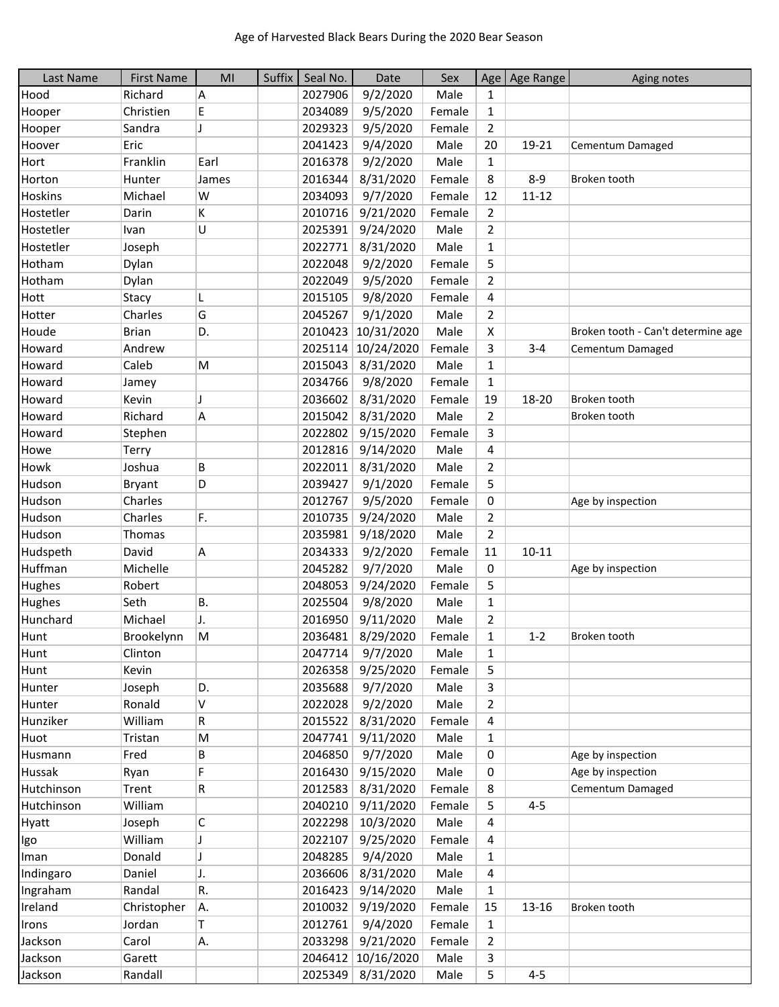| Last Name  | <b>First Name</b> | M <sub>l</sub> | Suffix | Seal No. | Date               | Sex    |                | Age   Age Range | Aging notes                        |
|------------|-------------------|----------------|--------|----------|--------------------|--------|----------------|-----------------|------------------------------------|
| Hood       | Richard           | A              |        | 2027906  | 9/2/2020           | Male   | $\mathbf{1}$   |                 |                                    |
| Hooper     | Christien         | E              |        | 2034089  | 9/5/2020           | Female | $\mathbf{1}$   |                 |                                    |
| Hooper     | Sandra            | J              |        | 2029323  | 9/5/2020           | Female | $\overline{2}$ |                 |                                    |
| Hoover     | Eric              |                |        | 2041423  | 9/4/2020           | Male   | 20             | 19-21           | Cementum Damaged                   |
| Hort       | Franklin          | Earl           |        | 2016378  | 9/2/2020           | Male   | $\mathbf{1}$   |                 |                                    |
| Horton     | Hunter            | James          |        | 2016344  | 8/31/2020          | Female | 8              | $8 - 9$         | Broken tooth                       |
| Hoskins    | Michael           | W              |        | 2034093  | 9/7/2020           | Female | 12             | $11 - 12$       |                                    |
| Hostetler  | Darin             | K              |        | 2010716  | 9/21/2020          | Female | $\overline{2}$ |                 |                                    |
| Hostetler  | Ivan              | U              |        | 2025391  | 9/24/2020          | Male   | $\overline{2}$ |                 |                                    |
| Hostetler  | Joseph            |                |        | 2022771  | 8/31/2020          | Male   | 1              |                 |                                    |
| Hotham     | Dylan             |                |        | 2022048  | 9/2/2020           | Female | 5              |                 |                                    |
| Hotham     | Dylan             |                |        | 2022049  | 9/5/2020           | Female | $\overline{2}$ |                 |                                    |
| Hott       | Stacy             | L              |        | 2015105  | 9/8/2020           | Female | 4              |                 |                                    |
| Hotter     | Charles           | G              |        | 2045267  | 9/1/2020           | Male   | $\overline{2}$ |                 |                                    |
| Houde      | <b>Brian</b>      | D.             |        | 2010423  | 10/31/2020         | Male   | X              |                 | Broken tooth - Can't determine age |
| Howard     | Andrew            |                |        | 2025114  | 10/24/2020         | Female | 3              | $3 - 4$         | Cementum Damaged                   |
| Howard     | Caleb             | M              |        | 2015043  | 8/31/2020          | Male   | 1              |                 |                                    |
| Howard     | Jamey             |                |        | 2034766  | 9/8/2020           | Female | $\mathbf{1}$   |                 |                                    |
| Howard     | Kevin             | J              |        | 2036602  | 8/31/2020          | Female | 19             | 18-20           | Broken tooth                       |
| Howard     | Richard           | A              |        | 2015042  | 8/31/2020          | Male   | $\overline{2}$ |                 | Broken tooth                       |
| Howard     | Stephen           |                |        | 2022802  | 9/15/2020          | Female | 3              |                 |                                    |
| Howe       |                   |                |        | 2012816  | 9/14/2020          | Male   | 4              |                 |                                    |
| Howk       | Terry<br>Joshua   | B              |        | 2022011  | 8/31/2020          | Male   | $\overline{2}$ |                 |                                    |
|            |                   | D              |        | 2039427  |                    |        |                |                 |                                    |
| Hudson     | <b>Bryant</b>     |                |        |          | 9/1/2020           | Female | 5              |                 |                                    |
| Hudson     | Charles           |                |        | 2012767  | 9/5/2020           | Female | 0              |                 | Age by inspection                  |
| Hudson     | Charles           | F.             |        | 2010735  | 9/24/2020          | Male   | $\overline{2}$ |                 |                                    |
| Hudson     | Thomas            |                |        | 2035981  | 9/18/2020          | Male   | $\overline{2}$ |                 |                                    |
| Hudspeth   | David             | A              |        | 2034333  | 9/2/2020           | Female | 11             | $10 - 11$       |                                    |
| Huffman    | Michelle          |                |        | 2045282  | 9/7/2020           | Male   | 0              |                 | Age by inspection                  |
| Hughes     | Robert            |                |        | 2048053  | 9/24/2020          | Female | 5              |                 |                                    |
| Hughes     | Seth              | <b>B.</b>      |        | 2025504  | 9/8/2020           | Male   | $\mathbf{1}$   |                 |                                    |
| Hunchard   | Michael           | J.             |        | 2016950  | 9/11/2020          | Male   | $\overline{2}$ |                 |                                    |
| Hunt       | Brookelynn        | $\mathsf{M}$   |        | 2036481  | 8/29/2020          | Female | $\mathbf{1}$   | $1 - 2$         | Broken tooth                       |
| Hunt       | Clinton           |                |        | 2047714  | 9/7/2020           | Male   | 1              |                 |                                    |
| Hunt       | Kevin             |                |        | 2026358  | 9/25/2020          | Female | 5              |                 |                                    |
| Hunter     | Joseph            | D.             |        | 2035688  | 9/7/2020           | Male   | 3              |                 |                                    |
| Hunter     | Ronald            | V              |        | 2022028  | 9/2/2020           | Male   | $\overline{2}$ |                 |                                    |
| Hunziker   | William           | R              |        | 2015522  | 8/31/2020          | Female | 4              |                 |                                    |
| Huot       | Tristan           | M              |        | 2047741  | 9/11/2020          | Male   | $\mathbf{1}$   |                 |                                    |
| Husmann    | Fred              | В              |        | 2046850  | 9/7/2020           | Male   | 0              |                 | Age by inspection                  |
| Hussak     | Ryan              | F              |        | 2016430  | 9/15/2020          | Male   | 0              |                 | Age by inspection                  |
| Hutchinson | Trent             | R              |        | 2012583  | 8/31/2020          | Female | 8              |                 | Cementum Damaged                   |
| Hutchinson | William           |                |        | 2040210  | 9/11/2020          | Female | 5              | $4 - 5$         |                                    |
| Hyatt      | Joseph            | C              |        | 2022298  | 10/3/2020          | Male   | 4              |                 |                                    |
| Igo        | William           | J              |        | 2022107  | 9/25/2020          | Female | 4              |                 |                                    |
| Iman       | Donald            | J              |        | 2048285  | 9/4/2020           | Male   | $\mathbf{1}$   |                 |                                    |
| Indingaro  | Daniel            | J.             |        | 2036606  | 8/31/2020          | Male   | 4              |                 |                                    |
| Ingraham   | Randal            | R.             |        | 2016423  | 9/14/2020          | Male   | $\mathbf{1}$   |                 |                                    |
| Ireland    | Christopher       | Α.             |        | 2010032  | 9/19/2020          | Female | 15             | 13-16           | Broken tooth                       |
| Irons      | Jordan            | Τ              |        | 2012761  | 9/4/2020           | Female | 1              |                 |                                    |
| Jackson    | Carol             | Α.             |        | 2033298  | 9/21/2020          | Female | $\overline{2}$ |                 |                                    |
| Jackson    | Garett            |                |        |          | 2046412 10/16/2020 | Male   | 3              |                 |                                    |
| Jackson    | Randall           |                |        |          | 2025349 8/31/2020  | Male   | 5              | $4 - 5$         |                                    |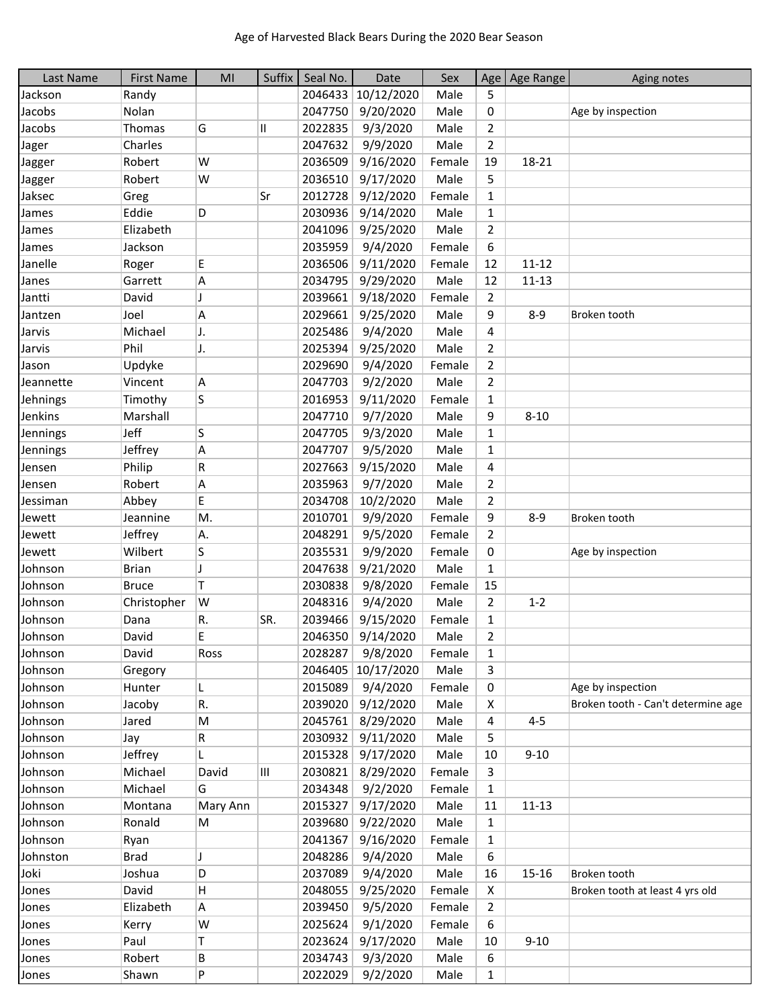| Last Name | <b>First Name</b> | MI       | Suffix | Seal No. | Date               | Sex    |                | Age   Age Range | Aging notes                        |
|-----------|-------------------|----------|--------|----------|--------------------|--------|----------------|-----------------|------------------------------------|
| Jackson   | Randy             |          |        | 2046433  | 10/12/2020         | Male   | 5              |                 |                                    |
| Jacobs    | Nolan             |          |        | 2047750  | 9/20/2020          | Male   | 0              |                 | Age by inspection                  |
| Jacobs    | Thomas            | G        | Ш      | 2022835  | 9/3/2020           | Male   | 2              |                 |                                    |
| Jager     | Charles           |          |        | 2047632  | 9/9/2020           | Male   | $\overline{2}$ |                 |                                    |
| Jagger    | Robert            | W        |        | 2036509  | 9/16/2020          | Female | 19             | 18-21           |                                    |
| Jagger    | Robert            | W        |        | 2036510  | 9/17/2020          | Male   | 5              |                 |                                    |
| Jaksec    | Greg              |          | Sr     | 2012728  | 9/12/2020          | Female | 1              |                 |                                    |
| James     | Eddie             | D        |        | 2030936  | 9/14/2020          | Male   | $\mathbf{1}$   |                 |                                    |
| James     | Elizabeth         |          |        | 2041096  | 9/25/2020          | Male   | $\overline{2}$ |                 |                                    |
| James     | Jackson           |          |        | 2035959  | 9/4/2020           | Female | 6              |                 |                                    |
| Janelle   | Roger             | E        |        | 2036506  | 9/11/2020          | Female | 12             | $11 - 12$       |                                    |
| Janes     | Garrett           | A        |        | 2034795  | 9/29/2020          | Male   | 12             | $11 - 13$       |                                    |
| Jantti    | David             | J        |        | 2039661  | 9/18/2020          | Female | $\overline{2}$ |                 |                                    |
| Jantzen   | Joel              | A        |        | 2029661  | 9/25/2020          | Male   | 9              | $8 - 9$         | Broken tooth                       |
| Jarvis    | Michael           | J.       |        | 2025486  | 9/4/2020           | Male   | 4              |                 |                                    |
| Jarvis    | Phil              | J.       |        | 2025394  | 9/25/2020          | Male   | 2              |                 |                                    |
| Jason     | Updyke            |          |        | 2029690  | 9/4/2020           | Female | $\overline{2}$ |                 |                                    |
| Jeannette | Vincent           | A        |        | 2047703  | 9/2/2020           | Male   | $\overline{2}$ |                 |                                    |
| Jehnings  | Timothy           | S        |        | 2016953  | 9/11/2020          | Female | $\mathbf{1}$   |                 |                                    |
| Jenkins   | Marshall          |          |        | 2047710  | 9/7/2020           | Male   | 9              | $8 - 10$        |                                    |
| Jennings  | Jeff              | S        |        | 2047705  | 9/3/2020           | Male   | 1              |                 |                                    |
| Jennings  | Jeffrey           | A        |        | 2047707  | 9/5/2020           | Male   | 1              |                 |                                    |
| Jensen    | Philip            | R        |        | 2027663  | 9/15/2020          | Male   | 4              |                 |                                    |
| Jensen    | Robert            | Α        |        | 2035963  | 9/7/2020           | Male   | $\overline{2}$ |                 |                                    |
| Jessiman  | Abbey             | E        |        | 2034708  | 10/2/2020          | Male   | 2              |                 |                                    |
| Jewett    | Jeannine          | M.       |        | 2010701  | 9/9/2020           | Female | 9              | $8 - 9$         | Broken tooth                       |
| Jewett    | Jeffrey           | Α.       |        | 2048291  | 9/5/2020           | Female | $\overline{2}$ |                 |                                    |
| Jewett    | Wilbert           | S        |        | 2035531  | 9/9/2020           | Female | 0              |                 | Age by inspection                  |
| Johnson   | <b>Brian</b>      | J        |        | 2047638  | 9/21/2020          | Male   | $\mathbf{1}$   |                 |                                    |
| Johnson   | <b>Bruce</b>      | T        |        | 2030838  | 9/8/2020           | Female | 15             |                 |                                    |
| Johnson   | Christopher       | W        |        | 2048316  | 9/4/2020           | Male   | $\overline{2}$ | $1 - 2$         |                                    |
| Johnson   | Dana              | R.       | SR.    | 2039466  | 9/15/2020          | Female | $\mathbf{1}$   |                 |                                    |
| Johnson   | David             | E        |        | 2046350  | 9/14/2020          | Male   | 2              |                 |                                    |
| Johnson   | David             | Ross     |        | 2028287  | 9/8/2020           | Female | 1              |                 |                                    |
| Johnson   | Gregory           |          |        |          | 2046405 10/17/2020 | Male   | 3              |                 |                                    |
| Johnson   | Hunter            | L.       |        | 2015089  | 9/4/2020           | Female | 0              |                 | Age by inspection                  |
| Johnson   | Jacoby            | R.       |        | 2039020  | 9/12/2020          | Male   | X              |                 | Broken tooth - Can't determine age |
| Johnson   | Jared             | M        |        | 2045761  | 8/29/2020          | Male   | 4              | $4 - 5$         |                                    |
| Johnson   | Jay               | R        |        | 2030932  | 9/11/2020          | Male   | 5              |                 |                                    |
| Johnson   | Jeffrey           | L.       |        | 2015328  | 9/17/2020          | Male   | 10             | $9 - 10$        |                                    |
| Johnson   | Michael           | David    | Ш      | 2030821  | 8/29/2020          | Female | 3              |                 |                                    |
| Johnson   | Michael           | G        |        | 2034348  | 9/2/2020           | Female | $\mathbf{1}$   |                 |                                    |
| Johnson   | Montana           | Mary Ann |        | 2015327  | 9/17/2020          | Male   | 11             | $11 - 13$       |                                    |
| Johnson   | Ronald            | M        |        | 2039680  | 9/22/2020          | Male   | 1              |                 |                                    |
| Johnson   | Ryan              |          |        | 2041367  | 9/16/2020          | Female | 1              |                 |                                    |
| Johnston  | <b>Brad</b>       | J        |        | 2048286  | 9/4/2020           | Male   | 6              |                 |                                    |
| Joki      | Joshua            | D        |        | 2037089  | 9/4/2020           | Male   | 16             | $15 - 16$       | Broken tooth                       |
| Jones     | David             | н        |        | 2048055  | 9/25/2020          | Female | X              |                 | Broken tooth at least 4 yrs old    |
| Jones     | Elizabeth         | A        |        | 2039450  | 9/5/2020           | Female | $\overline{2}$ |                 |                                    |
| Jones     | Kerry             | W        |        | 2025624  | 9/1/2020           | Female | 6              |                 |                                    |
| Jones     | Paul              | Τ        |        | 2023624  | 9/17/2020          | Male   | 10             | $9 - 10$        |                                    |
| Jones     | Robert            | В        |        | 2034743  | 9/3/2020           | Male   | 6              |                 |                                    |
| Jones     | Shawn             | P        |        | 2022029  | 9/2/2020           | Male   | 1              |                 |                                    |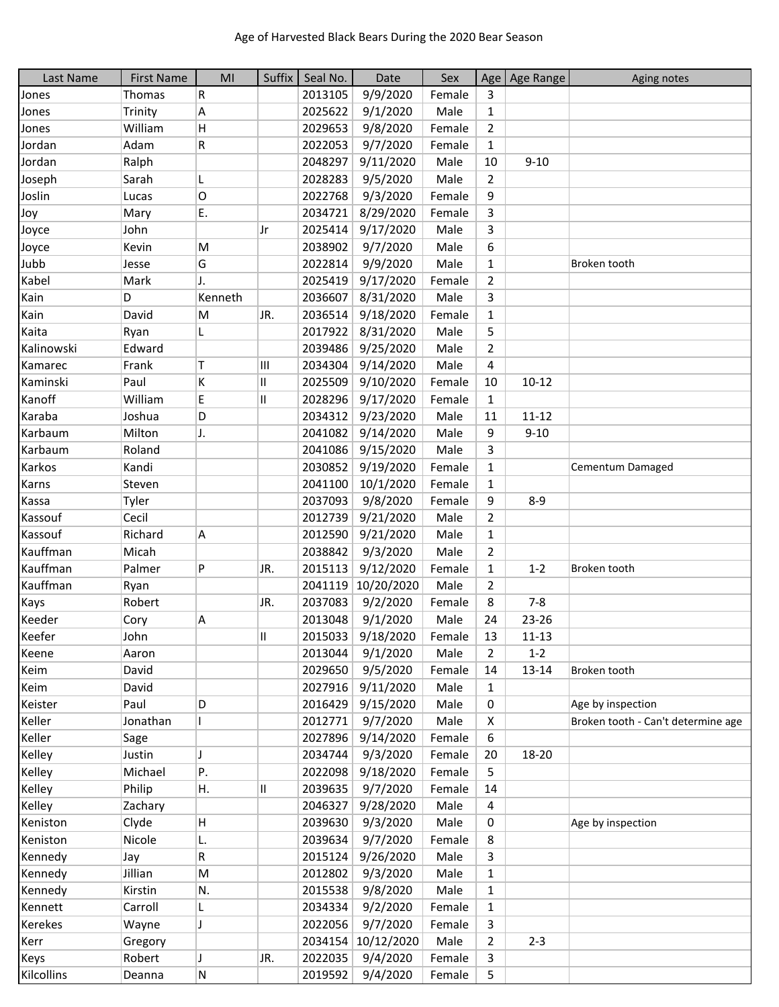| Last Name  | <b>First Name</b> | MI           | Suffix | Seal No. | Date       | Sex    |                | Age   Age Range | Aging notes                        |
|------------|-------------------|--------------|--------|----------|------------|--------|----------------|-----------------|------------------------------------|
| Jones      | Thomas            | R            |        | 2013105  | 9/9/2020   | Female | 3              |                 |                                    |
| Jones      | Trinity           | A            |        | 2025622  | 9/1/2020   | Male   | $\mathbf{1}$   |                 |                                    |
| Jones      | William           | H            |        | 2029653  | 9/8/2020   | Female | 2              |                 |                                    |
| Jordan     | Adam              | R            |        | 2022053  | 9/7/2020   | Female | $\mathbf{1}$   |                 |                                    |
| Jordan     | Ralph             |              |        | 2048297  | 9/11/2020  | Male   | 10             | $9 - 10$        |                                    |
| Joseph     | Sarah             | L            |        | 2028283  | 9/5/2020   | Male   | $\overline{2}$ |                 |                                    |
| Joslin     | Lucas             | O            |        | 2022768  | 9/3/2020   | Female | 9              |                 |                                    |
| Joy        | Mary              | Ε.           |        | 2034721  | 8/29/2020  | Female | 3              |                 |                                    |
| Joyce      | John              |              | Jr     | 2025414  | 9/17/2020  | Male   | 3              |                 |                                    |
| Joyce      | Kevin             | M            |        | 2038902  | 9/7/2020   | Male   | 6              |                 |                                    |
| Jubb       | Jesse             | G            |        | 2022814  | 9/9/2020   | Male   | $\mathbf{1}$   |                 | Broken tooth                       |
| Kabel      | Mark              | J.           |        | 2025419  | 9/17/2020  | Female | 2              |                 |                                    |
| Kain       | D                 | Kenneth      |        | 2036607  | 8/31/2020  | Male   | 3              |                 |                                    |
| Kain       | David             | M            | JR.    | 2036514  | 9/18/2020  | Female | $\mathbf{1}$   |                 |                                    |
| Kaita      | Ryan              | L            |        | 2017922  | 8/31/2020  | Male   | 5              |                 |                                    |
| Kalinowski | Edward            |              |        | 2039486  | 9/25/2020  | Male   | $\overline{2}$ |                 |                                    |
| Kamarec    | Frank             | Τ            | Ш      | 2034304  | 9/14/2020  | Male   | 4              |                 |                                    |
| Kaminski   | Paul              | K            | Ш      | 2025509  | 9/10/2020  | Female | 10             | $10 - 12$       |                                    |
| Kanoff     | William           | E            | Ш      | 2028296  | 9/17/2020  | Female | $\mathbf{1}$   |                 |                                    |
| Karaba     | Joshua            | D            |        | 2034312  | 9/23/2020  | Male   | 11             | $11 - 12$       |                                    |
| Karbaum    | Milton            | J.           |        | 2041082  | 9/14/2020  | Male   | 9              | $9 - 10$        |                                    |
| Karbaum    | Roland            |              |        | 2041086  | 9/15/2020  | Male   | 3              |                 |                                    |
| Karkos     | Kandi             |              |        | 2030852  | 9/19/2020  | Female | $\mathbf{1}$   |                 | Cementum Damaged                   |
| Karns      | Steven            |              |        | 2041100  | 10/1/2020  | Female | $\mathbf{1}$   |                 |                                    |
| Kassa      | Tyler             |              |        | 2037093  | 9/8/2020   | Female | 9              | $8 - 9$         |                                    |
| Kassouf    | Cecil             |              |        | 2012739  | 9/21/2020  | Male   | 2              |                 |                                    |
| Kassouf    | Richard           | A            |        | 2012590  | 9/21/2020  | Male   | $\mathbf{1}$   |                 |                                    |
| Kauffman   | Micah             |              |        | 2038842  | 9/3/2020   | Male   | $\overline{2}$ |                 |                                    |
| Kauffman   | Palmer            | P            | JR.    | 2015113  | 9/12/2020  | Female | $\mathbf{1}$   | $1 - 2$         | Broken tooth                       |
| Kauffman   | Ryan              |              |        | 2041119  | 10/20/2020 | Male   | $\overline{2}$ |                 |                                    |
| Kays       | Robert            |              | JR.    | 2037083  | 9/2/2020   | Female | 8              | $7 - 8$         |                                    |
| Keeder     | Cory              | A            |        | 2013048  | 9/1/2020   | Male   | 24             | 23-26           |                                    |
| Keefer     | John              |              | Ш      | 2015033  | 9/18/2020  | Female | 13             | $11 - 13$       |                                    |
| Keene      | Aaron             |              |        | 2013044  | 9/1/2020   | Male   | 2              | $1 - 2$         |                                    |
| Keim       | David             |              |        | 2029650  | 9/5/2020   | Female | 14             | $13 - 14$       | Broken tooth                       |
| Keim       | David             |              |        | 2027916  | 9/11/2020  | Male   | $\mathbf{1}$   |                 |                                    |
| Keister    | Paul              | D            |        | 2016429  | 9/15/2020  | Male   | 0              |                 | Age by inspection                  |
| Keller     | Jonathan          |              |        | 2012771  | 9/7/2020   | Male   | X              |                 | Broken tooth - Can't determine age |
| Keller     | Sage              |              |        | 2027896  | 9/14/2020  | Female | 6              |                 |                                    |
| Kelley     | Justin            | J            |        | 2034744  | 9/3/2020   | Female | 20             | 18-20           |                                    |
| Kelley     | Michael           | P.           |        | 2022098  | 9/18/2020  | Female | 5              |                 |                                    |
| Kelley     | Philip            | Н.           | II     | 2039635  | 9/7/2020   | Female | 14             |                 |                                    |
| Kelley     | Zachary           |              |        | 2046327  | 9/28/2020  | Male   | 4              |                 |                                    |
| Keniston   | Clyde             | $\mathsf{H}$ |        | 2039630  | 9/3/2020   | Male   | 0              |                 | Age by inspection                  |
| Keniston   | Nicole            | L.           |        | 2039634  | 9/7/2020   | Female | 8              |                 |                                    |
| Kennedy    | Jay               | R            |        | 2015124  | 9/26/2020  | Male   | 3              |                 |                                    |
| Kennedy    | Jillian           | M            |        | 2012802  | 9/3/2020   | Male   | 1              |                 |                                    |
| Kennedy    | Kirstin           | N.           |        | 2015538  | 9/8/2020   | Male   | $\mathbf{1}$   |                 |                                    |
| Kennett    | Carroll           | L            |        | 2034334  | 9/2/2020   | Female | $\mathbf{1}$   |                 |                                    |
| Kerekes    | Wayne             | J            |        | 2022056  | 9/7/2020   | Female | 3              |                 |                                    |
| Kerr       | Gregory           |              |        | 2034154  | 10/12/2020 | Male   | $\overline{2}$ | $2 - 3$         |                                    |
| Keys       | Robert            | J            | JR.    | 2022035  | 9/4/2020   | Female | 3              |                 |                                    |
| Kilcollins | Deanna            | N            |        | 2019592  | 9/4/2020   | Female | 5              |                 |                                    |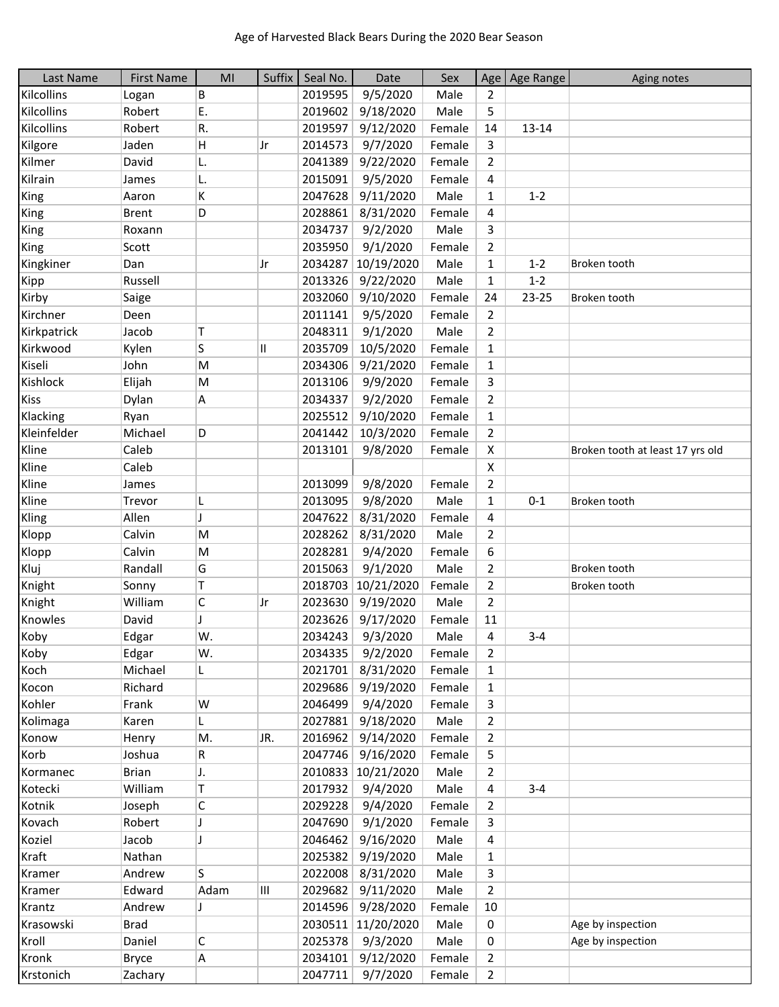| Last Name               | <b>First Name</b> | MI   | Suffix | Seal No. | Date               | Sex    |                | Age   Age Range | Aging notes                      |
|-------------------------|-------------------|------|--------|----------|--------------------|--------|----------------|-----------------|----------------------------------|
| Kilcollins              | Logan             | В    |        | 2019595  | 9/5/2020           | Male   | 2              |                 |                                  |
| Kilcollins              | Robert            | Ε.   |        | 2019602  | 9/18/2020          | Male   | 5              |                 |                                  |
| Kilcollins              | Robert            | R.   |        | 2019597  | 9/12/2020          | Female | 14             | $13 - 14$       |                                  |
| Kilgore                 | Jaden             | Н    | Jr     | 2014573  | 9/7/2020           | Female | 3              |                 |                                  |
| Kilmer                  | David             | L.   |        | 2041389  | 9/22/2020          | Female | $\mathbf{2}$   |                 |                                  |
| Kilrain                 | James             | L.   |        | 2015091  | 9/5/2020           | Female | 4              |                 |                                  |
| King                    | Aaron             | K    |        | 2047628  | 9/11/2020          | Male   | $\mathbf{1}$   | $1 - 2$         |                                  |
| King                    | <b>Brent</b>      | D    |        | 2028861  | 8/31/2020          | Female | 4              |                 |                                  |
| King                    | Roxann            |      |        | 2034737  | 9/2/2020           | Male   | 3              |                 |                                  |
| King                    | Scott             |      |        | 2035950  | 9/1/2020           | Female | 2              |                 |                                  |
| Kingkiner               | Dan               |      | Jr     | 2034287  | 10/19/2020         | Male   | $\mathbf{1}$   | $1 - 2$         | Broken tooth                     |
| Kipp                    | Russell           |      |        | 2013326  | 9/22/2020          | Male   | $\mathbf{1}$   | $1 - 2$         |                                  |
| Kirby                   | Saige             |      |        | 2032060  | 9/10/2020          | Female | 24             | 23-25           | Broken tooth                     |
| Kirchner                | Deen              |      |        | 2011141  | 9/5/2020           | Female | $\overline{2}$ |                 |                                  |
| Kirkpatrick             | Jacob             | Т    |        | 2048311  | 9/1/2020           | Male   | $\overline{2}$ |                 |                                  |
| Kirkwood                | Kylen             | S    | Ш      | 2035709  | 10/5/2020          | Female | $\mathbf{1}$   |                 |                                  |
| Kiseli                  | John              | M    |        | 2034306  | 9/21/2020          | Female | $\mathbf{1}$   |                 |                                  |
| Kishlock                | Elijah            | M    |        | 2013106  | 9/9/2020           | Female | 3              |                 |                                  |
| <b>Kiss</b>             | Dylan             | Α    |        | 2034337  | 9/2/2020           | Female | $\overline{2}$ |                 |                                  |
|                         |                   |      |        |          |                    | Female |                |                 |                                  |
| Klacking<br>Kleinfelder | Ryan              |      |        | 2025512  | 9/10/2020          |        | $\mathbf{1}$   |                 |                                  |
|                         | Michael           | D    |        | 2041442  | 10/3/2020          | Female | $\overline{2}$ |                 |                                  |
| Kline                   | Caleb             |      |        | 2013101  | 9/8/2020           | Female | X              |                 | Broken tooth at least 17 yrs old |
| Kline                   | Caleb             |      |        |          |                    |        | X              |                 |                                  |
| Kline                   | James             |      |        | 2013099  | 9/8/2020           | Female | $\overline{2}$ |                 |                                  |
| Kline                   | Trevor            | L    |        | 2013095  | 9/8/2020           | Male   | $\mathbf{1}$   | $0 - 1$         | Broken tooth                     |
| Kling                   | Allen             | J    |        | 2047622  | 8/31/2020          | Female | 4              |                 |                                  |
| Klopp                   | Calvin            | M    |        | 2028262  | 8/31/2020          | Male   | $\overline{2}$ |                 |                                  |
| Klopp                   | Calvin            | M    |        | 2028281  | 9/4/2020           | Female | 6              |                 |                                  |
| Kluj                    | Randall           | G    |        | 2015063  | 9/1/2020           | Male   | $\overline{2}$ |                 | Broken tooth                     |
| Knight                  | Sonny             | T    |        | 2018703  | 10/21/2020         | Female | $\overline{2}$ |                 | Broken tooth                     |
| Knight                  | William           | C    | Jr     | 2023630  | 9/19/2020          | Male   | $\overline{2}$ |                 |                                  |
| Knowles                 | David             | J    |        | 2023626  | 9/17/2020          | Female | 11             |                 |                                  |
| Koby                    | Edgar             | W.   |        | 2034243  | 9/3/2020           | Male   | 4              | $3 - 4$         |                                  |
| Koby                    | Edgar             | W.   |        | 2034335  | 9/2/2020           | Female | 2              |                 |                                  |
| Koch                    | Michael           | L    |        | 2021701  | 8/31/2020          | Female | $\mathbf{1}$   |                 |                                  |
| Kocon                   | Richard           |      |        | 2029686  | 9/19/2020          | Female | $\mathbf{1}$   |                 |                                  |
| Kohler                  | Frank             | W    |        | 2046499  | 9/4/2020           | Female | 3              |                 |                                  |
| Kolimaga                | Karen             | L    |        | 2027881  | 9/18/2020          | Male   | $\overline{2}$ |                 |                                  |
| Konow                   | Henry             | M.   | JR.    | 2016962  | 9/14/2020          | Female | $\overline{2}$ |                 |                                  |
| Korb                    | Joshua            | R    |        | 2047746  | 9/16/2020          | Female | 5              |                 |                                  |
| Kormanec                | <b>Brian</b>      | J.   |        | 2010833  | 10/21/2020         | Male   | $\overline{2}$ |                 |                                  |
| Kotecki                 | William           | Τ    |        | 2017932  | 9/4/2020           | Male   | 4              | $3 - 4$         |                                  |
| Kotnik                  | Joseph            | С    |        | 2029228  | 9/4/2020           | Female | $\overline{2}$ |                 |                                  |
| Kovach                  | Robert            |      |        | 2047690  | 9/1/2020           | Female | 3              |                 |                                  |
| Koziel                  | Jacob             | J    |        | 2046462  | 9/16/2020          | Male   | 4              |                 |                                  |
| Kraft                   | Nathan            |      |        | 2025382  | 9/19/2020          | Male   | $\mathbf{1}$   |                 |                                  |
| Kramer                  | Andrew            | ls.  |        | 2022008  | 8/31/2020          | Male   | 3              |                 |                                  |
| Kramer                  | Edward            | Adam | Ш      | 2029682  | 9/11/2020          | Male   | $\overline{2}$ |                 |                                  |
|                         | Andrew            | J    |        | 2014596  | 9/28/2020          | Female | 10             |                 |                                  |
| Krantz                  |                   |      |        |          |                    |        |                |                 |                                  |
| Krasowski               | <b>Brad</b>       |      |        |          | 2030511 11/20/2020 | Male   | 0              |                 | Age by inspection                |
| Kroll                   | Daniel            | С    |        | 2025378  | 9/3/2020           | Male   | 0              |                 | Age by inspection                |
| Kronk                   | <b>Bryce</b>      | Α    |        | 2034101  | 9/12/2020          | Female | $\overline{2}$ |                 |                                  |
| Krstonich               | Zachary           |      |        | 2047711  | 9/7/2020           | Female | $\overline{2}$ |                 |                                  |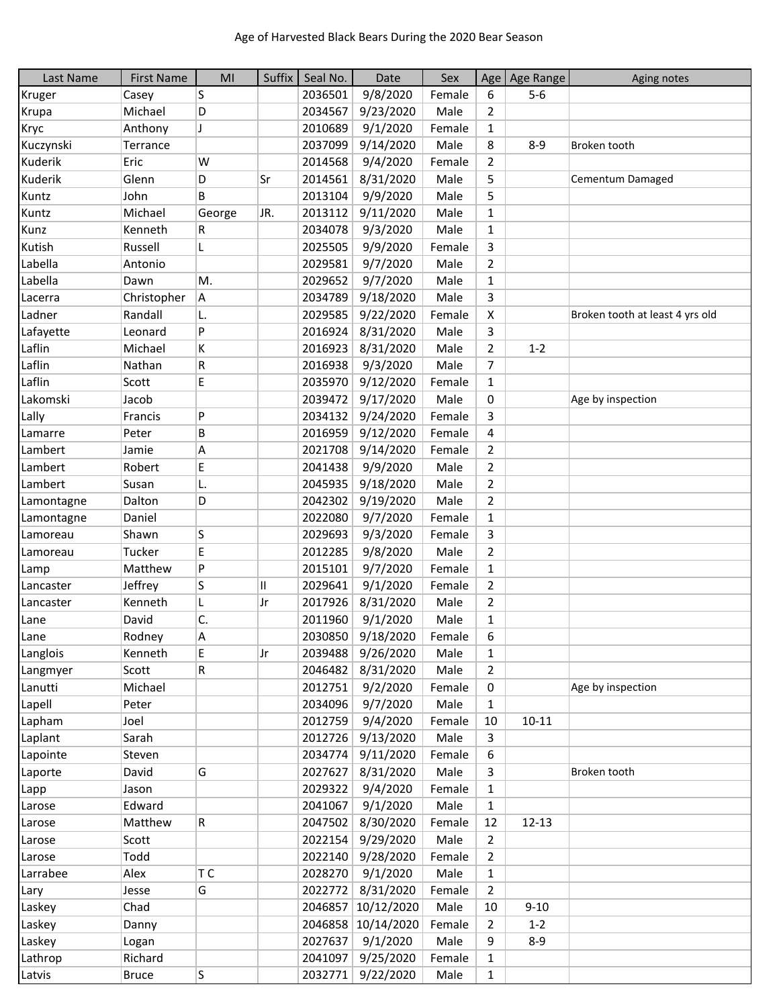| Last Name  | <b>First Name</b> | MI     | Suffix | Seal No. | Date               | Sex    | Age            | Age Range | Aging notes                     |
|------------|-------------------|--------|--------|----------|--------------------|--------|----------------|-----------|---------------------------------|
| Kruger     | Casey             | S      |        | 2036501  | 9/8/2020           | Female | 6              | $5-6$     |                                 |
| Krupa      | Michael           | D      |        | 2034567  | 9/23/2020          | Male   | 2              |           |                                 |
| Kryc       | Anthony           | J      |        | 2010689  | 9/1/2020           | Female | $\mathbf{1}$   |           |                                 |
| Kuczynski  | Terrance          |        |        | 2037099  | 9/14/2020          | Male   | 8              | $8 - 9$   | Broken tooth                    |
| Kuderik    | Eric              | W      |        | 2014568  | 9/4/2020           | Female | $\overline{2}$ |           |                                 |
| Kuderik    | Glenn             | D      | Sr     | 2014561  | 8/31/2020          | Male   | 5              |           | Cementum Damaged                |
| Kuntz      | John              | B      |        | 2013104  | 9/9/2020           | Male   | 5              |           |                                 |
| Kuntz      | Michael           | George | JR.    | 2013112  | 9/11/2020          | Male   | 1              |           |                                 |
| Kunz       | Kenneth           | R      |        | 2034078  | 9/3/2020           | Male   | $\mathbf{1}$   |           |                                 |
| Kutish     | Russell           | L      |        | 2025505  | 9/9/2020           | Female | 3              |           |                                 |
| Labella    | Antonio           |        |        | 2029581  | 9/7/2020           | Male   | $\overline{2}$ |           |                                 |
| Labella    | Dawn              | M.     |        | 2029652  | 9/7/2020           | Male   | $\mathbf{1}$   |           |                                 |
| Lacerra    | Christopher       | Α      |        | 2034789  | 9/18/2020          | Male   | 3              |           |                                 |
| Ladner     | Randall           | L.     |        | 2029585  | 9/22/2020          | Female | X              |           | Broken tooth at least 4 yrs old |
| Lafayette  | Leonard           | P      |        | 2016924  | 8/31/2020          | Male   | 3              |           |                                 |
| Laflin     | Michael           | K      |        | 2016923  | 8/31/2020          | Male   | 2              | $1 - 2$   |                                 |
| Laflin     | Nathan            | R      |        | 2016938  | 9/3/2020           | Male   | 7              |           |                                 |
| Laflin     | Scott             | E      |        | 2035970  | 9/12/2020          | Female | $\mathbf{1}$   |           |                                 |
| Lakomski   | Jacob             |        |        | 2039472  | 9/17/2020          | Male   | 0              |           | Age by inspection               |
| Lally      | Francis           | P      |        | 2034132  | 9/24/2020          | Female | 3              |           |                                 |
| Lamarre    | Peter             | B      |        | 2016959  | 9/12/2020          | Female | 4              |           |                                 |
| Lambert    | Jamie             | Α      |        | 2021708  | 9/14/2020          | Female | $\overline{2}$ |           |                                 |
| Lambert    | Robert            | E      |        | 2041438  | 9/9/2020           | Male   | 2              |           |                                 |
| Lambert    | Susan             | L.     |        | 2045935  | 9/18/2020          | Male   | $\overline{2}$ |           |                                 |
| Lamontagne | Dalton            | D      |        | 2042302  | 9/19/2020          | Male   | 2              |           |                                 |
| Lamontagne | Daniel            |        |        | 2022080  | 9/7/2020           | Female | $\mathbf{1}$   |           |                                 |
| Lamoreau   | Shawn             | S      |        | 2029693  | 9/3/2020           | Female | 3              |           |                                 |
| Lamoreau   | Tucker            | E      |        | 2012285  | 9/8/2020           | Male   | $\overline{2}$ |           |                                 |
| Lamp       | Matthew           | P      |        | 2015101  | 9/7/2020           | Female | $\mathbf{1}$   |           |                                 |
| Lancaster  | Jeffrey           | S      | II     | 2029641  | 9/1/2020           | Female | $\overline{2}$ |           |                                 |
| Lancaster  | Kenneth           | L      | Jr     | 2017926  | 8/31/2020          | Male   | 2              |           |                                 |
| Lane       | David             | C.     |        | 2011960  | 9/1/2020           | Male   | $\mathbf{1}$   |           |                                 |
| Lane       | Rodney            | Α      |        | 2030850  | 9/18/2020          | Female | 6              |           |                                 |
| Langlois   | Kenneth           | Е      | Jr     | 2039488  | 9/26/2020          | Male   | 1              |           |                                 |
| Langmyer   | Scott             | R      |        | 2046482  | 8/31/2020          | Male   | 2              |           |                                 |
| Lanutti    | Michael           |        |        | 2012751  | 9/2/2020           | Female | 0              |           | Age by inspection               |
| Lapell     | Peter             |        |        | 2034096  | 9/7/2020           | Male   | 1              |           |                                 |
| Lapham     | Joel              |        |        | 2012759  | 9/4/2020           | Female | 10             | $10 - 11$ |                                 |
| Laplant    | Sarah             |        |        | 2012726  | 9/13/2020          | Male   | 3              |           |                                 |
| Lapointe   | Steven            |        |        | 2034774  | 9/11/2020          | Female | 6              |           |                                 |
| Laporte    | David             | G      |        | 2027627  | 8/31/2020          | Male   | 3              |           | Broken tooth                    |
| Lapp       | Jason             |        |        | 2029322  | 9/4/2020           | Female | $\mathbf{1}$   |           |                                 |
| Larose     | Edward            |        |        | 2041067  | 9/1/2020           | Male   | $\mathbf{1}$   |           |                                 |
| Larose     | Matthew           | R      |        | 2047502  | 8/30/2020          | Female | 12             | $12 - 13$ |                                 |
| Larose     | Scott             |        |        | 2022154  | 9/29/2020          | Male   | 2              |           |                                 |
| Larose     | Todd              |        |        | 2022140  | 9/28/2020          | Female | $\overline{2}$ |           |                                 |
| Larrabee   | Alex              | T C    |        | 2028270  | 9/1/2020           | Male   | 1              |           |                                 |
| Lary       | Jesse             | G      |        | 2022772  | 8/31/2020          | Female | $\overline{2}$ |           |                                 |
| Laskey     | Chad              |        |        |          | 2046857 10/12/2020 | Male   | 10             | $9 - 10$  |                                 |
| Laskey     | Danny             |        |        |          | 2046858 10/14/2020 | Female | 2              | $1 - 2$   |                                 |
| Laskey     | Logan             |        |        |          | 2027637 9/1/2020   | Male   | 9              | $8 - 9$   |                                 |
| Lathrop    | Richard           |        |        |          | 2041097 9/25/2020  | Female | $\mathbf{1}$   |           |                                 |
| Latvis     | <b>Bruce</b>      | S      |        |          | 2032771 9/22/2020  | Male   | 1              |           |                                 |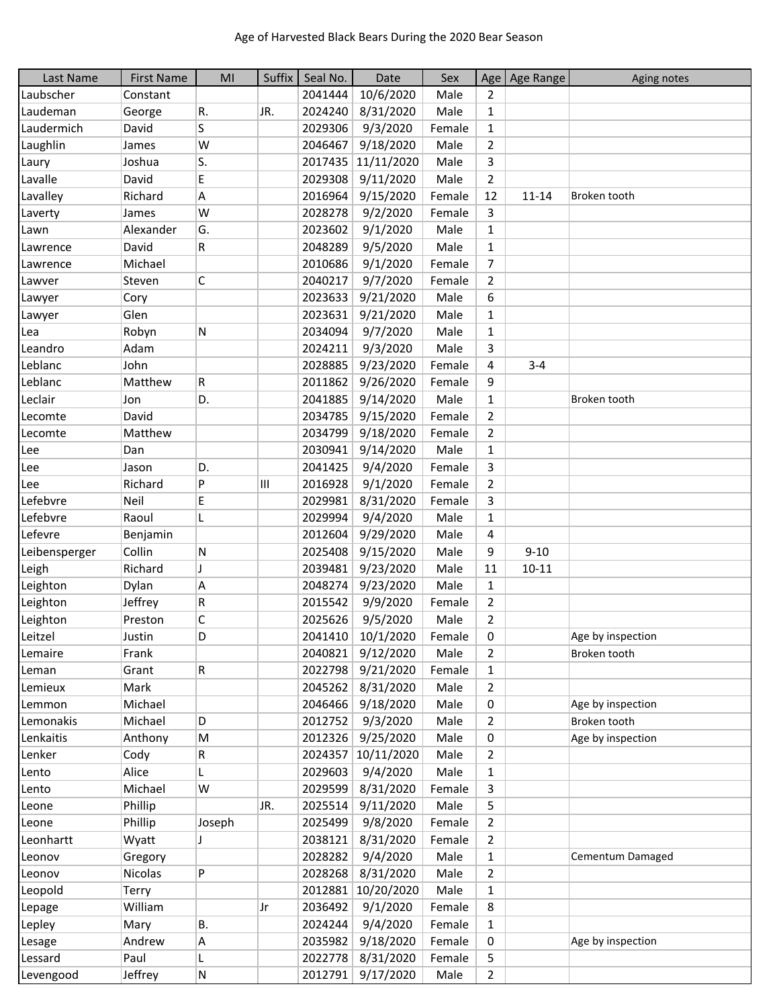| Last Name     | <b>First Name</b> | MI     |     | Suffix   Seal No. | Date              | Sex    |                | Age   Age Range | Aging notes       |
|---------------|-------------------|--------|-----|-------------------|-------------------|--------|----------------|-----------------|-------------------|
| Laubscher     | Constant          |        |     | 2041444           | 10/6/2020         | Male   | 2              |                 |                   |
| Laudeman      | George            | R.     | JR. | 2024240           | 8/31/2020         | Male   | $\mathbf{1}$   |                 |                   |
| Laudermich    | David             | S      |     | 2029306           | 9/3/2020          | Female | $\mathbf{1}$   |                 |                   |
| Laughlin      | James             | W      |     | 2046467           | 9/18/2020         | Male   | $\overline{2}$ |                 |                   |
| Laury         | Joshua            | S.     |     | 2017435           | 11/11/2020        | Male   | 3              |                 |                   |
| Lavalle       | David             | E      |     | 2029308           | 9/11/2020         | Male   | $\overline{2}$ |                 |                   |
| Lavalley      | Richard           | А      |     | 2016964           | 9/15/2020         | Female | 12             | $11 - 14$       | Broken tooth      |
| Laverty       | James             | W      |     | 2028278           | 9/2/2020          | Female | 3              |                 |                   |
| Lawn          | Alexander         | G.     |     | 2023602           | 9/1/2020          | Male   | $\mathbf{1}$   |                 |                   |
| Lawrence      | David             | R      |     | 2048289           | 9/5/2020          | Male   | $\mathbf{1}$   |                 |                   |
| Lawrence      | Michael           |        |     | 2010686           | 9/1/2020          | Female | 7              |                 |                   |
| Lawver        | Steven            | C      |     | 2040217           | 9/7/2020          | Female | $\overline{2}$ |                 |                   |
| Lawyer        | Cory              |        |     | 2023633           | 9/21/2020         | Male   | 6              |                 |                   |
| Lawyer        | Glen              |        |     | 2023631           | 9/21/2020         | Male   | $\mathbf{1}$   |                 |                   |
| Lea           | Robyn             | N      |     | 2034094           | 9/7/2020          | Male   | $\mathbf{1}$   |                 |                   |
| Leandro       | Adam              |        |     | 2024211           | 9/3/2020          | Male   | 3              |                 |                   |
| Leblanc       | John              |        |     | 2028885           | 9/23/2020         | Female | 4              | $3 - 4$         |                   |
| Leblanc       | Matthew           | R      |     | 2011862           | 9/26/2020         | Female | 9              |                 |                   |
| Leclair       | Jon               | D.     |     | 2041885           | 9/14/2020         | Male   | $\mathbf{1}$   |                 | Broken tooth      |
| Lecomte       | David             |        |     | 2034785           | 9/15/2020         | Female | $\overline{2}$ |                 |                   |
| Lecomte       | Matthew           |        |     | 2034799           | 9/18/2020         | Female | $\overline{2}$ |                 |                   |
| Lee           | Dan               |        |     | 2030941           | 9/14/2020         | Male   | $\mathbf{1}$   |                 |                   |
| Lee           | Jason             | D.     |     | 2041425           | 9/4/2020          | Female | 3              |                 |                   |
| Lee           | Richard           | P      | Ш   | 2016928           | 9/1/2020          | Female | $\overline{2}$ |                 |                   |
| Lefebvre      | Neil              | E      |     | 2029981           | 8/31/2020         | Female | 3              |                 |                   |
| Lefebvre      | Raoul             |        |     | 2029994           | 9/4/2020          | Male   | $\mathbf{1}$   |                 |                   |
| Lefevre       | Benjamin          |        |     | 2012604           | 9/29/2020         | Male   | 4              |                 |                   |
| Leibensperger | Collin            | Ν      |     | 2025408           | 9/15/2020         | Male   | 9              | $9 - 10$        |                   |
| Leigh         | Richard           | J      |     | 2039481           | 9/23/2020         | Male   | 11             | $10 - 11$       |                   |
| Leighton      | Dylan             | Α      |     | 2048274           | 9/23/2020         | Male   | $\mathbf{1}$   |                 |                   |
| Leighton      | Jeffrey           | R      |     | 2015542           | 9/9/2020          | Female | $\overline{2}$ |                 |                   |
| Leighton      | Preston           | C      |     | 2025626           | 9/5/2020          | Male   | $\overline{2}$ |                 |                   |
| Leitzel       | Justin            | D      |     |                   | 2041410 10/1/2020 | Female | 0              |                 | Age by inspection |
| Lemaire       | Frank             |        |     | 2040821           | 9/12/2020         | Male   | 2              |                 | Broken tooth      |
| Leman         | Grant             | R      |     | 2022798           | 9/21/2020         | Female | $\mathbf{1}$   |                 |                   |
| Lemieux       | Mark              |        |     | 2045262           | 8/31/2020         | Male   | $\overline{2}$ |                 |                   |
| Lemmon        | Michael           |        |     | 2046466           | 9/18/2020         | Male   | 0              |                 | Age by inspection |
| Lemonakis     | Michael           | D      |     | 2012752           | 9/3/2020          | Male   | $\overline{2}$ |                 | Broken tooth      |
| Lenkaitis     | Anthony           | M      |     | 2012326           | 9/25/2020         | Male   | 0              |                 | Age by inspection |
| Lenker        | Cody              | R      |     | 2024357           | 10/11/2020        | Male   | $\overline{2}$ |                 |                   |
| Lento         | Alice             | L      |     | 2029603           | 9/4/2020          | Male   | 1              |                 |                   |
| Lento         | Michael           | W      |     | 2029599           | 8/31/2020         | Female | 3              |                 |                   |
| Leone         | Phillip           |        | JR. | 2025514           | 9/11/2020         | Male   | 5              |                 |                   |
| Leone         | Phillip           | Joseph |     | 2025499           | 9/8/2020          | Female | $\overline{2}$ |                 |                   |
| Leonhartt     | Wyatt             | J      |     | 2038121           | 8/31/2020         | Female | $\overline{2}$ |                 |                   |
| Leonov        | Gregory           |        |     | 2028282           | 9/4/2020          | Male   | 1              |                 | Cementum Damaged  |
| Leonov        | Nicolas           | P      |     | 2028268           | 8/31/2020         | Male   | $\overline{2}$ |                 |                   |
| Leopold       | Terry             |        |     | 2012881           | 10/20/2020        | Male   | $\mathbf{1}$   |                 |                   |
| Lepage        | William           |        | Jr  | 2036492           | 9/1/2020          | Female | 8              |                 |                   |
| Lepley        | Mary              | В.     |     | 2024244           | 9/4/2020          | Female | 1              |                 |                   |
| Lesage        | Andrew            | Α      |     | 2035982           | 9/18/2020         | Female | 0              |                 | Age by inspection |
| Lessard       | Paul              | L      |     | 2022778           | 8/31/2020         | Female | 5              |                 |                   |
| Levengood     | Jeffrey           | N      |     |                   | 2012791 9/17/2020 | Male   | $\overline{2}$ |                 |                   |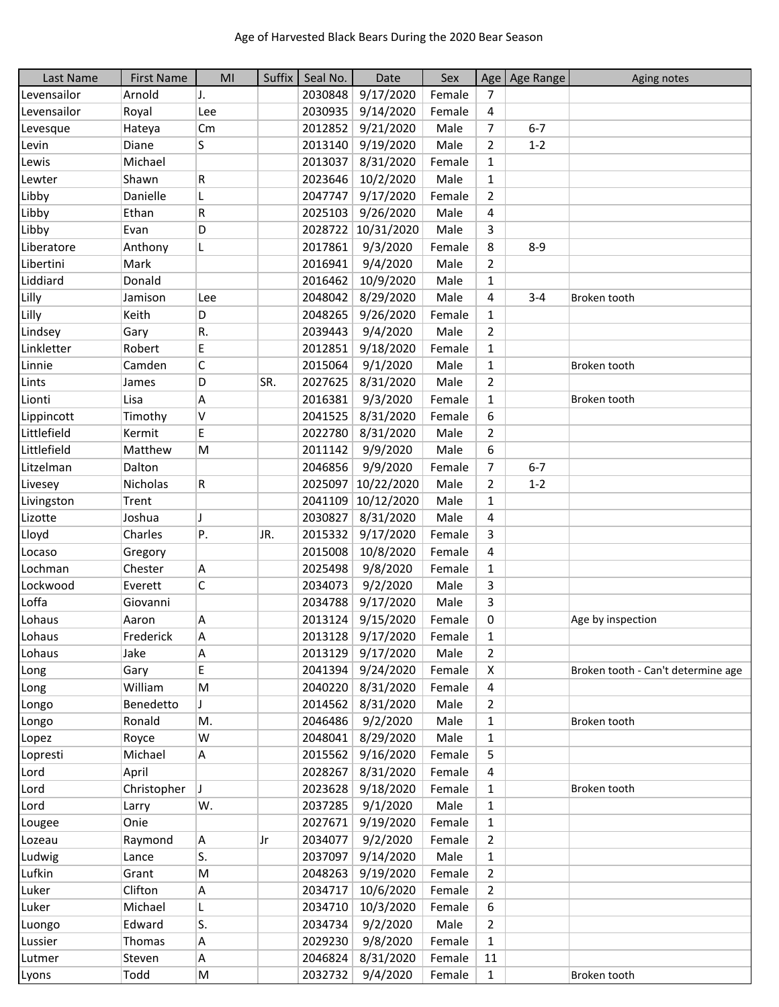| Last Name   | <b>First Name</b> | MI        | Suffix | Seal No. | Date              | Sex    |                | Age   Age Range | Aging notes                        |
|-------------|-------------------|-----------|--------|----------|-------------------|--------|----------------|-----------------|------------------------------------|
| Levensailor | Arnold            | J.        |        | 2030848  | 9/17/2020         | Female | $\overline{7}$ |                 |                                    |
| Levensailor | Royal             | Lee       |        | 2030935  | 9/14/2020         | Female | 4              |                 |                                    |
| Levesque    | Hateya            | Cm        |        | 2012852  | 9/21/2020         | Male   | 7              | $6 - 7$         |                                    |
| Levin       | Diane             | S         |        | 2013140  | 9/19/2020         | Male   | $\overline{2}$ | $1 - 2$         |                                    |
| Lewis       | Michael           |           |        | 2013037  | 8/31/2020         | Female | $\mathbf{1}$   |                 |                                    |
| Lewter      | Shawn             | R         |        | 2023646  | 10/2/2020         | Male   | $\mathbf{1}$   |                 |                                    |
| Libby       | Danielle          | L         |        | 2047747  | 9/17/2020         | Female | $\overline{2}$ |                 |                                    |
| Libby       | Ethan             | R         |        | 2025103  | 9/26/2020         | Male   | 4              |                 |                                    |
| Libby       | Evan              | D         |        | 2028722  | 10/31/2020        | Male   | 3              |                 |                                    |
| Liberatore  | Anthony           | L         |        | 2017861  | 9/3/2020          | Female | 8              | $8 - 9$         |                                    |
| Libertini   | Mark              |           |        | 2016941  | 9/4/2020          | Male   | $\overline{2}$ |                 |                                    |
| Liddiard    | Donald            |           |        | 2016462  | 10/9/2020         | Male   | $\mathbf{1}$   |                 |                                    |
| Lilly       | Jamison           | Lee       |        | 2048042  | 8/29/2020         | Male   | 4              | $3 - 4$         | Broken tooth                       |
| Lilly       | Keith             | D         |        | 2048265  | 9/26/2020         | Female | $\mathbf{1}$   |                 |                                    |
| Lindsey     | Gary              | R.        |        | 2039443  | 9/4/2020          | Male   | $\overline{2}$ |                 |                                    |
| Linkletter  | Robert            | E         |        | 2012851  | 9/18/2020         | Female | $\mathbf{1}$   |                 |                                    |
| Linnie      | Camden            | C         |        | 2015064  | 9/1/2020          | Male   | $\mathbf{1}$   |                 | Broken tooth                       |
| Lints       | James             | D         | SR.    | 2027625  | 8/31/2020         | Male   | $\overline{2}$ |                 |                                    |
| Lionti      | Lisa              | Α         |        | 2016381  | 9/3/2020          | Female | $\mathbf{1}$   |                 | Broken tooth                       |
| Lippincott  | Timothy           | v         |        | 2041525  | 8/31/2020         | Female | 6              |                 |                                    |
| Littlefield | Kermit            | E         |        | 2022780  | 8/31/2020         | Male   | $\overline{2}$ |                 |                                    |
| Littlefield | Matthew           |           |        | 2011142  |                   | Male   |                |                 |                                    |
| Litzelman   | Dalton            | M         |        |          | 9/9/2020          | Female | 6              | $6 - 7$         |                                    |
|             |                   |           |        | 2046856  | 9/9/2020          |        | 7              |                 |                                    |
| Livesey     | Nicholas          | R         |        | 2025097  | 10/22/2020        | Male   | $\overline{2}$ | $1 - 2$         |                                    |
| Livingston  | Trent             |           |        | 2041109  | 10/12/2020        | Male   | $\mathbf{1}$   |                 |                                    |
| Lizotte     | Joshua            | IJ        |        | 2030827  | 8/31/2020         | Male   | 4              |                 |                                    |
| Lloyd       | Charles           | P.        | JR.    | 2015332  | 9/17/2020         | Female | 3              |                 |                                    |
| Locaso      | Gregory           |           |        | 2015008  | 10/8/2020         | Female | 4              |                 |                                    |
| Lochman     | Chester           | Α         |        | 2025498  | 9/8/2020          | Female | $\mathbf{1}$   |                 |                                    |
| Lockwood    | Everett           | C         |        | 2034073  | 9/2/2020          | Male   | 3              |                 |                                    |
| Loffa       | Giovanni          |           |        | 2034788  | 9/17/2020         | Male   | 3              |                 |                                    |
| Lohaus      | Aaron             | Α         |        | 2013124  | 9/15/2020         | Female | 0              |                 | Age by inspection                  |
| Lohaus      | Frederick         | A         |        | 2013128  | 9/17/2020         | Female | $\mathbf{1}$   |                 |                                    |
| Lohaus      | Jake              | Α         |        |          | 2013129 9/17/2020 | Male   | 2              |                 |                                    |
| Long        | Gary              | E         |        | 2041394  | 9/24/2020         | Female | X              |                 | Broken tooth - Can't determine age |
| Long        | William           | M         |        |          | 2040220 8/31/2020 | Female | 4              |                 |                                    |
| Longo       | Benedetto         | J         |        | 2014562  | 8/31/2020         | Male   | $\overline{2}$ |                 |                                    |
| Longo       | Ronald            | М.        |        | 2046486  | 9/2/2020          | Male   | $\mathbf{1}$   |                 | Broken tooth                       |
| Lopez       | Royce             | W         |        | 2048041  | 8/29/2020         | Male   | $\mathbf{1}$   |                 |                                    |
| Lopresti    | Michael           | A         |        | 2015562  | 9/16/2020         | Female | 5              |                 |                                    |
| Lord        | April             |           |        | 2028267  | 8/31/2020         | Female | 4              |                 |                                    |
| Lord        | Christopher       | J         |        | 2023628  | 9/18/2020         | Female | 1              |                 | Broken tooth                       |
| Lord        | Larry             | W.        |        | 2037285  | 9/1/2020          | Male   | $\mathbf{1}$   |                 |                                    |
| Lougee      | Onie              |           |        | 2027671  | 9/19/2020         | Female | $\mathbf{1}$   |                 |                                    |
| Lozeau      | Raymond           | Α         | Jr     | 2034077  | 9/2/2020          | Female | 2              |                 |                                    |
| Ludwig      | Lance             | S.        |        | 2037097  | 9/14/2020         | Male   | $\mathbf{1}$   |                 |                                    |
| Lufkin      | Grant             | M         |        | 2048263  | 9/19/2020         | Female | $\overline{2}$ |                 |                                    |
| Luker       | Clifton           | А         |        | 2034717  | 10/6/2020         | Female | $\overline{2}$ |                 |                                    |
| Luker       | Michael           | L         |        | 2034710  | 10/3/2020         | Female | 6              |                 |                                    |
| Luongo      | Edward            | S.        |        | 2034734  | 9/2/2020          | Male   | $\overline{2}$ |                 |                                    |
| Lussier     | Thomas            | A         |        | 2029230  | 9/8/2020          | Female | $\mathbf{1}$   |                 |                                    |
| Lutmer      | Steven            | А         |        | 2046824  | 8/31/2020         | Female | 11             |                 |                                    |
| Lyons       | Todd              | ${\sf M}$ |        |          | 2032732 9/4/2020  | Female | $\mathbf{1}$   |                 | Broken tooth                       |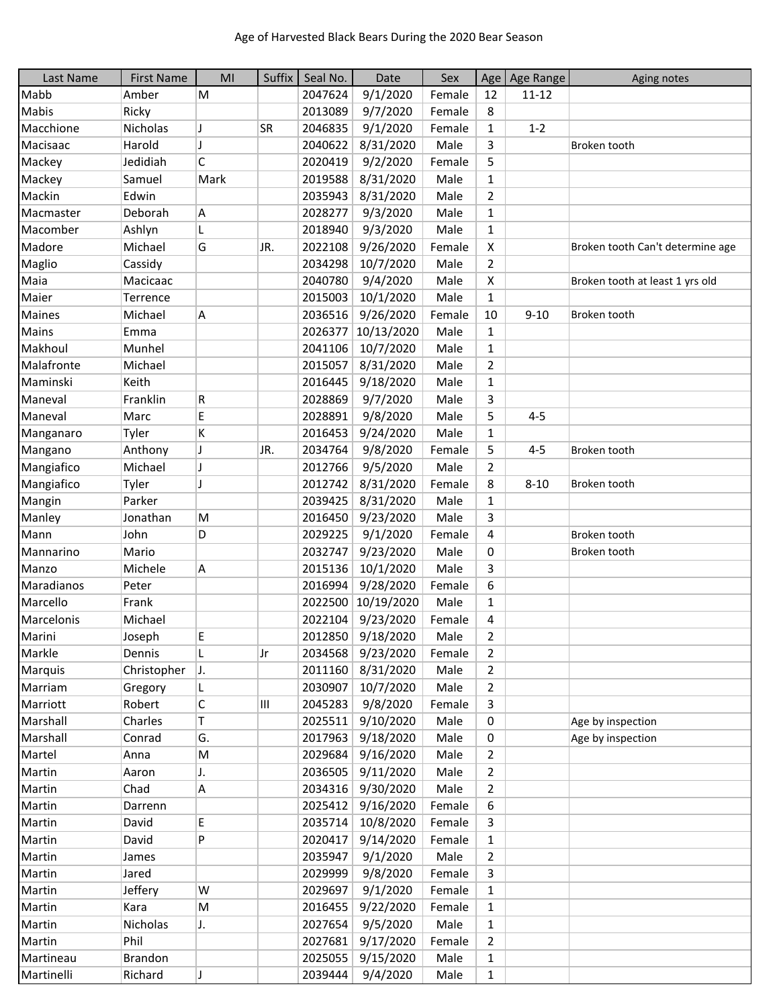| Last Name  | <b>First Name</b> | MI                       | Suffix    | Seal No. | Date              | Sex    | Age            | Age Range | Aging notes                      |
|------------|-------------------|--------------------------|-----------|----------|-------------------|--------|----------------|-----------|----------------------------------|
| Mabb       | Amber             | M                        |           | 2047624  | 9/1/2020          | Female | 12             | $11 - 12$ |                                  |
| Mabis      | Ricky             |                          |           | 2013089  | 9/7/2020          | Female | 8              |           |                                  |
| Macchione  | Nicholas          | IJ                       | <b>SR</b> | 2046835  | 9/1/2020          | Female | 1              | $1 - 2$   |                                  |
| Macisaac   | Harold            | $\overline{\phantom{a}}$ |           | 2040622  | 8/31/2020         | Male   | 3              |           | Broken tooth                     |
| Mackey     | Jedidiah          | C                        |           | 2020419  | 9/2/2020          | Female | 5              |           |                                  |
| Mackey     | Samuel            | Mark                     |           | 2019588  | 8/31/2020         | Male   | 1              |           |                                  |
| Mackin     | Edwin             |                          |           | 2035943  | 8/31/2020         | Male   | $\overline{2}$ |           |                                  |
| Macmaster  | Deborah           | Α                        |           | 2028277  | 9/3/2020          | Male   | $\mathbf{1}$   |           |                                  |
| Macomber   | Ashlyn            | L                        |           | 2018940  | 9/3/2020          | Male   | $\mathbf{1}$   |           |                                  |
| Madore     | Michael           | G                        | JR.       | 2022108  | 9/26/2020         | Female | X              |           | Broken tooth Can't determine age |
| Maglio     | Cassidy           |                          |           | 2034298  | 10/7/2020         | Male   | $\overline{2}$ |           |                                  |
| Maia       | Macicaac          |                          |           | 2040780  | 9/4/2020          | Male   | x              |           | Broken tooth at least 1 yrs old  |
| Maier      | Terrence          |                          |           | 2015003  | 10/1/2020         | Male   | $\mathbf{1}$   |           |                                  |
| Maines     | Michael           | A                        |           | 2036516  | 9/26/2020         | Female | 10             | $9 - 10$  | Broken tooth                     |
| Mains      | Emma              |                          |           | 2026377  | 10/13/2020        | Male   | $\mathbf{1}$   |           |                                  |
| Makhoul    | Munhel            |                          |           | 2041106  | 10/7/2020         | Male   | $\mathbf{1}$   |           |                                  |
| Malafronte | Michael           |                          |           | 2015057  | 8/31/2020         | Male   | $\overline{2}$ |           |                                  |
| Maminski   | Keith             |                          |           | 2016445  | 9/18/2020         | Male   | 1              |           |                                  |
| Maneval    | Franklin          | R                        |           | 2028869  | 9/7/2020          | Male   | 3              |           |                                  |
| Maneval    | Marc              | E                        |           | 2028891  | 9/8/2020          | Male   | 5              | $4 - 5$   |                                  |
| Manganaro  | Tyler             | Κ                        |           | 2016453  | 9/24/2020         | Male   | 1              |           |                                  |
| Mangano    | Anthony           | $\overline{\mathbf{I}}$  | JR.       | 2034764  | 9/8/2020          | Female | 5              | $4 - 5$   | Broken tooth                     |
| Mangiafico | Michael           | IJ                       |           | 2012766  | 9/5/2020          | Male   | $\overline{2}$ |           |                                  |
| Mangiafico | Tyler             | IJ                       |           | 2012742  | 8/31/2020         | Female | 8              | $8 - 10$  | Broken tooth                     |
| Mangin     | Parker            |                          |           | 2039425  | 8/31/2020         | Male   | $\mathbf{1}$   |           |                                  |
| Manley     | Jonathan          | M                        |           | 2016450  | 9/23/2020         | Male   | 3              |           |                                  |
| Mann       | John              | D                        |           | 2029225  | 9/1/2020          | Female | 4              |           | Broken tooth                     |
| Mannarino  | Mario             |                          |           | 2032747  | 9/23/2020         | Male   | 0              |           | Broken tooth                     |
| Manzo      | Michele           | Α                        |           | 2015136  | 10/1/2020         | Male   | 3              |           |                                  |
| Maradianos | Peter             |                          |           | 2016994  | 9/28/2020         | Female | 6              |           |                                  |
| Marcello   | Frank             |                          |           | 2022500  | 10/19/2020        | Male   | 1              |           |                                  |
| Marcelonis | Michael           |                          |           | 2022104  | 9/23/2020         | Female | 4              |           |                                  |
| Marini     | Joseph            | Е                        |           |          | 2012850 9/18/2020 | Male   | $\overline{2}$ |           |                                  |
| Markle     | Dennis            |                          | Jr        |          | 2034568 9/23/2020 | Female | 2              |           |                                  |
| Marquis    | Christopher       | IJ.                      |           | 2011160  | 8/31/2020         | Male   | 2              |           |                                  |
| Marriam    | Gregory           | L                        |           | 2030907  | 10/7/2020         | Male   | 2              |           |                                  |
| Marriott   | Robert            | С                        | Ш         | 2045283  | 9/8/2020          | Female | 3              |           |                                  |
| Marshall   | Charles           | т                        |           | 2025511  | 9/10/2020         | Male   | 0              |           | Age by inspection                |
| Marshall   | Conrad            | G.                       |           | 2017963  | 9/18/2020         | Male   | 0              |           | Age by inspection                |
| Martel     | Anna              | M                        |           | 2029684  | 9/16/2020         | Male   | 2              |           |                                  |
| Martin     | Aaron             | J.                       |           | 2036505  | 9/11/2020         | Male   | 2              |           |                                  |
| Martin     | Chad              | Α                        |           | 2034316  | 9/30/2020         | Male   | 2              |           |                                  |
| Martin     | Darrenn           |                          |           | 2025412  | 9/16/2020         | Female | 6              |           |                                  |
| Martin     | David             | E                        |           | 2035714  | 10/8/2020         | Female | 3              |           |                                  |
| Martin     | David             | P                        |           | 2020417  | 9/14/2020         | Female | 1              |           |                                  |
| Martin     | James             |                          |           | 2035947  | 9/1/2020          | Male   | $\overline{2}$ |           |                                  |
| Martin     | Jared             |                          |           | 2029999  | 9/8/2020          | Female | 3              |           |                                  |
| Martin     | Jeffery           | W                        |           | 2029697  | 9/1/2020          | Female | 1              |           |                                  |
| Martin     | Kara              | M                        |           | 2016455  | 9/22/2020         | Female | 1              |           |                                  |
| Martin     | Nicholas          | J.                       |           | 2027654  | 9/5/2020          | Male   | $\mathbf{1}$   |           |                                  |
| Martin     | Phil              |                          |           | 2027681  | 9/17/2020         | Female | 2              |           |                                  |
| Martineau  | Brandon           |                          |           | 2025055  | 9/15/2020         | Male   | 1              |           |                                  |
| Martinelli | Richard           | IJ                       |           |          | 2039444 9/4/2020  | Male   | 1              |           |                                  |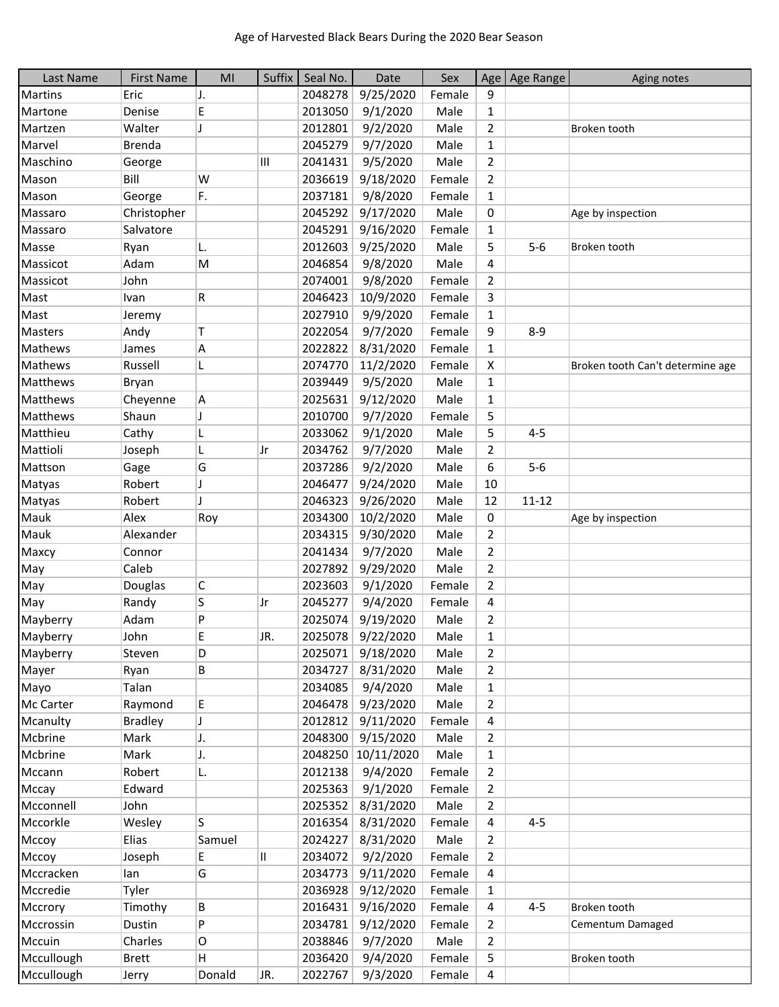| Last Name      | <b>First Name</b> | MI           | Suffix | Seal No. | Date       | Sex    | Age            | Age Range | Aging notes                      |
|----------------|-------------------|--------------|--------|----------|------------|--------|----------------|-----------|----------------------------------|
| <b>Martins</b> | Eric              | J.           |        | 2048278  | 9/25/2020  | Female | 9              |           |                                  |
| Martone        | Denise            | E            |        | 2013050  | 9/1/2020   | Male   | 1              |           |                                  |
| Martzen        | Walter            | J            |        | 2012801  | 9/2/2020   | Male   | 2              |           | Broken tooth                     |
| Marvel         | <b>Brenda</b>     |              |        | 2045279  | 9/7/2020   | Male   | $\mathbf{1}$   |           |                                  |
| Maschino       | George            |              | Ш      | 2041431  | 9/5/2020   | Male   | $\overline{2}$ |           |                                  |
| Mason          | Bill              | W            |        | 2036619  | 9/18/2020  | Female | $\overline{2}$ |           |                                  |
| Mason          | George            | F.           |        | 2037181  | 9/8/2020   | Female | $\mathbf{1}$   |           |                                  |
| Massaro        | Christopher       |              |        | 2045292  | 9/17/2020  | Male   | 0              |           | Age by inspection                |
| Massaro        | Salvatore         |              |        | 2045291  | 9/16/2020  | Female | $\mathbf{1}$   |           |                                  |
| Masse          | Ryan              | L.           |        | 2012603  | 9/25/2020  | Male   | 5              | $5-6$     | Broken tooth                     |
| Massicot       | Adam              | М            |        | 2046854  | 9/8/2020   | Male   | 4              |           |                                  |
| Massicot       | John              |              |        | 2074001  | 9/8/2020   | Female | 2              |           |                                  |
| Mast           | Ivan              | R            |        | 2046423  | 10/9/2020  | Female | 3              |           |                                  |
| Mast           | Jeremy            |              |        | 2027910  | 9/9/2020   | Female | $\mathbf{1}$   |           |                                  |
| <b>Masters</b> | Andy              | T            |        | 2022054  | 9/7/2020   | Female | 9              | $8 - 9$   |                                  |
| Mathews        | James             | А            |        | 2022822  | 8/31/2020  | Female | $\mathbf{1}$   |           |                                  |
| Mathews        | Russell           | L            |        | 2074770  | 11/2/2020  | Female | X              |           | Broken tooth Can't determine age |
| Matthews       | Bryan             |              |        | 2039449  | 9/5/2020   | Male   | $\mathbf{1}$   |           |                                  |
| Matthews       | Cheyenne          | А            |        | 2025631  | 9/12/2020  | Male   | $\mathbf{1}$   |           |                                  |
| Matthews       | Shaun             | J            |        | 2010700  | 9/7/2020   | Female | 5              |           |                                  |
| Matthieu       | Cathy             |              |        | 2033062  | 9/1/2020   | Male   | 5              | $4 - 5$   |                                  |
| Mattioli       | Joseph            | L            | Jr     | 2034762  | 9/7/2020   | Male   | 2              |           |                                  |
| Mattson        | Gage              | G            |        | 2037286  | 9/2/2020   | Male   | 6              | $5-6$     |                                  |
| Matyas         | Robert            | J            |        | 2046477  | 9/24/2020  | Male   | 10             |           |                                  |
| Matyas         | Robert            | $\mathbf{I}$ |        | 2046323  | 9/26/2020  | Male   | 12             | $11 - 12$ |                                  |
| Mauk           | Alex              | Roy          |        | 2034300  | 10/2/2020  | Male   | 0              |           | Age by inspection                |
| Mauk           | Alexander         |              |        | 2034315  | 9/30/2020  | Male   | 2              |           |                                  |
| Maxcy          | Connor            |              |        | 2041434  | 9/7/2020   | Male   | $\overline{2}$ |           |                                  |
| May            | Caleb             |              |        | 2027892  | 9/29/2020  | Male   | 2              |           |                                  |
| May            | Douglas           | С            |        | 2023603  | 9/1/2020   | Female | $\overline{2}$ |           |                                  |
| May            | Randy             | S            | Jr     | 2045277  | 9/4/2020   | Female | 4              |           |                                  |
| Mayberry       | Adam              | P            |        | 2025074  | 9/19/2020  | Male   | 2              |           |                                  |
| Mayberry       | John              | E            | JR.    | 2025078  | 9/22/2020  | Male   | 1              |           |                                  |
| Mayberry       | Steven            | D            |        | 2025071  | 9/18/2020  | Male   | 2              |           |                                  |
| Mayer          | Ryan              | В            |        | 2034727  | 8/31/2020  | Male   | $\overline{2}$ |           |                                  |
| Mayo           | Talan             |              |        | 2034085  | 9/4/2020   | Male   | $\mathbf{1}$   |           |                                  |
| Mc Carter      | Raymond           | E            |        | 2046478  | 9/23/2020  | Male   | 2              |           |                                  |
| Mcanulty       | <b>Bradley</b>    | J            |        | 2012812  | 9/11/2020  | Female | 4              |           |                                  |
| Mcbrine        | Mark              | J.           |        | 2048300  | 9/15/2020  | Male   | $\overline{2}$ |           |                                  |
| Mcbrine        | Mark              | J.           |        | 2048250  | 10/11/2020 | Male   | $\mathbf{1}$   |           |                                  |
| Mccann         | Robert            | L.           |        | 2012138  | 9/4/2020   | Female | 2              |           |                                  |
| Mccay          | Edward            |              |        | 2025363  | 9/1/2020   | Female | 2              |           |                                  |
| Mcconnell      | John              |              |        | 2025352  | 8/31/2020  | Male   | $\overline{2}$ |           |                                  |
| Mccorkle       | Wesley            | S            |        | 2016354  | 8/31/2020  | Female | 4              | $4 - 5$   |                                  |
| Мссоу          | Elias             | Samuel       |        | 2024227  | 8/31/2020  | Male   | $\overline{2}$ |           |                                  |
| Мссоу          | Joseph            | E            | 11     | 2034072  | 9/2/2020   | Female | $\overline{2}$ |           |                                  |
| Mccracken      | lan               | G            |        | 2034773  | 9/11/2020  | Female | 4              |           |                                  |
| Mccredie       | Tyler             |              |        | 2036928  | 9/12/2020  | Female | $\mathbf{1}$   |           |                                  |
| Mccrory        | Timothy           | В            |        | 2016431  | 9/16/2020  | Female | 4              | $4 - 5$   | Broken tooth                     |
| Mccrossin      | Dustin            | P            |        | 2034781  | 9/12/2020  | Female | 2              |           | Cementum Damaged                 |
| Mccuin         | Charles           | O            |        | 2038846  | 9/7/2020   | Male   | $\overline{2}$ |           |                                  |
| Mccullough     | <b>Brett</b>      | H.           |        | 2036420  | 9/4/2020   | Female | 5              |           | Broken tooth                     |
| Mccullough     | Jerry             | Donald       | JR.    | 2022767  | 9/3/2020   | Female | 4              |           |                                  |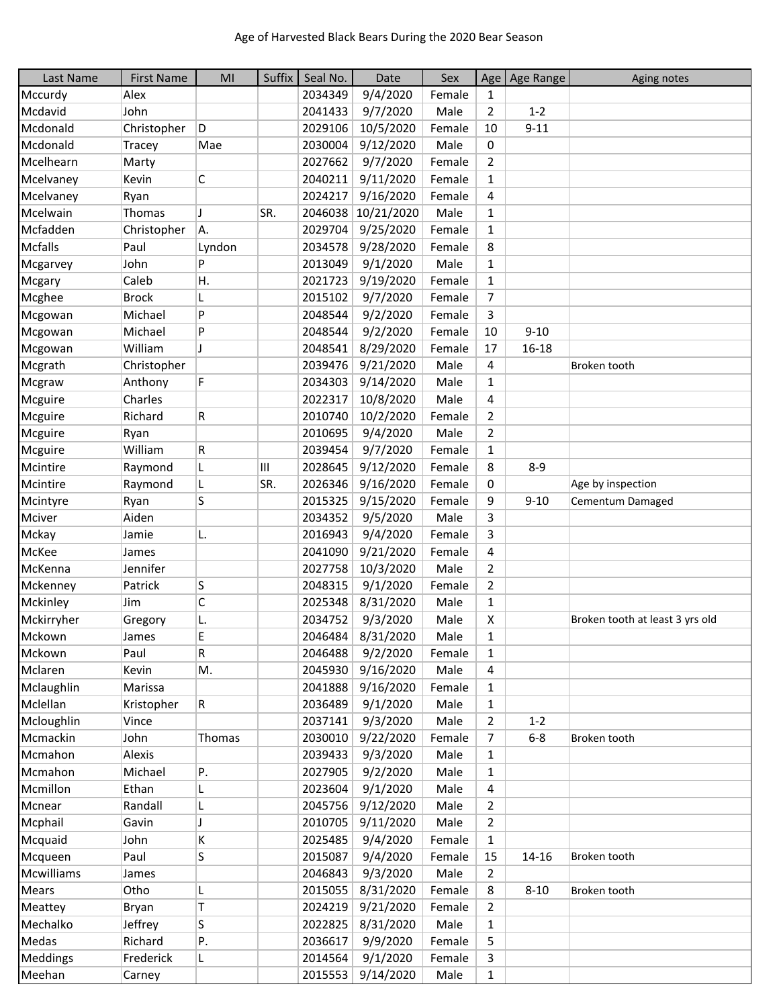| Last Name       | <b>First Name</b> | MI     | Suffix | Seal No. | Date              | Sex    |                | Age   Age Range | Aging notes                     |
|-----------------|-------------------|--------|--------|----------|-------------------|--------|----------------|-----------------|---------------------------------|
| Mccurdy         | Alex              |        |        | 2034349  | 9/4/2020          | Female | $\mathbf{1}$   |                 |                                 |
| Mcdavid         | John              |        |        | 2041433  | 9/7/2020          | Male   | $\overline{2}$ | $1 - 2$         |                                 |
| Mcdonald        | Christopher       | D      |        | 2029106  | 10/5/2020         | Female | 10             | $9 - 11$        |                                 |
| Mcdonald        | Tracey            | Mae    |        | 2030004  | 9/12/2020         | Male   | 0              |                 |                                 |
| Mcelhearn       | Marty             |        |        | 2027662  | 9/7/2020          | Female | $\overline{2}$ |                 |                                 |
| Mcelvaney       | Kevin             | C      |        | 2040211  | 9/11/2020         | Female | $\mathbf{1}$   |                 |                                 |
| Mcelvaney       | Ryan              |        |        | 2024217  | 9/16/2020         | Female | 4              |                 |                                 |
| Mcelwain        | Thomas            | J      | SR.    | 2046038  | 10/21/2020        | Male   | $\mathbf{1}$   |                 |                                 |
| Mcfadden        | Christopher       | A.     |        | 2029704  | 9/25/2020         | Female | $\mathbf{1}$   |                 |                                 |
| Mcfalls         | Paul              | Lyndon |        | 2034578  | 9/28/2020         | Female | 8              |                 |                                 |
| Mcgarvey        | John              | P      |        | 2013049  | 9/1/2020          | Male   | $\mathbf{1}$   |                 |                                 |
| Mcgary          | Caleb             | Η.     |        | 2021723  | 9/19/2020         | Female | $\mathbf{1}$   |                 |                                 |
| Mcghee          | <b>Brock</b>      | L      |        | 2015102  | 9/7/2020          | Female | $\overline{7}$ |                 |                                 |
| Mcgowan         | Michael           | P      |        | 2048544  | 9/2/2020          | Female | 3              |                 |                                 |
| Mcgowan         | Michael           | P      |        | 2048544  | 9/2/2020          | Female | 10             | $9 - 10$        |                                 |
| Mcgowan         | William           | J      |        | 2048541  | 8/29/2020         | Female | 17             | $16 - 18$       |                                 |
| Mcgrath         | Christopher       |        |        | 2039476  | 9/21/2020         | Male   | 4              |                 | Broken tooth                    |
| Mcgraw          | Anthony           | F      |        | 2034303  | 9/14/2020         | Male   | $\mathbf{1}$   |                 |                                 |
| Mcguire         | Charles           |        |        | 2022317  | 10/8/2020         | Male   | 4              |                 |                                 |
| Mcguire         | Richard           | R      |        | 2010740  | 10/2/2020         | Female | $\overline{2}$ |                 |                                 |
| Mcguire         | Ryan              |        |        | 2010695  | 9/4/2020          | Male   | $\overline{2}$ |                 |                                 |
| Mcguire         | William           | R      |        | 2039454  | 9/7/2020          | Female | $\mathbf{1}$   |                 |                                 |
| Mcintire        | Raymond           | L      | Ш      | 2028645  | 9/12/2020         | Female | 8              | $8 - 9$         |                                 |
| Mcintire        | Raymond           | L      | SR.    | 2026346  | 9/16/2020         | Female | 0              |                 | Age by inspection               |
| Mcintyre        | Ryan              | S      |        | 2015325  | 9/15/2020         | Female | 9              | $9 - 10$        | Cementum Damaged                |
| Mciver          | Aiden             |        |        | 2034352  | 9/5/2020          | Male   | 3              |                 |                                 |
| Mckay           | Jamie             | L.     |        | 2016943  | 9/4/2020          | Female | 3              |                 |                                 |
| McKee           | James             |        |        | 2041090  | 9/21/2020         | Female | 4              |                 |                                 |
| McKenna         | Jennifer          |        |        | 2027758  | 10/3/2020         | Male   | $\overline{2}$ |                 |                                 |
| Mckenney        | Patrick           | S      |        | 2048315  | 9/1/2020          | Female | $\overline{2}$ |                 |                                 |
| Mckinley        | Jim               | C      |        | 2025348  | 8/31/2020         | Male   | $\mathbf{1}$   |                 |                                 |
| Mckirryher      | Gregory           | L.     |        | 2034752  | 9/3/2020          | Male   | X              |                 | Broken tooth at least 3 yrs old |
| Mckown          | James             | E      |        | 2046484  | 8/31/2020         | Male   | 1              |                 |                                 |
| Mckown          | Paul              | R      |        | 2046488  | 9/2/2020          | Female | 1              |                 |                                 |
| Mclaren         | Kevin             | M.     |        | 2045930  | 9/16/2020         | Male   | 4              |                 |                                 |
| Mclaughlin      | Marissa           |        |        | 2041888  | 9/16/2020         | Female | $\mathbf{1}$   |                 |                                 |
| Mclellan        | Kristopher        | R      |        | 2036489  | 9/1/2020          | Male   | 1              |                 |                                 |
| Mcloughlin      | Vince             |        |        | 2037141  | 9/3/2020          | Male   | $\overline{2}$ | $1 - 2$         |                                 |
| Mcmackin        | John              | Thomas |        | 2030010  | 9/22/2020         | Female | 7              | $6 - 8$         | Broken tooth                    |
| Mcmahon         | Alexis            |        |        | 2039433  | 9/3/2020          | Male   | $\mathbf{1}$   |                 |                                 |
| Mcmahon         | Michael           | Ρ.     |        | 2027905  | 9/2/2020          | Male   | $\mathbf{1}$   |                 |                                 |
| Mcmillon        | Ethan             | L.     |        | 2023604  | 9/1/2020          | Male   | 4              |                 |                                 |
| Mcnear          | Randall           | L      |        | 2045756  | 9/12/2020         | Male   | $\overline{2}$ |                 |                                 |
| Mcphail         | Gavin             | J      |        | 2010705  | 9/11/2020         | Male   | $\overline{2}$ |                 |                                 |
| Mcquaid         | John              | K      |        | 2025485  | 9/4/2020          | Female | $\mathbf{1}$   |                 |                                 |
| Mcqueen         | Paul              | S      |        | 2015087  | 9/4/2020          | Female | 15             | $14 - 16$       | Broken tooth                    |
| Mcwilliams      | James             |        |        | 2046843  | 9/3/2020          | Male   | $\overline{2}$ |                 |                                 |
| <b>Mears</b>    | Otho              | L      |        | 2015055  | 8/31/2020         | Female | 8              | $8 - 10$        | Broken tooth                    |
| Meattey         | Bryan             | T      |        | 2024219  | 9/21/2020         | Female | $\overline{2}$ |                 |                                 |
| Mechalko        | Jeffrey           | S      |        | 2022825  | 8/31/2020         | Male   | $\mathbf{1}$   |                 |                                 |
| Medas           | Richard           | Ρ.     |        | 2036617  | 9/9/2020          | Female | 5              |                 |                                 |
| <b>Meddings</b> | Frederick         | L      |        | 2014564  | 9/1/2020          | Female | 3              |                 |                                 |
| Meehan          | Carney            |        |        |          | 2015553 9/14/2020 | Male   | $\mathbf{1}$   |                 |                                 |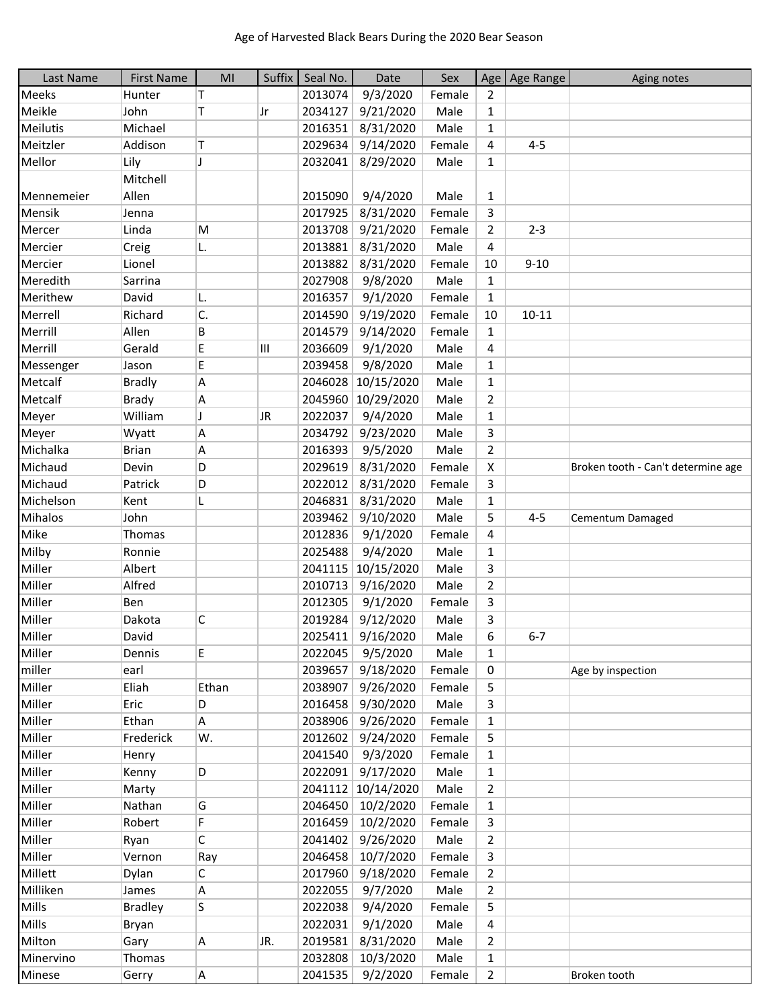| Last Name    | <b>First Name</b> | MI    | Suffix | Seal No. | Date               | Sex    |                | Age   Age Range | Aging notes                        |
|--------------|-------------------|-------|--------|----------|--------------------|--------|----------------|-----------------|------------------------------------|
| <b>Meeks</b> | Hunter            | т     |        | 2013074  | 9/3/2020           | Female | $\overline{2}$ |                 |                                    |
| Meikle       | John              | т     | Jr     | 2034127  | 9/21/2020          | Male   | $\mathbf{1}$   |                 |                                    |
| Meilutis     | Michael           |       |        | 2016351  | 8/31/2020          | Male   | $\mathbf{1}$   |                 |                                    |
| Meitzler     | Addison           | т     |        | 2029634  | 9/14/2020          | Female | 4              | $4 - 5$         |                                    |
| Mellor       | Lily              | J     |        | 2032041  | 8/29/2020          | Male   | $\mathbf{1}$   |                 |                                    |
|              | Mitchell          |       |        |          |                    |        |                |                 |                                    |
| Mennemeier   | Allen             |       |        | 2015090  | 9/4/2020           | Male   | $\mathbf{1}$   |                 |                                    |
| Mensik       | Jenna             |       |        | 2017925  | 8/31/2020          | Female | 3              |                 |                                    |
| Mercer       | Linda             | M     |        | 2013708  | 9/21/2020          | Female | $\overline{2}$ | $2 - 3$         |                                    |
| Mercier      | Creig             | L.    |        | 2013881  | 8/31/2020          | Male   | 4              |                 |                                    |
| Mercier      | Lionel            |       |        | 2013882  | 8/31/2020          | Female | 10             | $9 - 10$        |                                    |
| Meredith     | Sarrina           |       |        | 2027908  | 9/8/2020           | Male   | $\mathbf{1}$   |                 |                                    |
| Merithew     | David             | L.    |        | 2016357  | 9/1/2020           | Female | $\mathbf{1}$   |                 |                                    |
| Merrell      | Richard           | C.    |        | 2014590  | 9/19/2020          | Female | 10             | $10 - 11$       |                                    |
| Merrill      | Allen             | В     |        | 2014579  | 9/14/2020          | Female | $\mathbf{1}$   |                 |                                    |
| Merrill      | Gerald            | E     | III    | 2036609  | 9/1/2020           | Male   | 4              |                 |                                    |
| Messenger    | Jason             | E     |        | 2039458  | 9/8/2020           | Male   | $\mathbf{1}$   |                 |                                    |
| Metcalf      | <b>Bradly</b>     | Α     |        |          | 2046028 10/15/2020 | Male   | $\mathbf{1}$   |                 |                                    |
| Metcalf      | <b>Brady</b>      | Α     |        | 2045960  | 10/29/2020         | Male   | $\overline{2}$ |                 |                                    |
| Meyer        | William           | IJ    | JR     | 2022037  | 9/4/2020           | Male   | $\mathbf{1}$   |                 |                                    |
| Meyer        | Wyatt             | Α     |        | 2034792  | 9/23/2020          | Male   | 3              |                 |                                    |
| Michalka     | <b>Brian</b>      | Α     |        | 2016393  | 9/5/2020           | Male   | $\overline{2}$ |                 |                                    |
| Michaud      | Devin             | D     |        | 2029619  | 8/31/2020          | Female | X              |                 | Broken tooth - Can't determine age |
| Michaud      | Patrick           | D     |        | 2022012  | 8/31/2020          | Female | 3              |                 |                                    |
| Michelson    | Kent              | L     |        | 2046831  | 8/31/2020          | Male   | $\mathbf{1}$   |                 |                                    |
| Mihalos      | John              |       |        | 2039462  | 9/10/2020          | Male   | 5              | $4 - 5$         | Cementum Damaged                   |
| Mike         | Thomas            |       |        | 2012836  | 9/1/2020           | Female | 4              |                 |                                    |
| Milby        | Ronnie            |       |        | 2025488  | 9/4/2020           | Male   | $\mathbf{1}$   |                 |                                    |
| Miller       | Albert            |       |        | 2041115  | 10/15/2020         | Male   | 3              |                 |                                    |
| Miller       | Alfred            |       |        | 2010713  | 9/16/2020          | Male   | $\overline{2}$ |                 |                                    |
| Miller       | Ben               |       |        | 2012305  | 9/1/2020           | Female | 3              |                 |                                    |
| Miller       | Dakota            | C     |        | 2019284  | 9/12/2020          | Male   | 3              |                 |                                    |
| Miller       | David             |       |        | 2025411  | 9/16/2020          | Male   | 6              | $6 - 7$         |                                    |
| Miller       | Dennis            | E.    |        | 2022045  | 9/5/2020           | Male   | $\mathbf{1}$   |                 |                                    |
| miller       | earl              |       |        | 2039657  | 9/18/2020          | Female | 0              |                 | Age by inspection                  |
| Miller       | Eliah             | Ethan |        | 2038907  | 9/26/2020          | Female | 5              |                 |                                    |
| Miller       | Eric              | D     |        | 2016458  | 9/30/2020          | Male   | 3              |                 |                                    |
| Miller       | Ethan             | A     |        | 2038906  | 9/26/2020          | Female | $\mathbf{1}$   |                 |                                    |
| Miller       | Frederick         | W.    |        | 2012602  | 9/24/2020          | Female | 5              |                 |                                    |
| Miller       | Henry             |       |        |          | 2041540 9/3/2020   | Female | $\mathbf{1}$   |                 |                                    |
| Miller       | Kenny             | D     |        | 2022091  | 9/17/2020          | Male   | $\mathbf{1}$   |                 |                                    |
| Miller       | Marty             |       |        |          | 2041112 10/14/2020 | Male   | $\overline{2}$ |                 |                                    |
| Miller       | Nathan            | G     |        | 2046450  | 10/2/2020          | Female | 1              |                 |                                    |
| Miller       | Robert            | F     |        | 2016459  | 10/2/2020          | Female | 3              |                 |                                    |
| Miller       | Ryan              | C     |        | 2041402  | 9/26/2020          | Male   | $\overline{2}$ |                 |                                    |
| Miller       | Vernon            | Ray   |        | 2046458  | 10/7/2020          | Female | 3              |                 |                                    |
| Millett      | Dylan             | С     |        | 2017960  | 9/18/2020          | Female | $\overline{2}$ |                 |                                    |
| Milliken     | James             | Α     |        | 2022055  | 9/7/2020           | Male   | $\overline{2}$ |                 |                                    |
| Mills        | <b>Bradley</b>    | S.    |        | 2022038  | 9/4/2020           | Female | 5              |                 |                                    |
| Mills        | Bryan             |       |        | 2022031  | 9/1/2020           | Male   | $\overline{a}$ |                 |                                    |
| Milton       | Gary              | A     | JR.    | 2019581  | 8/31/2020          | Male   | $\overline{2}$ |                 |                                    |
| Minervino    | Thomas            |       |        | 2032808  | 10/3/2020          | Male   | $\mathbf{1}$   |                 |                                    |
| Minese       | Gerry             | A     |        | 2041535  | 9/2/2020           | Female | $\overline{2}$ |                 | Broken tooth                       |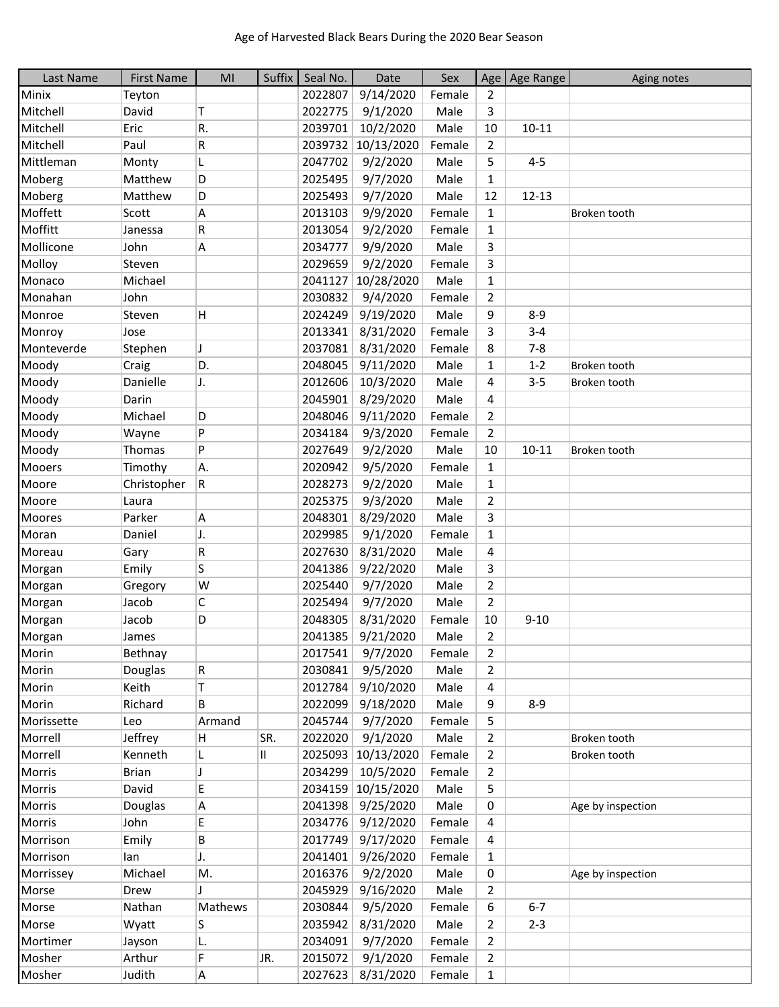| Last Name       | <b>First Name</b> | MI      | Suffix | Seal No. | Date              | Sex    |                | Age   Age Range | Aging notes       |
|-----------------|-------------------|---------|--------|----------|-------------------|--------|----------------|-----------------|-------------------|
| Minix           | Teyton            |         |        | 2022807  | 9/14/2020         | Female | 2              |                 |                   |
| Mitchell        | David             | т       |        | 2022775  | 9/1/2020          | Male   | 3              |                 |                   |
| Mitchell        | Eric              | R.      |        | 2039701  | 10/2/2020         | Male   | 10             | $10 - 11$       |                   |
| Mitchell        | Paul              | R       |        | 2039732  | 10/13/2020        | Female | $\overline{2}$ |                 |                   |
| Mittleman       | Monty             | L       |        | 2047702  | 9/2/2020          | Male   | 5              | $4 - 5$         |                   |
| Moberg          | Matthew           | D       |        | 2025495  | 9/7/2020          | Male   | $\mathbf{1}$   |                 |                   |
| Moberg          | Matthew           | D       |        | 2025493  | 9/7/2020          | Male   | 12             | $12 - 13$       |                   |
| Moffett         | Scott             | Α       |        | 2013103  | 9/9/2020          | Female | $\mathbf{1}$   |                 | Broken tooth      |
| Moffitt         | Janessa           | R       |        | 2013054  | 9/2/2020          | Female | 1              |                 |                   |
| Mollicone       | John              | Α       |        | 2034777  | 9/9/2020          | Male   | 3              |                 |                   |
| Molloy          | Steven            |         |        | 2029659  | 9/2/2020          | Female | 3              |                 |                   |
| Monaco          | Michael           |         |        | 2041127  | 10/28/2020        | Male   | $\mathbf{1}$   |                 |                   |
| Monahan         | John              |         |        | 2030832  | 9/4/2020          | Female | $\overline{2}$ |                 |                   |
| Monroe          | Steven            | H.      |        | 2024249  | 9/19/2020         | Male   | 9              | $8 - 9$         |                   |
| Monroy          | Jose              |         |        | 2013341  | 8/31/2020         | Female | 3              | $3 - 4$         |                   |
| Monteverde      | Stephen           | J       |        | 2037081  | 8/31/2020         | Female | 8              | $7 - 8$         |                   |
| Moody           | Craig             | D.      |        | 2048045  | 9/11/2020         | Male   | 1              | $1 - 2$         | Broken tooth      |
| Moody           | Danielle          | J.      |        | 2012606  | 10/3/2020         | Male   | 4              | $3 - 5$         | Broken tooth      |
| Moody           | Darin             |         |        | 2045901  | 8/29/2020         | Male   | 4              |                 |                   |
| Moody           | Michael           | D       |        | 2048046  | 9/11/2020         | Female | $\overline{2}$ |                 |                   |
| Moody           | Wayne             | P       |        | 2034184  | 9/3/2020          | Female | $\overline{2}$ |                 |                   |
| Moody           | Thomas            | P       |        | 2027649  | 9/2/2020          | Male   | 10             | $10 - 11$       | Broken tooth      |
| Mooers          | Timothy           | A.      |        | 2020942  | 9/5/2020          | Female | $\mathbf{1}$   |                 |                   |
| Moore           | Christopher       | R       |        | 2028273  | 9/2/2020          | Male   | $\mathbf{1}$   |                 |                   |
| Moore           | Laura             |         |        | 2025375  | 9/3/2020          | Male   | $\overline{2}$ |                 |                   |
| Moores          | Parker            | Α       |        | 2048301  | 8/29/2020         | Male   | 3              |                 |                   |
| Moran           | Daniel            | J.      |        | 2029985  | 9/1/2020          | Female | $\mathbf{1}$   |                 |                   |
| Moreau          | Gary              | R       |        | 2027630  | 8/31/2020         | Male   | 4              |                 |                   |
| Morgan          | Emily             | S       |        | 2041386  | 9/22/2020         | Male   | 3              |                 |                   |
| Morgan          | Gregory           | W       |        | 2025440  | 9/7/2020          | Male   | $\overline{2}$ |                 |                   |
| Morgan          | Jacob             | C       |        | 2025494  | 9/7/2020          | Male   | $\overline{2}$ |                 |                   |
| Morgan          | Jacob             | D       |        | 2048305  | 8/31/2020         | Female | 10             | $9 - 10$        |                   |
|                 |                   |         |        | 2041385  | 9/21/2020         | Male   | 2              |                 |                   |
| Morgan<br>Morin | James<br>Bethnay  |         |        | 2017541  | 9/7/2020          |        | 2              |                 |                   |
|                 |                   |         |        | 2030841  |                   | Female |                |                 |                   |
| Morin           | Douglas           | R       |        |          | 9/5/2020          | Male   | $\overline{2}$ |                 |                   |
| Morin           | Keith             | T       |        | 2012784  | 9/10/2020         | Male   | 4              |                 |                   |
| Morin           | Richard           | В       |        | 2022099  | 9/18/2020         | Male   | 9              | $8 - 9$         |                   |
| Morissette      | Leo               | Armand  |        | 2045744  | 9/7/2020          | Female | 5              |                 |                   |
| Morrell         | Jeffrey           | H       | SR.    | 2022020  | 9/1/2020          | Male   | $\overline{2}$ |                 | Broken tooth      |
| Morrell         | Kenneth           | L       | Ш.     | 2025093  | 10/13/2020        | Female | $\overline{2}$ |                 | Broken tooth      |
| Morris          | <b>Brian</b>      | J       |        | 2034299  | 10/5/2020         | Female | 2              |                 |                   |
| Morris          | David             | Е       |        | 2034159  | 10/15/2020        | Male   | 5              |                 |                   |
| Morris          | Douglas           | Α       |        | 2041398  | 9/25/2020         | Male   | 0              |                 | Age by inspection |
| Morris          | John              | E.      |        | 2034776  | 9/12/2020         | Female | 4              |                 |                   |
| Morrison        | Emily             | В       |        | 2017749  | 9/17/2020         | Female | 4              |                 |                   |
| Morrison        | lan               | J.      |        | 2041401  | 9/26/2020         | Female | $\mathbf{1}$   |                 |                   |
| Morrissey       | Michael           | M.      |        | 2016376  | 9/2/2020          | Male   | 0              |                 | Age by inspection |
| Morse           | Drew              |         |        | 2045929  | 9/16/2020         | Male   | $\overline{2}$ |                 |                   |
| Morse           | Nathan            | Mathews |        | 2030844  | 9/5/2020          | Female | 6              | $6 - 7$         |                   |
| Morse           | Wyatt             | S       |        | 2035942  | 8/31/2020         | Male   | 2              | $2 - 3$         |                   |
| Mortimer        | Jayson            | L.      |        | 2034091  | 9/7/2020          | Female | $\overline{2}$ |                 |                   |
| Mosher          | Arthur            | F       | JR.    | 2015072  | 9/1/2020          | Female | $\overline{2}$ |                 |                   |
| Mosher          | Judith            | А       |        |          | 2027623 8/31/2020 | Female | $\mathbf{1}$   |                 |                   |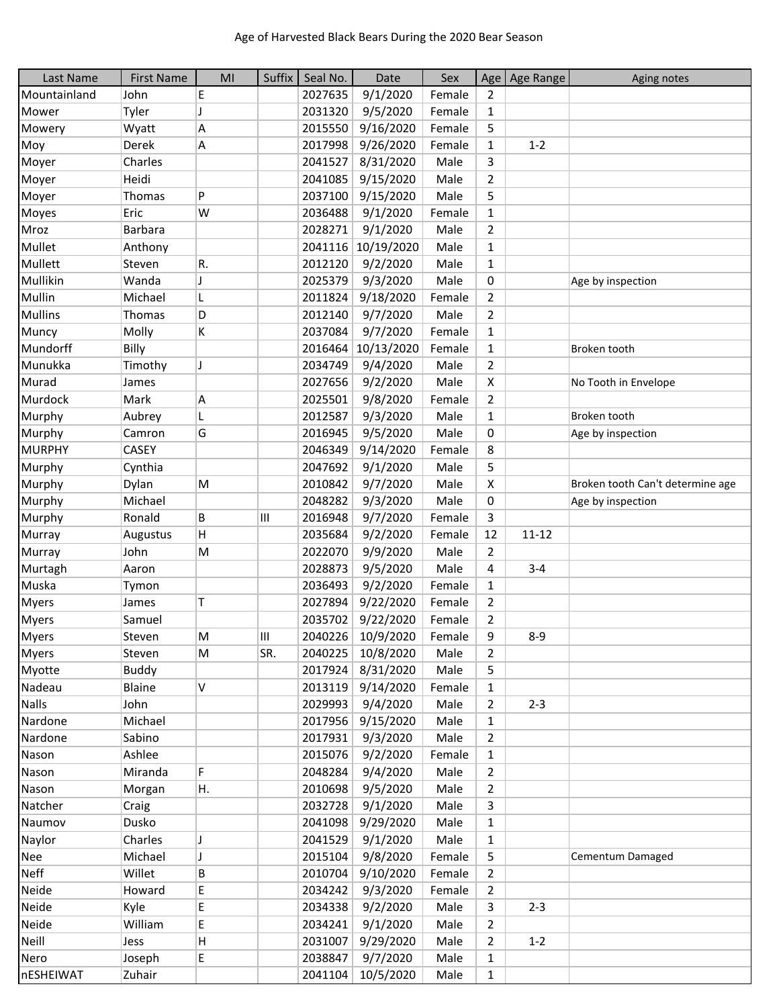| Last Name      | <b>First Name</b> | MI | Suffix | Seal No. | Date       | Sex    |                | Age   Age Range | Aging notes                      |
|----------------|-------------------|----|--------|----------|------------|--------|----------------|-----------------|----------------------------------|
| Mountainland   | John              | E  |        | 2027635  | 9/1/2020   | Female | 2              |                 |                                  |
| Mower          | Tyler             | J  |        | 2031320  | 9/5/2020   | Female | 1              |                 |                                  |
| Mowery         | Wyatt             | А  |        | 2015550  | 9/16/2020  | Female | 5              |                 |                                  |
| Moy            | Derek             | А  |        | 2017998  | 9/26/2020  | Female | $\mathbf{1}$   | $1 - 2$         |                                  |
| Moyer          | Charles           |    |        | 2041527  | 8/31/2020  | Male   | 3              |                 |                                  |
| Moyer          | Heidi             |    |        | 2041085  | 9/15/2020  | Male   | 2              |                 |                                  |
| Moyer          | Thomas            | P  |        | 2037100  | 9/15/2020  | Male   | 5              |                 |                                  |
| Moyes          | Eric              | W  |        | 2036488  | 9/1/2020   | Female | $\mathbf{1}$   |                 |                                  |
| Mroz           | <b>Barbara</b>    |    |        | 2028271  | 9/1/2020   | Male   | 2              |                 |                                  |
| Mullet         | Anthony           |    |        | 2041116  | 10/19/2020 | Male   | $\mathbf{1}$   |                 |                                  |
| Mullett        | Steven            | R. |        | 2012120  | 9/2/2020   | Male   | $\mathbf{1}$   |                 |                                  |
| Mullikin       | Wanda             | J  |        | 2025379  | 9/3/2020   | Male   | 0              |                 | Age by inspection                |
| Mullin         | Michael           | L  |        | 2011824  | 9/18/2020  | Female | 2              |                 |                                  |
| <b>Mullins</b> | Thomas            | D  |        | 2012140  | 9/7/2020   | Male   | 2              |                 |                                  |
| Muncy          | Molly             | K  |        | 2037084  | 9/7/2020   | Female | $\mathbf{1}$   |                 |                                  |
| Mundorff       | Billy             |    |        | 2016464  | 10/13/2020 | Female | $\mathbf{1}$   |                 | Broken tooth                     |
| Munukka        | Timothy           | J  |        | 2034749  | 9/4/2020   | Male   | $\overline{2}$ |                 |                                  |
| Murad          | James             |    |        | 2027656  | 9/2/2020   | Male   | X              |                 | No Tooth in Envelope             |
| Murdock        | Mark              | А  |        | 2025501  | 9/8/2020   | Female | 2              |                 |                                  |
| Murphy         | Aubrey            | L  |        | 2012587  | 9/3/2020   | Male   | $\mathbf{1}$   |                 | Broken tooth                     |
| Murphy         | Camron            | G  |        | 2016945  | 9/5/2020   | Male   | 0              |                 | Age by inspection                |
| <b>MURPHY</b>  | <b>CASEY</b>      |    |        | 2046349  | 9/14/2020  | Female | 8              |                 |                                  |
| Murphy         | Cynthia           |    |        | 2047692  | 9/1/2020   | Male   | 5              |                 |                                  |
| Murphy         | Dylan             | M  |        | 2010842  | 9/7/2020   | Male   | X              |                 | Broken tooth Can't determine age |
| Murphy         | Michael           |    |        | 2048282  | 9/3/2020   | Male   | 0              |                 | Age by inspection                |
| Murphy         | Ronald            | B  | Ш      | 2016948  | 9/7/2020   | Female | 3              |                 |                                  |
| Murray         | Augustus          | H  |        | 2035684  | 9/2/2020   | Female | 12             | $11 - 12$       |                                  |
| Murray         | John              | M  |        | 2022070  | 9/9/2020   | Male   | $\overline{2}$ |                 |                                  |
| Murtagh        | Aaron             |    |        | 2028873  | 9/5/2020   | Male   | 4              | $3 - 4$         |                                  |
| Muska          | Tymon             |    |        | 2036493  | 9/2/2020   | Female | $\mathbf{1}$   |                 |                                  |
| <b>Myers</b>   | James             | T  |        | 2027894  | 9/22/2020  | Female | 2              |                 |                                  |
| <b>Myers</b>   | Samuel            |    |        | 2035702  | 9/22/2020  | Female | 2              |                 |                                  |
| <b>Myers</b>   | Steven            | M  | Ш      | 2040226  | 10/9/2020  | Female | 9              | $8 - 9$         |                                  |
| <b>Myers</b>   | Steven            | M  | SR.    | 2040225  | 10/8/2020  | Male   | 2              |                 |                                  |
| Myotte         | <b>Buddy</b>      |    |        | 2017924  | 8/31/2020  | Male   | 5              |                 |                                  |
| Nadeau         | Blaine            | V  |        | 2013119  | 9/14/2020  | Female | $\mathbf{1}$   |                 |                                  |
| <b>Nalls</b>   | John              |    |        | 2029993  | 9/4/2020   | Male   | $\overline{2}$ | $2 - 3$         |                                  |
| Nardone        | Michael           |    |        | 2017956  | 9/15/2020  | Male   | $\mathbf{1}$   |                 |                                  |
| Nardone        | Sabino            |    |        | 2017931  | 9/3/2020   | Male   | $\overline{2}$ |                 |                                  |
| Nason          | Ashlee            |    |        | 2015076  | 9/2/2020   | Female | $\mathbf{1}$   |                 |                                  |
| Nason          | Miranda           | F  |        | 2048284  | 9/4/2020   | Male   | $\overline{2}$ |                 |                                  |
| Nason          | Morgan            | Η. |        | 2010698  | 9/5/2020   | Male   | 2              |                 |                                  |
| Natcher        | Craig             |    |        | 2032728  | 9/1/2020   | Male   | 3              |                 |                                  |
| Naumov         | Dusko             |    |        | 2041098  | 9/29/2020  | Male   | $\mathbf{1}$   |                 |                                  |
| Naylor         | Charles           | J  |        | 2041529  | 9/1/2020   | Male   | $\mathbf{1}$   |                 |                                  |
| <b>Nee</b>     | Michael           | J  |        | 2015104  | 9/8/2020   | Female | 5              |                 | Cementum Damaged                 |
| <b>Neff</b>    | Willet            | В  |        | 2010704  | 9/10/2020  | Female | 2              |                 |                                  |
| Neide          | Howard            | E  |        | 2034242  | 9/3/2020   | Female | $\overline{2}$ |                 |                                  |
| Neide          | Kyle              | E. |        | 2034338  | 9/2/2020   | Male   | 3              | $2 - 3$         |                                  |
| Neide          | William           | E  |        | 2034241  | 9/1/2020   | Male   | $\overline{2}$ |                 |                                  |
| Neill          | Jess              | H  |        | 2031007  | 9/29/2020  | Male   | 2              | $1 - 2$         |                                  |
| Nero           | Joseph            | E  |        | 2038847  | 9/7/2020   | Male   | $\mathbf{1}$   |                 |                                  |
| nESHEIWAT      | Zuhair            |    |        | 2041104  | 10/5/2020  | Male   | $\mathbf{1}$   |                 |                                  |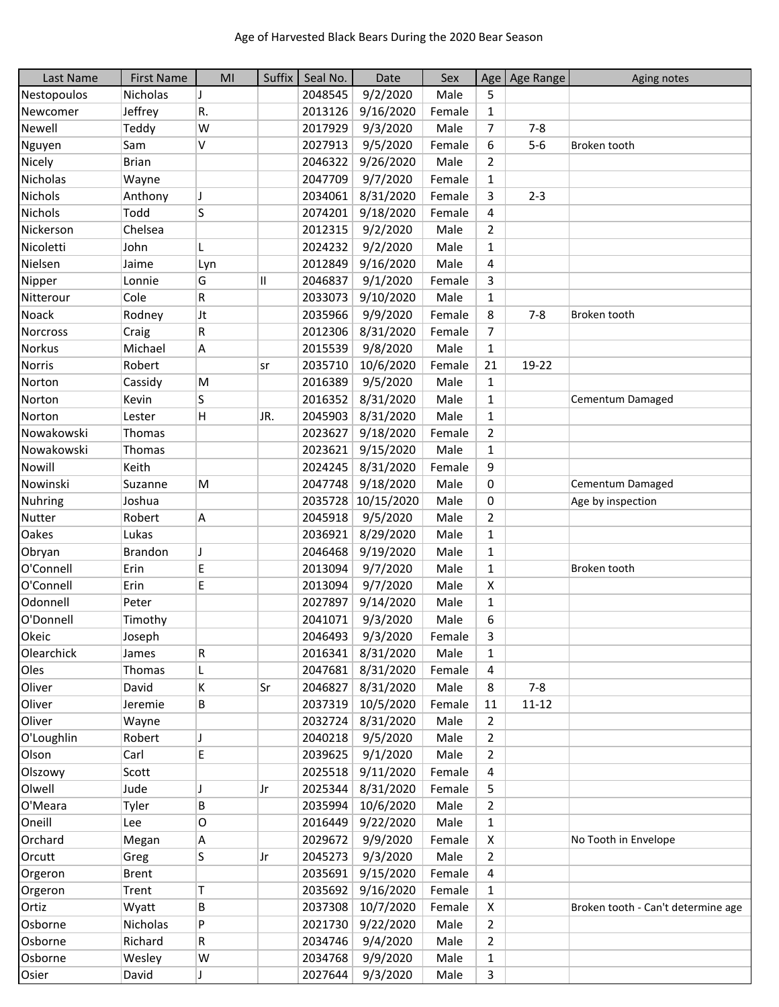| Last Name       | <b>First Name</b> | MI  | Suffix | Seal No. | Date       | Sex    |                | Age   Age Range | Aging notes                        |
|-----------------|-------------------|-----|--------|----------|------------|--------|----------------|-----------------|------------------------------------|
| Nestopoulos     | Nicholas          | J   |        | 2048545  | 9/2/2020   | Male   | 5              |                 |                                    |
| Newcomer        | Jeffrey           | R.  |        | 2013126  | 9/16/2020  | Female | 1              |                 |                                    |
| Newell          | Teddy             | W   |        | 2017929  | 9/3/2020   | Male   | 7              | $7 - 8$         |                                    |
| Nguyen          | Sam               | V   |        | 2027913  | 9/5/2020   | Female | 6              | $5-6$           | Broken tooth                       |
| Nicely          | <b>Brian</b>      |     |        | 2046322  | 9/26/2020  | Male   | $\overline{2}$ |                 |                                    |
| Nicholas        | Wayne             |     |        | 2047709  | 9/7/2020   | Female | $\mathbf{1}$   |                 |                                    |
| <b>Nichols</b>  | Anthony           | J   |        | 2034061  | 8/31/2020  | Female | 3              | $2 - 3$         |                                    |
| <b>Nichols</b>  | Todd              | S   |        | 2074201  | 9/18/2020  | Female | 4              |                 |                                    |
| Nickerson       | Chelsea           |     |        | 2012315  | 9/2/2020   | Male   | $\overline{2}$ |                 |                                    |
| Nicoletti       | John              | L   |        | 2024232  | 9/2/2020   | Male   | $\mathbf{1}$   |                 |                                    |
| Nielsen         | Jaime             | Lyn |        | 2012849  | 9/16/2020  | Male   | 4              |                 |                                    |
| Nipper          | Lonnie            | G   | II     | 2046837  | 9/1/2020   | Female | 3              |                 |                                    |
| Nitterour       | Cole              | R   |        | 2033073  | 9/10/2020  | Male   | $\mathbf{1}$   |                 |                                    |
| Noack           | Rodney            | Jt  |        | 2035966  | 9/9/2020   | Female | 8              | $7 - 8$         | Broken tooth                       |
| <b>Norcross</b> | Craig             | R   |        | 2012306  | 8/31/2020  | Female | 7              |                 |                                    |
| <b>Norkus</b>   | Michael           | А   |        | 2015539  | 9/8/2020   | Male   | $\mathbf{1}$   |                 |                                    |
| <b>Norris</b>   | Robert            |     | sr     | 2035710  | 10/6/2020  | Female | 21             | 19-22           |                                    |
| Norton          | Cassidy           | M   |        | 2016389  | 9/5/2020   | Male   | $\mathbf{1}$   |                 |                                    |
| Norton          | Kevin             | S   |        | 2016352  | 8/31/2020  | Male   | $\mathbf{1}$   |                 | Cementum Damaged                   |
| Norton          | Lester            | H   | JR.    | 2045903  | 8/31/2020  | Male   | $\mathbf{1}$   |                 |                                    |
| Nowakowski      | Thomas            |     |        | 2023627  | 9/18/2020  | Female | $\overline{2}$ |                 |                                    |
| Nowakowski      | Thomas            |     |        | 2023621  | 9/15/2020  | Male   | $\mathbf{1}$   |                 |                                    |
| Nowill          | Keith             |     |        | 2024245  | 8/31/2020  | Female | 9              |                 |                                    |
| Nowinski        | Suzanne           | M   |        | 2047748  | 9/18/2020  | Male   | 0              |                 | Cementum Damaged                   |
| <b>Nuhring</b>  | Joshua            |     |        | 2035728  | 10/15/2020 | Male   | 0              |                 | Age by inspection                  |
| <b>Nutter</b>   | Robert            | Α   |        | 2045918  | 9/5/2020   | Male   | $\overline{2}$ |                 |                                    |
| Oakes           | Lukas             |     |        | 2036921  | 8/29/2020  | Male   | $\mathbf{1}$   |                 |                                    |
| Obryan          | Brandon           | J   |        | 2046468  | 9/19/2020  | Male   | $\mathbf{1}$   |                 |                                    |
| O'Connell       | Erin              | E   |        | 2013094  | 9/7/2020   | Male   | $\mathbf{1}$   |                 | Broken tooth                       |
| O'Connell       | Erin              | E   |        | 2013094  | 9/7/2020   | Male   | X              |                 |                                    |
| Odonnell        | Peter             |     |        | 2027897  | 9/14/2020  | Male   | $\mathbf{1}$   |                 |                                    |
| O'Donnell       | Timothy           |     |        | 2041071  | 9/3/2020   | Male   | 6              |                 |                                    |
| Okeic           | Joseph            |     |        | 2046493  | 9/3/2020   | Female | 3              |                 |                                    |
| Olearchick      | James             | R   |        | 2016341  | 8/31/2020  | Male   | $\mathbf{1}$   |                 |                                    |
| Oles            | Thomas            | L   |        | 2047681  | 8/31/2020  | Female | 4              |                 |                                    |
| Oliver          | David             | K   | Sr     | 2046827  | 8/31/2020  | Male   | 8              | $7 - 8$         |                                    |
| Oliver          | Jeremie           | В   |        | 2037319  | 10/5/2020  | Female | 11             | $11 - 12$       |                                    |
| Oliver          | Wayne             |     |        | 2032724  | 8/31/2020  | Male   | 2              |                 |                                    |
| O'Loughlin      | Robert            | J   |        | 2040218  | 9/5/2020   | Male   | $\overline{2}$ |                 |                                    |
| Olson           | Carl              | E   |        | 2039625  | 9/1/2020   | Male   | 2              |                 |                                    |
| Olszowy         | Scott             |     |        | 2025518  | 9/11/2020  | Female | 4              |                 |                                    |
| Olwell          | Jude              | J   | Jr     | 2025344  | 8/31/2020  | Female | 5              |                 |                                    |
| O'Meara         | Tyler             | В   |        | 2035994  | 10/6/2020  | Male   | $\overline{2}$ |                 |                                    |
| Oneill          | Lee               | 0   |        | 2016449  | 9/22/2020  | Male   | $\mathbf{1}$   |                 |                                    |
| Orchard         | Megan             | А   |        | 2029672  | 9/9/2020   | Female | X              |                 | No Tooth in Envelope               |
| Orcutt          | Greg              | S   | Jr     | 2045273  | 9/3/2020   | Male   | $\overline{2}$ |                 |                                    |
| Orgeron         | <b>Brent</b>      |     |        | 2035691  | 9/15/2020  | Female | 4              |                 |                                    |
| Orgeron         | Trent             | T   |        | 2035692  | 9/16/2020  | Female | $\mathbf{1}$   |                 |                                    |
| Ortiz           | Wyatt             | В   |        | 2037308  | 10/7/2020  | Female | X              |                 | Broken tooth - Can't determine age |
| Osborne         | Nicholas          | P   |        | 2021730  | 9/22/2020  | Male   | $\overline{2}$ |                 |                                    |
| Osborne         | Richard           | R.  |        | 2034746  | 9/4/2020   | Male   | $\overline{2}$ |                 |                                    |
| Osborne         | Wesley            | W   |        | 2034768  | 9/9/2020   | Male   | $\mathbf{1}$   |                 |                                    |
| Osier           | David             |     |        | 2027644  | 9/3/2020   | Male   | 3              |                 |                                    |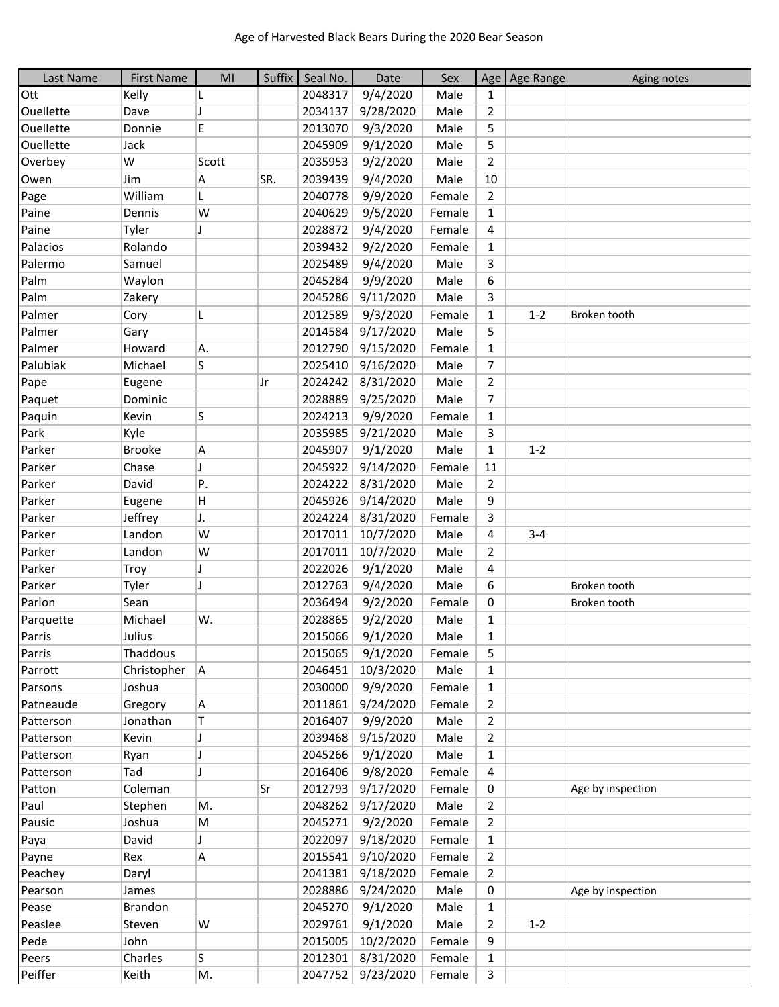| Last Name | <b>First Name</b> | MI           | Suffix | Seal No. | Date                  | Sex    |                | Age   Age Range | Aging notes       |
|-----------|-------------------|--------------|--------|----------|-----------------------|--------|----------------|-----------------|-------------------|
| Ott       | Kelly             |              |        | 2048317  | 9/4/2020              | Male   | $\mathbf{1}$   |                 |                   |
| Ouellette | Dave              | Π            |        | 2034137  | 9/28/2020             | Male   | 2              |                 |                   |
| Ouellette | Donnie            | E            |        | 2013070  | 9/3/2020              | Male   | 5              |                 |                   |
| Ouellette | Jack              |              |        | 2045909  | 9/1/2020              | Male   | 5              |                 |                   |
| Overbey   | W                 | Scott        |        | 2035953  | 9/2/2020              | Male   | $\overline{2}$ |                 |                   |
| Owen      | Jim               | Α            | SR.    | 2039439  | 9/4/2020              | Male   | 10             |                 |                   |
| Page      | William           | L            |        | 2040778  | 9/9/2020              | Female | $\overline{2}$ |                 |                   |
| Paine     | Dennis            | W            |        | 2040629  | 9/5/2020              | Female | $\mathbf{1}$   |                 |                   |
| Paine     | Tyler             | $\mathbf{I}$ |        | 2028872  | 9/4/2020              | Female | 4              |                 |                   |
| Palacios  | Rolando           |              |        | 2039432  | 9/2/2020              | Female | $\mathbf{1}$   |                 |                   |
| Palermo   | Samuel            |              |        | 2025489  | 9/4/2020              | Male   | 3              |                 |                   |
| Palm      | Waylon            |              |        | 2045284  | 9/9/2020              | Male   | 6              |                 |                   |
| Palm      | Zakery            |              |        | 2045286  | 9/11/2020             | Male   | 3              |                 |                   |
| Palmer    | Cory              | L            |        | 2012589  | 9/3/2020              | Female | $\mathbf{1}$   | $1 - 2$         | Broken tooth      |
| Palmer    | Gary              |              |        | 2014584  | 9/17/2020             | Male   | 5              |                 |                   |
| Palmer    | Howard            | A.           |        | 2012790  | 9/15/2020             | Female | $\mathbf{1}$   |                 |                   |
| Palubiak  | Michael           | S            |        | 2025410  | 9/16/2020             | Male   | $\overline{7}$ |                 |                   |
| Pape      | Eugene            |              | Jr     | 2024242  | 8/31/2020             | Male   | 2              |                 |                   |
| Paquet    | Dominic           |              |        | 2028889  | 9/25/2020             | Male   | 7              |                 |                   |
| Paquin    | Kevin             | S            |        | 2024213  | 9/9/2020              | Female | $\mathbf{1}$   |                 |                   |
| Park      | Kyle              |              |        | 2035985  | 9/21/2020             | Male   | 3              |                 |                   |
| Parker    | <b>Brooke</b>     | A            |        | 2045907  | 9/1/2020              | Male   | 1              | $1 - 2$         |                   |
| Parker    | Chase             | J            |        | 2045922  | 9/14/2020             | Female | 11             |                 |                   |
| Parker    | David             | P.           |        | 2024222  | 8/31/2020             | Male   | $\overline{2}$ |                 |                   |
| Parker    | Eugene            | н            |        | 2045926  | 9/14/2020             | Male   | 9              |                 |                   |
| Parker    | Jeffrey           | J.           |        | 2024224  | 8/31/2020             | Female | 3              |                 |                   |
| Parker    | Landon            | W            |        | 2017011  | 10/7/2020             | Male   | 4              | $3 - 4$         |                   |
| Parker    | Landon            | W            |        | 2017011  | 10/7/2020             | Male   | $\overline{2}$ |                 |                   |
| Parker    | Troy              | J            |        | 2022026  | 9/1/2020              | Male   | 4              |                 |                   |
| Parker    | Tyler             | J            |        | 2012763  | 9/4/2020              | Male   | 6              |                 | Broken tooth      |
| Parlon    | Sean              |              |        | 2036494  | 9/2/2020              | Female | 0              |                 | Broken tooth      |
| Parquette | Michael           | W.           |        | 2028865  | 9/2/2020              | Male   | $\mathbf{1}$   |                 |                   |
| Parris    | Julius            |              |        | 2015066  | 9/1/2020              | Male   | 1              |                 |                   |
| Parris    | Thaddous          |              |        | 2015065  | 9/1/2020              | Female | 5              |                 |                   |
| Parrott   | Christopher       | A            |        | 2046451  | 10/3/2020             | Male   | $\mathbf{1}$   |                 |                   |
| Parsons   | Joshua            |              |        | 2030000  | 9/9/2020              | Female | 1              |                 |                   |
| Patneaude | Gregory           |              |        | 2011861  | 9/24/2020             | Female |                |                 |                   |
| Patterson | Jonathan          | A<br>Τ       |        | 2016407  | 9/9/2020              | Male   | 2<br>2         |                 |                   |
| Patterson | Kevin             | J            |        | 2039468  | 9/15/2020             | Male   | 2              |                 |                   |
| Patterson | Ryan              | J            |        | 2045266  | 9/1/2020              | Male   | 1              |                 |                   |
| Patterson | Tad               | J            |        | 2016406  |                       | Female |                |                 |                   |
| Patton    | Coleman           |              | Sr     | 2012793  | 9/8/2020<br>9/17/2020 | Female | 4              |                 | Age by inspection |
| Paul      |                   |              |        | 2048262  |                       | Male   | 0              |                 |                   |
|           | Stephen<br>Joshua | М.           |        | 2045271  | 9/17/2020             |        | $\overline{2}$ |                 |                   |
| Pausic    |                   | M            |        |          | 9/2/2020              | Female | $\overline{2}$ |                 |                   |
| Paya      | David             |              |        | 2022097  | 9/18/2020             | Female | 1              |                 |                   |
| Payne     | Rex               | A            |        | 2015541  | 9/10/2020             | Female | 2              |                 |                   |
| Peachey   | Daryl             |              |        | 2041381  | 9/18/2020             | Female | 2              |                 |                   |
| Pearson   | James             |              |        | 2028886  | 9/24/2020             | Male   | 0              |                 | Age by inspection |
| Pease     | <b>Brandon</b>    |              |        | 2045270  | 9/1/2020              | Male   | 1              |                 |                   |
| Peaslee   | Steven            | W            |        | 2029761  | 9/1/2020              | Male   | 2              | $1 - 2$         |                   |
| Pede      | John              |              |        | 2015005  | 10/2/2020             | Female | 9              |                 |                   |
| Peers     | Charles           | S            |        |          | 2012301 8/31/2020     | Female | 1              |                 |                   |
| Peiffer   | Keith             | M.           |        |          | 2047752 9/23/2020     | Female | 3              |                 |                   |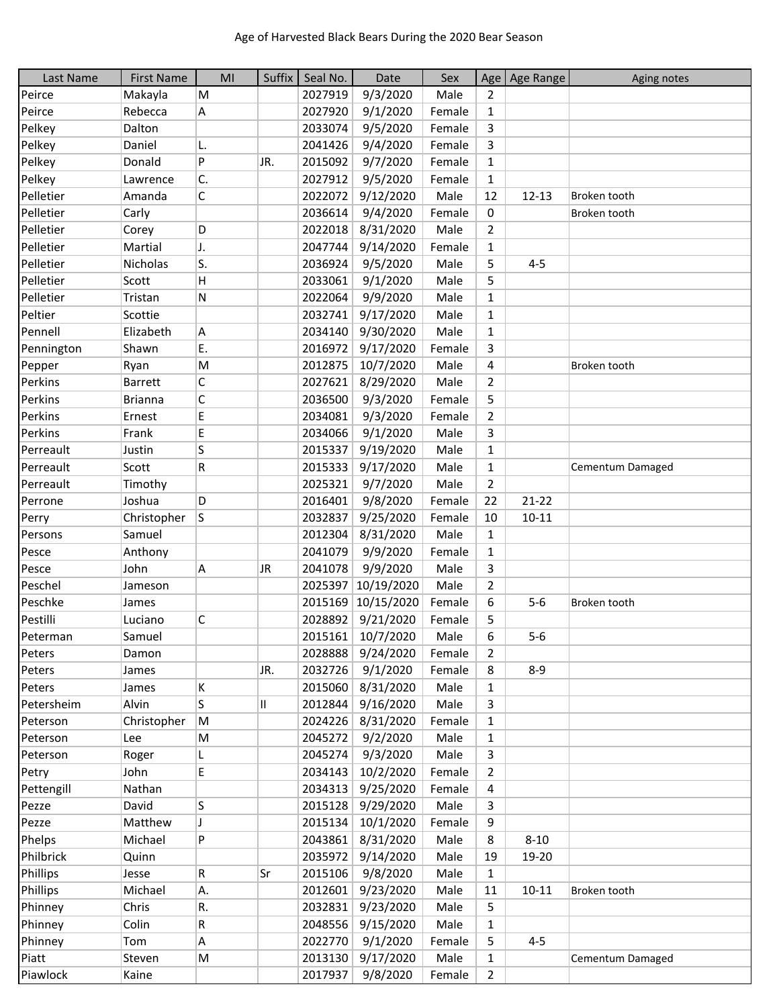| Last Name  | <b>First Name</b> | M <sub>l</sub> | Suffix | Seal No. | Date                | Sex    |                | Age   Age Range | Aging notes      |
|------------|-------------------|----------------|--------|----------|---------------------|--------|----------------|-----------------|------------------|
| Peirce     | Makayla           | M              |        | 2027919  | 9/3/2020            | Male   | 2              |                 |                  |
| Peirce     | Rebecca           | A              |        | 2027920  | 9/1/2020            | Female | 1              |                 |                  |
| Pelkey     | Dalton            |                |        | 2033074  | 9/5/2020            | Female | 3              |                 |                  |
| Pelkey     | Daniel            | L.             |        | 2041426  | 9/4/2020            | Female | 3              |                 |                  |
| Pelkey     | Donald            | P              | JR.    | 2015092  | 9/7/2020            | Female | $\mathbf{1}$   |                 |                  |
| Pelkey     | Lawrence          | C.             |        | 2027912  | 9/5/2020            | Female | $\mathbf{1}$   |                 |                  |
| Pelletier  | Amanda            | C              |        | 2022072  | 9/12/2020           | Male   | 12             | $12 - 13$       | Broken tooth     |
| Pelletier  | Carly             |                |        | 2036614  | 9/4/2020            | Female | 0              |                 | Broken tooth     |
| Pelletier  | Corey             | D              |        | 2022018  | 8/31/2020           | Male   | $\overline{2}$ |                 |                  |
| Pelletier  | Martial           | J.             |        | 2047744  | 9/14/2020           | Female | 1              |                 |                  |
| Pelletier  | Nicholas          | ls.            |        | 2036924  | 9/5/2020            | Male   | 5              | $4 - 5$         |                  |
| Pelletier  | Scott             | H              |        | 2033061  | 9/1/2020            | Male   | 5              |                 |                  |
| Pelletier  | Tristan           | N              |        | 2022064  | 9/9/2020            | Male   | $\mathbf{1}$   |                 |                  |
| Peltier    | Scottie           |                |        | 2032741  | 9/17/2020           | Male   | $\mathbf{1}$   |                 |                  |
| Pennell    | Elizabeth         | A              |        | 2034140  | 9/30/2020           | Male   | $\mathbf{1}$   |                 |                  |
| Pennington | Shawn             | E.             |        | 2016972  | 9/17/2020           | Female | 3              |                 |                  |
| Pepper     | Ryan              | M              |        | 2012875  | 10/7/2020           | Male   | 4              |                 | Broken tooth     |
| Perkins    | <b>Barrett</b>    | С              |        | 2027621  | 8/29/2020           | Male   | $\overline{2}$ |                 |                  |
| Perkins    | <b>Brianna</b>    | C              |        | 2036500  | 9/3/2020            | Female | 5              |                 |                  |
| Perkins    | Ernest            | E              |        | 2034081  | 9/3/2020            | Female | $\overline{2}$ |                 |                  |
| Perkins    | Frank             | E              |        | 2034066  | 9/1/2020            | Male   | 3              |                 |                  |
| Perreault  | Justin            | S              |        | 2015337  | 9/19/2020           | Male   | $\mathbf{1}$   |                 |                  |
| Perreault  | Scott             | R              |        | 2015333  | 9/17/2020           | Male   | $\mathbf{1}$   |                 | Cementum Damaged |
| Perreault  | Timothy           |                |        | 2025321  | 9/7/2020            | Male   | $\overline{2}$ |                 |                  |
| Perrone    | Joshua            | D              |        | 2016401  | 9/8/2020            | Female | 22             | $21 - 22$       |                  |
| Perry      | Christopher       | S              |        | 2032837  | 9/25/2020           | Female | 10             | $10 - 11$       |                  |
| Persons    | Samuel            |                |        | 2012304  | 8/31/2020           | Male   | $\mathbf{1}$   |                 |                  |
| Pesce      | Anthony           |                |        | 2041079  | 9/9/2020            | Female | $\mathbf{1}$   |                 |                  |
| Pesce      | John              | A              | JR     | 2041078  | 9/9/2020            | Male   | 3              |                 |                  |
| Peschel    | Jameson           |                |        | 2025397  | 10/19/2020          | Male   | $\overline{2}$ |                 |                  |
| Peschke    | James             |                |        | 2015169  | 10/15/2020          | Female | 6              | $5-6$           | Broken tooth     |
| Pestilli   | Luciano           | С              |        | 2028892  | 9/21/2020           | Female | 5              |                 |                  |
| Peterman   | Samuel            |                |        |          | 2015161   10/7/2020 | Male   | 6              | $5 - 6$         |                  |
| Peters     | Damon             |                |        | 2028888  | 9/24/2020           | Female | 2              |                 |                  |
| Peters     | James             |                | JR.    | 2032726  | 9/1/2020            | Female | 8              | $8 - 9$         |                  |
| Peters     | James             | K              |        | 2015060  | 8/31/2020           | Male   | $\mathbf{1}$   |                 |                  |
| Petersheim | Alvin             | S              | 11     | 2012844  | 9/16/2020           | Male   | 3              |                 |                  |
| Peterson   | Christopher       | M              |        | 2024226  | 8/31/2020           | Female | $\mathbf{1}$   |                 |                  |
| Peterson   | Lee               | M              |        | 2045272  | 9/2/2020            | Male   | $\mathbf{1}$   |                 |                  |
| Peterson   | Roger             | L              |        | 2045274  | 9/3/2020            | Male   | 3              |                 |                  |
| Petry      | John              | E              |        | 2034143  | 10/2/2020           | Female | 2              |                 |                  |
| Pettengill | Nathan            |                |        | 2034313  | 9/25/2020           | Female | 4              |                 |                  |
| Pezze      | David             | S              |        | 2015128  | 9/29/2020           | Male   | 3              |                 |                  |
| Pezze      | Matthew           | J              |        | 2015134  | 10/1/2020           | Female | 9              |                 |                  |
| Phelps     | Michael           | P              |        | 2043861  | 8/31/2020           | Male   | 8              | $8 - 10$        |                  |
| Philbrick  | Quinn             |                |        | 2035972  | 9/14/2020           | Male   | 19             | 19-20           |                  |
| Phillips   | Jesse             | R              | Sr     | 2015106  | 9/8/2020            | Male   | $\mathbf{1}$   |                 |                  |
| Phillips   | Michael           | Α.             |        | 2012601  | 9/23/2020           | Male   | 11             | $10 - 11$       | Broken tooth     |
| Phinney    | Chris             | R.             |        | 2032831  | 9/23/2020           | Male   | 5              |                 |                  |
| Phinney    | Colin             | R              |        | 2048556  | 9/15/2020           | Male   | 1              |                 |                  |
| Phinney    | Tom               | Α              |        | 2022770  | 9/1/2020            | Female | 5              | $4 - 5$         |                  |
| Piatt      | Steven            | M              |        | 2013130  | 9/17/2020           | Male   | $\mathbf{1}$   |                 | Cementum Damaged |
| Piawlock   | Kaine             |                |        | 2017937  | 9/8/2020            | Female | $\overline{2}$ |                 |                  |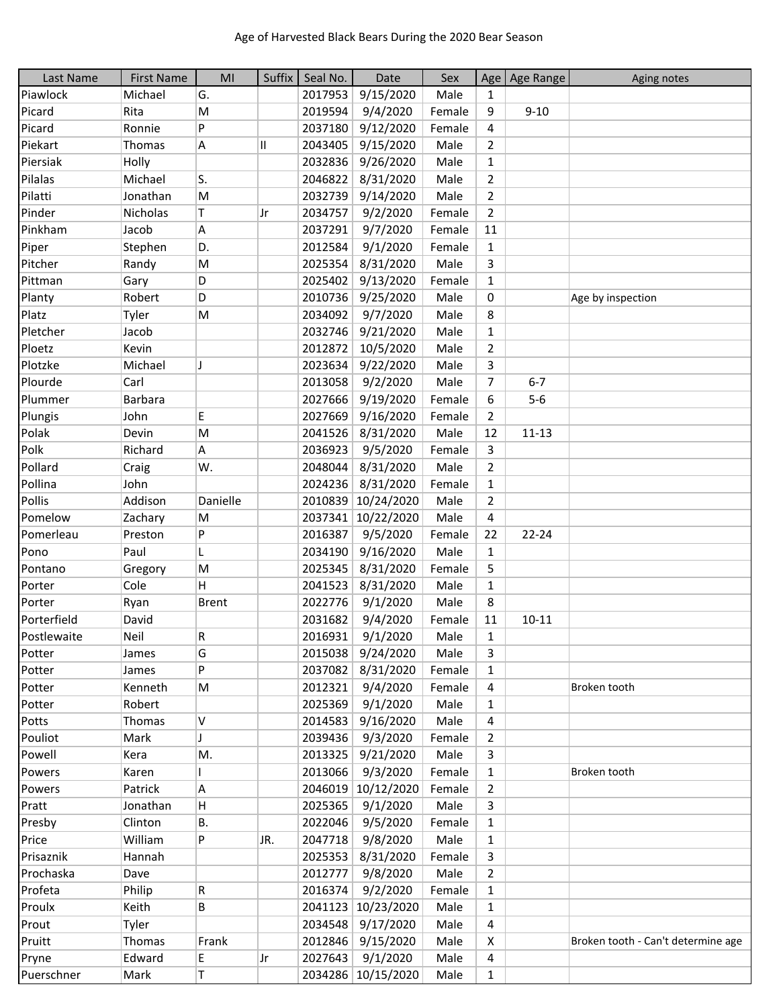| Last Name   | <b>First Name</b> | MI           |     | Suffix   Seal No. | Date               | Sex    |                | Age   Age Range | Aging notes                        |
|-------------|-------------------|--------------|-----|-------------------|--------------------|--------|----------------|-----------------|------------------------------------|
| Piawlock    | Michael           | G.           |     | 2017953           | 9/15/2020          | Male   | $\mathbf{1}$   |                 |                                    |
| Picard      | Rita              | M            |     | 2019594           | 9/4/2020           | Female | 9              | $9 - 10$        |                                    |
| Picard      | Ronnie            | Þ            |     | 2037180           | 9/12/2020          | Female | 4              |                 |                                    |
| Piekart     | Thomas            | A            | Ш   | 2043405           | 9/15/2020          | Male   | $\overline{2}$ |                 |                                    |
| Piersiak    | Holly             |              |     | 2032836           | 9/26/2020          | Male   | $\mathbf{1}$   |                 |                                    |
| Pilalas     | Michael           | ls.          |     | 2046822           | 8/31/2020          | Male   | 2              |                 |                                    |
| Pilatti     | Jonathan          | M            |     | 2032739           | 9/14/2020          | Male   | $\overline{2}$ |                 |                                    |
| Pinder      | Nicholas          | T            | Jr  | 2034757           | 9/2/2020           | Female | $\overline{2}$ |                 |                                    |
| Pinkham     | Jacob             | Α            |     | 2037291           | 9/7/2020           | Female | 11             |                 |                                    |
| Piper       | Stephen           | D.           |     | 2012584           | 9/1/2020           | Female | $\mathbf{1}$   |                 |                                    |
| Pitcher     | Randy             | M            |     | 2025354           | 8/31/2020          | Male   | 3              |                 |                                    |
| Pittman     | Gary              | D            |     | 2025402           | 9/13/2020          | Female | $\mathbf{1}$   |                 |                                    |
| Planty      | Robert            | D            |     | 2010736           | 9/25/2020          | Male   | 0              |                 | Age by inspection                  |
| Platz       | Tyler             | M            |     | 2034092           | 9/7/2020           | Male   | 8              |                 |                                    |
| Pletcher    | Jacob             |              |     | 2032746           | 9/21/2020          | Male   | $\mathbf{1}$   |                 |                                    |
| Ploetz      | Kevin             |              |     | 2012872           | 10/5/2020          | Male   | $\overline{2}$ |                 |                                    |
| Plotzke     | Michael           | IJ           |     | 2023634           | 9/22/2020          | Male   | 3              |                 |                                    |
| Plourde     | Carl              |              |     | 2013058           | 9/2/2020           | Male   | $\overline{7}$ | $6 - 7$         |                                    |
| Plummer     | <b>Barbara</b>    |              |     | 2027666           |                    | Female |                | $5-6$           |                                    |
|             |                   |              |     |                   | 9/19/2020          |        | 6              |                 |                                    |
| Plungis     | John              | E.           |     | 2027669           | 9/16/2020          | Female | $\overline{2}$ |                 |                                    |
| Polak       | Devin             | M            |     | 2041526           | 8/31/2020          | Male   | 12             | $11 - 13$       |                                    |
| Polk        | Richard           | A            |     | 2036923           | 9/5/2020           | Female | 3              |                 |                                    |
| Pollard     | Craig             | W.           |     | 2048044           | 8/31/2020          | Male   | $\overline{2}$ |                 |                                    |
| Pollina     | John              |              |     | 2024236           | 8/31/2020          | Female | $\mathbf{1}$   |                 |                                    |
| Pollis      | Addison           | Danielle     |     | 2010839           | 10/24/2020         | Male   | $\overline{2}$ |                 |                                    |
| Pomelow     | Zachary           | M            |     | 2037341           | 10/22/2020         | Male   | $\overline{4}$ |                 |                                    |
| Pomerleau   | Preston           | P            |     | 2016387           | 9/5/2020           | Female | 22             | 22-24           |                                    |
| Pono        | Paul              | L            |     | 2034190           | 9/16/2020          | Male   | $\mathbf{1}$   |                 |                                    |
| Pontano     | Gregory           | M            |     | 2025345           | 8/31/2020          | Female | 5              |                 |                                    |
| Porter      | Cole              | H.           |     | 2041523           | 8/31/2020          | Male   | $\mathbf{1}$   |                 |                                    |
| Porter      | Ryan              | <b>Brent</b> |     | 2022776           | 9/1/2020           | Male   | 8              |                 |                                    |
| Porterfield | David             |              |     | 2031682           | 9/4/2020           | Female | 11             | $10 - 11$       |                                    |
| Postlewaite | Neil              | R            |     | 2016931           | 9/1/2020           | Male   | 1              |                 |                                    |
| Potter      | James             | G            |     | 2015038           | 9/24/2020          | Male   | 3              |                 |                                    |
| Potter      | James             | Þ            |     | 2037082           | 8/31/2020          | Female | $\mathbf{1}$   |                 |                                    |
| Potter      | Kenneth           | M            |     | 2012321           | 9/4/2020           | Female | 4              |                 | Broken tooth                       |
| Potter      | Robert            |              |     | 2025369           | 9/1/2020           | Male   | $\mathbf{1}$   |                 |                                    |
| Potts       | Thomas            | V            |     | 2014583           | 9/16/2020          | Male   | 4              |                 |                                    |
| Pouliot     | Mark              | J            |     | 2039436           | 9/3/2020           | Female | $\overline{2}$ |                 |                                    |
| Powell      | Kera              | Μ.           |     | 2013325           | 9/21/2020          | Male   | 3              |                 |                                    |
| Powers      | Karen             |              |     | 2013066           | 9/3/2020           | Female | 1              |                 | Broken tooth                       |
| Powers      | Patrick           | A            |     | 2046019           | 10/12/2020         | Female | 2              |                 |                                    |
| Pratt       | Jonathan          | н            |     | 2025365           | 9/1/2020           | Male   | 3              |                 |                                    |
| Presby      | Clinton           | В.           |     | 2022046           | 9/5/2020           | Female | $\mathbf{1}$   |                 |                                    |
| Price       | William           | P            | JR. | 2047718           | 9/8/2020           | Male   | $\mathbf{1}$   |                 |                                    |
| Prisaznik   | Hannah            |              |     | 2025353           | 8/31/2020          | Female | 3              |                 |                                    |
| Prochaska   | Dave              |              |     | 2012777           | 9/8/2020           | Male   | 2              |                 |                                    |
| Profeta     | Philip            | R            |     | 2016374           | 9/2/2020           | Female | 1              |                 |                                    |
| Proulx      | Keith             | В            |     | 2041123           | 10/23/2020         | Male   | $\mathbf{1}$   |                 |                                    |
|             |                   |              |     |                   |                    |        |                |                 |                                    |
| Prout       | Tyler             |              |     | 2034548           | 9/17/2020          | Male   | 4              |                 |                                    |
| Pruitt      | Thomas            | Frank        |     | 2012846           | 9/15/2020          | Male   | Χ              |                 | Broken tooth - Can't determine age |
| Pryne       | Edward            | E,           | Jr  | 2027643           | 9/1/2020           | Male   | 4              |                 |                                    |
| Puerschner  | Mark              | Τ            |     |                   | 2034286 10/15/2020 | Male   | $\mathbf{1}$   |                 |                                    |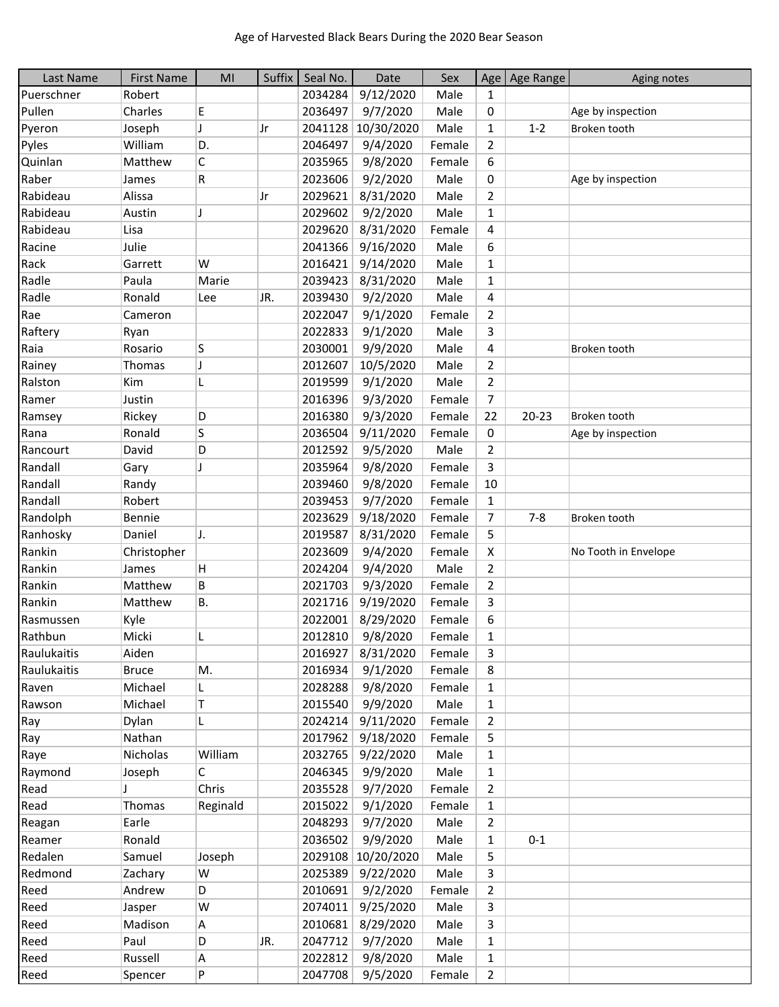| Last Name   | <b>First Name</b> | MI       | Suffix | Seal No. | Date             | Sex    |                | Age Age Range | Aging notes          |
|-------------|-------------------|----------|--------|----------|------------------|--------|----------------|---------------|----------------------|
| Puerschner  | Robert            |          |        | 2034284  | 9/12/2020        | Male   | $\mathbf{1}$   |               |                      |
| Pullen      | Charles           | E        |        | 2036497  | 9/7/2020         | Male   | 0              |               | Age by inspection    |
| Pyeron      | Joseph            | J        | Jr     | 2041128  | 10/30/2020       | Male   | $\mathbf{1}$   | $1 - 2$       | Broken tooth         |
| Pyles       | William           | D.       |        | 2046497  | 9/4/2020         | Female | $\overline{2}$ |               |                      |
| Quinlan     | Matthew           | C        |        | 2035965  | 9/8/2020         | Female | 6              |               |                      |
| Raber       | James             | R        |        | 2023606  | 9/2/2020         | Male   | 0              |               | Age by inspection    |
| Rabideau    | Alissa            |          | Jr     | 2029621  | 8/31/2020        | Male   | $\overline{2}$ |               |                      |
| Rabideau    | Austin            | IJ       |        | 2029602  | 9/2/2020         | Male   | 1              |               |                      |
| Rabideau    | Lisa              |          |        | 2029620  | 8/31/2020        | Female | 4              |               |                      |
| Racine      | Julie             |          |        | 2041366  | 9/16/2020        | Male   | 6              |               |                      |
| Rack        | Garrett           | W        |        | 2016421  | 9/14/2020        | Male   | $\mathbf 1$    |               |                      |
| Radle       | Paula             | Marie    |        | 2039423  | 8/31/2020        | Male   | $\mathbf{1}$   |               |                      |
| Radle       | Ronald            | Lee      | JR.    | 2039430  | 9/2/2020         | Male   | 4              |               |                      |
| Rae         | Cameron           |          |        | 2022047  | 9/1/2020         | Female | $\overline{2}$ |               |                      |
| Raftery     | Ryan              |          |        | 2022833  | 9/1/2020         | Male   | 3              |               |                      |
| Raia        | Rosario           | S        |        | 2030001  | 9/9/2020         | Male   | 4              |               | Broken tooth         |
| Rainey      | Thomas            | J        |        | 2012607  | 10/5/2020        | Male   | $\overline{2}$ |               |                      |
| Ralston     | Kim               | L        |        | 2019599  | 9/1/2020         | Male   | $\overline{2}$ |               |                      |
| Ramer       | Justin            |          |        | 2016396  | 9/3/2020         | Female | 7              |               |                      |
| Ramsey      | Rickey            | D        |        | 2016380  | 9/3/2020         | Female | 22             | $20 - 23$     | Broken tooth         |
| Rana        | Ronald            | S        |        | 2036504  | 9/11/2020        | Female | 0              |               | Age by inspection    |
| Rancourt    | David             | D        |        | 2012592  | 9/5/2020         | Male   | $\overline{2}$ |               |                      |
| Randall     | Gary              | J        |        | 2035964  | 9/8/2020         | Female | 3              |               |                      |
| Randall     | Randy             |          |        | 2039460  | 9/8/2020         | Female | 10             |               |                      |
| Randall     | Robert            |          |        | 2039453  | 9/7/2020         | Female | $\mathbf{1}$   |               |                      |
| Randolph    | Bennie            |          |        | 2023629  | 9/18/2020        | Female | 7              | $7 - 8$       | Broken tooth         |
| Ranhosky    | Daniel            | J.       |        | 2019587  | 8/31/2020        | Female | 5              |               |                      |
| Rankin      | Christopher       |          |        | 2023609  | 9/4/2020         | Female | X              |               | No Tooth in Envelope |
| Rankin      | James             | н        |        | 2024204  | 9/4/2020         | Male   | $\overline{2}$ |               |                      |
| Rankin      | Matthew           | B        |        | 2021703  | 9/3/2020         | Female | $\mathbf{2}$   |               |                      |
| Rankin      | Matthew           | В.       |        | 2021716  | 9/19/2020        | Female | 3              |               |                      |
| Rasmussen   | Kyle              |          |        | 2022001  | 8/29/2020        | Female | 6              |               |                      |
| Rathbun     | Micki             |          |        | 2012810  | 9/8/2020         | Female | $\mathbf{1}$   |               |                      |
| Raulukaitis | Aiden             |          |        | 2016927  | 8/31/2020        | Female | 3              |               |                      |
| Raulukaitis | <b>Bruce</b>      | М.       |        | 2016934  | 9/1/2020         | Female | 8              |               |                      |
| Raven       | Michael           | L        |        | 2028288  | 9/8/2020         | Female | 1              |               |                      |
| Rawson      | Michael           | Τ        |        | 2015540  | 9/9/2020         | Male   | 1              |               |                      |
| Ray         | Dylan             | L        |        | 2024214  | 9/11/2020        | Female | $\overline{2}$ |               |                      |
| Ray         | Nathan            |          |        | 2017962  | 9/18/2020        | Female | 5              |               |                      |
| Raye        | Nicholas          | William  |        | 2032765  | 9/22/2020        | Male   | $\mathbf{1}$   |               |                      |
| Raymond     | Joseph            | C        |        | 2046345  | 9/9/2020         | Male   | 1              |               |                      |
| Read        |                   | Chris    |        | 2035528  | 9/7/2020         | Female | $\overline{2}$ |               |                      |
| Read        | Thomas            | Reginald |        | 2015022  | 9/1/2020         | Female | $\mathbf{1}$   |               |                      |
| Reagan      | Earle             |          |        | 2048293  | 9/7/2020         | Male   | $\overline{2}$ |               |                      |
| Reamer      | Ronald            |          |        | 2036502  | 9/9/2020         | Male   | $\mathbf{1}$   | $0 - 1$       |                      |
| Redalen     | Samuel            | Joseph   |        | 2029108  | 10/20/2020       | Male   | 5              |               |                      |
| Redmond     | Zachary           | w        |        | 2025389  | 9/22/2020        | Male   | 3              |               |                      |
| Reed        | Andrew            | D        |        | 2010691  | 9/2/2020         | Female | 2              |               |                      |
| Reed        | Jasper            | W        |        | 2074011  | 9/25/2020        | Male   | 3              |               |                      |
| Reed        | Madison           | A        |        | 2010681  | 8/29/2020        | Male   | 3              |               |                      |
| Reed        | Paul              | D        | JR.    | 2047712  | 9/7/2020         | Male   | $\mathbf{1}$   |               |                      |
| Reed        | Russell           | А        |        | 2022812  | 9/8/2020         | Male   | $\mathbf{1}$   |               |                      |
| Reed        | Spencer           | P        |        |          | 2047708 9/5/2020 | Female | $\overline{2}$ |               |                      |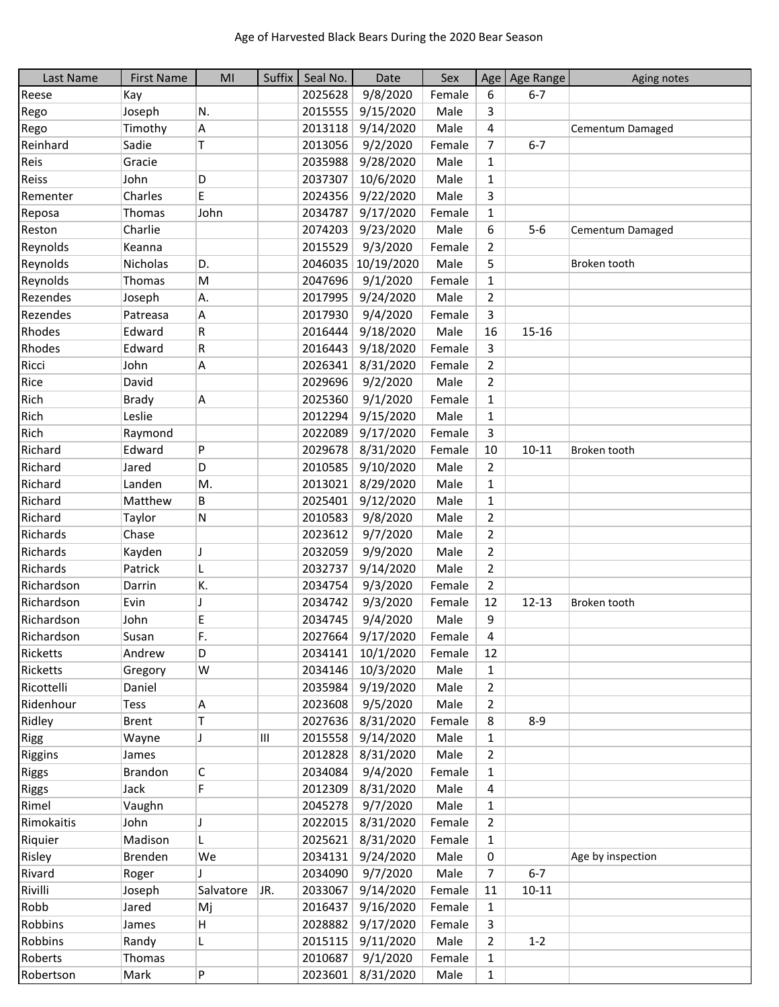| Last Name    | <b>First Name</b> | MI           | Suffix | Seal No. | Date              | Sex    |                | Age   Age Range | Aging notes       |
|--------------|-------------------|--------------|--------|----------|-------------------|--------|----------------|-----------------|-------------------|
| Reese        | Kay               |              |        | 2025628  | 9/8/2020          | Female | 6              | $6 - 7$         |                   |
| Rego         | Joseph            | N.           |        | 2015555  | 9/15/2020         | Male   | 3              |                 |                   |
| Rego         | Timothy           | Α            |        | 2013118  | 9/14/2020         | Male   | 4              |                 | Cementum Damaged  |
| Reinhard     | Sadie             | T            |        | 2013056  | 9/2/2020          | Female | 7              | $6 - 7$         |                   |
| Reis         | Gracie            |              |        | 2035988  | 9/28/2020         | Male   | $\mathbf{1}$   |                 |                   |
| Reiss        | John              | D            |        | 2037307  | 10/6/2020         | Male   | $\mathbf{1}$   |                 |                   |
| Rementer     | Charles           | E            |        | 2024356  | 9/22/2020         | Male   | 3              |                 |                   |
| Reposa       | Thomas            | John         |        | 2034787  | 9/17/2020         | Female | $\mathbf{1}$   |                 |                   |
| Reston       | Charlie           |              |        | 2074203  | 9/23/2020         | Male   | 6              | $5-6$           | Cementum Damaged  |
| Reynolds     | Keanna            |              |        | 2015529  | 9/3/2020          | Female | $\overline{2}$ |                 |                   |
| Reynolds     | Nicholas          | D.           |        | 2046035  | 10/19/2020        | Male   | 5              |                 | Broken tooth      |
| Reynolds     | Thomas            | M            |        | 2047696  | 9/1/2020          | Female | $\mathbf{1}$   |                 |                   |
| Rezendes     | Joseph            | Α.           |        | 2017995  | 9/24/2020         | Male   | $\overline{2}$ |                 |                   |
| Rezendes     | Patreasa          | Α            |        | 2017930  | 9/4/2020          | Female | 3              |                 |                   |
| Rhodes       | Edward            | R            |        | 2016444  | 9/18/2020         | Male   | 16             | 15-16           |                   |
| Rhodes       | Edward            | R            |        | 2016443  | 9/18/2020         | Female | 3              |                 |                   |
| Ricci        | John              | A            |        | 2026341  | 8/31/2020         | Female | $\overline{2}$ |                 |                   |
| Rice         | David             |              |        | 2029696  | 9/2/2020          | Male   | $\overline{2}$ |                 |                   |
| Rich         | <b>Brady</b>      | A            |        | 2025360  | 9/1/2020          | Female | $\mathbf{1}$   |                 |                   |
| Rich         | Leslie            |              |        | 2012294  | 9/15/2020         | Male   | $\mathbf{1}$   |                 |                   |
| Rich         | Raymond           |              |        | 2022089  | 9/17/2020         | Female | 3              |                 |                   |
| Richard      | Edward            | P            |        | 2029678  | 8/31/2020         | Female | 10             | $10 - 11$       | Broken tooth      |
| Richard      | Jared             | D            |        | 2010585  | 9/10/2020         | Male   | $\overline{2}$ |                 |                   |
| Richard      | Landen            | M.           |        | 2013021  | 8/29/2020         | Male   | $\mathbf{1}$   |                 |                   |
| Richard      | Matthew           | B            |        | 2025401  | 9/12/2020         | Male   | 1              |                 |                   |
| Richard      | Taylor            | N            |        | 2010583  | 9/8/2020          | Male   | 2              |                 |                   |
| Richards     | Chase             |              |        | 2023612  | 9/7/2020          | Male   | 2              |                 |                   |
| Richards     | Kayden            | J            |        | 2032059  | 9/9/2020          | Male   | $\overline{2}$ |                 |                   |
| Richards     | Patrick           | L            |        | 2032737  | 9/14/2020         | Male   | $\overline{2}$ |                 |                   |
| Richardson   | Darrin            | K.           |        | 2034754  | 9/3/2020          | Female | $\overline{2}$ |                 |                   |
| Richardson   | Evin              | J            |        | 2034742  | 9/3/2020          | Female | 12             | $12 - 13$       | Broken tooth      |
| Richardson   | John              | E            |        | 2034745  | 9/4/2020          | Male   | 9              |                 |                   |
| Richardson   | Susan             | F.           |        | 2027664  | 9/17/2020         | Female | 4              |                 |                   |
| Ricketts     | Andrew            | D            |        | 2034141  | 10/1/2020         | Female | 12             |                 |                   |
| Ricketts     | Gregory           | W            |        | 2034146  | 10/3/2020         | Male   | $\mathbf{1}$   |                 |                   |
| Ricottelli   | Daniel            |              |        | 2035984  | 9/19/2020         | Male   | $\overline{2}$ |                 |                   |
| Ridenhour    | Tess              | Α            |        | 2023608  | 9/5/2020          | Male   | $\overline{2}$ |                 |                   |
| Ridley       | <b>Brent</b>      | T.           |        | 2027636  | 8/31/2020         | Female | 8              | $8 - 9$         |                   |
| <b>Rigg</b>  | Wayne             | J            | Ш      | 2015558  | 9/14/2020         | Male   | $\mathbf{1}$   |                 |                   |
| Riggins      | James             |              |        | 2012828  | 8/31/2020         | Male   | $\overline{2}$ |                 |                   |
| <b>Riggs</b> | Brandon           | С            |        | 2034084  | 9/4/2020          | Female | $\mathbf{1}$   |                 |                   |
| <b>Riggs</b> | Jack              | F            |        | 2012309  | 8/31/2020         | Male   | 4              |                 |                   |
| Rimel        | Vaughn            |              |        | 2045278  | 9/7/2020          | Male   | $\mathbf{1}$   |                 |                   |
| Rimokaitis   | John              | J            |        | 2022015  | 8/31/2020         | Female | $\overline{2}$ |                 |                   |
| Riquier      | Madison           | L            |        | 2025621  | 8/31/2020         | Female | 1              |                 |                   |
| Risley       | Brenden           | We           |        | 2034131  | 9/24/2020         | Male   | 0              |                 | Age by inspection |
| Rivard       | Roger             | $\mathbf{I}$ |        | 2034090  | 9/7/2020          | Male   | $\overline{7}$ | $6 - 7$         |                   |
| Rivilli      | Joseph            | Salvatore    | JR.    | 2033067  | 9/14/2020         | Female | 11             | $10 - 11$       |                   |
| Robb         | Jared             | Mj           |        | 2016437  | 9/16/2020         | Female | $\mathbf{1}$   |                 |                   |
| Robbins      | James             | H            |        | 2028882  | 9/17/2020         | Female | 3              |                 |                   |
| Robbins      | Randy             | L.           |        | 2015115  | 9/11/2020         | Male   | $\overline{2}$ | $1 - 2$         |                   |
| Roberts      | Thomas            |              |        | 2010687  | 9/1/2020          | Female | 1              |                 |                   |
| Robertson    | Mark              | P            |        |          | 2023601 8/31/2020 | Male   | $\mathbf{1}$   |                 |                   |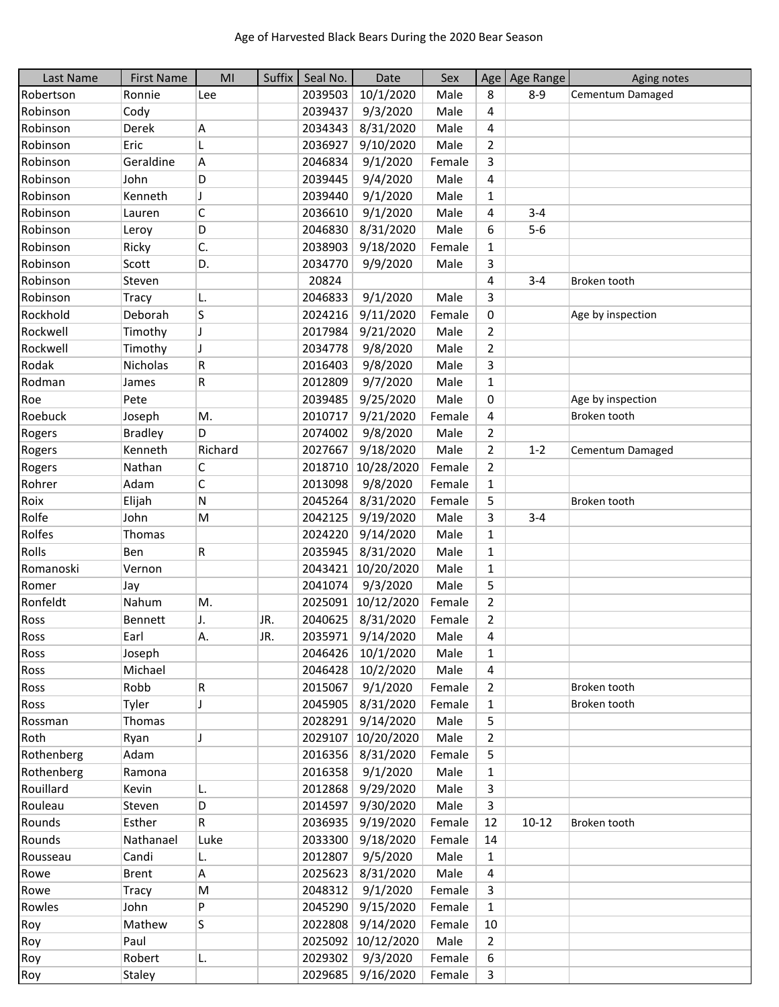| Last Name  | <b>First Name</b> | MI      | Suffix | Seal No. | Date               | Sex    |                | Age   Age Range | Aging notes       |
|------------|-------------------|---------|--------|----------|--------------------|--------|----------------|-----------------|-------------------|
| Robertson  | Ronnie            | Lee     |        | 2039503  | 10/1/2020          | Male   | 8              | $8 - 9$         | Cementum Damaged  |
| Robinson   | Cody              |         |        | 2039437  | 9/3/2020           | Male   | 4              |                 |                   |
| Robinson   | Derek             | А       |        | 2034343  | 8/31/2020          | Male   | 4              |                 |                   |
| Robinson   | Eric              | L       |        | 2036927  | 9/10/2020          | Male   | 2              |                 |                   |
| Robinson   | Geraldine         | А       |        | 2046834  | 9/1/2020           | Female | 3              |                 |                   |
| Robinson   | John              | D       |        | 2039445  | 9/4/2020           | Male   | 4              |                 |                   |
| Robinson   | Kenneth           | J       |        | 2039440  | 9/1/2020           | Male   | $\mathbf{1}$   |                 |                   |
| Robinson   | Lauren            | C       |        | 2036610  | 9/1/2020           | Male   | 4              | $3 - 4$         |                   |
| Robinson   | Leroy             | D       |        | 2046830  | 8/31/2020          | Male   | 6              | $5-6$           |                   |
| Robinson   | Ricky             | C.      |        | 2038903  | 9/18/2020          | Female | $\mathbf{1}$   |                 |                   |
| Robinson   | Scott             | D.      |        | 2034770  | 9/9/2020           | Male   | 3              |                 |                   |
| Robinson   | Steven            |         |        | 20824    |                    |        | 4              | $3 - 4$         | Broken tooth      |
| Robinson   | Tracy             | L.      |        | 2046833  | 9/1/2020           | Male   | 3              |                 |                   |
| Rockhold   | Deborah           | S       |        | 2024216  | 9/11/2020          | Female | 0              |                 | Age by inspection |
| Rockwell   | Timothy           | J       |        | 2017984  | 9/21/2020          | Male   | 2              |                 |                   |
| Rockwell   | Timothy           | J       |        | 2034778  | 9/8/2020           | Male   | $\overline{2}$ |                 |                   |
| Rodak      | Nicholas          | R       |        | 2016403  | 9/8/2020           | Male   | 3              |                 |                   |
| Rodman     | James             | R       |        | 2012809  | 9/7/2020           | Male   | $\mathbf{1}$   |                 |                   |
| Roe        | Pete              |         |        | 2039485  | 9/25/2020          | Male   | 0              |                 | Age by inspection |
| Roebuck    | Joseph            | Μ.      |        | 2010717  | 9/21/2020          | Female | 4              |                 | Broken tooth      |
| Rogers     | <b>Bradley</b>    | D       |        | 2074002  | 9/8/2020           | Male   | $\overline{2}$ |                 |                   |
| Rogers     | Kenneth           | Richard |        | 2027667  | 9/18/2020          | Male   | $\overline{2}$ | $1 - 2$         | Cementum Damaged  |
| Rogers     | Nathan            | С       |        | 2018710  | 10/28/2020         | Female | 2              |                 |                   |
| Rohrer     | Adam              | C       |        | 2013098  | 9/8/2020           | Female | $\mathbf{1}$   |                 |                   |
| Roix       | Elijah            | Ν       |        | 2045264  | 8/31/2020          | Female | 5              |                 | Broken tooth      |
| Rolfe      | John              | M       |        | 2042125  | 9/19/2020          | Male   | 3              | $3 - 4$         |                   |
| Rolfes     | Thomas            |         |        | 2024220  | 9/14/2020          | Male   | $\mathbf{1}$   |                 |                   |
| Rolls      | Ben               | R       |        | 2035945  | 8/31/2020          | Male   | $\mathbf{1}$   |                 |                   |
| Romanoski  | Vernon            |         |        | 2043421  | 10/20/2020         | Male   | $\mathbf{1}$   |                 |                   |
| Romer      | Jay               |         |        | 2041074  | 9/3/2020           | Male   | 5              |                 |                   |
| Ronfeldt   | Nahum             | М.      |        | 2025091  | 10/12/2020         | Female | $\overline{2}$ |                 |                   |
| Ross       | <b>Bennett</b>    | J.      | JR.    | 2040625  | 8/31/2020          | Female | $\overline{2}$ |                 |                   |
| Ross       | Earl              | Α.      | JR.    | 2035971  | 9/14/2020          | Male   | 4              |                 |                   |
| Ross       | Joseph            |         |        | 2046426  | 10/1/2020          | Male   | 1              |                 |                   |
| Ross       | Michael           |         |        | 2046428  | 10/2/2020          | Male   | 4              |                 |                   |
| Ross       | Robb              | R       |        | 2015067  | 9/1/2020           | Female | $\overline{2}$ |                 | Broken tooth      |
| Ross       | Tyler             | J       |        | 2045905  | 8/31/2020          | Female | $\mathbf{1}$   |                 | Broken tooth      |
| Rossman    | Thomas            |         |        | 2028291  | 9/14/2020          | Male   | 5              |                 |                   |
| Roth       | Ryan              | J       |        | 2029107  | 10/20/2020         | Male   | $\overline{2}$ |                 |                   |
| Rothenberg | Adam              |         |        | 2016356  | 8/31/2020          | Female | 5              |                 |                   |
| Rothenberg | Ramona            |         |        | 2016358  | 9/1/2020           | Male   | $\mathbf{1}$   |                 |                   |
| Rouillard  | Kevin             | L.      |        | 2012868  | 9/29/2020          | Male   | 3              |                 |                   |
| Rouleau    | Steven            | D       |        | 2014597  | 9/30/2020          | Male   | 3              |                 |                   |
| Rounds     | Esther            | R.      |        | 2036935  | 9/19/2020          | Female | 12             | $10 - 12$       | Broken tooth      |
| Rounds     | Nathanael         | Luke    |        | 2033300  | 9/18/2020          | Female | 14             |                 |                   |
| Rousseau   | Candi             | L.      |        | 2012807  | 9/5/2020           | Male   | $\mathbf{1}$   |                 |                   |
| Rowe       | <b>Brent</b>      | A       |        | 2025623  | 8/31/2020          | Male   | 4              |                 |                   |
| Rowe       | Tracy             | M       |        | 2048312  | 9/1/2020           | Female | 3              |                 |                   |
| Rowles     | John              | P       |        | 2045290  | 9/15/2020          | Female | $\mathbf{1}$   |                 |                   |
| Roy        | Mathew            | S       |        | 2022808  | 9/14/2020          | Female | 10             |                 |                   |
| Roy        | Paul              |         |        |          | 2025092 10/12/2020 | Male   | 2              |                 |                   |
| Roy        | Robert            | L.      |        | 2029302  | 9/3/2020           | Female | 6              |                 |                   |
| Roy        | Staley            |         |        |          | 2029685 9/16/2020  | Female | $\mathsf{3}$   |                 |                   |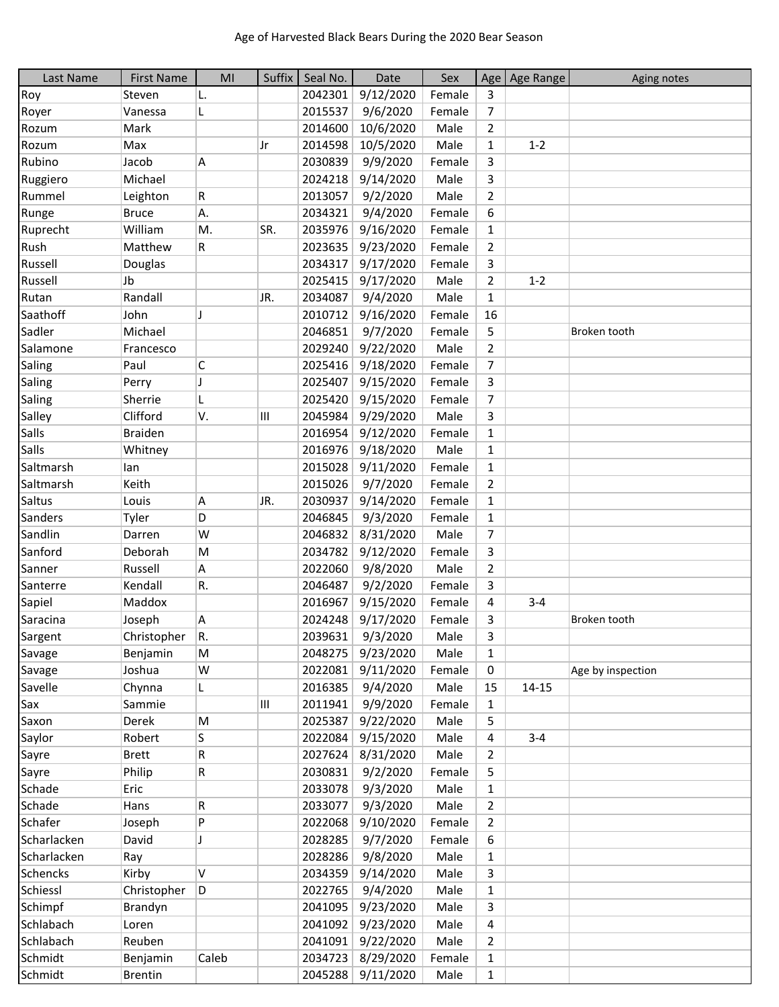| Last Name    | <b>First Name</b> | MI    | Suffix | Seal No. | Date              | Sex    |                | Age   Age Range | Aging notes       |
|--------------|-------------------|-------|--------|----------|-------------------|--------|----------------|-----------------|-------------------|
| Roy          | Steven            | L.    |        | 2042301  | 9/12/2020         | Female | 3              |                 |                   |
| Royer        | Vanessa           | L     |        | 2015537  | 9/6/2020          | Female | 7              |                 |                   |
| Rozum        | Mark              |       |        | 2014600  | 10/6/2020         | Male   | $\overline{2}$ |                 |                   |
| Rozum        | Max               |       | IJr    | 2014598  | 10/5/2020         | Male   | $\mathbf{1}$   | $1 - 2$         |                   |
| Rubino       | Jacob             | А     |        | 2030839  | 9/9/2020          | Female | 3              |                 |                   |
| Ruggiero     | Michael           |       |        | 2024218  | 9/14/2020         | Male   | 3              |                 |                   |
| Rummel       | Leighton          | R.    |        | 2013057  | 9/2/2020          | Male   | $\overline{2}$ |                 |                   |
| Runge        | <b>Bruce</b>      | А.    |        | 2034321  | 9/4/2020          | Female | 6              |                 |                   |
| Ruprecht     | William           | M.    | SR.    | 2035976  | 9/16/2020         | Female | $\mathbf{1}$   |                 |                   |
| Rush         | Matthew           | R.    |        | 2023635  | 9/23/2020         | Female | $\overline{2}$ |                 |                   |
| Russell      | Douglas           |       |        | 2034317  | 9/17/2020         | Female | 3              |                 |                   |
| Russell      | Jb                |       |        | 2025415  | 9/17/2020         | Male   | $\overline{2}$ | $1 - 2$         |                   |
| Rutan        | Randall           |       | JR.    | 2034087  | 9/4/2020          | Male   | 1              |                 |                   |
| Saathoff     | John              | J     |        | 2010712  | 9/16/2020         | Female | 16             |                 |                   |
| Sadler       | Michael           |       |        | 2046851  | 9/7/2020          | Female | 5              |                 | Broken tooth      |
| Salamone     | Francesco         |       |        | 2029240  | 9/22/2020         | Male   | $\overline{2}$ |                 |                   |
| Saling       | Paul              | C     |        | 2025416  | 9/18/2020         | Female | 7              |                 |                   |
| Saling       | Perry             | J     |        | 2025407  | 9/15/2020         | Female | 3              |                 |                   |
| Saling       | Sherrie           | L     |        | 2025420  | 9/15/2020         | Female | $\overline{7}$ |                 |                   |
| Salley       | Clifford          | V.    | Ш      | 2045984  | 9/29/2020         | Male   | 3              |                 |                   |
| Salls        | <b>Braiden</b>    |       |        | 2016954  | 9/12/2020         | Female | 1              |                 |                   |
| <b>Salls</b> | Whitney           |       |        | 2016976  | 9/18/2020         | Male   | 1              |                 |                   |
| Saltmarsh    | lan               |       |        | 2015028  | 9/11/2020         | Female | $\mathbf{1}$   |                 |                   |
| Saltmarsh    | Keith             |       |        | 2015026  | 9/7/2020          | Female | $\overline{2}$ |                 |                   |
| Saltus       | Louis             | Α     | JR.    | 2030937  | 9/14/2020         | Female | $\mathbf{1}$   |                 |                   |
| Sanders      | Tyler             | D     |        | 2046845  | 9/3/2020          | Female | $\mathbf{1}$   |                 |                   |
| Sandlin      | Darren            | W     |        | 2046832  | 8/31/2020         | Male   | $\overline{7}$ |                 |                   |
| Sanford      | Deborah           | M     |        | 2034782  | 9/12/2020         | Female | 3              |                 |                   |
| Sanner       | Russell           | A     |        | 2022060  | 9/8/2020          | Male   | $\overline{2}$ |                 |                   |
| Santerre     | Kendall           | R.    |        | 2046487  | 9/2/2020          | Female | 3              |                 |                   |
| Sapiel       | Maddox            |       |        | 2016967  | 9/15/2020         | Female | 4              | $3 - 4$         |                   |
| Saracina     | Joseph            | Α     |        | 2024248  | 9/17/2020         | Female | 3              |                 | Broken tooth      |
| Sargent      | Christopher       | R.    |        | 2039631  | 9/3/2020          | Male   | 3              |                 |                   |
| Savage       | Benjamin          | M     |        | 2048275  | 9/23/2020         | Male   | 1              |                 |                   |
| Savage       | Joshua            | W     |        | 2022081  | 9/11/2020         | Female | 0              |                 | Age by inspection |
| Savelle      | Chynna            | L.    |        | 2016385  | 9/4/2020          | Male   | 15             | $14 - 15$       |                   |
| Sax          | Sammie            |       | Ш      | 2011941  | 9/9/2020          | Female | 1              |                 |                   |
| Saxon        | Derek             | M     |        | 2025387  | 9/22/2020         | Male   | 5              |                 |                   |
| Saylor       | Robert            | S     |        | 2022084  | 9/15/2020         | Male   | 4              | $3 - 4$         |                   |
| Sayre        | <b>Brett</b>      | R     |        | 2027624  | 8/31/2020         | Male   | $\overline{2}$ |                 |                   |
| Sayre        | Philip            | R     |        | 2030831  | 9/2/2020          | Female | 5              |                 |                   |
| Schade       | Eric              |       |        | 2033078  | 9/3/2020          | Male   | 1              |                 |                   |
| Schade       | Hans              | R     |        | 2033077  | 9/3/2020          | Male   | 2              |                 |                   |
| Schafer      | Joseph            | P     |        | 2022068  | 9/10/2020         | Female | $\overline{2}$ |                 |                   |
| Scharlacken  | David             | J     |        | 2028285  | 9/7/2020          | Female | 6              |                 |                   |
| Scharlacken  | Ray               |       |        | 2028286  | 9/8/2020          | Male   | 1              |                 |                   |
| Schencks     | Kirby             | V     |        | 2034359  | 9/14/2020         | Male   | 3              |                 |                   |
| Schiessl     | Christopher       | D     |        | 2022765  | 9/4/2020          | Male   | $\mathbf{1}$   |                 |                   |
| Schimpf      | Brandyn           |       |        | 2041095  | 9/23/2020         | Male   | 3              |                 |                   |
| Schlabach    | Loren             |       |        | 2041092  | 9/23/2020         | Male   | 4              |                 |                   |
| Schlabach    | Reuben            |       |        | 2041091  | 9/22/2020         | Male   | 2              |                 |                   |
| Schmidt      | Benjamin          | Caleb |        | 2034723  | 8/29/2020         | Female | $\mathbf{1}$   |                 |                   |
| Schmidt      | <b>Brentin</b>    |       |        |          | 2045288 9/11/2020 | Male   | $\mathbf{1}$   |                 |                   |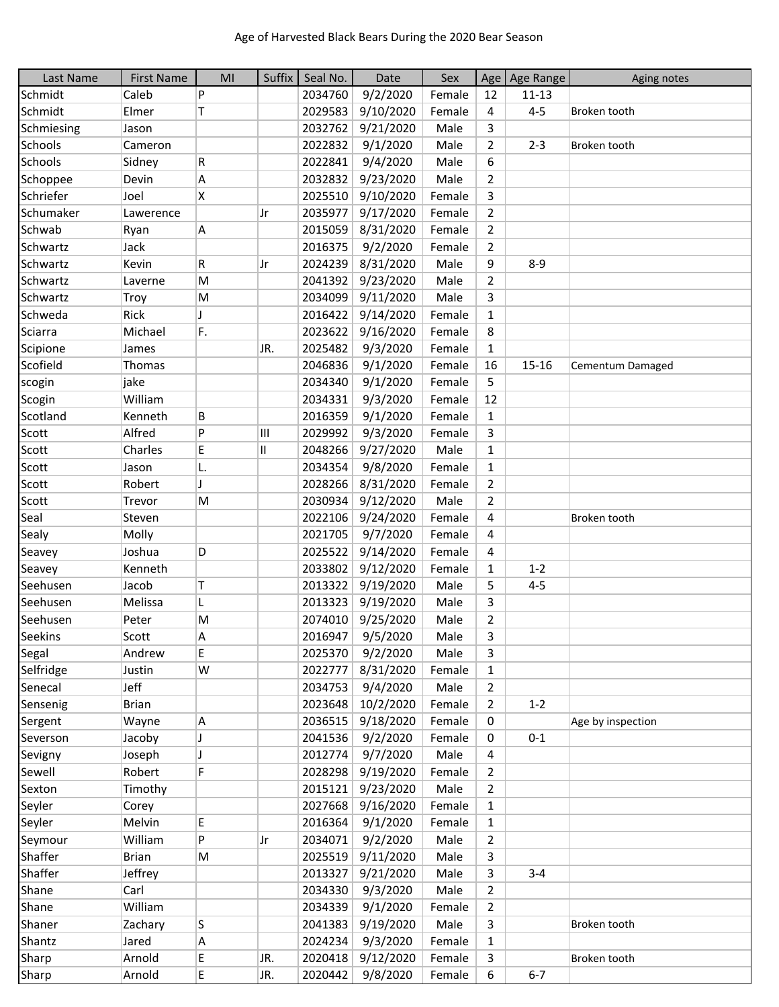| Last Name  | <b>First Name</b> | MI                       | Suffix       | Seal No. | Date             | Sex    |                | Age Age Range | Aging notes       |
|------------|-------------------|--------------------------|--------------|----------|------------------|--------|----------------|---------------|-------------------|
| Schmidt    | Caleb             | P                        |              | 2034760  | 9/2/2020         | Female | 12             | $11 - 13$     |                   |
| Schmidt    | Elmer             | Τ                        |              | 2029583  | 9/10/2020        | Female | $\overline{a}$ | $4 - 5$       | Broken tooth      |
| Schmiesing | Jason             |                          |              | 2032762  | 9/21/2020        | Male   | 3              |               |                   |
| Schools    | Cameron           |                          |              | 2022832  | 9/1/2020         | Male   | $\overline{2}$ | $2 - 3$       | Broken tooth      |
| Schools    | Sidney            | R                        |              | 2022841  | 9/4/2020         | Male   | 6              |               |                   |
| Schoppee   | Devin             | Α                        |              | 2032832  | 9/23/2020        | Male   | $\overline{2}$ |               |                   |
| Schriefer  | Joel              | X                        |              | 2025510  | 9/10/2020        | Female | 3              |               |                   |
| Schumaker  | Lawerence         |                          | Jr           | 2035977  | 9/17/2020        | Female | $\overline{2}$ |               |                   |
| Schwab     | Ryan              | Α                        |              | 2015059  | 8/31/2020        | Female | $\overline{2}$ |               |                   |
| Schwartz   | Jack              |                          |              | 2016375  | 9/2/2020         | Female | $\overline{2}$ |               |                   |
| Schwartz   | Kevin             | R                        | Jr           | 2024239  | 8/31/2020        | Male   | 9              | $8 - 9$       |                   |
| Schwartz   | Laverne           | M                        |              | 2041392  | 9/23/2020        | Male   | $\overline{2}$ |               |                   |
| Schwartz   | Troy              | M                        |              | 2034099  | 9/11/2020        | Male   | 3              |               |                   |
| Schweda    | Rick              | J                        |              | 2016422  | 9/14/2020        | Female | $\mathbf{1}$   |               |                   |
| Sciarra    | Michael           | F.                       |              | 2023622  | 9/16/2020        | Female | 8              |               |                   |
| Scipione   | James             |                          | JR.          | 2025482  | 9/3/2020         | Female | $\mathbf{1}$   |               |                   |
|            |                   |                          |              |          |                  |        |                |               |                   |
| Scofield   | Thomas            |                          |              | 2046836  | 9/1/2020         | Female | 16             | $15 - 16$     | Cementum Damaged  |
| scogin     | jake              |                          |              | 2034340  | 9/1/2020         | Female | 5              |               |                   |
| Scogin     | William           |                          |              | 2034331  | 9/3/2020         | Female | 12             |               |                   |
| Scotland   | Kenneth           | B                        |              | 2016359  | 9/1/2020         | Female | $\mathbf{1}$   |               |                   |
| Scott      | Alfred            | P                        | Ш            | 2029992  | 9/3/2020         | Female | 3              |               |                   |
| Scott      | Charles           | E                        | $\mathbf{I}$ | 2048266  | 9/27/2020        | Male   | $\mathbf{1}$   |               |                   |
| Scott      | Jason             | L.                       |              | 2034354  | 9/8/2020         | Female | $\mathbf{1}$   |               |                   |
| Scott      | Robert            | $\overline{\phantom{a}}$ |              | 2028266  | 8/31/2020        | Female | $\overline{2}$ |               |                   |
| Scott      | Trevor            | M                        |              | 2030934  | 9/12/2020        | Male   | $\overline{2}$ |               |                   |
| Seal       | Steven            |                          |              | 2022106  | 9/24/2020        | Female | 4              |               | Broken tooth      |
| Sealy      | Molly             |                          |              | 2021705  | 9/7/2020         | Female | 4              |               |                   |
| Seavey     | Joshua            | D                        |              | 2025522  | 9/14/2020        | Female | 4              |               |                   |
| Seavey     | Kenneth           |                          |              | 2033802  | 9/12/2020        | Female | $\mathbf{1}$   | $1 - 2$       |                   |
| Seehusen   | Jacob             | Τ                        |              | 2013322  | 9/19/2020        | Male   | 5              | $4 - 5$       |                   |
| Seehusen   | Melissa           | L                        |              | 2013323  | 9/19/2020        | Male   | 3              |               |                   |
| Seehusen   | Peter             | M                        |              | 2074010  | 9/25/2020        | Male   | $\overline{2}$ |               |                   |
| Seekins    | Scott             | А                        |              | 2016947  | 9/5/2020         | Male   | 3              |               |                   |
| Segal      | Andrew            | Е                        |              | 2025370  | 9/2/2020         | Male   | 3              |               |                   |
| Selfridge  | Justin            | W                        |              | 2022777  | 8/31/2020        | Female | $\mathbf{1}$   |               |                   |
| Senecal    | Jeff              |                          |              | 2034753  | 9/4/2020         | Male   | $\overline{2}$ |               |                   |
| Sensenig   | <b>Brian</b>      |                          |              | 2023648  | 10/2/2020        | Female | $\overline{2}$ | $1 - 2$       |                   |
| Sergent    | Wayne             | Α                        |              | 2036515  | 9/18/2020        | Female | 0              |               | Age by inspection |
| Severson   | Jacoby            | J                        |              | 2041536  | 9/2/2020         | Female | 0              | $0 - 1$       |                   |
| Sevigny    | Joseph            | J                        |              | 2012774  | 9/7/2020         | Male   | 4              |               |                   |
| Sewell     | Robert            | F                        |              | 2028298  | 9/19/2020        | Female | 2              |               |                   |
| Sexton     | Timothy           |                          |              | 2015121  | 9/23/2020        | Male   | 2              |               |                   |
| Seyler     | Corey             |                          |              | 2027668  | 9/16/2020        | Female | $\mathbf{1}$   |               |                   |
| Seyler     | Melvin            | E                        |              | 2016364  | 9/1/2020         | Female | $\mathbf{1}$   |               |                   |
|            | William           | P                        |              |          |                  | Male   |                |               |                   |
| Seymour    |                   |                          | Jr           | 2034071  | 9/2/2020         |        | $\overline{2}$ |               |                   |
| Shaffer    | <b>Brian</b>      | М                        |              | 2025519  | 9/11/2020        | Male   | 3              |               |                   |
| Shaffer    | Jeffrey           |                          |              | 2013327  | 9/21/2020        | Male   | 3              | $3 - 4$       |                   |
| Shane      | Carl              |                          |              | 2034330  | 9/3/2020         | Male   | $\overline{2}$ |               |                   |
| Shane      | William           |                          |              | 2034339  | 9/1/2020         | Female | $\overline{2}$ |               |                   |
| Shaner     | Zachary           | S                        |              | 2041383  | 9/19/2020        | Male   | 3              |               | Broken tooth      |
| Shantz     | Jared             | Α                        |              | 2024234  | 9/3/2020         | Female | 1              |               |                   |
| Sharp      | Arnold            | E                        | JR.          | 2020418  | 9/12/2020        | Female | 3              |               | Broken tooth      |
| Sharp      | Arnold            | E                        | JR.          |          | 2020442 9/8/2020 | Female | 6              | $6 - 7$       |                   |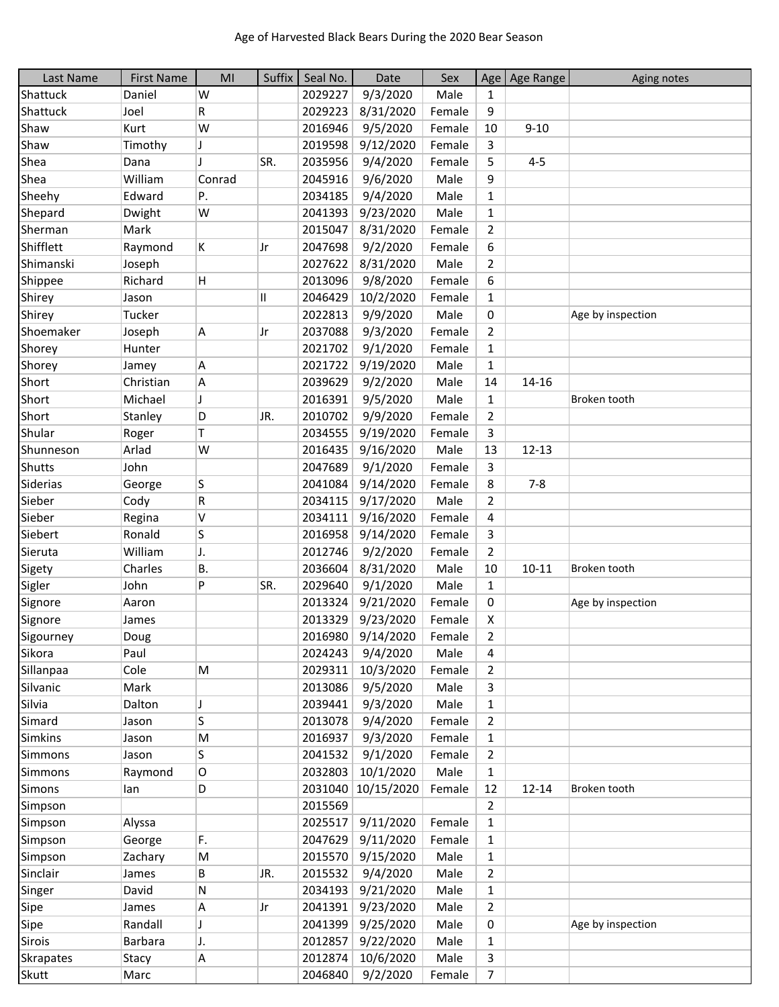| Last Name        | <b>First Name</b> | MI        | Suffix | Seal No. | Date       | Sex    |                | Age   Age Range | Aging notes       |
|------------------|-------------------|-----------|--------|----------|------------|--------|----------------|-----------------|-------------------|
| Shattuck         | Daniel            | W         |        | 2029227  | 9/3/2020   | Male   | 1              |                 |                   |
| Shattuck         | Joel              | R         |        | 2029223  | 8/31/2020  | Female | 9              |                 |                   |
| Shaw             | Kurt              | W         |        | 2016946  | 9/5/2020   | Female | 10             | $9 - 10$        |                   |
| Shaw             | Timothy           | J         |        | 2019598  | 9/12/2020  | Female | 3              |                 |                   |
| Shea             | Dana              |           | SR.    | 2035956  | 9/4/2020   | Female | 5              | $4 - 5$         |                   |
| Shea             | William           | Conrad    |        | 2045916  | 9/6/2020   | Male   | 9              |                 |                   |
| Sheehy           | Edward            | Ρ.        |        | 2034185  | 9/4/2020   | Male   | $\mathbf 1$    |                 |                   |
| Shepard          | Dwight            | W         |        | 2041393  | 9/23/2020  | Male   | $\mathbf{1}$   |                 |                   |
| Sherman          | Mark              |           |        | 2015047  | 8/31/2020  | Female | $\overline{2}$ |                 |                   |
| Shifflett        | Raymond           | Κ         | Jr     | 2047698  | 9/2/2020   | Female | 6              |                 |                   |
| Shimanski        | Joseph            |           |        | 2027622  | 8/31/2020  | Male   | $\overline{2}$ |                 |                   |
| Shippee          | Richard           | н         |        | 2013096  | 9/8/2020   | Female | 6              |                 |                   |
| Shirey           | Jason             |           | Ш      | 2046429  | 10/2/2020  | Female | $\mathbf{1}$   |                 |                   |
| Shirey           | Tucker            |           |        | 2022813  | 9/9/2020   | Male   | 0              |                 | Age by inspection |
| Shoemaker        | Joseph            | A         | Jr     | 2037088  | 9/3/2020   | Female | $\overline{2}$ |                 |                   |
| Shorey           | Hunter            |           |        | 2021702  | 9/1/2020   | Female | $\mathbf{1}$   |                 |                   |
| Shorey           | Jamey             | Α         |        | 2021722  | 9/19/2020  | Male   | $\mathbf{1}$   |                 |                   |
| Short            | Christian         | Α         |        | 2039629  | 9/2/2020   | Male   | 14             | 14-16           |                   |
| Short            | Michael           | J         |        | 2016391  | 9/5/2020   | Male   | $\mathbf{1}$   |                 | Broken tooth      |
| Short            | Stanley           | D         | JR.    | 2010702  | 9/9/2020   | Female | $\overline{2}$ |                 |                   |
| Shular           | Roger             | T         |        | 2034555  | 9/19/2020  | Female | 3              |                 |                   |
| Shunneson        | Arlad             | W         |        | 2016435  | 9/16/2020  | Male   | 13             | $12 - 13$       |                   |
| <b>Shutts</b>    | John              |           |        | 2047689  | 9/1/2020   | Female | 3              |                 |                   |
| Siderias         | George            | S         |        | 2041084  | 9/14/2020  | Female | 8              | $7 - 8$         |                   |
| Sieber           | Cody              | R         |        | 2034115  | 9/17/2020  | Male   | $\overline{2}$ |                 |                   |
| Sieber           | Regina            | V         |        | 2034111  | 9/16/2020  | Female | 4              |                 |                   |
| Siebert          | Ronald            | S         |        | 2016958  | 9/14/2020  | Female | 3              |                 |                   |
| Sieruta          | William           | J.        |        | 2012746  | 9/2/2020   | Female | $\overline{2}$ |                 |                   |
| Sigety           | Charles           | <b>B.</b> |        | 2036604  | 8/31/2020  | Male   | 10             | $10 - 11$       | Broken tooth      |
| Sigler           | John              | P         | SR.    | 2029640  | 9/1/2020   | Male   | $\mathbf{1}$   |                 |                   |
| Signore          | Aaron             |           |        | 2013324  | 9/21/2020  | Female | 0              |                 | Age by inspection |
| Signore          | James             |           |        | 2013329  | 9/23/2020  | Female | X              |                 |                   |
| Sigourney        | Doug              |           |        | 2016980  | 9/14/2020  | Female | 2              |                 |                   |
| Sikora           | Paul              |           |        | 2024243  | 9/4/2020   | Male   | 4              |                 |                   |
| Sillanpaa        | Cole              | M         |        | 2029311  | 10/3/2020  | Female | $\overline{2}$ |                 |                   |
| Silvanic         | Mark              |           |        | 2013086  | 9/5/2020   | Male   | 3              |                 |                   |
| Silvia           | Dalton            | J         |        | 2039441  | 9/3/2020   | Male   | $\mathbf{1}$   |                 |                   |
| Simard           | Jason             | S         |        | 2013078  | 9/4/2020   | Female | $\overline{2}$ |                 |                   |
| <b>Simkins</b>   | Jason             | M         |        | 2016937  | 9/3/2020   | Female | $\mathbf{1}$   |                 |                   |
| <b>Simmons</b>   | Jason             | S         |        | 2041532  | 9/1/2020   | Female | 2              |                 |                   |
| Simmons          | Raymond           | O         |        | 2032803  | 10/1/2020  | Male   | $\mathbf{1}$   |                 |                   |
| Simons           | lan               | D         |        | 2031040  | 10/15/2020 | Female | 12             | $12 - 14$       | Broken tooth      |
| Simpson          |                   |           |        | 2015569  |            |        | $\overline{2}$ |                 |                   |
| Simpson          | Alyssa            |           |        | 2025517  | 9/11/2020  | Female | $\mathbf{1}$   |                 |                   |
| Simpson          | George            | F.        |        | 2047629  | 9/11/2020  | Female | $\mathbf{1}$   |                 |                   |
| Simpson          | Zachary           | M         |        | 2015570  | 9/15/2020  | Male   | $\mathbf{1}$   |                 |                   |
| Sinclair         | James             | В         | JR.    | 2015532  | 9/4/2020   | Male   | $\overline{2}$ |                 |                   |
| Singer           | David             | N         |        | 2034193  | 9/21/2020  | Male   | $\mathbf{1}$   |                 |                   |
| Sipe             | James             | A         | Jr     | 2041391  | 9/23/2020  | Male   | 2              |                 |                   |
| Sipe             | Randall           | J         |        | 2041399  | 9/25/2020  | Male   | 0              |                 | Age by inspection |
| Sirois           | <b>Barbara</b>    | IJ.       |        | 2012857  | 9/22/2020  | Male   | 1              |                 |                   |
| <b>Skrapates</b> | Stacy             | Α         |        | 2012874  | 10/6/2020  | Male   | 3              |                 |                   |
| Skutt            | Marc              |           |        | 2046840  | 9/2/2020   | Female | $\overline{7}$ |                 |                   |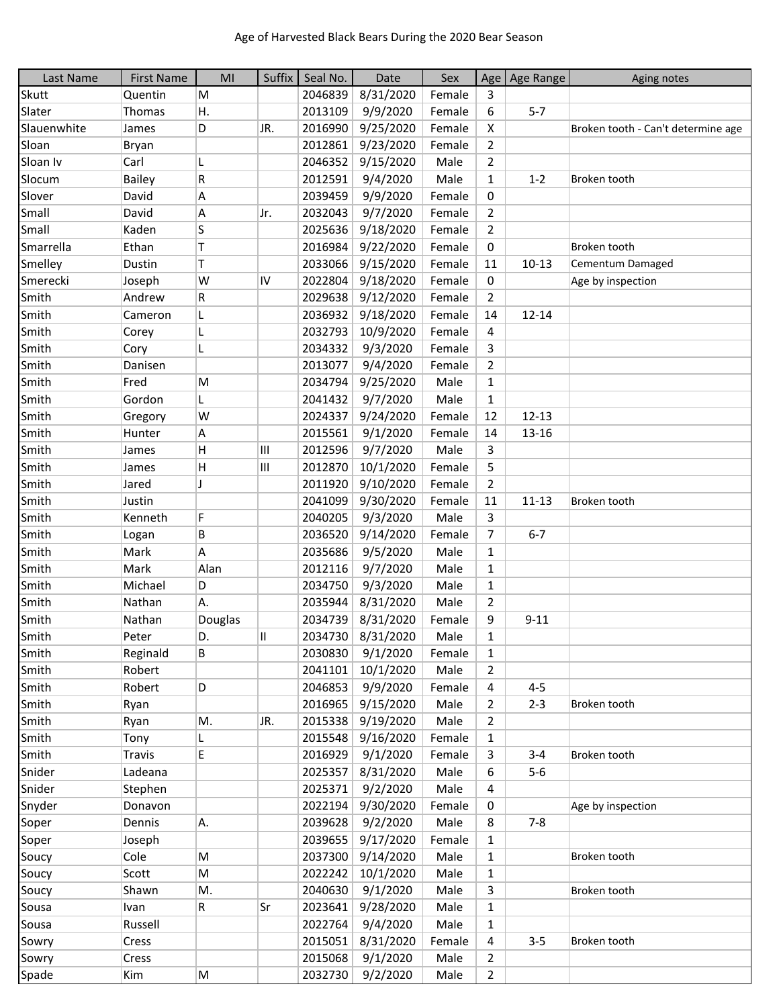| Last Name   | <b>First Name</b> | MI           | Suffix | Seal No. | Date              | Sex    |                | Age   Age Range | Aging notes                        |
|-------------|-------------------|--------------|--------|----------|-------------------|--------|----------------|-----------------|------------------------------------|
| Skutt       | Quentin           | M            |        | 2046839  | 8/31/2020         | Female | 3              |                 |                                    |
| Slater      | Thomas            | Η.           |        | 2013109  | 9/9/2020          | Female | 6              | $5 - 7$         |                                    |
| Slauenwhite | James             | D            | JR.    | 2016990  | 9/25/2020         | Female | X              |                 | Broken tooth - Can't determine age |
| Sloan       | Bryan             |              |        | 2012861  | 9/23/2020         | Female | $\overline{2}$ |                 |                                    |
| Sloan Iv    | Carl              | L            |        | 2046352  | 9/15/2020         | Male   | $\overline{2}$ |                 |                                    |
| Slocum      | Bailey            | R            |        | 2012591  | 9/4/2020          | Male   | $\mathbf{1}$   | $1 - 2$         | Broken tooth                       |
| Slover      | David             | Α            |        | 2039459  | 9/9/2020          | Female | 0              |                 |                                    |
| Small       | David             | А            | Jr.    | 2032043  | 9/7/2020          | Female | $\overline{2}$ |                 |                                    |
| Small       | Kaden             | S            |        | 2025636  | 9/18/2020         | Female | $\overline{2}$ |                 |                                    |
| Smarrella   | Ethan             | T            |        | 2016984  | 9/22/2020         | Female | 0              |                 | Broken tooth                       |
| Smelley     | Dustin            | т            |        | 2033066  | 9/15/2020         | Female | 11             | $10 - 13$       | Cementum Damaged                   |
| Smerecki    | Joseph            | W            | IV     | 2022804  | 9/18/2020         | Female | 0              |                 | Age by inspection                  |
| Smith       | Andrew            | R            |        | 2029638  | 9/12/2020         | Female | $\overline{2}$ |                 |                                    |
| Smith       | Cameron           | L            |        | 2036932  | 9/18/2020         | Female | 14             | $12 - 14$       |                                    |
| Smith       | Corey             | L            |        | 2032793  | 10/9/2020         | Female | 4              |                 |                                    |
| Smith       | Cory              | L            |        | 2034332  | 9/3/2020          | Female | 3              |                 |                                    |
| Smith       | Danisen           |              |        | 2013077  | 9/4/2020          | Female | $\overline{2}$ |                 |                                    |
| Smith       | Fred              | M            |        | 2034794  | 9/25/2020         | Male   | $\mathbf{1}$   |                 |                                    |
| Smith       | Gordon            | L            |        | 2041432  | 9/7/2020          | Male   | $\mathbf{1}$   |                 |                                    |
| Smith       | Gregory           | W            |        | 2024337  | 9/24/2020         | Female | 12             | $12 - 13$       |                                    |
| Smith       | Hunter            | Α            |        | 2015561  | 9/1/2020          | Female | 14             | $13 - 16$       |                                    |
| Smith       | James             | Н            | Ш      | 2012596  | 9/7/2020          | Male   | 3              |                 |                                    |
| Smith       | James             | H            | Ш      | 2012870  | 10/1/2020         | Female | 5              |                 |                                    |
| Smith       | Jared             | $\mathbf{I}$ |        |          |                   | Female | $\overline{2}$ |                 |                                    |
|             |                   |              |        | 2011920  | 9/10/2020         |        |                |                 |                                    |
| Smith       | Justin            | F            |        | 2041099  | 9/30/2020         | Female | 11             | $11 - 13$       | Broken tooth                       |
| Smith       | Kenneth           |              |        | 2040205  | 9/3/2020          | Male   | 3              |                 |                                    |
| Smith       | Logan             | B            |        | 2036520  | 9/14/2020         | Female | 7              | $6 - 7$         |                                    |
| Smith       | Mark              | А            |        | 2035686  | 9/5/2020          | Male   | $\mathbf{1}$   |                 |                                    |
| Smith       | Mark              | Alan         |        | 2012116  | 9/7/2020          | Male   | $\mathbf{1}$   |                 |                                    |
| Smith       | Michael           | D            |        | 2034750  | 9/3/2020          | Male   | $\mathbf{1}$   |                 |                                    |
| Smith       | Nathan            | Α.           |        | 2035944  | 8/31/2020         | Male   | 2              |                 |                                    |
| Smith       | Nathan            | Douglas      |        | 2034739  | 8/31/2020         | Female | 9              | $9 - 11$        |                                    |
| Smith       | Peter             | D.           | Ш      |          | 2034730 8/31/2020 | Male   | 1              |                 |                                    |
| Smith       | Reginald          | В            |        | 2030830  | 9/1/2020          | Female | 1              |                 |                                    |
| Smith       | Robert            |              |        | 2041101  | 10/1/2020         | Male   | 2              |                 |                                    |
| Smith       | Robert            | D            |        | 2046853  | 9/9/2020          | Female | 4              | $4 - 5$         |                                    |
| Smith       | Ryan              |              |        | 2016965  | 9/15/2020         | Male   | $\overline{2}$ | $2 - 3$         | Broken tooth                       |
| Smith       | Ryan              | М.           | JR.    | 2015338  | 9/19/2020         | Male   | $\overline{2}$ |                 |                                    |
| Smith       | Tony              | L            |        | 2015548  | 9/16/2020         | Female | 1              |                 |                                    |
| Smith       | <b>Travis</b>     | E.           |        | 2016929  | 9/1/2020          | Female | 3              | $3 - 4$         | Broken tooth                       |
| Snider      | Ladeana           |              |        | 2025357  | 8/31/2020         | Male   | 6              | $5-6$           |                                    |
| Snider      | Stephen           |              |        | 2025371  | 9/2/2020          | Male   | 4              |                 |                                    |
| Snyder      | Donavon           |              |        | 2022194  | 9/30/2020         | Female | 0              |                 | Age by inspection                  |
| Soper       | Dennis            | A.           |        | 2039628  | 9/2/2020          | Male   | 8              | $7 - 8$         |                                    |
| Soper       | Joseph            |              |        | 2039655  | 9/17/2020         | Female | $\mathbf{1}$   |                 |                                    |
| Soucy       | Cole              | M            |        | 2037300  | 9/14/2020         | Male   | 1              |                 | Broken tooth                       |
| Soucy       | Scott             | M            |        | 2022242  | 10/1/2020         | Male   | $\mathbf{1}$   |                 |                                    |
| Soucy       | Shawn             | Μ.           |        | 2040630  | 9/1/2020          | Male   | 3              |                 | Broken tooth                       |
| Sousa       | Ivan              | R.           | Sr     | 2023641  | 9/28/2020         | Male   | 1              |                 |                                    |
| Sousa       | Russell           |              |        | 2022764  | 9/4/2020          | Male   | $\mathbf{1}$   |                 |                                    |
| Sowry       | Cress             |              |        | 2015051  | 8/31/2020         | Female | 4              | $3 - 5$         | Broken tooth                       |
| Sowry       | Cress             |              |        | 2015068  | 9/1/2020          | Male   | $\overline{2}$ |                 |                                    |
| Spade       | Kim               | M            |        |          | 2032730 9/2/2020  | Male   | $\overline{2}$ |                 |                                    |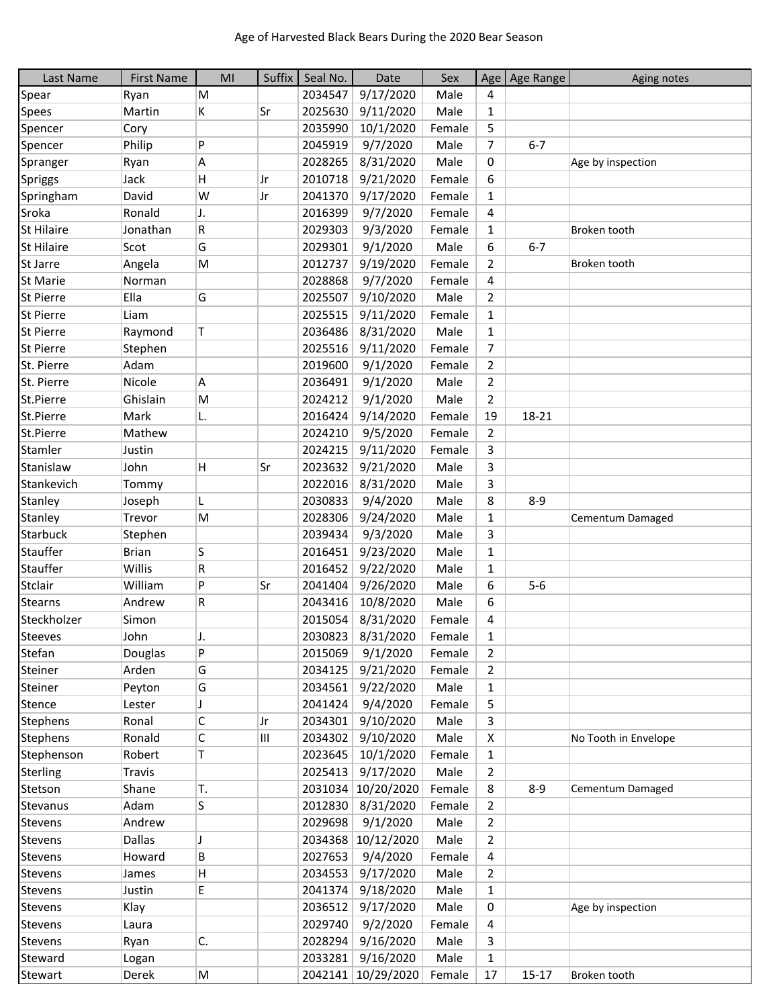| Last Name         | <b>First Name</b> | MI | Suffix    | Seal No. | Date               | Sex    |                | Age   Age Range | Aging notes          |
|-------------------|-------------------|----|-----------|----------|--------------------|--------|----------------|-----------------|----------------------|
| Spear             | Ryan              | M  |           | 2034547  | 9/17/2020          | Male   | 4              |                 |                      |
| <b>Spees</b>      | Martin            | K  | Sr        | 2025630  | 9/11/2020          | Male   | 1              |                 |                      |
| Spencer           | Cory              |    |           | 2035990  | 10/1/2020          | Female | 5              |                 |                      |
| Spencer           | Philip            | P  |           | 2045919  | 9/7/2020           | Male   | $\overline{7}$ | $6 - 7$         |                      |
| Spranger          | Ryan              | Α  |           | 2028265  | 8/31/2020          | Male   | 0              |                 | Age by inspection    |
| Spriggs           | Jack              | н  | Jr        | 2010718  | 9/21/2020          | Female | 6              |                 |                      |
| Springham         | David             | W  | Jr        | 2041370  | 9/17/2020          | Female | $\mathbf{1}$   |                 |                      |
| Sroka             | Ronald            | J. |           | 2016399  | 9/7/2020           | Female | 4              |                 |                      |
| <b>St Hilaire</b> | Jonathan          | R  |           | 2029303  | 9/3/2020           | Female | $\mathbf{1}$   |                 | Broken tooth         |
| <b>St Hilaire</b> | Scot              | G  |           | 2029301  | 9/1/2020           | Male   | 6              | $6 - 7$         |                      |
| St Jarre          | Angela            | M  |           | 2012737  | 9/19/2020          | Female | 2              |                 | Broken tooth         |
| <b>St Marie</b>   | Norman            |    |           | 2028868  | 9/7/2020           | Female | 4              |                 |                      |
| St Pierre         | Ella              | G  |           | 2025507  | 9/10/2020          | Male   | 2              |                 |                      |
| <b>St Pierre</b>  | Liam              |    |           | 2025515  | 9/11/2020          | Female | $\mathbf{1}$   |                 |                      |
| <b>St Pierre</b>  | Raymond           | T  |           | 2036486  | 8/31/2020          | Male   | 1              |                 |                      |
| St Pierre         | Stephen           |    |           | 2025516  | 9/11/2020          | Female | $\overline{7}$ |                 |                      |
| St. Pierre        | Adam              |    |           | 2019600  | 9/1/2020           | Female | $\overline{2}$ |                 |                      |
| St. Pierre        | Nicole            | A  |           | 2036491  | 9/1/2020           | Male   | $\overline{2}$ |                 |                      |
| St.Pierre         | Ghislain          | M  |           | 2024212  | 9/1/2020           | Male   | $\overline{2}$ |                 |                      |
| St.Pierre         | Mark              | L. |           | 2016424  | 9/14/2020          | Female | 19             | 18-21           |                      |
| St.Pierre         | Mathew            |    |           | 2024210  | 9/5/2020           | Female | $\overline{2}$ |                 |                      |
| Stamler           | Justin            |    |           | 2024215  | 9/11/2020          | Female | 3              |                 |                      |
| Stanislaw         | John              | H  | Sr        | 2023632  | 9/21/2020          | Male   | 3              |                 |                      |
| Stankevich        | Tommy             |    |           | 2022016  | 8/31/2020          | Male   | 3              |                 |                      |
| Stanley           | Joseph            | L  |           | 2030833  | 9/4/2020           | Male   | 8              | $8 - 9$         |                      |
| Stanley           | Trevor            | M  |           | 2028306  | 9/24/2020          | Male   | $\mathbf{1}$   |                 | Cementum Damaged     |
| Starbuck          | Stephen           |    |           | 2039434  | 9/3/2020           | Male   | 3              |                 |                      |
| Stauffer          | <b>Brian</b>      | S  |           | 2016451  | 9/23/2020          | Male   | $\mathbf{1}$   |                 |                      |
| Stauffer          | Willis            | R  |           | 2016452  | 9/22/2020          | Male   | $\mathbf{1}$   |                 |                      |
| Stclair           | William           | P  | <b>Sr</b> | 2041404  | 9/26/2020          | Male   | 6              | $5-6$           |                      |
| <b>Stearns</b>    | Andrew            | R  |           | 2043416  | 10/8/2020          | Male   | 6              |                 |                      |
| Steckholzer       | Simon             |    |           | 2015054  | 8/31/2020          | Female | 4              |                 |                      |
| Steeves           | John              | ı  |           |          | 2030823 8/31/2020  | Female | 1              |                 |                      |
| Stefan            | Douglas           | P  |           | 2015069  | 9/1/2020           | Female | 2              |                 |                      |
| Steiner           | Arden             | G  |           | 2034125  | 9/21/2020          | Female | 2              |                 |                      |
| Steiner           | Peyton            | G  |           | 2034561  | 9/22/2020          | Male   | $\mathbf{1}$   |                 |                      |
| Stence            | Lester            | J  |           | 2041424  | 9/4/2020           | Female | 5              |                 |                      |
| <b>Stephens</b>   | Ronal             | C  | Jr        | 2034301  | 9/10/2020          | Male   | 3              |                 |                      |
| Stephens          | Ronald            | C  | Ш         | 2034302  | 9/10/2020          | Male   | X              |                 | No Tooth in Envelope |
| Stephenson        | Robert            | T. |           | 2023645  | 10/1/2020          | Female | 1              |                 |                      |
| Sterling          | <b>Travis</b>     |    |           | 2025413  | 9/17/2020          | Male   | 2              |                 |                      |
| Stetson           | Shane             | Т. |           | 2031034  | 10/20/2020         | Female | 8              | $8 - 9$         | Cementum Damaged     |
| Stevanus          | Adam              | S  |           | 2012830  | 8/31/2020          | Female | 2              |                 |                      |
| Stevens           | Andrew            |    |           | 2029698  | 9/1/2020           | Male   | $\overline{2}$ |                 |                      |
| Stevens           | Dallas            | J  |           |          | 2034368 10/12/2020 | Male   | $\overline{2}$ |                 |                      |
| Stevens           | Howard            | В  |           | 2027653  | 9/4/2020           | Female | 4              |                 |                      |
| Stevens           | James             | н  |           | 2034553  | 9/17/2020          | Male   | 2              |                 |                      |
| <b>Stevens</b>    | Justin            | E  |           | 2041374  | 9/18/2020          | Male   | $\mathbf{1}$   |                 |                      |
| Stevens           | Klay              |    |           | 2036512  | 9/17/2020          | Male   | 0              |                 | Age by inspection    |
| Stevens           | Laura             |    |           | 2029740  | 9/2/2020           | Female | 4              |                 |                      |
| Stevens           | Ryan              | C. |           | 2028294  | 9/16/2020          | Male   | 3              |                 |                      |
| Steward           | Logan             |    |           | 2033281  | 9/16/2020          | Male   | $\mathbf{1}$   |                 |                      |
| Stewart           | Derek             | M  |           |          | 2042141 10/29/2020 | Female | 17             | $15 - 17$       | Broken tooth         |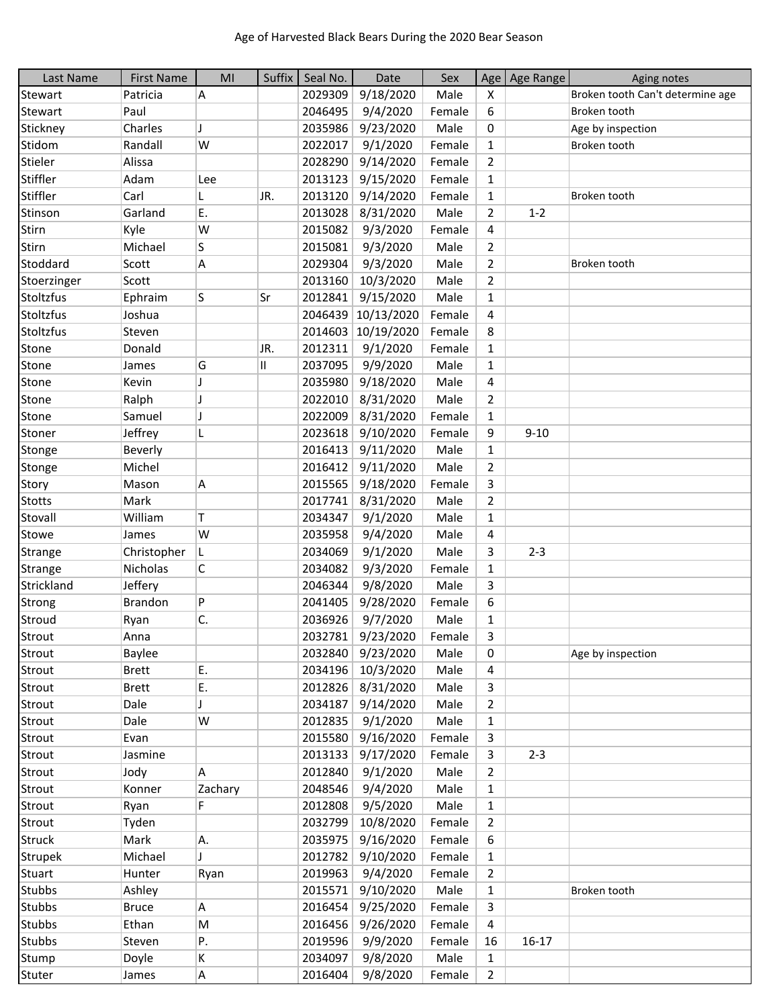| Last Name        | <b>First Name</b> | MI      | Suffix | Seal No. | Date       | Sex    |                | Age   Age Range | Aging notes                      |
|------------------|-------------------|---------|--------|----------|------------|--------|----------------|-----------------|----------------------------------|
| Stewart          | Patricia          | Α       |        | 2029309  | 9/18/2020  | Male   | X              |                 | Broken tooth Can't determine age |
| Stewart          | Paul              |         |        | 2046495  | 9/4/2020   | Female | 6              |                 | Broken tooth                     |
| Stickney         | Charles           | I       |        | 2035986  | 9/23/2020  | Male   | 0              |                 | Age by inspection                |
| Stidom           | Randall           | W       |        | 2022017  | 9/1/2020   | Female | $\mathbf{1}$   |                 | Broken tooth                     |
| Stieler          | Alissa            |         |        | 2028290  | 9/14/2020  | Female | $\overline{2}$ |                 |                                  |
| Stiffler         | Adam              | Lee     |        | 2013123  | 9/15/2020  | Female | 1              |                 |                                  |
| Stiffler         | Carl              | L       | JR.    | 2013120  | 9/14/2020  | Female | $\mathbf{1}$   |                 | Broken tooth                     |
| Stinson          | Garland           | E.      |        | 2013028  | 8/31/2020  | Male   | $\overline{2}$ | $1 - 2$         |                                  |
| Stirn            | Kyle              | W       |        | 2015082  | 9/3/2020   | Female | 4              |                 |                                  |
| Stirn            | Michael           | S       |        | 2015081  | 9/3/2020   | Male   | $\overline{2}$ |                 |                                  |
| Stoddard         | Scott             | Α       |        | 2029304  | 9/3/2020   | Male   | $\overline{2}$ |                 | Broken tooth                     |
| Stoerzinger      | Scott             |         |        | 2013160  | 10/3/2020  | Male   | $\overline{2}$ |                 |                                  |
| Stoltzfus        | Ephraim           | S       | Sr     | 2012841  | 9/15/2020  | Male   | $\mathbf{1}$   |                 |                                  |
| Stoltzfus        | Joshua            |         |        | 2046439  | 10/13/2020 | Female | 4              |                 |                                  |
| <b>Stoltzfus</b> | Steven            |         |        | 2014603  | 10/19/2020 | Female | 8              |                 |                                  |
| Stone            | Donald            |         | JR.    | 2012311  | 9/1/2020   | Female | $\mathbf{1}$   |                 |                                  |
| Stone            | James             | G       | 11     | 2037095  | 9/9/2020   | Male   | $\mathbf{1}$   |                 |                                  |
| Stone            | Kevin             | J       |        | 2035980  | 9/18/2020  | Male   | 4              |                 |                                  |
| Stone            | Ralph             | IJ      |        | 2022010  | 8/31/2020  | Male   | $\overline{2}$ |                 |                                  |
| Stone            | Samuel            | J       |        | 2022009  | 8/31/2020  | Female | 1              |                 |                                  |
| Stoner           | Jeffrey           | L       |        | 2023618  | 9/10/2020  | Female | 9              | $9 - 10$        |                                  |
|                  | Beverly           |         |        | 2016413  | 9/11/2020  | Male   | $\mathbf{1}$   |                 |                                  |
| Stonge           | Michel            |         |        | 2016412  | 9/11/2020  | Male   | $\overline{2}$ |                 |                                  |
| Stonge           |                   |         |        |          |            |        |                |                 |                                  |
| Story            | Mason             | A       |        | 2015565  | 9/18/2020  | Female | 3              |                 |                                  |
| <b>Stotts</b>    | Mark<br>William   |         |        | 2017741  | 8/31/2020  | Male   | $\overline{2}$ |                 |                                  |
| Stovall          |                   | Τ       |        | 2034347  | 9/1/2020   | Male   | $\mathbf{1}$   |                 |                                  |
| Stowe            | James             | W       |        | 2035958  | 9/4/2020   | Male   | 4              |                 |                                  |
| Strange          | Christopher       | L.      |        | 2034069  | 9/1/2020   | Male   | 3              | $2 - 3$         |                                  |
| Strange          | Nicholas          | C       |        | 2034082  | 9/3/2020   | Female | 1              |                 |                                  |
| Strickland       | Jeffery           |         |        | 2046344  | 9/8/2020   | Male   | 3              |                 |                                  |
| Strong           | Brandon           | P       |        | 2041405  | 9/28/2020  | Female | 6              |                 |                                  |
| Stroud           | Ryan              | C.      |        | 2036926  | 9/7/2020   | Male   | 1              |                 |                                  |
| Strout           | Anna              |         |        | 2032781  | 9/23/2020  | Female | 3              |                 |                                  |
| Strout           | Baylee            |         |        | 2032840  | 9/23/2020  | Male   | 0              |                 | Age by inspection                |
| Strout           | <b>Brett</b>      | E.      |        | 2034196  | 10/3/2020  | Male   | 4              |                 |                                  |
| Strout           | <b>Brett</b>      | E.      |        | 2012826  | 8/31/2020  | Male   | 3              |                 |                                  |
| Strout           | Dale              |         |        | 2034187  | 9/14/2020  | Male   | $\overline{2}$ |                 |                                  |
| Strout           | Dale              | W       |        | 2012835  | 9/1/2020   | Male   | 1              |                 |                                  |
| Strout           | Evan              |         |        | 2015580  | 9/16/2020  | Female | 3              |                 |                                  |
| Strout           | Jasmine           |         |        | 2013133  | 9/17/2020  | Female | 3              | $2 - 3$         |                                  |
| Strout           | Jody              | А       |        | 2012840  | 9/1/2020   | Male   | 2              |                 |                                  |
| Strout           | Konner            | Zachary |        | 2048546  | 9/4/2020   | Male   | $\mathbf{1}$   |                 |                                  |
| Strout           | Ryan              | F.      |        | 2012808  | 9/5/2020   | Male   | $\mathbf{1}$   |                 |                                  |
| Strout           | Tyden             |         |        | 2032799  | 10/8/2020  | Female | $\overline{2}$ |                 |                                  |
| <b>Struck</b>    | Mark              | Α.      |        | 2035975  | 9/16/2020  | Female | 6              |                 |                                  |
| <b>Strupek</b>   | Michael           |         |        | 2012782  | 9/10/2020  | Female | $\mathbf{1}$   |                 |                                  |
| Stuart           | Hunter            | Ryan    |        | 2019963  | 9/4/2020   | Female | $\overline{2}$ |                 |                                  |
| <b>Stubbs</b>    | Ashley            |         |        | 2015571  | 9/10/2020  | Male   | 1              |                 | Broken tooth                     |
| Stubbs           | <b>Bruce</b>      | A       |        | 2016454  | 9/25/2020  | Female | 3              |                 |                                  |
| <b>Stubbs</b>    | Ethan             | M       |        | 2016456  | 9/26/2020  | Female | 4              |                 |                                  |
| Stubbs           | Steven            | Ρ.      |        | 2019596  | 9/9/2020   | Female | 16             | $16 - 17$       |                                  |
| Stump            | Doyle             | K       |        | 2034097  | 9/8/2020   | Male   | $\mathbf{1}$   |                 |                                  |
| Stuter           | James             | A       |        | 2016404  | 9/8/2020   | Female | $\overline{2}$ |                 |                                  |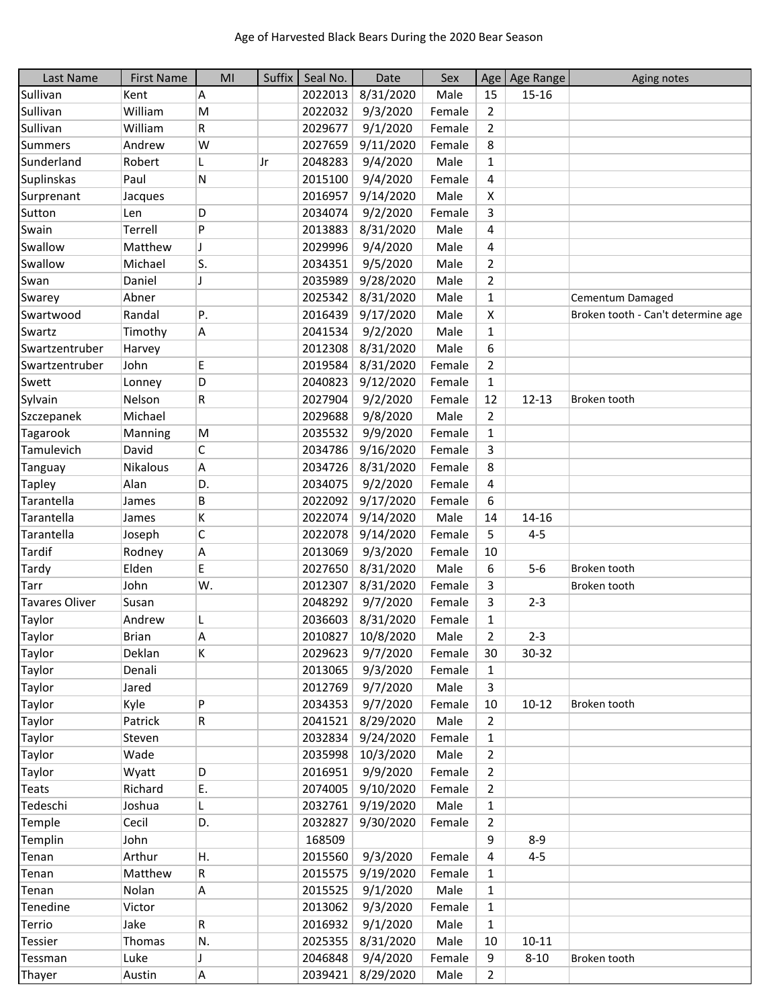| Last Name             | <b>First Name</b> | MI  | Suffix | Seal No. | Date      | Sex    |                | Age   Age Range | Aging notes                        |
|-----------------------|-------------------|-----|--------|----------|-----------|--------|----------------|-----------------|------------------------------------|
| Sullivan              | Kent              | A   |        | 2022013  | 8/31/2020 | Male   | 15             | $15 - 16$       |                                    |
| Sullivan              | William           | M   |        | 2022032  | 9/3/2020  | Female | $\overline{2}$ |                 |                                    |
| Sullivan              | William           | R   |        | 2029677  | 9/1/2020  | Female | $\overline{2}$ |                 |                                    |
| <b>Summers</b>        | Andrew            | W   |        | 2027659  | 9/11/2020 | Female | 8              |                 |                                    |
| Sunderland            | Robert            | L   | Jr     | 2048283  | 9/4/2020  | Male   | $\mathbf{1}$   |                 |                                    |
| Suplinskas            | Paul              | N   |        | 2015100  | 9/4/2020  | Female | 4              |                 |                                    |
| Surprenant            | Jacques           |     |        | 2016957  | 9/14/2020 | Male   | X              |                 |                                    |
| Sutton                | Len               | D   |        | 2034074  | 9/2/2020  | Female | 3              |                 |                                    |
| Swain                 | Terrell           | P   |        | 2013883  | 8/31/2020 | Male   | 4              |                 |                                    |
| Swallow               | Matthew           | J   |        | 2029996  | 9/4/2020  | Male   | 4              |                 |                                    |
| Swallow               | Michael           | ls. |        | 2034351  | 9/5/2020  | Male   | $\overline{2}$ |                 |                                    |
| Swan                  | Daniel            | J   |        | 2035989  | 9/28/2020 | Male   | $\overline{2}$ |                 |                                    |
| Swarey                | Abner             |     |        | 2025342  | 8/31/2020 | Male   | $\mathbf{1}$   |                 | Cementum Damaged                   |
| Swartwood             | Randal            | P.  |        | 2016439  | 9/17/2020 | Male   | X              |                 | Broken tooth - Can't determine age |
| Swartz                | Timothy           | A   |        | 2041534  | 9/2/2020  | Male   | $\mathbf{1}$   |                 |                                    |
| Swartzentruber        | Harvey            |     |        | 2012308  | 8/31/2020 | Male   | 6              |                 |                                    |
| Swartzentruber        | John              | E   |        | 2019584  | 8/31/2020 | Female | $\overline{2}$ |                 |                                    |
| Swett                 | Lonney            | D   |        | 2040823  | 9/12/2020 | Female | $\mathbf{1}$   |                 |                                    |
| Sylvain               | Nelson            | R   |        | 2027904  | 9/2/2020  | Female | 12             | $12 - 13$       | Broken tooth                       |
| Szczepanek            | Michael           |     |        | 2029688  | 9/8/2020  | Male   | $\overline{2}$ |                 |                                    |
| Tagarook              | Manning           | M   |        | 2035532  | 9/9/2020  | Female | $\mathbf{1}$   |                 |                                    |
| Tamulevich            | David             | C   |        | 2034786  | 9/16/2020 | Female | 3              |                 |                                    |
| Tanguay               | Nikalous          | Α   |        | 2034726  | 8/31/2020 | Female | 8              |                 |                                    |
| <b>Tapley</b>         | Alan              | D.  |        | 2034075  | 9/2/2020  | Female | 4              |                 |                                    |
| Tarantella            | James             | B   |        | 2022092  | 9/17/2020 | Female | 6              |                 |                                    |
| Tarantella            | James             | K   |        | 2022074  | 9/14/2020 | Male   | 14             | 14-16           |                                    |
| Tarantella            | Joseph            | C   |        | 2022078  | 9/14/2020 | Female | 5              | $4 - 5$         |                                    |
| <b>Tardif</b>         | Rodney            | А   |        | 2013069  | 9/3/2020  | Female | 10             |                 |                                    |
| Tardy                 | Elden             | E.  |        | 2027650  | 8/31/2020 | Male   | 6              | $5-6$           | Broken tooth                       |
| Tarr                  | John              | W.  |        | 2012307  | 8/31/2020 | Female | 3              |                 | Broken tooth                       |
| <b>Tavares Oliver</b> | Susan             |     |        | 2048292  | 9/7/2020  | Female | 3              | $2 - 3$         |                                    |
| Taylor                | Andrew            | L   |        | 2036603  | 8/31/2020 | Female | $\mathbf{1}$   |                 |                                    |
| Taylor                | <b>Brian</b>      | A   |        | 2010827  | 10/8/2020 | Male   | $\overline{2}$ | $2 - 3$         |                                    |
| Taylor                | Deklan            | K   |        | 2029623  | 9/7/2020  | Female | 30             | 30-32           |                                    |
| Taylor                | Denali            |     |        | 2013065  | 9/3/2020  | Female | 1              |                 |                                    |
| Taylor                | Jared             |     |        | 2012769  | 9/7/2020  | Male   | 3              |                 |                                    |
| Taylor                | Kyle              | P   |        | 2034353  | 9/7/2020  | Female | 10             | $10 - 12$       | Broken tooth                       |
| Taylor                | Patrick           | R   |        | 2041521  | 8/29/2020 | Male   | $\overline{2}$ |                 |                                    |
| Taylor                | Steven            |     |        | 2032834  | 9/24/2020 | Female | $\mathbf{1}$   |                 |                                    |
| Taylor                | Wade              |     |        | 2035998  | 10/3/2020 | Male   | $\overline{2}$ |                 |                                    |
| Taylor                | Wyatt             | D   |        | 2016951  | 9/9/2020  | Female | $\overline{2}$ |                 |                                    |
| <b>Teats</b>          | Richard           | Ε.  |        | 2074005  | 9/10/2020 | Female | $\overline{2}$ |                 |                                    |
| Tedeschi              | Joshua            | L   |        | 2032761  | 9/19/2020 | Male   | $\mathbf{1}$   |                 |                                    |
| Temple                | Cecil             | D.  |        | 2032827  | 9/30/2020 | Female | $\overline{2}$ |                 |                                    |
| Templin               | John              |     |        | 168509   |           |        | 9              | $8 - 9$         |                                    |
| Tenan                 | Arthur            | Н.  |        | 2015560  | 9/3/2020  | Female | 4              | $4 - 5$         |                                    |
| Tenan                 | Matthew           | R   |        | 2015575  | 9/19/2020 | Female | 1              |                 |                                    |
| Tenan                 | Nolan             | A   |        | 2015525  | 9/1/2020  | Male   | $\mathbf{1}$   |                 |                                    |
| Tenedine              | Victor            |     |        | 2013062  | 9/3/2020  | Female | $\mathbf{1}$   |                 |                                    |
| Terrio                | Jake              | R   |        | 2016932  | 9/1/2020  | Male   | 1              |                 |                                    |
| Tessier               | Thomas            | N.  |        | 2025355  | 8/31/2020 | Male   | 10             | $10 - 11$       |                                    |
| Tessman               | Luke              | J   |        | 2046848  | 9/4/2020  | Female | 9              | $8 - 10$        | Broken tooth                       |
| Thayer                | Austin            | A   |        | 2039421  | 8/29/2020 | Male   | $\overline{2}$ |                 |                                    |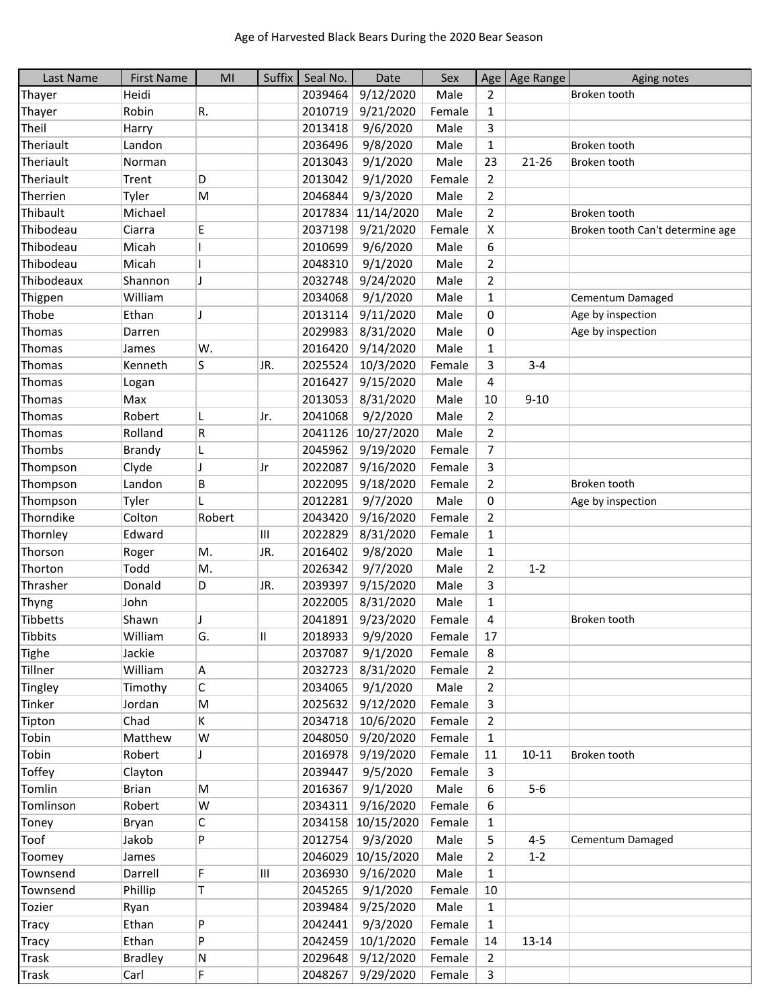| Last Name       | <b>First Name</b> | MI                       | Suffix | Seal No. | Date               | Sex    | Age                     | Age Range | Aging notes                      |
|-----------------|-------------------|--------------------------|--------|----------|--------------------|--------|-------------------------|-----------|----------------------------------|
| Thayer          | Heidi             |                          |        | 2039464  | 9/12/2020          | Male   | 2                       |           | Broken tooth                     |
| Thayer          | Robin             | R.                       |        | 2010719  | 9/21/2020          | Female | $\mathbf{1}$            |           |                                  |
| Theil           | Harry             |                          |        | 2013418  | 9/6/2020           | Male   | 3                       |           |                                  |
| Theriault       | Landon            |                          |        | 2036496  | 9/8/2020           | Male   | $\mathbf 1$             |           | Broken tooth                     |
| Theriault       | Norman            |                          |        | 2013043  | 9/1/2020           | Male   | 23                      | 21-26     | Broken tooth                     |
| Theriault       | Trent             | D                        |        | 2013042  | 9/1/2020           | Female | $\overline{2}$          |           |                                  |
| Therrien        | Tyler             | M                        |        | 2046844  | 9/3/2020           | Male   | $\overline{2}$          |           |                                  |
| Thibault        | Michael           |                          |        | 2017834  | 11/14/2020         | Male   | $\overline{2}$          |           | Broken tooth                     |
| Thibodeau       | Ciarra            | E                        |        | 2037198  | 9/21/2020          | Female | X                       |           | Broken tooth Can't determine age |
| Thibodeau       | Micah             |                          |        | 2010699  | 9/6/2020           | Male   | 6                       |           |                                  |
| Thibodeau       | Micah             |                          |        | 2048310  | 9/1/2020           | Male   | $\overline{2}$          |           |                                  |
| Thibodeaux      | Shannon           | IJ                       |        | 2032748  | 9/24/2020          | Male   | $\overline{2}$          |           |                                  |
| Thigpen         | William           |                          |        | 2034068  | 9/1/2020           | Male   | $\mathbf{1}$            |           | Cementum Damaged                 |
| Thobe           | Ethan             | J                        |        | 2013114  | 9/11/2020          | Male   | 0                       |           | Age by inspection                |
| Thomas          | Darren            |                          |        | 2029983  | 8/31/2020          | Male   | 0                       |           | Age by inspection                |
| Thomas          | James             | W.                       |        | 2016420  | 9/14/2020          | Male   | $\mathbf{1}$            |           |                                  |
| Thomas          | Kenneth           | S                        | JR.    | 2025524  | 10/3/2020          | Female | 3                       | $3 - 4$   |                                  |
| Thomas          | Logan             |                          |        | 2016427  | 9/15/2020          | Male   | 4                       |           |                                  |
| Thomas          | Max               |                          |        | 2013053  | 8/31/2020          | Male   | 10                      | $9 - 10$  |                                  |
| Thomas          | Robert            | L                        | IJr.   | 2041068  | 9/2/2020           | Male   | $\overline{2}$          |           |                                  |
| Thomas          | Rolland           | R                        |        | 2041126  | 10/27/2020         | Male   | $\overline{2}$          |           |                                  |
| Thombs          | Brandy            | L                        |        | 2045962  | 9/19/2020          | Female | $\overline{7}$          |           |                                  |
| Thompson        | Clyde             | $\overline{\phantom{a}}$ | Jr     | 2022087  | 9/16/2020          | Female | 3                       |           |                                  |
| Thompson        | Landon            | B                        |        | 2022095  | 9/18/2020          | Female | $\overline{2}$          |           | Broken tooth                     |
| Thompson        | Tyler             |                          |        | 2012281  | 9/7/2020           | Male   | 0                       |           | Age by inspection                |
| Thorndike       | Colton            | Robert                   |        | 2043420  | 9/16/2020          | Female | $\overline{2}$          |           |                                  |
| Thornley        | Edward            |                          | Ш      | 2022829  | 8/31/2020          | Female | $\mathbf{1}$            |           |                                  |
| Thorson         | Roger             | M.                       | JR.    | 2016402  | 9/8/2020           | Male   | $\mathbf{1}$            |           |                                  |
| Thorton         | Todd              | М.                       |        | 2026342  | 9/7/2020           | Male   | $\overline{2}$          | $1 - 2$   |                                  |
| Thrasher        | Donald            | D                        | JR.    | 2039397  | 9/15/2020          | Male   | 3                       |           |                                  |
| Thyng           | John              |                          |        | 2022005  | 8/31/2020          | Male   | $\mathbf{1}$            |           |                                  |
| <b>Tibbetts</b> | Shawn             | J                        |        | 2041891  | 9/23/2020          | Female | $\overline{\mathbf{4}}$ |           | Broken tooth                     |
| Tibbits         | William           | G.                       | Ш      | 2018933  | 9/9/2020           | Female | 17                      |           |                                  |
| <b>Tighe</b>    | Jackie            |                          |        | 2037087  | 9/1/2020           | Female | 8                       |           |                                  |
| Tillner         | William           | Α                        |        | 2032723  | 8/31/2020          | Female | $\overline{2}$          |           |                                  |
| Tingley         | Timothy           | $\mathsf C$              |        | 2034065  | 9/1/2020           | Male   | $\overline{2}$          |           |                                  |
| Tinker          | Jordan            | M                        |        | 2025632  | 9/12/2020          | Female | 3                       |           |                                  |
| Tipton          | Chad              | K                        |        | 2034718  | 10/6/2020          | Female | $\overline{2}$          |           |                                  |
| Tobin           | Matthew           | W                        |        | 2048050  | 9/20/2020          | Female | $\mathbf{1}$            |           |                                  |
| Tobin           | Robert            | J                        |        | 2016978  | 9/19/2020          | Female | 11                      | $10 - 11$ | Broken tooth                     |
| <b>Toffey</b>   | Clayton           |                          |        | 2039447  | 9/5/2020           | Female | 3                       |           |                                  |
| Tomlin          | <b>Brian</b>      | M                        |        | 2016367  | 9/1/2020           | Male   | 6                       | $5-6$     |                                  |
| Tomlinson       | Robert            | W                        |        | 2034311  | 9/16/2020          | Female | 6                       |           |                                  |
| Toney           | Bryan             | C                        |        |          | 2034158 10/15/2020 | Female | $\mathbf{1}$            |           |                                  |
| Toof            | Jakob             | P                        |        | 2012754  | 9/3/2020           | Male   | 5                       | $4 - 5$   | Cementum Damaged                 |
| Toomey          | James             |                          |        | 2046029  | 10/15/2020         | Male   | $\overline{2}$          | $1 - 2$   |                                  |
| Townsend        | Darrell           | F                        | Ш      | 2036930  | 9/16/2020          | Male   | $\mathbf{1}$            |           |                                  |
| Townsend        | Phillip           | T.                       |        | 2045265  | 9/1/2020           | Female | 10                      |           |                                  |
| Tozier          | Ryan              |                          |        | 2039484  | 9/25/2020          | Male   | $\mathbf{1}$            |           |                                  |
| <b>Tracy</b>    | Ethan             | P                        |        | 2042441  | 9/3/2020           | Female | 1                       |           |                                  |
| <b>Tracy</b>    | Ethan             | P                        |        | 2042459  | 10/1/2020          | Female | 14                      | 13-14     |                                  |
| <b>Trask</b>    | <b>Bradley</b>    | N                        |        | 2029648  | 9/12/2020          | Female | $\overline{2}$          |           |                                  |
| <b>Trask</b>    | Carl              | F                        |        | 2048267  | 9/29/2020          | Female | $\mathsf{3}$            |           |                                  |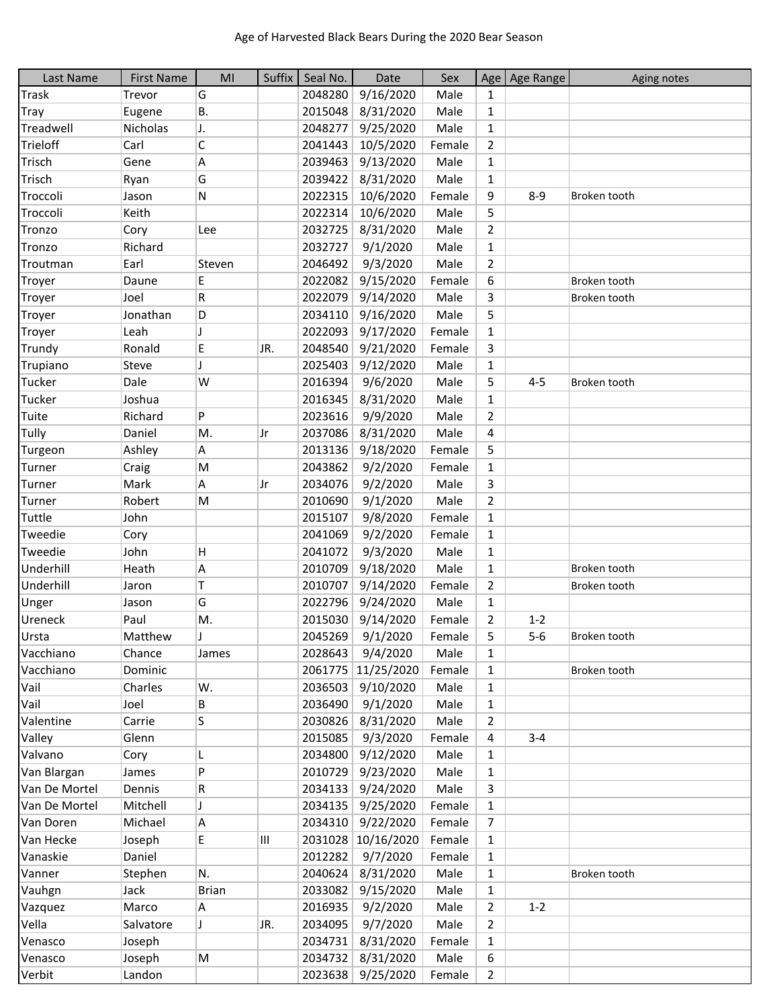| Last Name     | <b>First Name</b> | M <sub>l</sub>           | Suffix | Seal No. | Date               | Sex    |                | Age   Age Range | Aging notes  |
|---------------|-------------------|--------------------------|--------|----------|--------------------|--------|----------------|-----------------|--------------|
| <b>Trask</b>  | Trevor            | G                        |        | 2048280  | 9/16/2020          | Male   | 1              |                 |              |
| <b>Tray</b>   | Eugene            | В.                       |        | 2015048  | 8/31/2020          | Male   | $\mathbf{1}$   |                 |              |
| Treadwell     | Nicholas          | J.                       |        | 2048277  | 9/25/2020          | Male   | $\mathbf{1}$   |                 |              |
| Trieloff      | Carl              | $\mathsf C$              |        | 2041443  | 10/5/2020          | Female | $\overline{2}$ |                 |              |
| Trisch        | Gene              | Α                        |        | 2039463  | 9/13/2020          | Male   | $\mathbf{1}$   |                 |              |
| Trisch        | Ryan              | G                        |        | 2039422  | 8/31/2020          | Male   | $\mathbf{1}$   |                 |              |
| Troccoli      | Jason             | ${\sf N}$                |        | 2022315  | 10/6/2020          | Female | 9              | $8 - 9$         | Broken tooth |
| Troccoli      | Keith             |                          |        | 2022314  | 10/6/2020          | Male   | 5              |                 |              |
| Tronzo        | Cory              | Lee                      |        | 2032725  | 8/31/2020          | Male   | $\overline{2}$ |                 |              |
| Tronzo        | Richard           |                          |        | 2032727  | 9/1/2020           | Male   | $\mathbf{1}$   |                 |              |
| Troutman      | Earl              | Steven                   |        | 2046492  | 9/3/2020           | Male   | $\overline{2}$ |                 |              |
| Troyer        | Daune             | E                        |        | 2022082  | 9/15/2020          | Female | 6              |                 | Broken tooth |
| Troyer        | Joel              | R                        |        | 2022079  | 9/14/2020          | Male   | 3              |                 | Broken tooth |
| Troyer        | Jonathan          | D                        |        | 2034110  | 9/16/2020          | Male   | 5              |                 |              |
| Troyer        | Leah              | $\overline{\phantom{a}}$ |        | 2022093  | 9/17/2020          | Female | $\mathbf{1}$   |                 |              |
| Trundy        | Ronald            | E                        | JR.    | 2048540  | 9/21/2020          | Female | 3              |                 |              |
| Trupiano      | Steve             | $\overline{1}$           |        | 2025403  | 9/12/2020          | Male   | $\mathbf{1}$   |                 |              |
| Tucker        | Dale              | W                        |        | 2016394  | 9/6/2020           | Male   | 5              | $4 - 5$         | Broken tooth |
| Tucker        | Joshua            |                          |        | 2016345  | 8/31/2020          | Male   | $\mathbf{1}$   |                 |              |
| Tuite         | Richard           | P                        |        | 2023616  | 9/9/2020           | Male   | $\overline{2}$ |                 |              |
| Tully         | Daniel            | M.                       | Jr     | 2037086  | 8/31/2020          | Male   | 4              |                 |              |
| Turgeon       | Ashley            | А                        |        | 2013136  | 9/18/2020          | Female | 5              |                 |              |
| Turner        | Craig             | M                        |        | 2043862  | 9/2/2020           | Female | $\mathbf{1}$   |                 |              |
| Turner        | Mark              | Α                        | Jr     | 2034076  | 9/2/2020           | Male   | 3              |                 |              |
| Turner        | Robert            | M                        |        | 2010690  | 9/1/2020           | Male   | $\overline{2}$ |                 |              |
| Tuttle        | John              |                          |        | 2015107  | 9/8/2020           | Female | $\mathbf{1}$   |                 |              |
| Tweedie       | Cory              |                          |        | 2041069  | 9/2/2020           | Female | $\mathbf{1}$   |                 |              |
| Tweedie       | John              | H                        |        | 2041072  | 9/3/2020           | Male   | $\mathbf{1}$   |                 |              |
| Underhill     | Heath             | Α                        |        | 2010709  | 9/18/2020          | Male   | $\mathbf{1}$   |                 | Broken tooth |
| Underhill     | Jaron             | Τ                        |        | 2010707  | 9/14/2020          | Female | $\overline{2}$ |                 | Broken tooth |
| Unger         | Jason             | G                        |        | 2022796  | 9/24/2020          | Male   | $\mathbf{1}$   |                 |              |
| Ureneck       | Paul              | M.                       |        | 2015030  | 9/14/2020          | Female | 2              | $1 - 2$         |              |
| Ursta         | Matthew           | <sup>1</sup>             |        | 2045269  | 9/1/2020           | Female | 5              | $5-6$           | Broken tooth |
| Vacchiano     | Chance            | James                    |        | 2028643  | 9/4/2020           | Male   | $\mathbf{1}$   |                 |              |
| Vacchiano     | Dominic           |                          |        | 2061775  | 11/25/2020         | Female | $\mathbf{1}$   |                 | Broken tooth |
| Vail          | Charles           | W.                       |        | 2036503  | 9/10/2020          | Male   | $\mathbf{1}$   |                 |              |
| Vail          | Joel              | В                        |        | 2036490  | 9/1/2020           | Male   | $\mathbf{1}$   |                 |              |
| Valentine     | Carrie            | S                        |        | 2030826  | 8/31/2020          | Male   | $\overline{2}$ |                 |              |
| Valley        | Glenn             |                          |        | 2015085  | 9/3/2020           | Female | 4              | $3 - 4$         |              |
| Valvano       | Cory              | L                        |        | 2034800  | 9/12/2020          | Male   | 1              |                 |              |
| Van Blargan   | James             | P                        |        | 2010729  | 9/23/2020          | Male   | 1              |                 |              |
| Van De Mortel | Dennis            | R                        |        | 2034133  | 9/24/2020          | Male   | 3              |                 |              |
| Van De Mortel | Mitchell          | J                        |        | 2034135  | 9/25/2020          | Female | 1              |                 |              |
| Van Doren     | Michael           | A                        |        | 2034310  | 9/22/2020          | Female | 7              |                 |              |
| Van Hecke     | Joseph            | E                        | Ш      |          | 2031028 10/16/2020 | Female | $\mathbf{1}$   |                 |              |
| Vanaskie      | Daniel            |                          |        | 2012282  | 9/7/2020           | Female | $\mathbf{1}$   |                 |              |
| Vanner        | Stephen           | N.                       |        | 2040624  | 8/31/2020          | Male   | $\mathbf{1}$   |                 | Broken tooth |
| Vauhgn        | Jack              | <b>Brian</b>             |        | 2033082  | 9/15/2020          | Male   | $\mathbf{1}$   |                 |              |
| Vazquez       | Marco             | Α                        |        | 2016935  | 9/2/2020           | Male   | $\overline{2}$ | $1 - 2$         |              |
| Vella         | Salvatore         | J                        | JR.    | 2034095  | 9/7/2020           | Male   | 2              |                 |              |
| Venasco       | Joseph            |                          |        | 2034731  | 8/31/2020          | Female | 1              |                 |              |
| Venasco       | Joseph            | M                        |        | 2034732  | 8/31/2020          | Male   | 6              |                 |              |
| Verbit        | Landon            |                          |        |          | 2023638 9/25/2020  | Female | $\overline{2}$ |                 |              |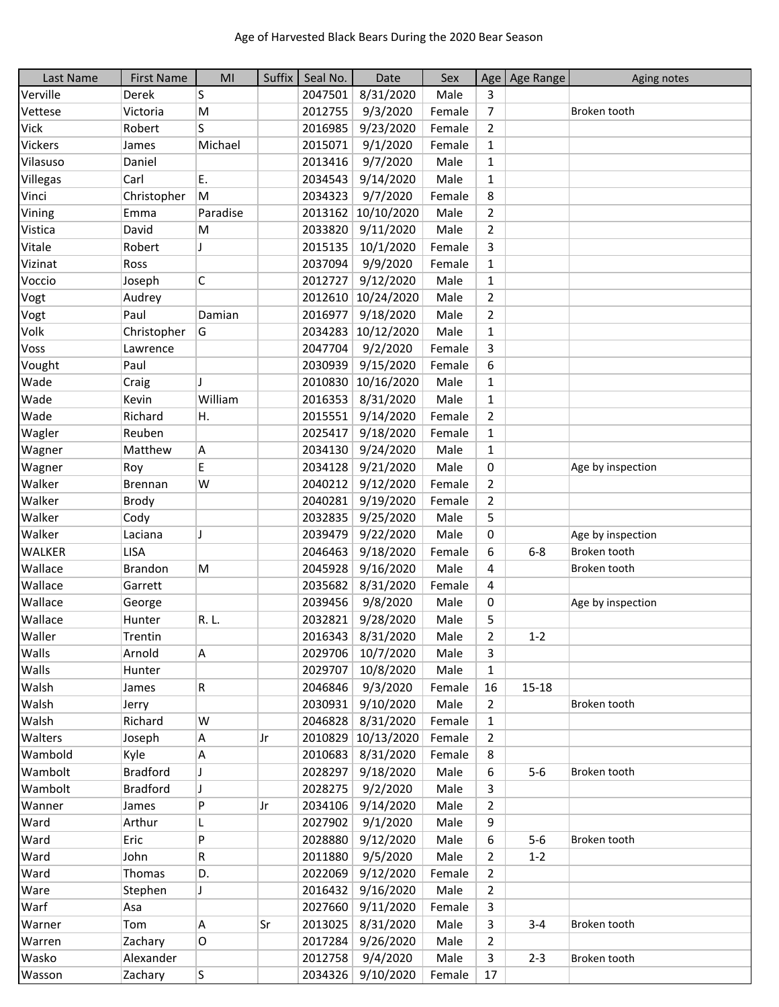| Last Name      | <b>First Name</b> | MI       | Suffix | Seal No. | Date                | Sex    |                | Age   Age Range | Aging notes       |
|----------------|-------------------|----------|--------|----------|---------------------|--------|----------------|-----------------|-------------------|
| Verville       | Derek             | S        |        | 2047501  | 8/31/2020           | Male   | 3              |                 |                   |
| Vettese        | Victoria          | M        |        | 2012755  | 9/3/2020            | Female | 7              |                 | Broken tooth      |
| <b>Vick</b>    | Robert            | S        |        | 2016985  | 9/23/2020           | Female | $\overline{2}$ |                 |                   |
| <b>Vickers</b> | James             | Michael  |        | 2015071  | 9/1/2020            | Female | $\mathbf{1}$   |                 |                   |
| Vilasuso       | Daniel            |          |        | 2013416  | 9/7/2020            | Male   | $\mathbf{1}$   |                 |                   |
| Villegas       | Carl              | E.       |        | 2034543  | 9/14/2020           | Male   | 1              |                 |                   |
| Vinci          | Christopher       | M        |        | 2034323  | 9/7/2020            | Female | 8              |                 |                   |
| Vining         | Emma              | Paradise |        |          | 2013162 10/10/2020  | Male   | $\overline{2}$ |                 |                   |
| Vistica        | David             | M        |        | 2033820  | 9/11/2020           | Male   | $\overline{2}$ |                 |                   |
| Vitale         | Robert            | J        |        | 2015135  | 10/1/2020           | Female | 3              |                 |                   |
| Vizinat        | Ross              |          |        | 2037094  | 9/9/2020            | Female | $\mathbf{1}$   |                 |                   |
| Voccio         | Joseph            | C        |        | 2012727  | 9/12/2020           | Male   | $\mathbf{1}$   |                 |                   |
| Vogt           | Audrey            |          |        | 2012610  | 10/24/2020          | Male   | $\overline{2}$ |                 |                   |
| Vogt           | Paul              | Damian   |        | 2016977  | 9/18/2020           | Male   | $\overline{2}$ |                 |                   |
| Volk           | Christopher       | G        |        | 2034283  | 10/12/2020          | Male   | 1              |                 |                   |
| Voss           | Lawrence          |          |        | 2047704  | 9/2/2020            | Female | 3              |                 |                   |
| Vought         | Paul              |          |        | 2030939  | 9/15/2020           | Female | 6              |                 |                   |
| Wade           | Craig             |          |        | 2010830  | 10/16/2020          | Male   | $\mathbf{1}$   |                 |                   |
| Wade           | Kevin             | William  |        | 2016353  | 8/31/2020           | Male   | $\mathbf{1}$   |                 |                   |
| Wade           | Richard           | Η.       |        | 2015551  | 9/14/2020           | Female | $\overline{2}$ |                 |                   |
| Wagler         | Reuben            |          |        | 2025417  | 9/18/2020           | Female | $\mathbf{1}$   |                 |                   |
| Wagner         | Matthew           | A        |        | 2034130  | 9/24/2020           | Male   | $\mathbf{1}$   |                 |                   |
| Wagner         | Roy               | E        |        | 2034128  | 9/21/2020           | Male   | 0              |                 | Age by inspection |
| Walker         | Brennan           | W        |        | 2040212  | 9/12/2020           | Female | $\overline{2}$ |                 |                   |
| Walker         | Brody             |          |        | 2040281  | 9/19/2020           | Female | $\overline{2}$ |                 |                   |
| Walker         | Cody              |          |        | 2032835  | 9/25/2020           | Male   | 5              |                 |                   |
| Walker         | Laciana           | J        |        | 2039479  | 9/22/2020           | Male   | 0              |                 | Age by inspection |
| <b>WALKER</b>  | LISA              |          |        | 2046463  | 9/18/2020           | Female | 6              | $6-8$           | Broken tooth      |
| Wallace        | <b>Brandon</b>    | M        |        | 2045928  | 9/16/2020           | Male   | 4              |                 | Broken tooth      |
| Wallace        | Garrett           |          |        | 2035682  | 8/31/2020           | Female | 4              |                 |                   |
| Wallace        | George            |          |        | 2039456  | 9/8/2020            | Male   | 0              |                 | Age by inspection |
| Wallace        | Hunter            | R. L.    |        | 2032821  | 9/28/2020           | Male   | 5              |                 |                   |
| Waller         | Trentin           |          |        | 2016343  | 8/31/2020           | Male   | $\overline{2}$ | $1 - 2$         |                   |
| Walls          | Arnold            | Α        |        |          | 2029706   10/7/2020 | Male   | 3              |                 |                   |
| Walls          | Hunter            |          |        | 2029707  | 10/8/2020           | Male   | $\mathbf{1}$   |                 |                   |
| Walsh          | James             | R        |        |          | 2046846 9/3/2020    | Female | 16             | $15 - 18$       |                   |
| Walsh          | Jerry             |          |        | 2030931  | 9/10/2020           | Male   | $\overline{2}$ |                 | Broken tooth      |
| Walsh          | Richard           | W        |        | 2046828  | 8/31/2020           | Female | 1              |                 |                   |
| Walters        | Joseph            | A        | Jr     |          | 2010829 10/13/2020  | Female | $\overline{2}$ |                 |                   |
| Wambold        | Kyle              | Α        |        | 2010683  | 8/31/2020           | Female | 8              |                 |                   |
| Wambolt        | <b>Bradford</b>   | J        |        | 2028297  | 9/18/2020           | Male   | 6              | $5-6$           | Broken tooth      |
| Wambolt        | <b>Bradford</b>   | J        |        | 2028275  | 9/2/2020            | Male   | 3              |                 |                   |
| Wanner         | James             | P        | Jr     | 2034106  | 9/14/2020           | Male   | $\overline{2}$ |                 |                   |
| Ward           | Arthur            | L        |        | 2027902  | 9/1/2020            | Male   | 9              |                 |                   |
| Ward           | Eric              | P        |        | 2028880  | 9/12/2020           | Male   | 6              | $5-6$           | Broken tooth      |
| Ward           | John              | R        |        | 2011880  | 9/5/2020            | Male   | 2              | $1 - 2$         |                   |
| Ward           | Thomas            | D.       |        | 2022069  | 9/12/2020           | Female | 2              |                 |                   |
| Ware           | Stephen           | J        |        | 2016432  | 9/16/2020           | Male   | $\overline{2}$ |                 |                   |
| Warf           | Asa               |          |        | 2027660  | 9/11/2020           | Female | 3              |                 |                   |
| Warner         | Tom               | A        | Sr     | 2013025  | 8/31/2020           | Male   | 3              | $3 - 4$         | Broken tooth      |
| Warren         | Zachary           | 0        |        | 2017284  | 9/26/2020           | Male   | $\overline{2}$ |                 |                   |
| Wasko          | Alexander         |          |        | 2012758  | 9/4/2020            | Male   | 3              | $2 - 3$         | Broken tooth      |
| Wasson         | Zachary           | S.       |        |          | 2034326 9/10/2020   | Female | 17             |                 |                   |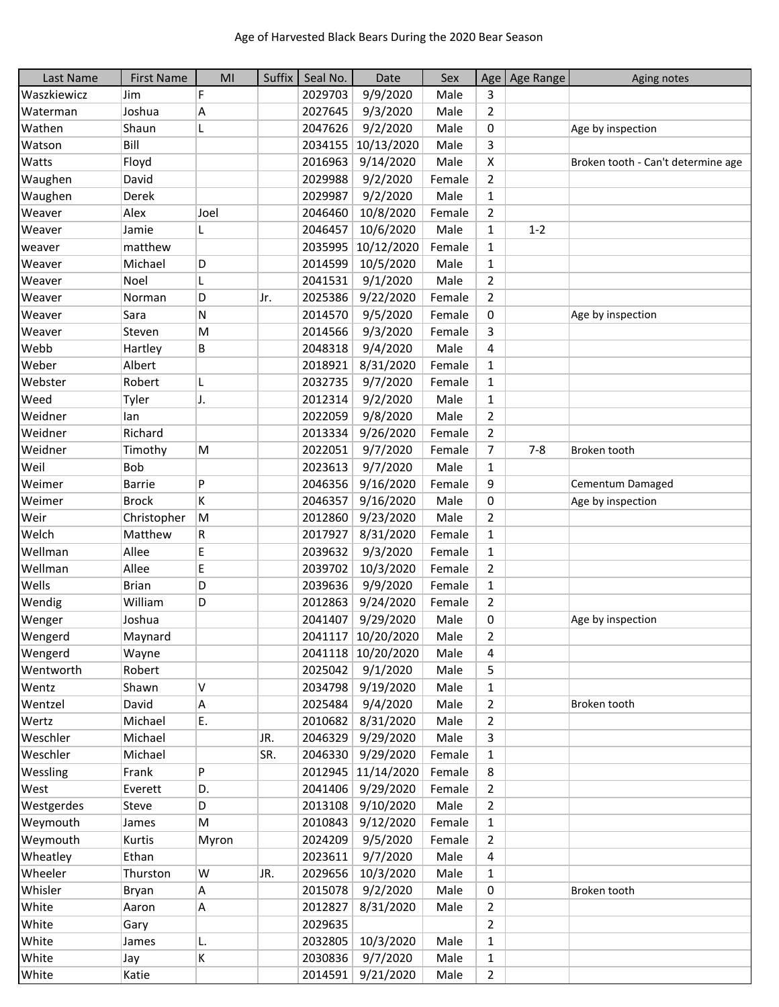| Last Name   | <b>First Name</b> | MI    | Suffix | Seal No. | Date               | Sex    |                | Age   Age Range | Aging notes                        |
|-------------|-------------------|-------|--------|----------|--------------------|--------|----------------|-----------------|------------------------------------|
| Waszkiewicz | Jim               | F     |        | 2029703  | 9/9/2020           | Male   | 3              |                 |                                    |
| Waterman    | Joshua            | Α     |        | 2027645  | 9/3/2020           | Male   | $\overline{2}$ |                 |                                    |
| Wathen      | Shaun             | L     |        | 2047626  | 9/2/2020           | Male   | 0              |                 | Age by inspection                  |
| Watson      | Bill              |       |        | 2034155  | 10/13/2020         | Male   | 3              |                 |                                    |
| Watts       | Floyd             |       |        | 2016963  | 9/14/2020          | Male   | X              |                 | Broken tooth - Can't determine age |
| Waughen     | David             |       |        | 2029988  | 9/2/2020           | Female | $\overline{2}$ |                 |                                    |
| Waughen     | Derek             |       |        | 2029987  | 9/2/2020           | Male   | $\mathbf{1}$   |                 |                                    |
| Weaver      | Alex              | Joel  |        | 2046460  | 10/8/2020          | Female | $\overline{2}$ |                 |                                    |
| Weaver      | Jamie             | L     |        | 2046457  | 10/6/2020          | Male   | $\mathbf{1}$   | $1 - 2$         |                                    |
| weaver      | matthew           |       |        | 2035995  | 10/12/2020         | Female | $\mathbf{1}$   |                 |                                    |
| Weaver      | Michael           | D     |        | 2014599  | 10/5/2020          | Male   | $\mathbf{1}$   |                 |                                    |
| Weaver      | Noel              |       |        | 2041531  | 9/1/2020           | Male   | $\overline{2}$ |                 |                                    |
| Weaver      | Norman            | D     | Jr.    | 2025386  | 9/22/2020          | Female | $\overline{2}$ |                 |                                    |
| Weaver      | Sara              | N     |        | 2014570  | 9/5/2020           | Female | 0              |                 | Age by inspection                  |
| Weaver      | Steven            | M     |        | 2014566  | 9/3/2020           | Female | 3              |                 |                                    |
| Webb        | Hartley           | B     |        | 2048318  | 9/4/2020           | Male   | 4              |                 |                                    |
| Weber       | Albert            |       |        | 2018921  | 8/31/2020          | Female | $\mathbf{1}$   |                 |                                    |
| Webster     | Robert            | L     |        | 2032735  | 9/7/2020           | Female | $\mathbf{1}$   |                 |                                    |
| Weed        | Tyler             | J.    |        | 2012314  | 9/2/2020           | Male   | $\mathbf{1}$   |                 |                                    |
| Weidner     | lan               |       |        | 2022059  | 9/8/2020           | Male   | $\overline{2}$ |                 |                                    |
| Weidner     | Richard           |       |        | 2013334  | 9/26/2020          | Female | $\overline{2}$ |                 |                                    |
| Weidner     | Timothy           | M     |        | 2022051  | 9/7/2020           | Female | 7              | $7 - 8$         | Broken tooth                       |
| Weil        | Bob               |       |        | 2023613  | 9/7/2020           | Male   | 1              |                 |                                    |
| Weimer      | <b>Barrie</b>     | P     |        | 2046356  | 9/16/2020          | Female | 9              |                 | Cementum Damaged                   |
| Weimer      | <b>Brock</b>      | K     |        | 2046357  | 9/16/2020          | Male   | 0              |                 | Age by inspection                  |
| Weir        | Christopher       | M     |        | 2012860  | 9/23/2020          | Male   | $\overline{2}$ |                 |                                    |
| Welch       | Matthew           | R     |        | 2017927  | 8/31/2020          | Female | $\mathbf{1}$   |                 |                                    |
| Wellman     | Allee             | E     |        | 2039632  | 9/3/2020           | Female | $\mathbf{1}$   |                 |                                    |
| Wellman     | Allee             | E     |        | 2039702  | 10/3/2020          | Female | $\overline{2}$ |                 |                                    |
| Wells       | <b>Brian</b>      | D     |        | 2039636  | 9/9/2020           | Female | $\mathbf{1}$   |                 |                                    |
| Wendig      | William           | D     |        | 2012863  | 9/24/2020          | Female | $\overline{2}$ |                 |                                    |
| Wenger      | Joshua            |       |        | 2041407  | 9/29/2020          | Male   | 0              |                 | Age by inspection                  |
| Wengerd     | Maynard           |       |        |          | 2041117 10/20/2020 | Male   | 2              |                 |                                    |
| Wengerd     | Wayne             |       |        |          | 2041118 10/20/2020 | Male   | 4              |                 |                                    |
| Wentworth   | Robert            |       |        | 2025042  | 9/1/2020           | Male   | 5              |                 |                                    |
| Wentz       | Shawn             | Λ     |        | 2034798  | 9/19/2020          | Male   | $\mathbf{1}$   |                 |                                    |
| Wentzel     | David             | Α     |        | 2025484  | 9/4/2020           | Male   | 2              |                 | Broken tooth                       |
| Wertz       | Michael           | Е.    |        | 2010682  | 8/31/2020          | Male   | $\overline{2}$ |                 |                                    |
| Weschler    | Michael           |       | JR.    | 2046329  | 9/29/2020          | Male   | 3              |                 |                                    |
| Weschler    | Michael           |       | SR.    |          | 2046330 9/29/2020  | Female | $\mathbf{1}$   |                 |                                    |
| Wessling    | Frank             | P     |        |          | 2012945 11/14/2020 | Female | 8              |                 |                                    |
| West        | Everett           | D.    |        | 2041406  | 9/29/2020          | Female | $\overline{2}$ |                 |                                    |
| Westgerdes  | Steve             | D     |        | 2013108  | 9/10/2020          | Male   | $\overline{2}$ |                 |                                    |
| Weymouth    | James             | M     |        | 2010843  | 9/12/2020          | Female | $\mathbf{1}$   |                 |                                    |
| Weymouth    | Kurtis            | Myron |        | 2024209  | 9/5/2020           | Female | $\overline{2}$ |                 |                                    |
| Wheatley    | Ethan             |       |        | 2023611  | 9/7/2020           | Male   | 4              |                 |                                    |
| Wheeler     | Thurston          | W     | JR.    | 2029656  | 10/3/2020          | Male   | $\mathbf{1}$   |                 |                                    |
| Whisler     | Bryan             | А     |        | 2015078  | 9/2/2020           | Male   | 0              |                 | Broken tooth                       |
| White       | Aaron             | A     |        | 2012827  | 8/31/2020          | Male   | $\overline{2}$ |                 |                                    |
| White       | Gary              |       |        | 2029635  |                    |        | $\overline{2}$ |                 |                                    |
| White       | James             | L.    |        | 2032805  | 10/3/2020          | Male   | 1              |                 |                                    |
| White       | Jay               | K     |        | 2030836  | 9/7/2020           | Male   | $\mathbf{1}$   |                 |                                    |
| White       | Katie             |       |        |          | 2014591 9/21/2020  | Male   | $\overline{2}$ |                 |                                    |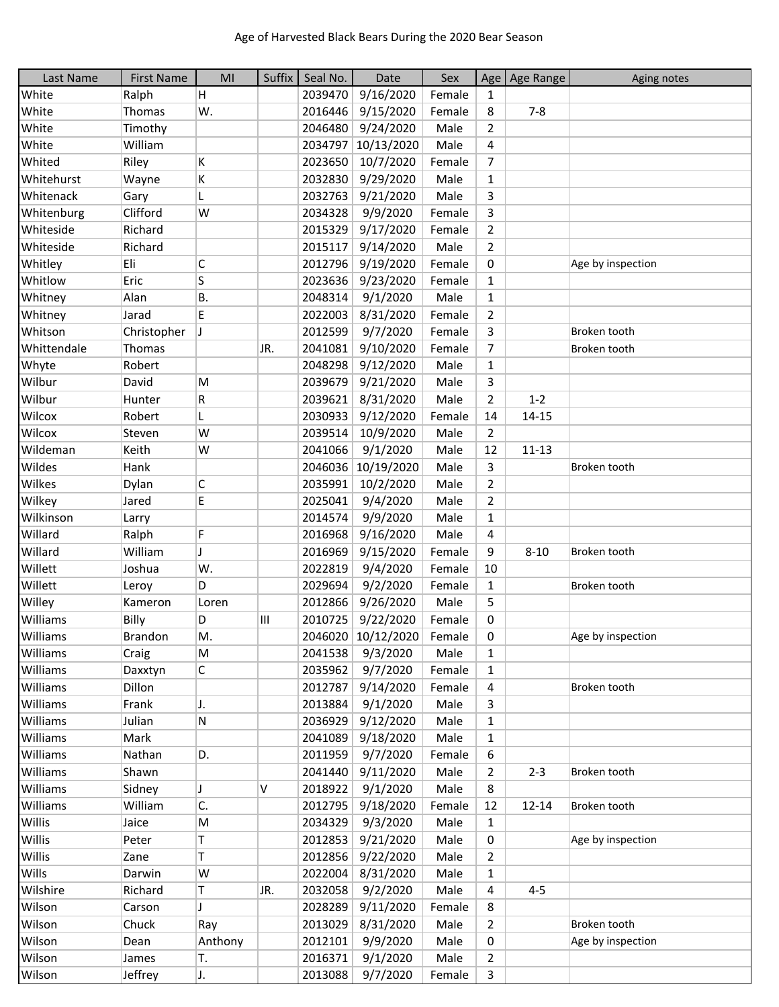| Last Name   | <b>First Name</b> | MI      | Suffix | Seal No. | Date               | Sex    |                | Age   Age Range | Aging notes       |
|-------------|-------------------|---------|--------|----------|--------------------|--------|----------------|-----------------|-------------------|
| White       | Ralph             | Н.      |        | 2039470  | 9/16/2020          | Female | 1              |                 |                   |
| White       | Thomas            | W.      |        | 2016446  | 9/15/2020          | Female | 8              | $7 - 8$         |                   |
| White       | Timothy           |         |        | 2046480  | 9/24/2020          | Male   | $\overline{2}$ |                 |                   |
| White       | William           |         |        | 2034797  | 10/13/2020         | Male   | 4              |                 |                   |
| Whited      | Riley             | K       |        | 2023650  | 10/7/2020          | Female | $\overline{7}$ |                 |                   |
| Whitehurst  | Wayne             | K       |        | 2032830  | 9/29/2020          | Male   | $\mathbf{1}$   |                 |                   |
| Whitenack   | Gary              | L       |        | 2032763  | 9/21/2020          | Male   | 3              |                 |                   |
| Whitenburg  | Clifford          | W       |        | 2034328  | 9/9/2020           | Female | 3              |                 |                   |
| Whiteside   | Richard           |         |        | 2015329  | 9/17/2020          | Female | $\overline{2}$ |                 |                   |
| Whiteside   | Richard           |         |        | 2015117  | 9/14/2020          | Male   | $\overline{2}$ |                 |                   |
| Whitley     | Eli               | С       |        | 2012796  | 9/19/2020          | Female | 0              |                 | Age by inspection |
| Whitlow     | Eric              | S       |        | 2023636  | 9/23/2020          | Female | $\mathbf{1}$   |                 |                   |
| Whitney     | Alan              | В.      |        | 2048314  | 9/1/2020           | Male   | $\mathbf{1}$   |                 |                   |
| Whitney     | Jarad             | E.      |        | 2022003  | 8/31/2020          | Female | $\overline{2}$ |                 |                   |
| Whitson     | Christopher       |         |        | 2012599  | 9/7/2020           | Female | 3              |                 | Broken tooth      |
| Whittendale | Thomas            |         | JR.    | 2041081  | 9/10/2020          | Female | $\overline{7}$ |                 | Broken tooth      |
| Whyte       | Robert            |         |        | 2048298  | 9/12/2020          | Male   | $\mathbf{1}$   |                 |                   |
| Wilbur      | David             | M       |        | 2039679  | 9/21/2020          | Male   | 3              |                 |                   |
| Wilbur      | Hunter            | R       |        | 2039621  | 8/31/2020          | Male   | $\overline{2}$ | $1 - 2$         |                   |
| Wilcox      | Robert            | L       |        | 2030933  | 9/12/2020          | Female | 14             | 14-15           |                   |
| Wilcox      | Steven            | W       |        | 2039514  | 10/9/2020          | Male   | $\overline{2}$ |                 |                   |
| Wildeman    | Keith             | W       |        | 2041066  | 9/1/2020           | Male   | 12             | $11 - 13$       |                   |
| Wildes      | Hank              |         |        |          | 2046036 10/19/2020 | Male   | 3              |                 | Broken tooth      |
| Wilkes      | Dylan             | С       |        | 2035991  | 10/2/2020          | Male   | $\overline{2}$ |                 |                   |
| Wilkey      | Jared             | E       |        | 2025041  | 9/4/2020           | Male   | $\overline{2}$ |                 |                   |
| Wilkinson   | Larry             |         |        | 2014574  | 9/9/2020           | Male   | 1              |                 |                   |
| Willard     | Ralph             | F       |        | 2016968  | 9/16/2020          | Male   | 4              |                 |                   |
| Willard     | William           | J       |        | 2016969  | 9/15/2020          | Female | 9              | $8 - 10$        | Broken tooth      |
| Willett     | Joshua            | W.      |        | 2022819  | 9/4/2020           | Female | 10             |                 |                   |
| Willett     | Leroy             | D       |        | 2029694  | 9/2/2020           | Female | $\mathbf{1}$   |                 | Broken tooth      |
| Willey      | Kameron           | Loren   |        | 2012866  | 9/26/2020          | Male   | 5              |                 |                   |
| Williams    | Billy             | D       | III    | 2010725  | 9/22/2020          | Female | 0              |                 |                   |
| Williams    | Brandon           | M.      |        |          | 2046020 10/12/2020 | Female | 0              |                 | Age by inspection |
| Williams    | Craig             | M       |        | 2041538  | 9/3/2020           | Male   | $\mathbf{1}$   |                 |                   |
| Williams    | Daxxtyn           | С       |        | 2035962  | 9/7/2020           | Female | $\mathbf{1}$   |                 |                   |
| Williams    | Dillon            |         |        | 2012787  | 9/14/2020          | Female | 4              |                 | Broken tooth      |
| Williams    | Frank             | J.      |        | 2013884  | 9/1/2020           | Male   | 3              |                 |                   |
| Williams    | Julian            | N       |        | 2036929  | 9/12/2020          | Male   | 1              |                 |                   |
| Williams    | Mark              |         |        | 2041089  | 9/18/2020          | Male   | $\mathbf{1}$   |                 |                   |
| Williams    | Nathan            | D.      |        | 2011959  | 9/7/2020           | Female | 6              |                 |                   |
| Williams    | Shawn             |         |        | 2041440  | 9/11/2020          | Male   | $\overline{2}$ | $2 - 3$         | Broken tooth      |
| Williams    | Sidney            | J       | V      | 2018922  | 9/1/2020           | Male   | 8              |                 |                   |
| Williams    | William           | C.      |        | 2012795  | 9/18/2020          | Female | 12             | 12-14           | Broken tooth      |
| Willis      | Jaice             | M       |        | 2034329  | 9/3/2020           | Male   | $\mathbf{1}$   |                 |                   |
| Willis      | Peter             | T       |        | 2012853  | 9/21/2020          | Male   | 0              |                 | Age by inspection |
| Willis      | Zane              | T       |        | 2012856  | 9/22/2020          | Male   | $\overline{2}$ |                 |                   |
| Wills       | Darwin            | W       |        | 2022004  | 8/31/2020          | Male   | $\mathbf{1}$   |                 |                   |
| Wilshire    | Richard           | Τ       | JR.    | 2032058  | 9/2/2020           | Male   | 4              | $4 - 5$         |                   |
| Wilson      | Carson            | J       |        | 2028289  | 9/11/2020          | Female | 8              |                 |                   |
| Wilson      | Chuck             | Ray     |        | 2013029  | 8/31/2020          | Male   | $\overline{2}$ |                 | Broken tooth      |
| Wilson      | Dean              | Anthony |        | 2012101  | 9/9/2020           | Male   | 0              |                 | Age by inspection |
| Wilson      | James             | Т.      |        | 2016371  | 9/1/2020           | Male   | $\overline{2}$ |                 |                   |
| Wilson      | Jeffrey           | J.      |        | 2013088  | 9/7/2020           | Female | $\mathsf{3}$   |                 |                   |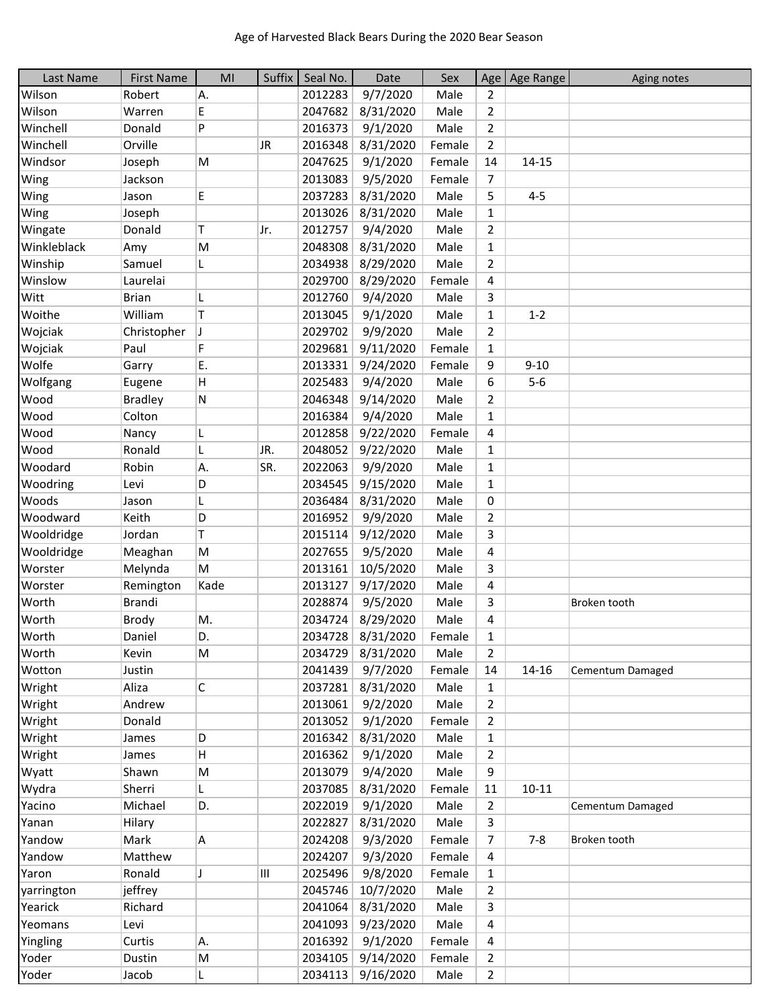| Last Name   | <b>First Name</b> | M <sub>l</sub> | Suffix    | Seal No. | Date              | Sex    |                         | Age   Age Range | Aging notes      |
|-------------|-------------------|----------------|-----------|----------|-------------------|--------|-------------------------|-----------------|------------------|
| Wilson      | Robert            | Α.             |           | 2012283  | 9/7/2020          | Male   | 2                       |                 |                  |
| Wilson      | Warren            | E              |           | 2047682  | 8/31/2020         | Male   | $\overline{2}$          |                 |                  |
| Winchell    | Donald            | P              |           | 2016373  | 9/1/2020          | Male   | $\overline{2}$          |                 |                  |
| Winchell    | Orville           |                | <b>JR</b> | 2016348  | 8/31/2020         | Female | $\overline{2}$          |                 |                  |
| Windsor     | Joseph            | M              |           | 2047625  | 9/1/2020          | Female | 14                      | 14-15           |                  |
| Wing        | Jackson           |                |           | 2013083  | 9/5/2020          | Female | $\overline{7}$          |                 |                  |
| Wing        | Jason             | E              |           | 2037283  | 8/31/2020         | Male   | 5                       | $4 - 5$         |                  |
| Wing        | Joseph            |                |           | 2013026  | 8/31/2020         | Male   | $\mathbf{1}$            |                 |                  |
| Wingate     | Donald            | T              | Jr.       | 2012757  | 9/4/2020          | Male   | $\overline{2}$          |                 |                  |
| Winkleblack | Amy               | M              |           | 2048308  | 8/31/2020         | Male   | $\mathbf{1}$            |                 |                  |
| Winship     | Samuel            | L.             |           | 2034938  | 8/29/2020         | Male   | $\overline{2}$          |                 |                  |
| Winslow     | Laurelai          |                |           | 2029700  | 8/29/2020         | Female | 4                       |                 |                  |
| Witt        | <b>Brian</b>      | L              |           | 2012760  | 9/4/2020          | Male   | 3                       |                 |                  |
| Woithe      | William           | T              |           | 2013045  | 9/1/2020          | Male   | $\mathbf{1}$            | $1 - 2$         |                  |
| Wojciak     | Christopher       | J              |           | 2029702  | 9/9/2020          | Male   | $\overline{2}$          |                 |                  |
| Wojciak     | Paul              | F              |           | 2029681  | 9/11/2020         | Female | $\mathbf{1}$            |                 |                  |
| Wolfe       | Garry             | Ε.             |           | 2013331  | 9/24/2020         | Female | 9                       | $9 - 10$        |                  |
| Wolfgang    | Eugene            | H              |           | 2025483  | 9/4/2020          | Male   | 6                       | $5-6$           |                  |
| Wood        | <b>Bradley</b>    | ${\sf N}$      |           | 2046348  | 9/14/2020         | Male   | $\overline{2}$          |                 |                  |
| Wood        | Colton            |                |           | 2016384  | 9/4/2020          | Male   | $\mathbf{1}$            |                 |                  |
| Wood        | Nancy             | L              |           | 2012858  | 9/22/2020         | Female | 4                       |                 |                  |
| Wood        | Ronald            | L              | JR.       | 2048052  | 9/22/2020         | Male   | $\mathbf{1}$            |                 |                  |
| Woodard     | Robin             | Α.             | SR.       | 2022063  | 9/9/2020          | Male   | $\mathbf{1}$            |                 |                  |
| Woodring    | Levi              | D              |           | 2034545  | 9/15/2020         | Male   | $\mathbf{1}$            |                 |                  |
| Woods       | Jason             | L              |           | 2036484  | 8/31/2020         | Male   | 0                       |                 |                  |
| Woodward    | Keith             | D              |           | 2016952  | 9/9/2020          | Male   | $\overline{2}$          |                 |                  |
| Wooldridge  | Jordan            | Τ              |           | 2015114  | 9/12/2020         | Male   | 3                       |                 |                  |
| Wooldridge  | Meaghan           | M              |           | 2027655  | 9/5/2020          | Male   | 4                       |                 |                  |
| Worster     | Melynda           | M              |           | 2013161  | 10/5/2020         | Male   | 3                       |                 |                  |
| Worster     | Remington         | Kade           |           | 2013127  | 9/17/2020         | Male   | 4                       |                 |                  |
| Worth       | <b>Brandi</b>     |                |           | 2028874  | 9/5/2020          | Male   | 3                       |                 | Broken tooth     |
| Worth       | Brody             | M.             |           | 2034724  | 8/29/2020         | Male   | $\overline{\mathbf{4}}$ |                 |                  |
| Worth       | Daniel            | D.             |           |          | 2034728 8/31/2020 | Female | $\mathbf 1$             |                 |                  |
| Worth       | Kevin             | M              |           | 2034729  | 8/31/2020         | Male   | $\overline{2}$          |                 |                  |
| Wotton      | Justin            |                |           | 2041439  | 9/7/2020          | Female | 14                      | 14-16           | Cementum Damaged |
| Wright      | Aliza             | $\mathsf C$    |           | 2037281  | 8/31/2020         | Male   | $\mathbf{1}$            |                 |                  |
| Wright      | Andrew            |                |           | 2013061  | 9/2/2020          | Male   | $\overline{2}$          |                 |                  |
| Wright      | Donald            |                |           | 2013052  | 9/1/2020          | Female | $\overline{2}$          |                 |                  |
| Wright      | James             | D              |           | 2016342  | 8/31/2020         | Male   | $\mathbf{1}$            |                 |                  |
| Wright      | James             | н              |           | 2016362  | 9/1/2020          | Male   | $\overline{2}$          |                 |                  |
| Wyatt       | Shawn             | M              |           | 2013079  | 9/4/2020          | Male   | 9                       |                 |                  |
| Wydra       | Sherri            | L.             |           | 2037085  | 8/31/2020         | Female | 11                      | $10 - 11$       |                  |
| Yacino      | Michael           | D.             |           | 2022019  | 9/1/2020          | Male   | $\overline{2}$          |                 | Cementum Damaged |
| Yanan       | Hilary            |                |           | 2022827  | 8/31/2020         | Male   | 3                       |                 |                  |
| Yandow      | Mark              | Α              |           | 2024208  | 9/3/2020          | Female | $\overline{7}$          | $7 - 8$         | Broken tooth     |
| Yandow      | Matthew           |                |           | 2024207  | 9/3/2020          | Female | 4                       |                 |                  |
| Yaron       | Ronald            | J              | Ш         | 2025496  | 9/8/2020          | Female | $\mathbf{1}$            |                 |                  |
| yarrington  | jeffrey           |                |           | 2045746  | 10/7/2020         | Male   | $\overline{2}$          |                 |                  |
| Yearick     | Richard           |                |           | 2041064  | 8/31/2020         | Male   | 3                       |                 |                  |
| Yeomans     | Levi              |                |           | 2041093  | 9/23/2020         | Male   | 4                       |                 |                  |
| Yingling    | Curtis            | Α.             |           | 2016392  | 9/1/2020          | Female | 4                       |                 |                  |
| Yoder       | Dustin            | M              |           | 2034105  | 9/14/2020         | Female | $\overline{2}$          |                 |                  |
| Yoder       | Jacob             |                |           |          | 2034113 9/16/2020 | Male   | $\overline{2}$          |                 |                  |